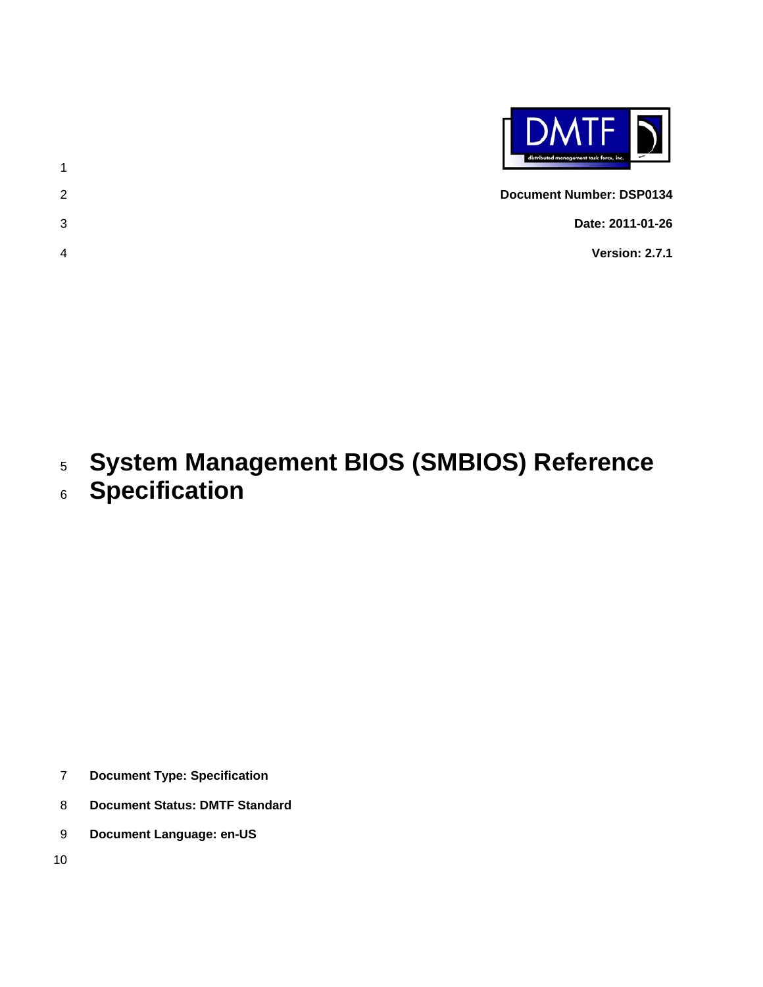

| <b>Document Number: DSP0134</b> | 2 |
|---------------------------------|---|
| Date: 2011-01-26                | 3 |
| <b>Version: 2.7.1</b>           | 4 |

# **System Management BIOS (SMBIOS) Reference Specification**

**Document Type: Specification** 

**Document Status: DMTF Standard** 

**Document Language: en-US**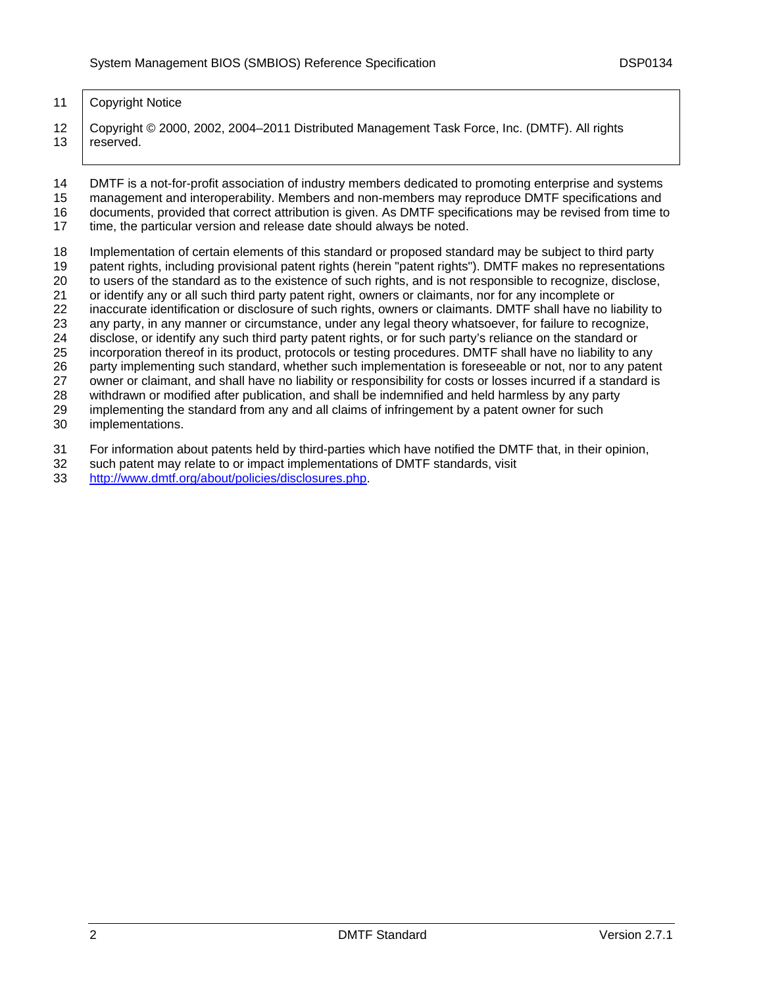#### 11 | Copyright Notice

12 Copyright © 2000, 2002, 2004–2011 Distributed Management Task Force, Inc. (DMTF). All rights 13 **reserved**.

14 DMTF is a not-for-profit association of industry members dedicated to promoting enterprise and systems 15 management and interoperability. Members and non-members may reproduce DMTF specifications and 16 documents, provided that correct attribution is given. As DMTF specifications may be revised from time to 17 time, the particular version and release date should always be noted.

18 Implementation of certain elements of this standard or proposed standard may be subject to third party 19 patent rights, including provisional patent rights (herein "patent rights"). DMTF makes no representations 20 to users of the standard as to the existence of such rights, and is not responsible to recognize, disclose,<br>21 or identify any or all such third party patent right, owners or claimants, nor for any incomplete or 21 or identify any or all such third party patent right, owners or claimants, nor for any incomplete or 22 inaccurate identification or disclosure of such rights, owners or claimants. DMTF shall have no liability to 23 any party, in any manner or circumstance, under any legal theory whatsoever, for failure to recognize, 24 disclose, or identify any such third party patent rights, or for such party's reliance on the standard or disclose, or identify any such third party patent rights, or for such party's reliance on the standard or 25 incorporation thereof in its product, protocols or testing procedures. DMTF shall have no liability to any 26 party implementing such standard, whether such implementation is foreseeable or not, nor to any patent 27 owner or claimant, and shall have no liability or responsibility for costs or losses incurred if a standard is 28 withdrawn or modified after publication, and shall be indemnified and held harmless by any party 29 implementing the standard from any and all claims of infringement by a patent owner for such 30 implementations.

31 For information about patents held by third-parties which have notified the DMTF that, in their opinion,

- 32 such patent may relate to or impact implementations of DMTF standards, visit
- 33 <http://www.dmtf.org/about/policies/disclosures.php>.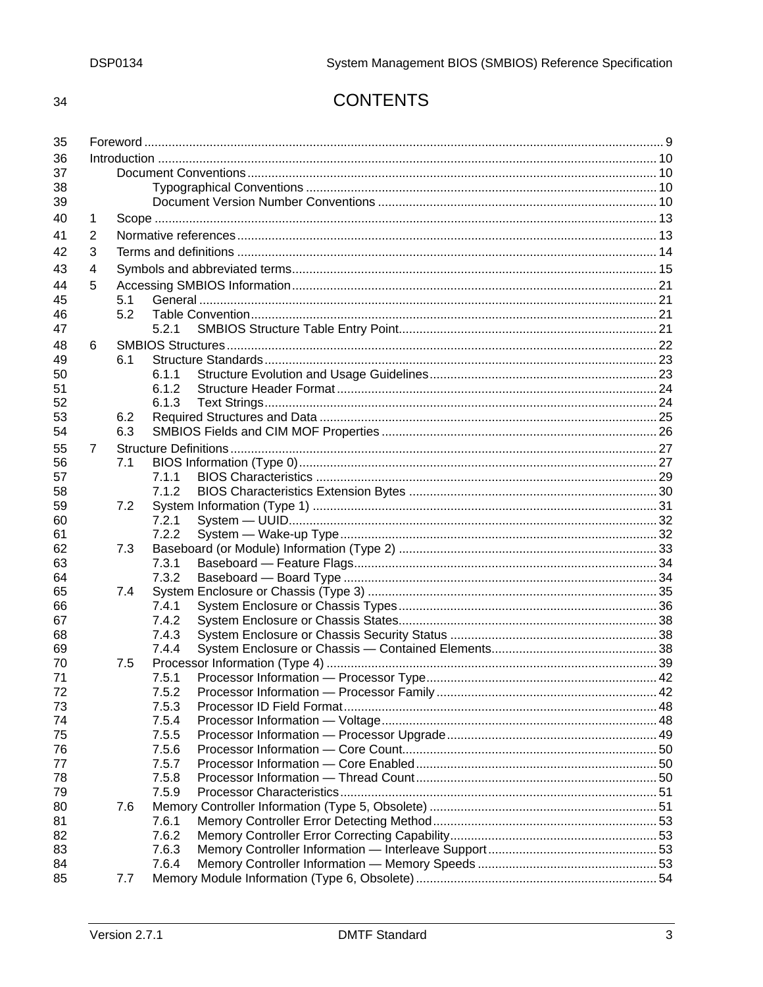34

# **CONTENTS**

| 35       |   |     |                |  |  |
|----------|---|-----|----------------|--|--|
| 36       |   |     |                |  |  |
| 37       |   |     |                |  |  |
| 38       |   |     |                |  |  |
| 39       |   |     |                |  |  |
| 40       | 1 |     |                |  |  |
| 41       | 2 |     |                |  |  |
|          |   |     |                |  |  |
| 42       | 3 |     |                |  |  |
| 43       | 4 |     |                |  |  |
| 44       | 5 |     |                |  |  |
| 45       |   | 5.1 |                |  |  |
| 46       |   | 5.2 |                |  |  |
| 47       |   |     | 5.2.1          |  |  |
| 48       | 6 |     |                |  |  |
| 49       |   | 6.1 |                |  |  |
| 50       |   |     | 6.1.1          |  |  |
| 51       |   |     | 6.1.2          |  |  |
| 52       |   |     | 6.1.3          |  |  |
| 53       |   | 6.2 |                |  |  |
| 54       |   | 6.3 |                |  |  |
| 55       | 7 |     |                |  |  |
| 56       |   | 7.1 |                |  |  |
| 57       |   |     | 7.1.1          |  |  |
| 58       |   |     | 7.1.2          |  |  |
| 59       |   | 7.2 |                |  |  |
| 60       |   |     | 7.2.1          |  |  |
| 61       |   |     | 7.2.2          |  |  |
| 62       |   | 7.3 |                |  |  |
| 63       |   |     | 7.3.1          |  |  |
| 64       |   |     | 7.3.2          |  |  |
| 65       |   | 7.4 |                |  |  |
| 66       |   |     | 7.4.1          |  |  |
| 67       |   |     | 7.4.2          |  |  |
| 68       |   |     | 7.4.3          |  |  |
| 69       |   |     | 7.4.4          |  |  |
| 70       |   | 7.5 |                |  |  |
| 71       |   |     | 7.5.1          |  |  |
| 72       |   |     | 7.5.2          |  |  |
| 73       |   |     | 7.5.3          |  |  |
| 74       |   |     | 7.5.4          |  |  |
| 75       |   |     | 7.5.5          |  |  |
| 76       |   |     | 7.5.6          |  |  |
| 77       |   |     | 7.5.7          |  |  |
| 78       |   |     | 7.5.8          |  |  |
| 79       |   |     | 7.5.9          |  |  |
| 80       |   | 7.6 |                |  |  |
| 81       |   |     | 7.6.1<br>7.6.2 |  |  |
| 82<br>83 |   |     | 7.6.3          |  |  |
| 84       |   |     | 7.6.4          |  |  |
| 85       |   | 7.7 |                |  |  |
|          |   |     |                |  |  |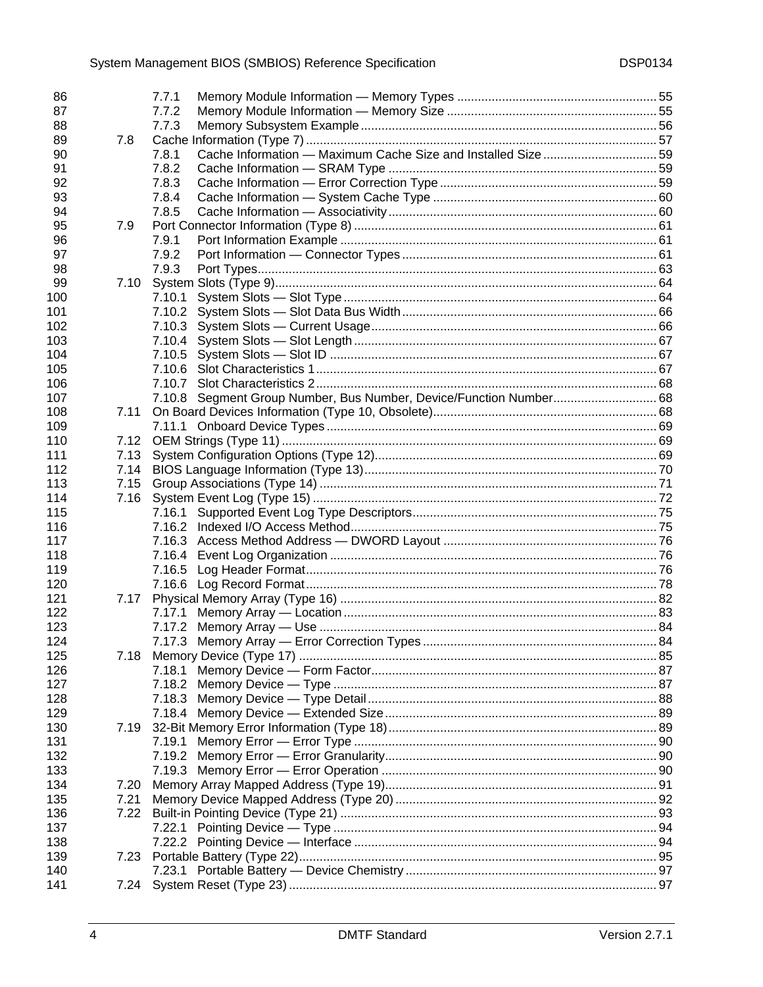| 86  |      | 7.7.1                                                              |  |
|-----|------|--------------------------------------------------------------------|--|
|     |      |                                                                    |  |
| 87  |      | 7.7.2                                                              |  |
| 88  |      | 7.7.3                                                              |  |
| 89  | 7.8  |                                                                    |  |
| 90  |      | 7.8.1                                                              |  |
| 91  |      | 7.8.2                                                              |  |
| 92  |      | 7.8.3                                                              |  |
| 93  |      | 7.8.4                                                              |  |
| 94  |      | 7.8.5                                                              |  |
| 95  | 7.9  |                                                                    |  |
| 96  |      | 7.9.1                                                              |  |
| 97  |      | 7.9.2                                                              |  |
| 98  |      | 7.9.3                                                              |  |
| 99  | 7.10 |                                                                    |  |
| 100 |      | 7.10.1                                                             |  |
| 101 |      | 7.10.2                                                             |  |
| 102 |      |                                                                    |  |
|     |      | 7.10.3                                                             |  |
| 103 |      | 7.10.4                                                             |  |
| 104 |      | 7.10.5                                                             |  |
| 105 |      | 7.10.6                                                             |  |
| 106 |      | 7.10.7                                                             |  |
| 107 |      | 7.10.8 Segment Group Number, Bus Number, Device/Function Number 68 |  |
| 108 | 7.11 |                                                                    |  |
| 109 |      |                                                                    |  |
| 110 | 7.12 |                                                                    |  |
| 111 | 7.13 |                                                                    |  |
| 112 | 7.14 |                                                                    |  |
| 113 | 7.15 |                                                                    |  |
| 114 | 7.16 |                                                                    |  |
| 115 |      |                                                                    |  |
| 116 |      |                                                                    |  |
| 117 |      |                                                                    |  |
| 118 |      | 7.16.4                                                             |  |
| 119 |      | 7.16.5                                                             |  |
| 120 |      |                                                                    |  |
| 121 | 7.17 |                                                                    |  |
| 122 |      | 7.17.1                                                             |  |
| 123 |      |                                                                    |  |
| 124 |      |                                                                    |  |
| 125 |      |                                                                    |  |
| 126 |      |                                                                    |  |
| 127 |      | 7.18.2                                                             |  |
| 128 |      |                                                                    |  |
| 129 |      |                                                                    |  |
| 130 |      |                                                                    |  |
| 131 |      | 7.19.1                                                             |  |
| 132 |      | 7.19.2                                                             |  |
| 133 |      |                                                                    |  |
| 134 | 7.20 |                                                                    |  |
| 135 | 7.21 |                                                                    |  |
|     |      |                                                                    |  |
| 136 | 7.22 |                                                                    |  |
| 137 |      |                                                                    |  |
| 138 |      |                                                                    |  |
| 139 | 7.23 |                                                                    |  |
| 140 |      |                                                                    |  |
| 141 | 7.24 |                                                                    |  |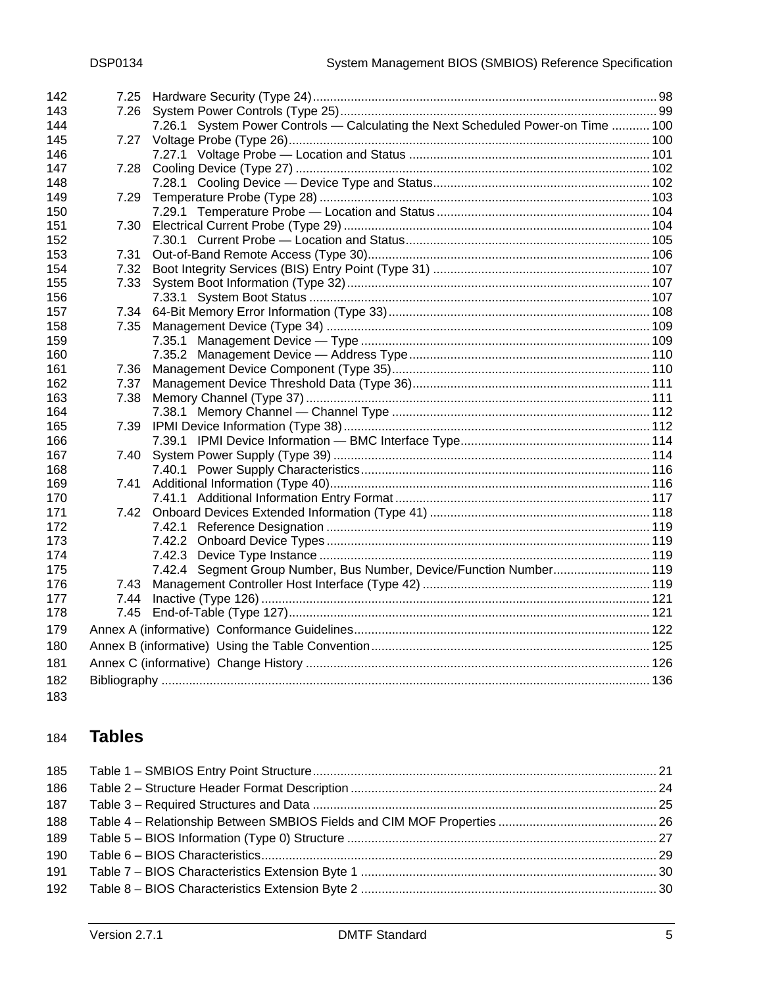| 142 | 7.25 |                                                                                  |  |
|-----|------|----------------------------------------------------------------------------------|--|
| 143 | 7.26 |                                                                                  |  |
| 144 |      | 7.26.1 System Power Controls — Calculating the Next Scheduled Power-on Time  100 |  |
| 145 | 7.27 |                                                                                  |  |
| 146 |      |                                                                                  |  |
| 147 | 7.28 |                                                                                  |  |
| 148 |      |                                                                                  |  |
| 149 | 7.29 |                                                                                  |  |
| 150 |      |                                                                                  |  |
| 151 | 7.30 |                                                                                  |  |
| 152 |      |                                                                                  |  |
| 153 | 7.31 |                                                                                  |  |
| 154 | 7.32 |                                                                                  |  |
| 155 | 7.33 |                                                                                  |  |
| 156 |      |                                                                                  |  |
| 157 | 7.34 |                                                                                  |  |
| 158 | 7.35 |                                                                                  |  |
| 159 |      |                                                                                  |  |
| 160 |      |                                                                                  |  |
| 161 | 7.36 |                                                                                  |  |
| 162 | 7.37 |                                                                                  |  |
| 163 | 7.38 |                                                                                  |  |
| 164 |      |                                                                                  |  |
| 165 | 7.39 |                                                                                  |  |
| 166 |      |                                                                                  |  |
| 167 | 7.40 |                                                                                  |  |
| 168 |      |                                                                                  |  |
| 169 | 7.41 |                                                                                  |  |
| 170 |      |                                                                                  |  |
| 171 |      |                                                                                  |  |
| 172 |      |                                                                                  |  |
| 173 |      |                                                                                  |  |
| 174 |      |                                                                                  |  |
| 175 |      | 7.42.4 Segment Group Number, Bus Number, Device/Function Number 119              |  |
| 176 | 7.43 |                                                                                  |  |
| 177 | 7.44 |                                                                                  |  |
| 178 | 7.45 |                                                                                  |  |
| 179 |      |                                                                                  |  |
| 180 |      |                                                                                  |  |
| 181 |      |                                                                                  |  |
| 182 |      |                                                                                  |  |
| 183 |      |                                                                                  |  |

## **Tables**

| 185 |  |
|-----|--|
| 186 |  |
| 187 |  |
| 188 |  |
| 189 |  |
| 190 |  |
| 191 |  |
| 192 |  |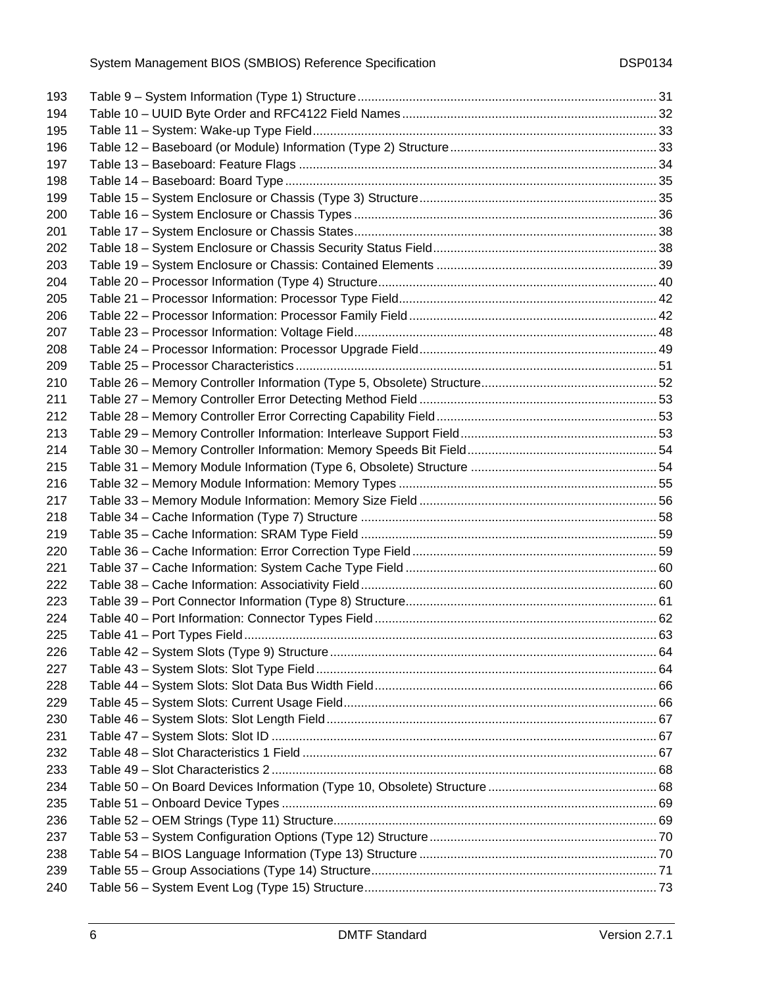| 193 |  |
|-----|--|
| 194 |  |
| 195 |  |
| 196 |  |
| 197 |  |
| 198 |  |
| 199 |  |
| 200 |  |
| 201 |  |
| 202 |  |
| 203 |  |
| 204 |  |
| 205 |  |
| 206 |  |
| 207 |  |
| 208 |  |
| 209 |  |
| 210 |  |
| 211 |  |
| 212 |  |
| 213 |  |
| 214 |  |
| 215 |  |
| 216 |  |
| 217 |  |
| 218 |  |
| 219 |  |
| 220 |  |
| 221 |  |
| 222 |  |
| 223 |  |
| 224 |  |
| 225 |  |
| 226 |  |
| 227 |  |
| 228 |  |
| 229 |  |
| 230 |  |
| 231 |  |
| 232 |  |
| 233 |  |
| 234 |  |
| 235 |  |
| 236 |  |
| 237 |  |
| 238 |  |
| 239 |  |
| 240 |  |
|     |  |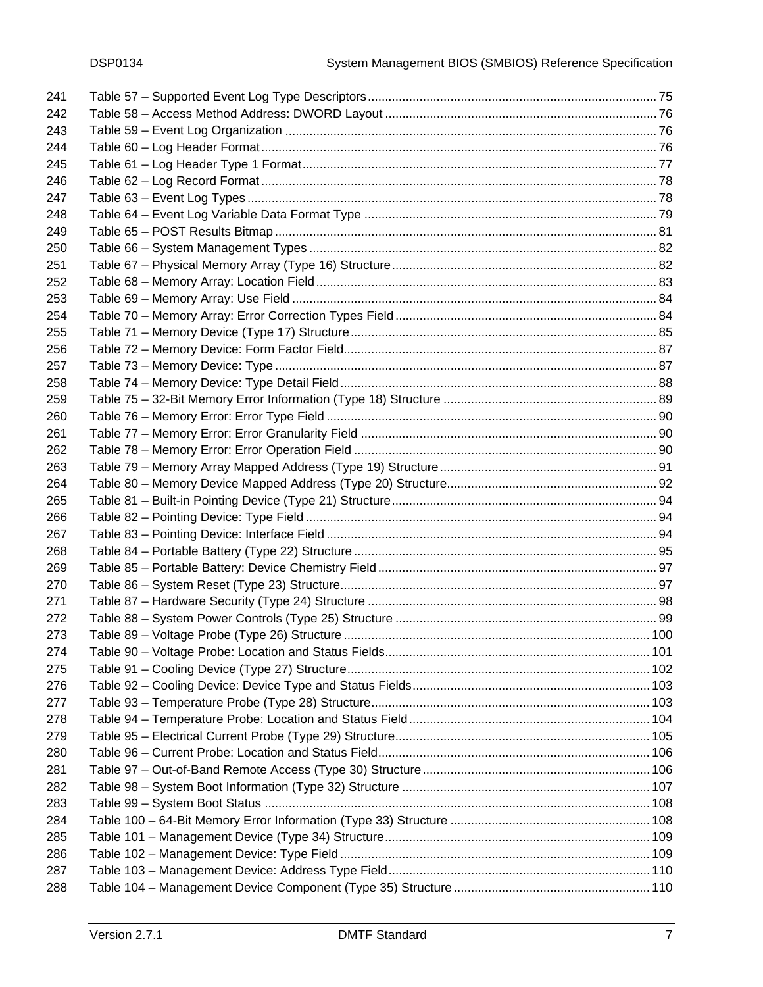| 241 |  |
|-----|--|
| 242 |  |
| 243 |  |
| 244 |  |
| 245 |  |
| 246 |  |
| 247 |  |
| 248 |  |
| 249 |  |
| 250 |  |
| 251 |  |
| 252 |  |
| 253 |  |
| 254 |  |
| 255 |  |
| 256 |  |
| 257 |  |
| 258 |  |
| 259 |  |
| 260 |  |
| 261 |  |
| 262 |  |
| 263 |  |
| 264 |  |
| 265 |  |
| 266 |  |
| 267 |  |
| 268 |  |
| 269 |  |
| 270 |  |
| 271 |  |
| 272 |  |
| 273 |  |
| 274 |  |
| 275 |  |
| 276 |  |
| 277 |  |
| 278 |  |
| 279 |  |
| 280 |  |
| 281 |  |
| 282 |  |
| 283 |  |
| 284 |  |
| 285 |  |
| 286 |  |
| 287 |  |
| 288 |  |
|     |  |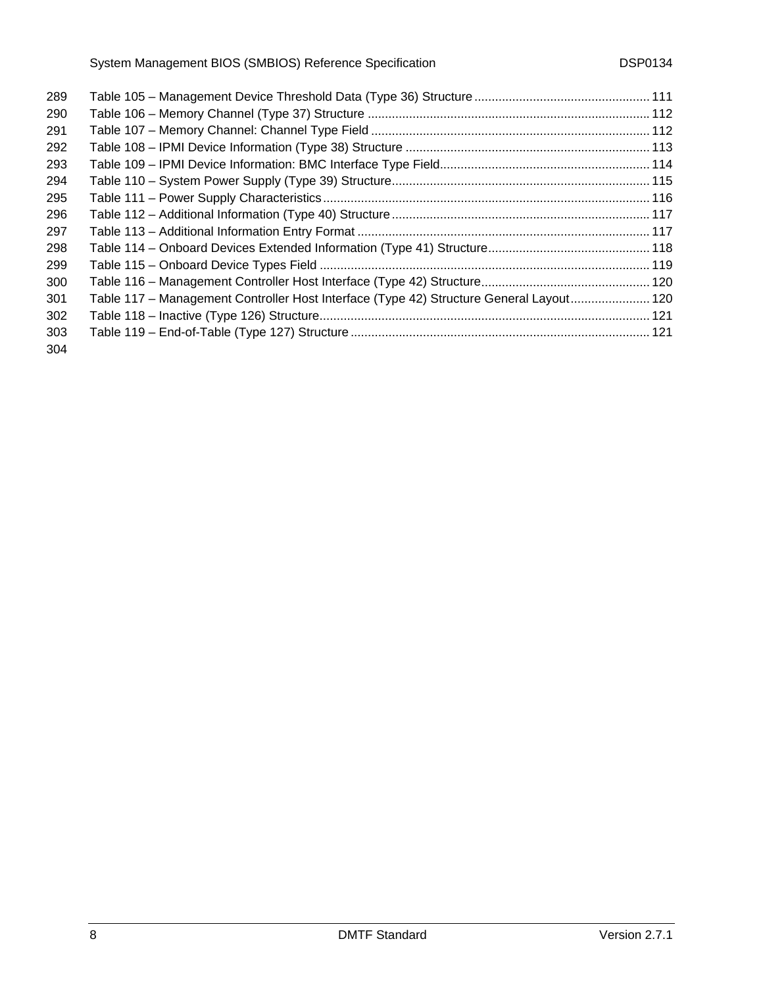| 289 |                                                                                         |  |
|-----|-----------------------------------------------------------------------------------------|--|
| 290 |                                                                                         |  |
| 291 |                                                                                         |  |
| 292 |                                                                                         |  |
| 293 |                                                                                         |  |
| 294 |                                                                                         |  |
| 295 |                                                                                         |  |
| 296 |                                                                                         |  |
| 297 |                                                                                         |  |
| 298 |                                                                                         |  |
| 299 |                                                                                         |  |
| 300 |                                                                                         |  |
| 301 | Table 117 - Management Controller Host Interface (Type 42) Structure General Layout 120 |  |
| 302 |                                                                                         |  |
| 303 |                                                                                         |  |
| 304 |                                                                                         |  |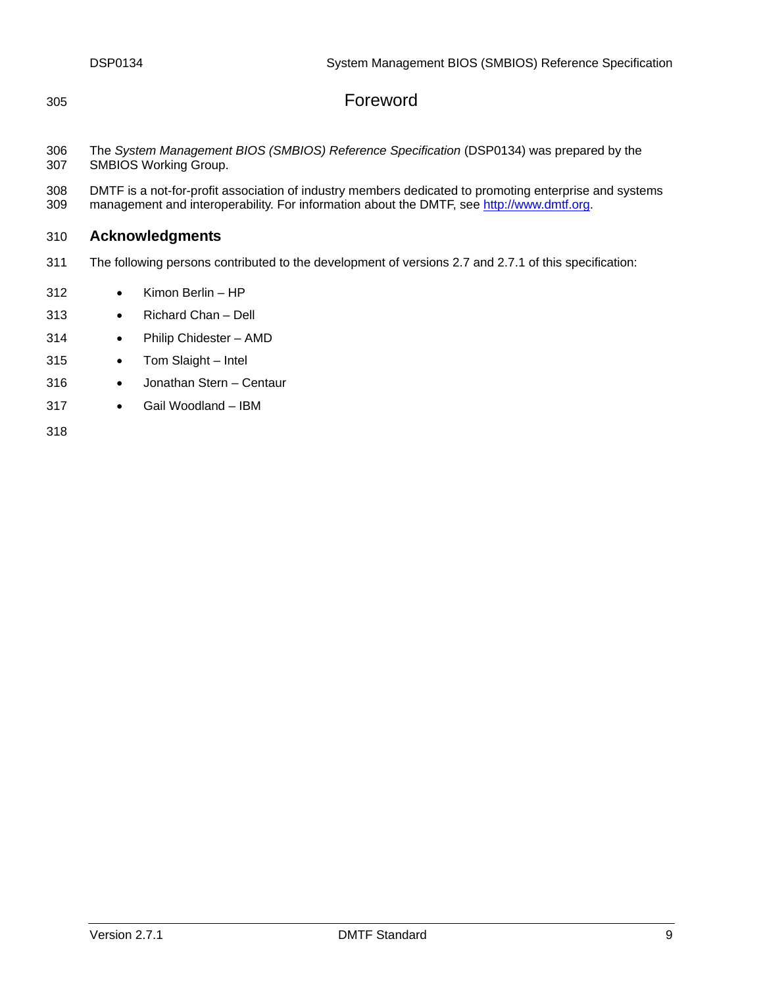## <span id="page-8-1"></span><span id="page-8-0"></span>305 Foreword

- 306 The *System Management BIOS (SMBIOS) Reference Specification* (DSP0134) was prepared by the SMBIOS Working Group.
- 308 DMTF is a not-for-profit association of industry members dedicated to promoting enterprise and systems 309 management and interoperability. For information about the DMTF, see http://www.dmtf.org. management and interoperability. For information about the DMTF, see [http://www.dmtf.org.](http://www.dmtf.org/)

## 310 **Acknowledgments**

- 311 The following persons contributed to the development of versions 2.7 and 2.7.1 of this specification:
- 312 Kimon Berlin HP
- 313 Richard Chan Dell
- 314 Philip Chidester AMD
- 315 Tom Slaight Intel
- 316 Jonathan Stern Centaur
- 317 Gail Woodland IBM

318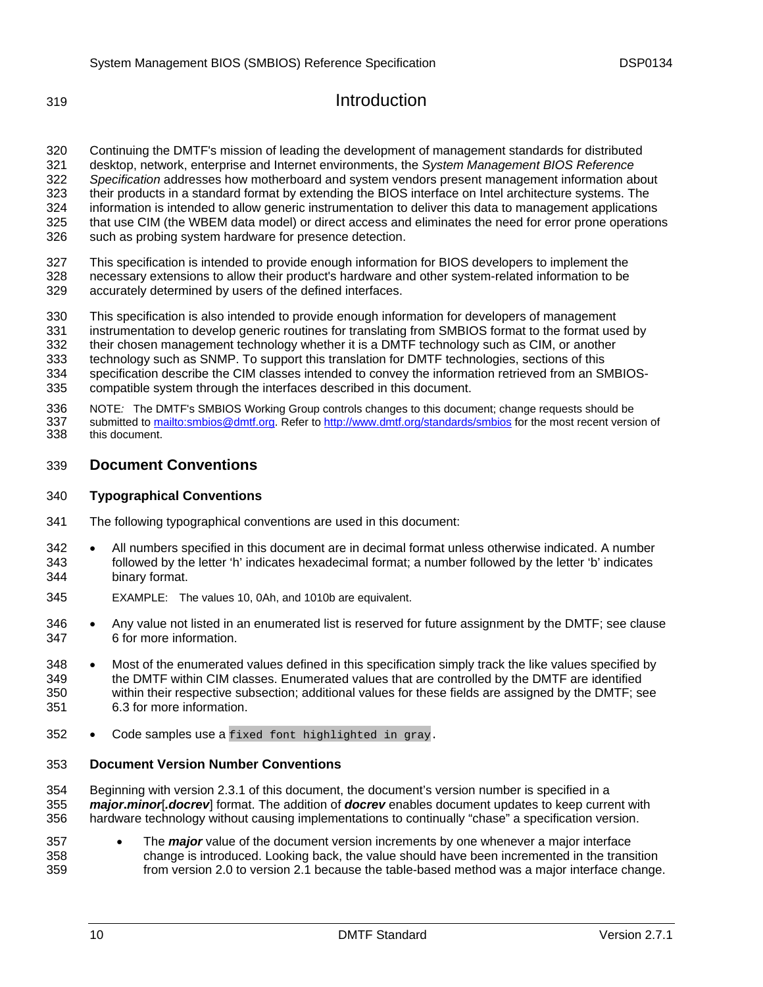## <span id="page-9-1"></span><span id="page-9-0"></span>319 Introduction

320 Continuing the DMTF's mission of leading the development of management standards for distributed 321 desktop, network, enterprise and Internet environments, the *System Management BIOS Reference*  322 *Specification* addresses how motherboard and system vendors present management information about 323 their products in a standard format by extending the BIOS interface on Intel architecture systems. The 324 information is intended to allow generic instrumentation to deliver this data to management applications 325 that use CIM (the WBEM data model) or direct access and eliminates the need for error prone operations 326 such as probing system hardware for presence detection.

- 327 This specification is intended to provide enough information for BIOS developers to implement the 328 necessary extensions to allow their product's hardware and other system-related information to be 329 accurately determined by users of the defined interfaces.
- 330 This specification is also intended to provide enough information for developers of management 331 instrumentation to develop generic routines for translating from SMBIOS format to the format used by 332 their chosen management technology whether it is a DMTF technology such as CIM, or another

333 technology such as SNMP. To support this translation for DMTF technologies, sections of this

- 334 specification describe the CIM classes intended to convey the information retrieved from an SMBIOS-335 compatible system through the interfaces described in this document.
- 336 NOTE: The DMTF's SMBIOS Working Group controls changes to this document; change requests should be<br>337 submitted to mailto: smbios@dmtf.org. Refer to http://www.dmtf.org/standards/smbios for the most recent versi 337 submitted to [mailto:smbios@dmtf.org.](mailto:smbios@dmtf.org) Refer to<http://www.dmtf.org/standards/smbios>for the most recent version of<br>338 this document. this document.

## <span id="page-9-2"></span>339 **Document Conventions**

## <span id="page-9-3"></span>340 **Typographical Conventions**

- 341 The following typographical conventions are used in this document:
- 342 All numbers specified in this document are in decimal format unless otherwise indicated. A number 343 followed by the letter 'h' indicates hexadecimal format; a number followed by the letter 'b' indicates 344 binary format.
- 345 EXAMPLE: The values 10, 0Ah, and 1010b are equivalent.
- 346 Any value not listed in an enumerated list is reserved for future assignment by the DMTF; see clause 347 [6](#page-21-1) for more information.
- 348 Most of the enumerated values defined in this specification simply track the like values specified by 349 the DMTF within CIM classes. Enumerated values that are controlled by the DMTF are identified 350 within their respective subsection; additional values for these fields are assigned by the DMTF; see 351 [6.3](#page-26-4) for more information.
- 352 Code samples use a fixed font highlighted in gray.

## <span id="page-9-4"></span>353 **Document Version Number Conventions**

- 354 Beginning with version 2.3.1 of this document, the document's version number is specified in a 355 *major***.***minor*[*.docrev*] format. The addition of *docrev* enables document updates to keep current with 356 hardware technology without causing implementations to continually "chase" a specification version.
- 357 The *major* value of the document version increments by one whenever a major interface 358 change is introduced. Looking back, the value should have been incremented in the transition 359 from version 2.0 to version 2.1 because the table-based method was a major interface change.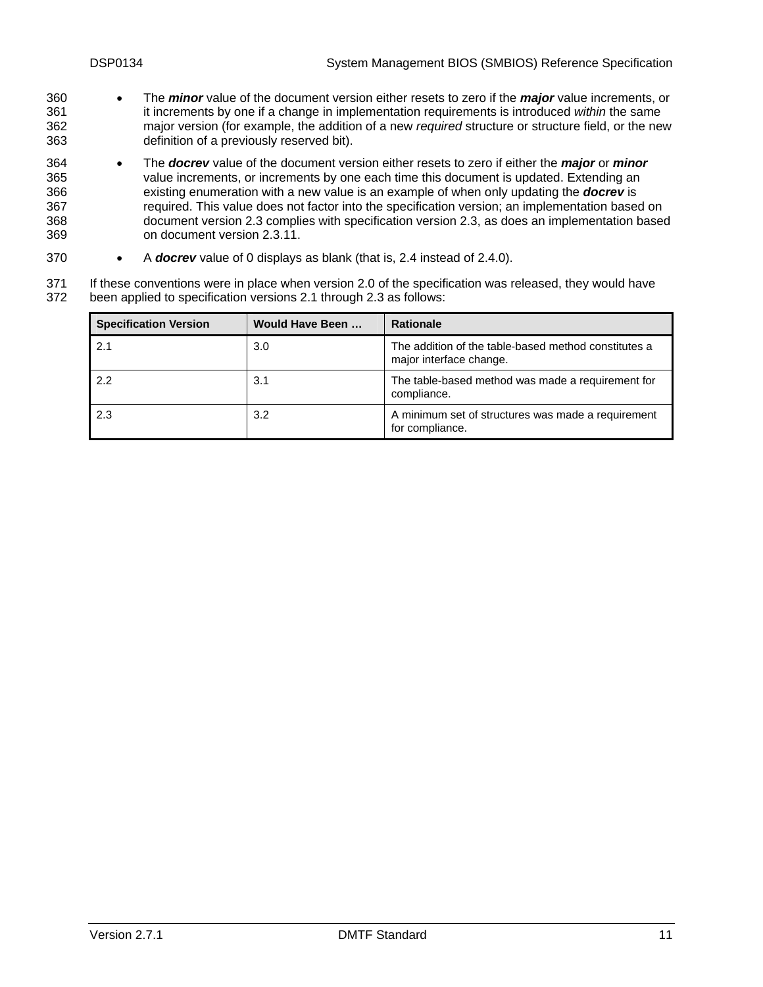- 360 The *minor* value of the document version either resets to zero if the *major* value increments, or 361 it increments by one if a change in implementation requirements is introduced *within* the same 362 major version (for example, the addition of a new *required* structure or structure field, or the new 363 definition of a previously reserved bit).
- 364 The *docrev* value of the document version either resets to zero if either the *major* or *minor* 365 value increments, or increments by one each time this document is updated. Extending an 366 existing enumeration with a new value is an example of when only updating the *docrev* is 367 required. This value does not factor into the specification version; an implementation based on 368 document version 2.3 complies with specification version 2.3, as does an implementation based 369 on document version 2.3.11.
- 370 A *docrev* value of 0 displays as blank (that is, 2.4 instead of 2.4.0).
- 371 If these conventions were in place when version 2.0 of the specification was released, they would have 372 been applied to specification versions 2.1 through 2.3 as follows:

| <b>Specification Version</b> | Would Have Been | <b>Rationale</b>                                                                |
|------------------------------|-----------------|---------------------------------------------------------------------------------|
| 2.1                          | 3.0             | The addition of the table-based method constitutes a<br>major interface change. |
| 2.2                          | 3.1             | The table-based method was made a requirement for<br>compliance.                |
| 2.3                          | 3.2             | A minimum set of structures was made a requirement<br>for compliance.           |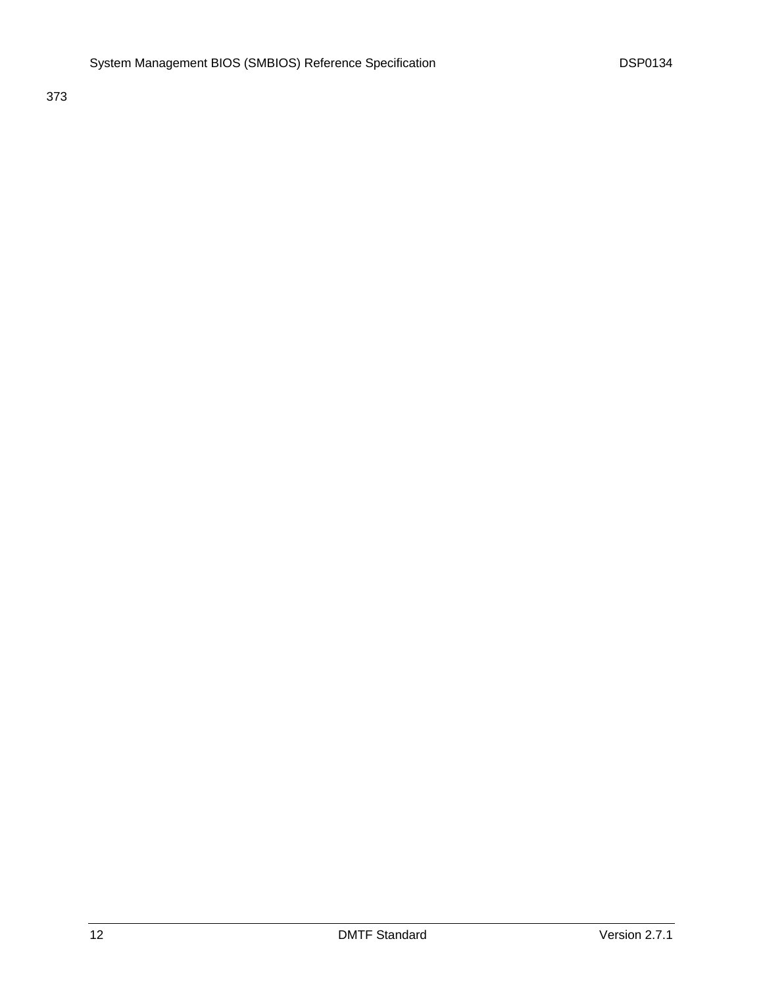373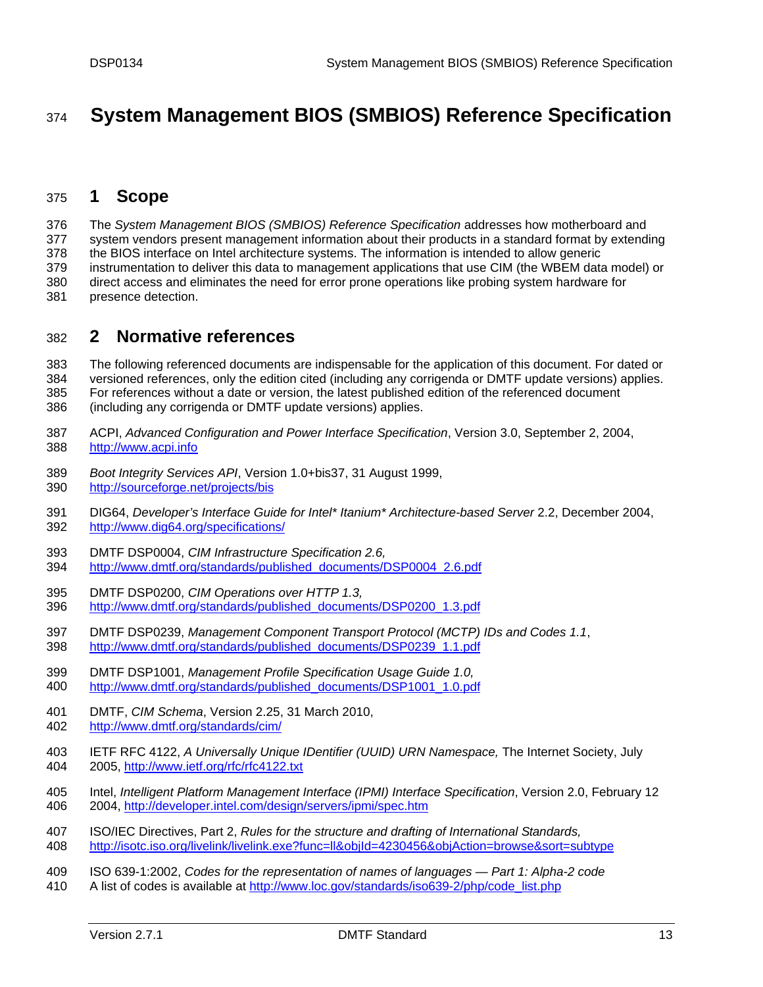# <span id="page-12-0"></span><sup>374</sup>**System Management BIOS (SMBIOS) Reference Specification**

## <span id="page-12-1"></span>375 **1 Scope**

376 The *System Management BIOS (SMBIOS) Reference Specification* addresses how motherboard and 377 system vendors present management information about their products in a standard format by extending 378 the BIOS interface on Intel architecture systems. The information is intended to allow generic 379 instrumentation to deliver this data to management applications that use CIM (the WBEM data model) or 380 direct access and eliminates the need for error prone operations like probing system hardware for 381 presence detection.

## <span id="page-12-2"></span>382 **2 Normative references**

- 383 The following referenced documents are indispensable for the application of this document. For dated or
- 384 versioned references, only the edition cited (including any corrigenda or DMTF update versions) applies.
- 385 For references without a date or version, the latest published edition of the referenced document 386 (including any corrigenda or DMTF update versions) applies.
- 387 ACPI, *Advanced Configuration and Power Interface Specification*, Version 3.0, September 2, 2004, 388 [http://www.acpi.info](http://www.acpi.info/)
- 389 *Boot Integrity Services API*, Version 1.0+bis37, 31 August 1999, 390 <http://sourceforge.net/projects/bis>
- 391 DIG64, *Developer's Interface Guide for Intel\* Itanium\* Architecture-based Server* 2.2, December 2004, 392 <http://www.dig64.org/specifications/>
- 393 DMTF DSP0004, *CIM Infrastructure Specification 2.6,*  394 [http://www.dmtf.org/standards/published\\_documents/DSP0004\\_2.6.pdf](http://www.dmtf.org/standards/published_documents/DSP0004_2.6.pdf)
- 395 DMTF DSP0200, *CIM Operations over HTTP 1.3,* 396 [http://www.dmtf.org/standards/published\\_documents/DSP0200\\_1.3.pdf](http://www.dmtf.org/standards/published_documents/DSP0200_1.3.pdf)
- 397 DMTF DSP0239, *Management Component Transport Protocol (MCTP) IDs and Codes 1.1*,
- 398 [http://www.dmtf.org/standards/published\\_documents/DSP0239\\_1.1.pdf](http://www.dmtf.org/standards/published_documents/DSP0239_1.1.pdf)
- 399 DMTF DSP1001, *Management Profile Specification Usage Guide 1.0,* 400 [http://www.dmtf.org/standards/published\\_documents/DSP1001\\_1.0.pdf](http://www.dmtf.org/standards/published_documents/DSP1001_1.0.pdf)
- 401 DMTF, *CIM Schema*, Version 2.25, 31 March 2010, 402 <http://www.dmtf.org/standards/cim/>
- 403 IETF RFC 4122, *A Universally Unique IDentifier (UUID) URN Namespace,* The Internet Society, July 404 2005, <http://www.ietf.org/rfc/rfc4122.txt>
- 405 Intel, *Intelligent Platform Management Interface (IPMI) Interface Specification*, Version 2.0, February 12 406 2004, <http://developer.intel.com/design/servers/ipmi/spec.htm>
- 407 ISO/IEC Directives, Part 2, *Rules for the structure and drafting of International Standards,* 408 <http://isotc.iso.org/livelink/livelink.exe?func=ll&objId=4230456&objAction=browse&sort=subtype>
- 409 ISO 639-1:2002, *Codes for the representation of names of languages Part 1: Alpha-2 code*
- 410 A list of codes is available at http://www.loc.gov/standards/iso639-2/php/code list.php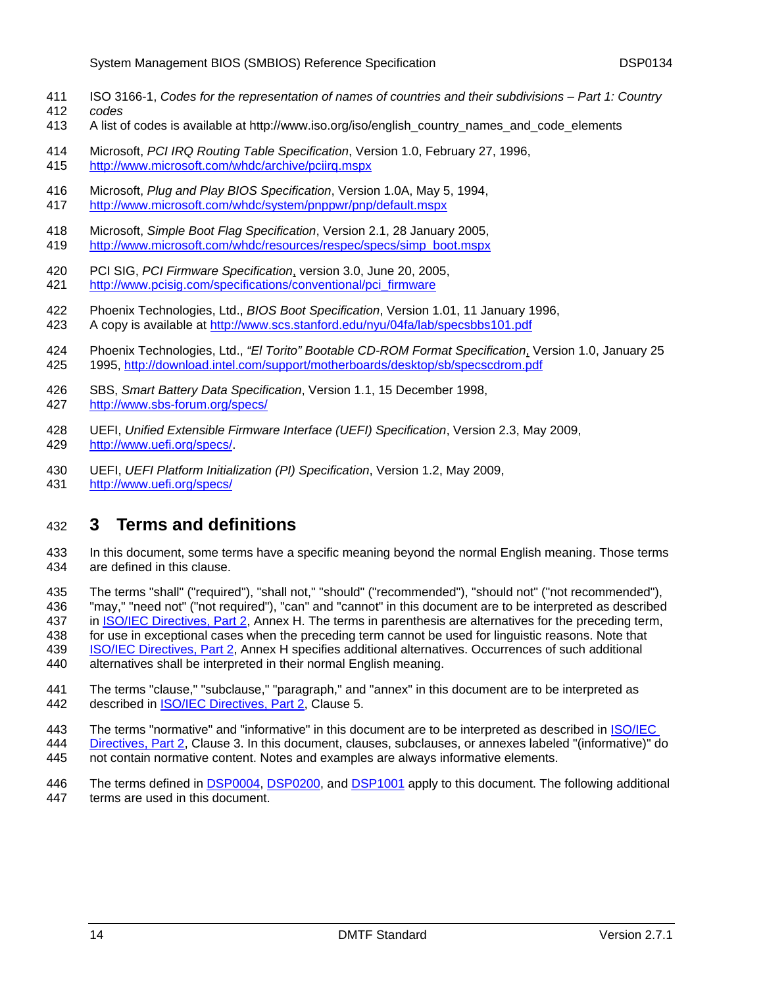- <span id="page-13-0"></span>411 ISO 3166-1, *Codes for the representation of names of countries and their subdivisions – Part 1: Country*
- 412 *codes*
- 413 A list of codes is available at http://www.iso.org/iso/english\_country\_names\_and\_code\_elements
- 414 Microsoft, *PCI IRQ Routing Table Specification*, Version 1.0, February 27, 1996,
- 415 <http://www.microsoft.com/whdc/archive/pciirq.mspx>
- 416 Microsoft, *Plug and Play BIOS Specification*, Version 1.0A, May 5, 1994,
- 417 <http://www.microsoft.com/whdc/system/pnppwr/pnp/default.mspx>
- 418 Microsoft, *Simple Boot Flag Specification*, Version 2.1, 28 January 2005, 419 [http://www.microsoft.com/whdc/resources/respec/specs/simp\\_boot.mspx](http://www.microsoft.com/whdc/resources/respec/specs/simp_boot.mspx)
- 420 PCI SIG, *PCI Firmware Specification*, version 3.0, June 20, 2005, 421 [http://www.pcisig.com/specifications/conventional/pci\\_firmware](http://www.pcisig.com/specifications/conventional/pci_firmware)
- 422 Phoenix Technologies, Ltd., *BIOS Boot Specification*, Version 1.01, 11 January 1996, 423 A copy is available at <http://www.scs.stanford.edu/nyu/04fa/lab/specsbbs101.pdf>
- 424 Phoenix Technologies, Ltd., *"El Torito" Bootable CD-ROM Format Specification*, Version 1.0, January 25 425 1995, <http://download.intel.com/support/motherboards/desktop/sb/specscdrom.pdf>
- 426 SBS, *Smart Battery Data Specification*, Version 1.1, 15 December 1998,
- 427 <http://www.sbs-forum.org/specs/>
- 428 UEFI, *Unified Extensible Firmware Interface (UEFI) Specification*, Version 2.3, May 2009, 429 [http://www.uefi.org/specs/.](http://www.uefi.org/specs/)
- 430 UEFI, *UEFI Platform Initialization (PI) Specification*, Version 1.2, May 2009,
- 431 <http://www.uefi.org/specs/>

## <span id="page-13-1"></span>432 **3 Terms and definitions**

- 433 In this document, some terms have a specific meaning beyond the normal English meaning. Those terms 434 are defined in this clause.
- 435 The terms "shall" ("required"), "shall not," "should" ("recommended"), "should not" ("not recommended"), 436 "may," "need not" ("not required"), "can" and "cannot" in this document are to be interpreted as described 437 in [ISO/IEC Directives, Part 2](#page-12-0), Annex H. The terms in parenthesis are alternatives for the preceding term, 438 for use in exceptional cases when the preceding term cannot be used for linguistic reasons. Note that 439 [ISO/IEC Directives, Part 2,](#page-12-0) Annex H specifies additional alternatives. Occurrences of such additional 440 alternatives shall be interpreted in their normal English meaning.
- 441 The terms "clause," "subclause," "paragraph," and "annex" in this document are to be interpreted as 442 described in [ISO/IEC Directives, Part 2](#page-12-0), Clause 5.
- [443 The terms "normative" and "informative" in this document are to be interpreted as described in ISO/IEC](#page-12-0)  444 [Directives, Par](#page-12-0)t 2, Clause 3. In this document, clauses, subclauses, or annexes labeled "(informative)" do
- 445 not contain normative content. Notes and examples are always informative elements.
- 446 The terms defined in [DSP0004, DSP0200](#page-12-0), and [DSP1001](#page-12-0) apply to this document. The following additional 447 terms are used in this document.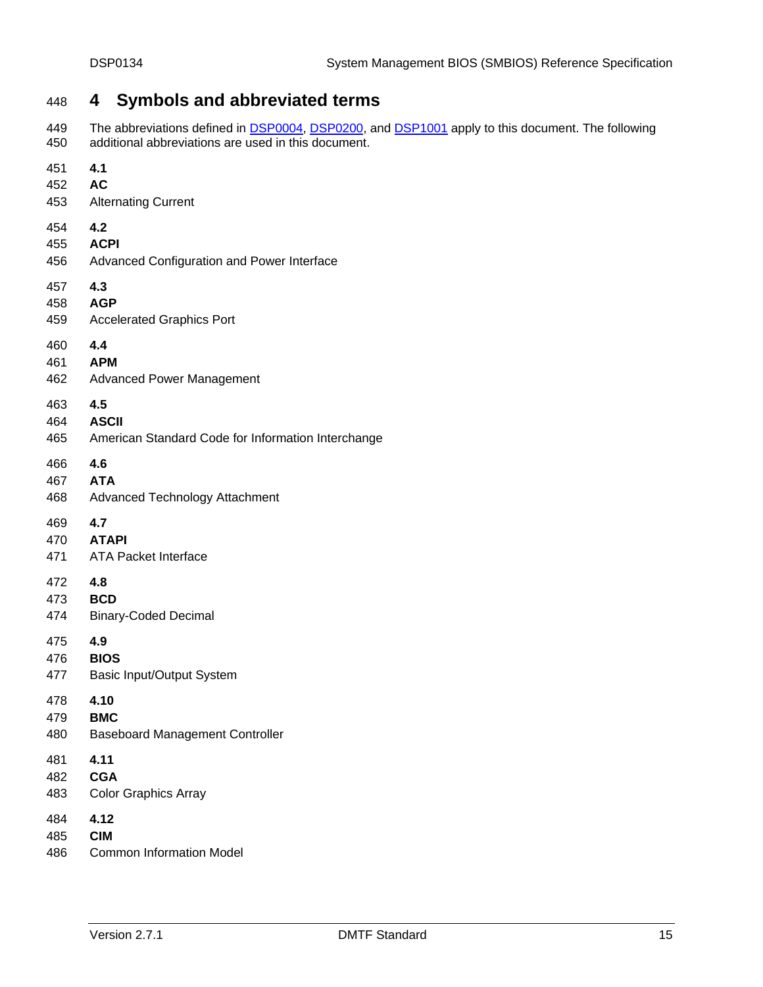# <span id="page-14-1"></span><span id="page-14-0"></span>**4 Symbols and abbreviated terms**

449 The abbreviations defined in **DSP0004, DSP0200**, and **[DSP1001](#page-12-0)** apply to this document. The following 450 additional abbreviations are used in this document.

| 451<br>452<br>453 | 4.1<br><b>AC</b><br><b>Alternating Current</b>                            |
|-------------------|---------------------------------------------------------------------------|
| 454<br>455<br>456 | 4.2<br><b>ACPI</b><br>Advanced Configuration and Power Interface          |
| 457<br>458<br>459 | 4.3<br><b>AGP</b><br><b>Accelerated Graphics Port</b>                     |
| 460<br>461<br>462 | 4.4<br><b>APM</b><br><b>Advanced Power Management</b>                     |
| 463<br>464<br>465 | 4.5<br><b>ASCII</b><br>American Standard Code for Information Interchange |
| 466<br>467<br>468 | 4.6<br><b>ATA</b><br>Advanced Technology Attachment                       |
| 469<br>470<br>471 | 4.7<br><b>ATAPI</b><br><b>ATA Packet Interface</b>                        |
| 472<br>473<br>474 | 4.8<br><b>BCD</b><br><b>Binary-Coded Decimal</b>                          |
| 475<br>476<br>477 | 4.9<br><b>BIOS</b><br><b>Basic Input/Output System</b>                    |
| 478<br>479<br>480 | 4.10<br><b>BMC</b><br><b>Baseboard Management Controller</b>              |
| 481<br>482<br>483 | 4.11<br><b>CGA</b><br><b>Color Graphics Array</b>                         |
| 484<br>485<br>486 | 4.12<br><b>CIM</b><br><b>Common Information Model</b>                     |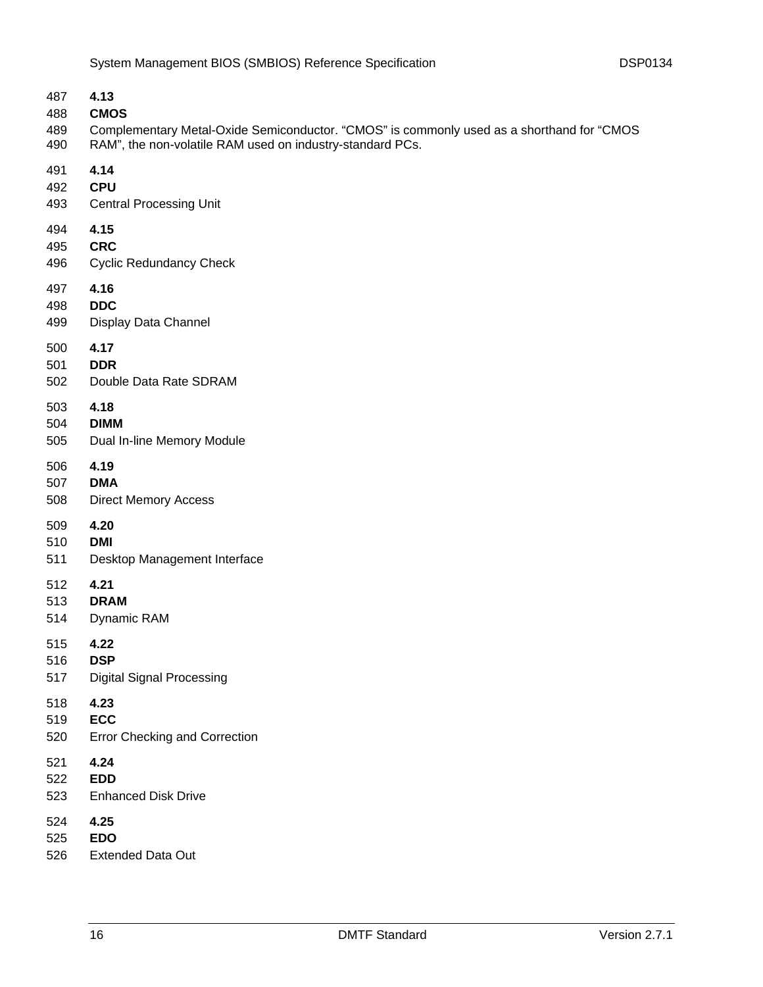| 487<br>488<br>489<br>490 | 4.13<br><b>CMOS</b><br>Complementary Metal-Oxide Semiconductor. "CMOS" is commonly used as a shorthand for "CMOS<br>RAM", the non-volatile RAM used on industry-standard PCs. |
|--------------------------|-------------------------------------------------------------------------------------------------------------------------------------------------------------------------------|
| 491<br>492<br>493        | 4.14<br><b>CPU</b><br><b>Central Processing Unit</b>                                                                                                                          |
| 494<br>495<br>496        | 4.15<br><b>CRC</b><br><b>Cyclic Redundancy Check</b>                                                                                                                          |
| 497<br>498<br>499        | 4.16<br><b>DDC</b><br>Display Data Channel                                                                                                                                    |
| 500<br>501<br>502        | 4.17<br><b>DDR</b><br>Double Data Rate SDRAM                                                                                                                                  |
| 503<br>504<br>505        | 4.18<br><b>DIMM</b><br>Dual In-line Memory Module                                                                                                                             |
| 506<br>507<br>508        | 4.19<br><b>DMA</b><br><b>Direct Memory Access</b>                                                                                                                             |
| 509<br>510<br>511        | 4.20<br><b>DMI</b><br>Desktop Management Interface                                                                                                                            |
| 512<br>513<br>514        | 4.21<br><b>DRAM</b><br>Dynamic RAM                                                                                                                                            |
| 515<br>516<br>517        | 4.22<br><b>DSP</b><br><b>Digital Signal Processing</b>                                                                                                                        |
| 518<br>519<br>520        | 4.23<br><b>ECC</b><br>Error Checking and Correction                                                                                                                           |
| 521<br>522<br>523        | 4.24<br><b>EDD</b><br><b>Enhanced Disk Drive</b>                                                                                                                              |
| 524<br>525<br>526        | 4.25<br><b>EDO</b><br><b>Extended Data Out</b>                                                                                                                                |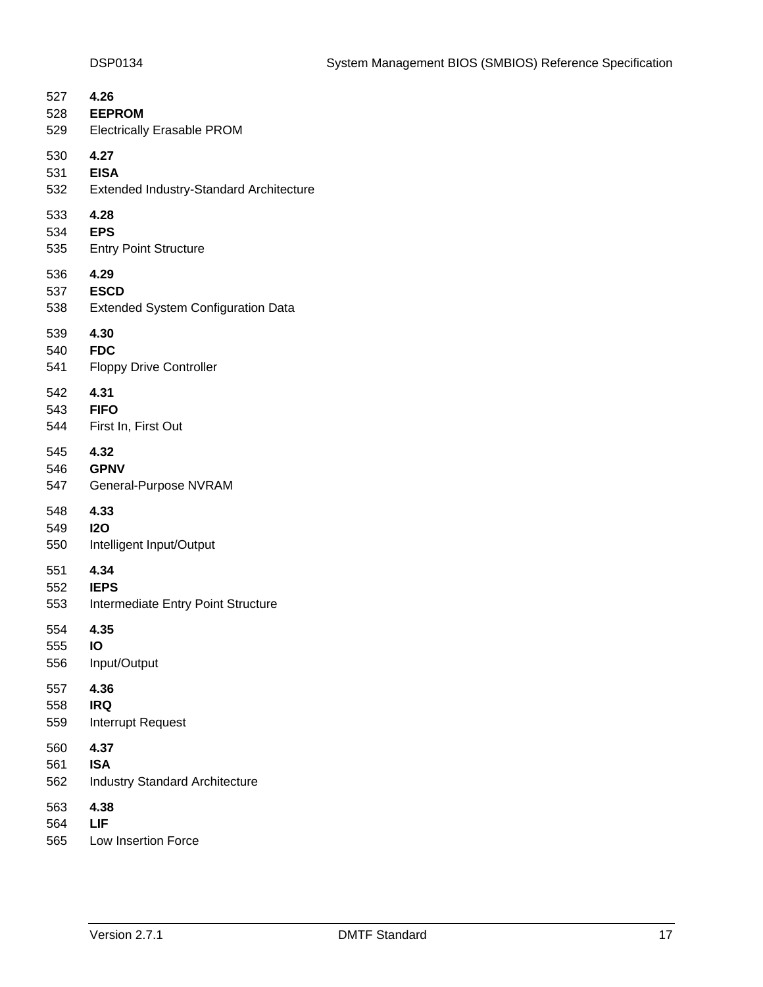| 527 | 4.26                                      |
|-----|-------------------------------------------|
| 528 | <b>EEPROM</b>                             |
| 529 | <b>Electrically Erasable PROM</b>         |
| 530 | 4.27                                      |
| 531 | <b>EISA</b>                               |
| 532 | Extended Industry-Standard Architecture   |
| 533 | 4.28                                      |
| 534 | <b>EPS</b>                                |
| 535 | <b>Entry Point Structure</b>              |
| 536 | 4.29                                      |
| 537 | <b>ESCD</b>                               |
| 538 | <b>Extended System Configuration Data</b> |
| 539 | 4.30                                      |
| 540 | <b>FDC</b>                                |
| 541 | <b>Floppy Drive Controller</b>            |
| 542 | 4.31                                      |
| 543 | <b>FIFO</b>                               |
| 544 | First In, First Out                       |
| 545 | 4.32                                      |
| 546 | <b>GPNV</b>                               |
| 547 | General-Purpose NVRAM                     |
| 548 | 4.33                                      |
| 549 | 12O                                       |
| 550 | Intelligent Input/Output                  |
| 551 | 4.34                                      |
| 552 | <b>IEPS</b>                               |
| 553 | Intermediate Entry Point Structure        |
| 554 | 4.35                                      |
| 555 | 10                                        |
| 556 | Input/Output                              |
| 557 | 4.36                                      |
| 558 | <b>IRQ</b>                                |
| 559 | Interrupt Request                         |
| 560 | 4.37                                      |
| 561 | ISA                                       |
| 562 | <b>Industry Standard Architecture</b>     |
| 563 | 4.38                                      |
| 564 | LIF                                       |
| 565 | Low Insertion Force                       |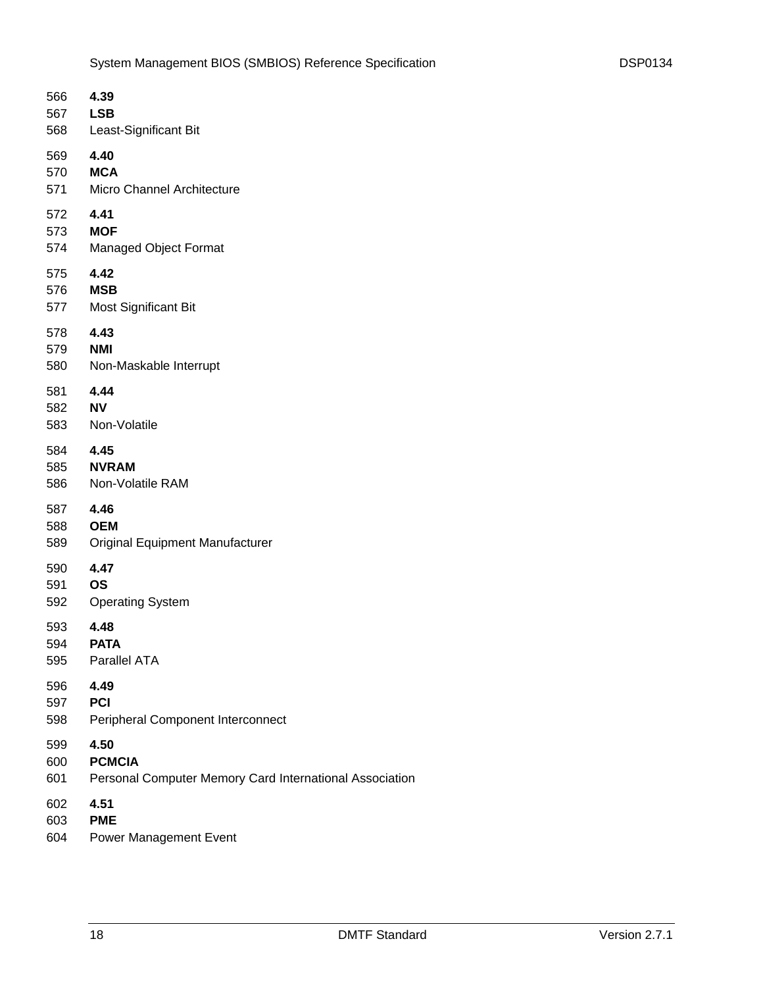| 566 | 4.39                                                    |
|-----|---------------------------------------------------------|
| 567 | <b>LSB</b>                                              |
| 568 | Least-Significant Bit                                   |
| 569 | 4.40                                                    |
| 570 | <b>MCA</b>                                              |
| 571 | Micro Channel Architecture                              |
| 572 | 4.41                                                    |
| 573 | <b>MOF</b>                                              |
| 574 | Managed Object Format                                   |
| 575 | 4.42                                                    |
| 576 | <b>MSB</b>                                              |
| 577 | <b>Most Significant Bit</b>                             |
| 578 | 4.43                                                    |
| 579 | <b>NMI</b>                                              |
| 580 | Non-Maskable Interrupt                                  |
| 581 | 4.44                                                    |
| 582 | <b>NV</b>                                               |
| 583 | Non-Volatile                                            |
| 584 | 4.45                                                    |
| 585 | <b>NVRAM</b>                                            |
| 586 | Non-Volatile RAM                                        |
| 587 | 4.46                                                    |
| 588 | <b>OEM</b>                                              |
| 589 | Original Equipment Manufacturer                         |
| 590 | 4.47                                                    |
| 591 | <b>OS</b>                                               |
| 592 | <b>Operating System</b>                                 |
| 593 | 4.48                                                    |
| 594 | <b>PATA</b>                                             |
| 595 | Parallel ATA                                            |
| 596 | 4.49                                                    |
| 597 | <b>PCI</b>                                              |
| 598 | Peripheral Component Interconnect                       |
| 599 | 4.50                                                    |
| 600 | <b>PCMCIA</b>                                           |
| 601 | Personal Computer Memory Card International Association |
| 602 | 4.51                                                    |
| 603 | <b>PME</b>                                              |

604 Power Management Event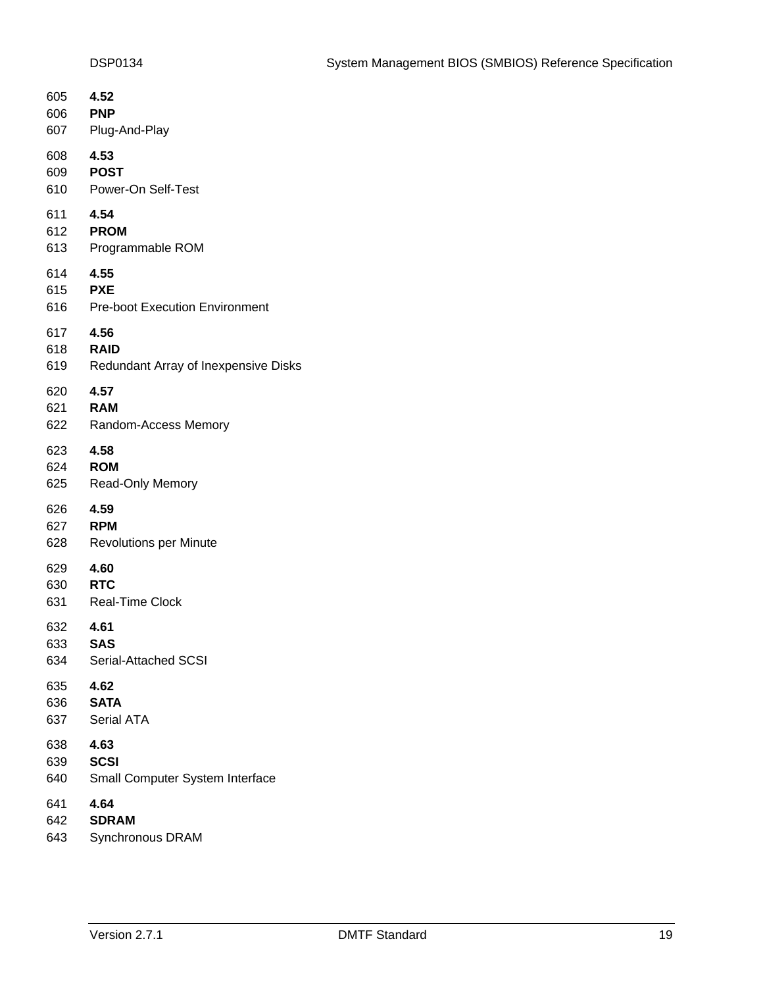| 605 | 4.52                                  |
|-----|---------------------------------------|
| 606 | <b>PNP</b>                            |
| 607 | Plug-And-Play                         |
| 608 | 4.53                                  |
| 609 | <b>POST</b>                           |
| 610 | Power-On Self-Test                    |
| 611 | 4.54                                  |
| 612 | <b>PROM</b>                           |
| 613 | Programmable ROM                      |
| 614 | 4.55                                  |
| 615 | <b>PXE</b>                            |
| 616 | <b>Pre-boot Execution Environment</b> |
| 617 | 4.56                                  |
| 618 | <b>RAID</b>                           |
| 619 | Redundant Array of Inexpensive Disks  |
| 620 | 4.57                                  |
| 621 | <b>RAM</b>                            |
| 622 | Random-Access Memory                  |
| 623 | 4.58                                  |
| 624 | <b>ROM</b>                            |
| 625 | Read-Only Memory                      |
| 626 | 4.59                                  |
| 627 | <b>RPM</b>                            |
| 628 | <b>Revolutions per Minute</b>         |
| 629 | 4.60                                  |
| 630 | <b>RTC</b>                            |
| 631 | <b>Real-Time Clock</b>                |
| 632 | 4.61                                  |
| 633 | <b>SAS</b>                            |
| 634 | Serial-Attached SCSI                  |
| 635 | 4.62                                  |
| 636 | <b>SATA</b>                           |
| 637 | <b>Serial ATA</b>                     |
| 638 | 4.63                                  |
| 639 | <b>SCSI</b>                           |
| 640 | Small Computer System Interface       |
| 641 | 4.64                                  |
| 642 | <b>SDRAM</b>                          |
| 643 | Synchronous DRAM                      |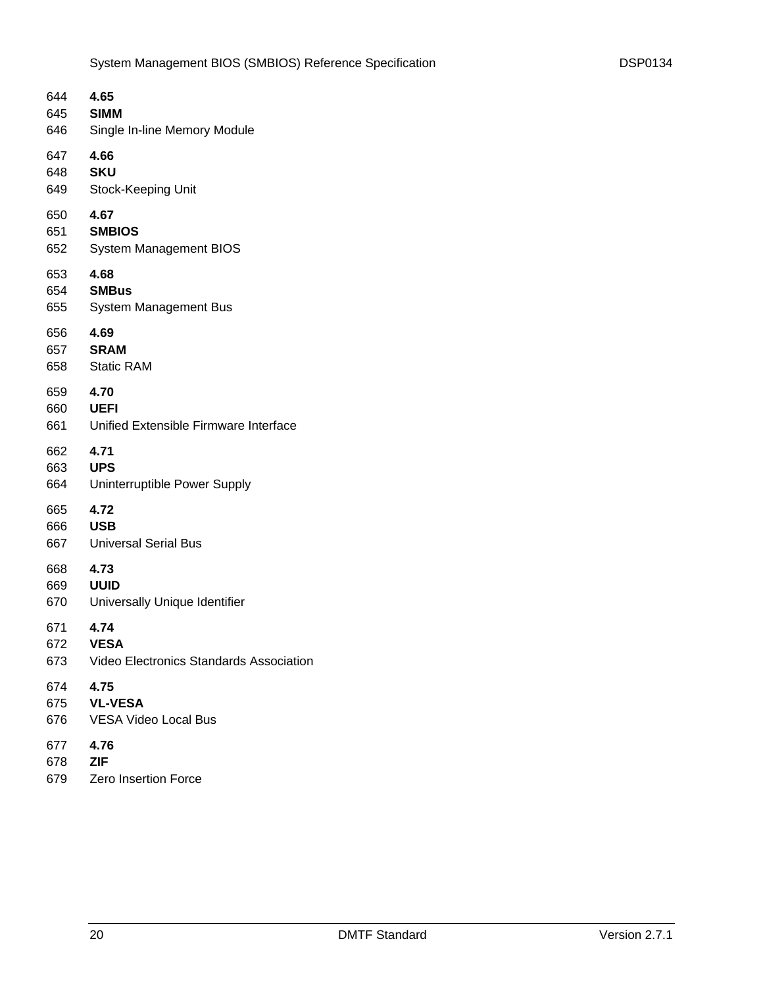| 644   | 4.65                                           |
|-------|------------------------------------------------|
| 645   | <b>SIMM</b>                                    |
| 646   | Single In-line Memory Module                   |
| 647   | 4.66                                           |
| 648   | <b>SKU</b>                                     |
| 649   | Stock-Keeping Unit                             |
| 650   | 4.67                                           |
| 651   | <b>SMBIOS</b>                                  |
| 652   | <b>System Management BIOS</b>                  |
| 653   | 4.68                                           |
| 654   | <b>SMBus</b>                                   |
| 655   | <b>System Management Bus</b>                   |
| 656   | 4.69                                           |
| 657   | <b>SRAM</b>                                    |
| 658   | <b>Static RAM</b>                              |
| 659   | 4.70                                           |
| 660   | <b>UEFI</b>                                    |
| 661 — | Unified Extensible Firmware Interface          |
| 662   | 4.71                                           |
| 663   | <b>UPS</b>                                     |
| 664   | Uninterruptible Power Supply                   |
| 665   | 4.72                                           |
| 666   | <b>USB</b>                                     |
| 667   | <b>Universal Serial Bus</b>                    |
| 668   | 4.73                                           |
| 669   | <b>UUID</b>                                    |
| 670   | Universally Unique Identifier                  |
| 671   | 4.74                                           |
| 672   | <b>VESA</b>                                    |
| 673   | <b>Video Electronics Standards Association</b> |
| 674   | 4.75                                           |
| 675   | <b>VL-VESA</b>                                 |
| 676   | <b>VESA Video Local Bus</b>                    |
| 677   | 4.76                                           |
| 678   | <b>ZIF</b>                                     |

679 Zero Insertion Force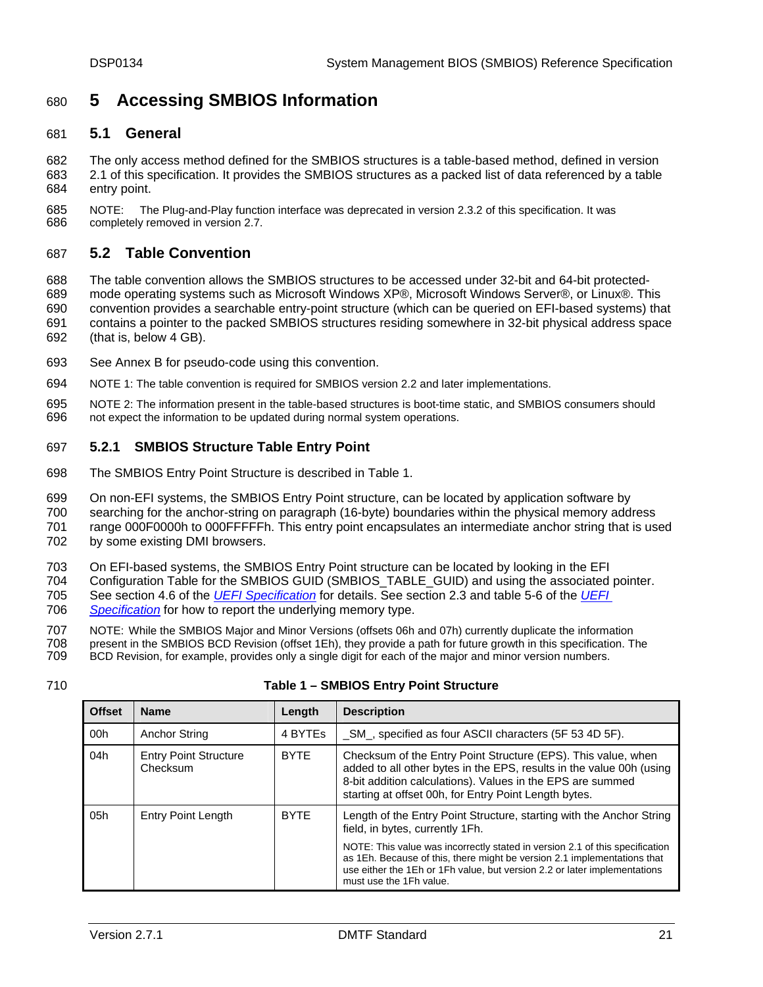## <span id="page-20-1"></span><span id="page-20-0"></span>680 **5 Accessing SMBIOS Information**

## <span id="page-20-2"></span>681 **5.1 General**

682 The only access method defined for the SMBIOS structures is a table-based method, defined in version

- 683 2.1 of this specification. It provides the SMBIOS structures as a packed list of data referenced by a table 684 entry point.
- 685 NOTE: The Plug-and-Play function interface was deprecated in version 2.3.2 of this specification. It was 686 completely removed in version 2.7.

## <span id="page-20-3"></span>687 **5.2 Table Convention**

688 The table convention allows the SMBIOS structures to be accessed under 32-bit and 64-bit protected-689 mode operating systems such as Microsoft Windows XP®, Microsoft Windows Server®, or Linux®. This 690 convention provides a searchable entry-point structure (which can be queried on EFI-based systems) that 691 contains a pointer to the packed SMBIOS structures residing somewhere in 32-bit physical address space 692 (that is, below 4 GB).

- 693 See [Annex B](#page-124-1) for pseudo-code using this convention.
- 694 NOTE 1: The table convention is required for SMBIOS version 2.2 and later implementations.
- 695 NOTE 2: The information present in the table-based structures is boot-time static, and SMBIOS consumers should 696 not expect the information to be updated during normal system operations.

#### <span id="page-20-4"></span>697 **5.2.1 SMBIOS Structure Table Entry Point**

- 698 The SMBIOS Entry Point Structure is described in [Table 1.](#page-20-5)
- 699 On non-EFI systems, the SMBIOS Entry Point structure, can be located by application software by
- 700 searching for the anchor-string on paragraph (16-byte) boundaries within the physical memory address 701 range 000F0000h to 000FFFFFh. This entry point encapsulates an intermediate anchor string that is used
- 702 by some existing DMI browsers.
- 703 On EFI-based systems, the SMBIOS Entry Point structure can be located by looking in the EFI
- 704 Configuration Table for the SMBIOS GUID (SMBIOS\_TABLE\_GUID) and using the associated pointer.
- 705 See section 4.6 of the *[UEFI Specification](#page-13-0)* [for details. See section 2.3 and table 5-6 of the](#page-13-0) *UEFI*
- 706 *[Specificat](#page-13-0)ion* for how to report the underlying memory type.
- 707 NOTE: While the SMBIOS Major and Minor Versions (offsets 06h and 07h) currently duplicate the information<br>708 present in the SMBIOS BCD Revision (offset 1Eh), they provide a path for future growth in this specification
- 708 present in the SMBIOS BCD Revision (offset 1Eh), they provide a path for future growth in this specification. The 709 BCD Revision, for example, provides only a single digit for each of the major and minor version numb BCD Revision, for example, provides only a single digit for each of the major and minor version numbers.
- <span id="page-20-5"></span>

#### 710 **Table 1 – SMBIOS Entry Point Structure**

| <b>Offset</b> | <b>Name</b>                              | Length      | <b>Description</b>                                                                                                                                                                                                                                               |
|---------------|------------------------------------------|-------------|------------------------------------------------------------------------------------------------------------------------------------------------------------------------------------------------------------------------------------------------------------------|
| 00h           | <b>Anchor String</b>                     | 4 BYTES     | _SM_, specified as four ASCII characters (5F 53 4D 5F).                                                                                                                                                                                                          |
| 04h           | <b>Entry Point Structure</b><br>Checksum | <b>BYTE</b> | Checksum of the Entry Point Structure (EPS). This value, when<br>added to all other bytes in the EPS, results in the value 00h (using<br>8-bit addition calculations). Values in the EPS are summed<br>starting at offset 00h, for Entry Point Length bytes.     |
| 05h           | <b>Entry Point Length</b>                | <b>BYTE</b> | Length of the Entry Point Structure, starting with the Anchor String<br>field, in bytes, currently 1Fh.                                                                                                                                                          |
|               |                                          |             | NOTE: This value was incorrectly stated in version 2.1 of this specification<br>as 1Eh. Because of this, there might be version 2.1 implementations that<br>use either the 1Eh or 1Fh value, but version 2.2 or later implementations<br>must use the 1Fh value. |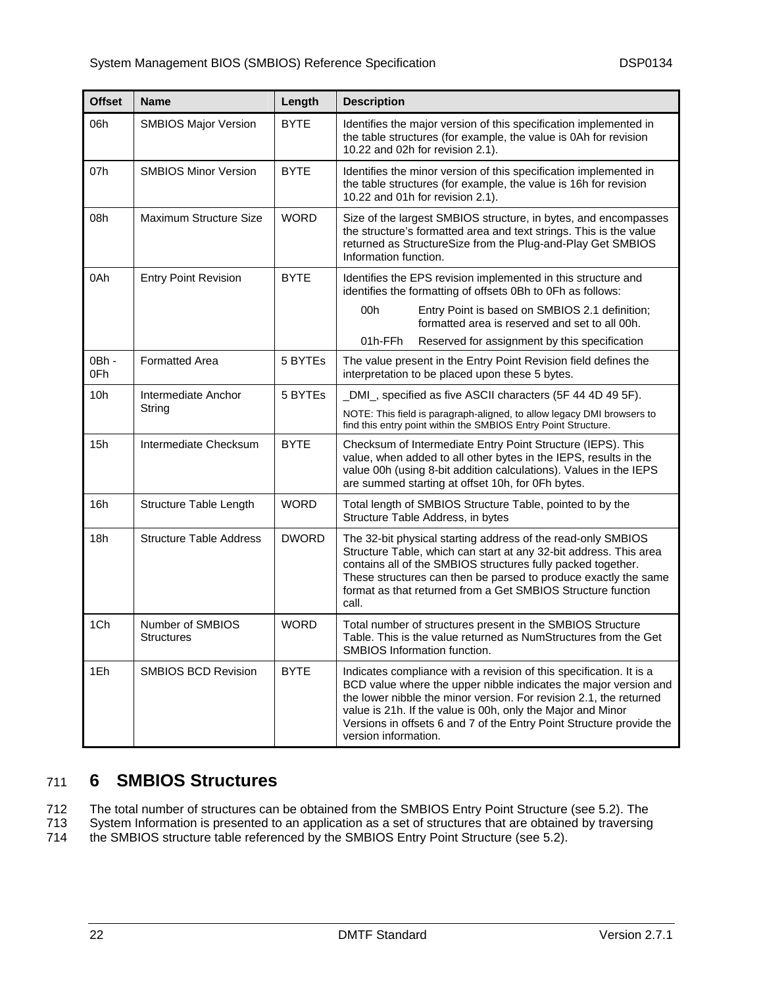<span id="page-21-0"></span>

| <b>Offset</b>   | <b>Name</b>                           | Length       | <b>Description</b>                                                                                                                                                                                                                                                                                                                                                           |  |  |
|-----------------|---------------------------------------|--------------|------------------------------------------------------------------------------------------------------------------------------------------------------------------------------------------------------------------------------------------------------------------------------------------------------------------------------------------------------------------------------|--|--|
| 06h             | <b>SMBIOS Major Version</b>           | <b>BYTE</b>  | Identifies the major version of this specification implemented in<br>the table structures (for example, the value is 0Ah for revision<br>10.22 and 02h for revision 2.1).                                                                                                                                                                                                    |  |  |
| 07h             | <b>SMBIOS Minor Version</b>           | <b>BYTE</b>  | Identifies the minor version of this specification implemented in<br>the table structures (for example, the value is 16h for revision<br>10.22 and 01h for revision 2.1).                                                                                                                                                                                                    |  |  |
| 08h             | Maximum Structure Size                | <b>WORD</b>  | Size of the largest SMBIOS structure, in bytes, and encompasses<br>the structure's formatted area and text strings. This is the value<br>returned as StructureSize from the Plug-and-Play Get SMBIOS<br>Information function.                                                                                                                                                |  |  |
| 0Ah             | <b>Entry Point Revision</b>           | <b>BYTE</b>  | Identifies the EPS revision implemented in this structure and<br>identifies the formatting of offsets 0Bh to 0Fh as follows:                                                                                                                                                                                                                                                 |  |  |
|                 |                                       |              | 00h<br>Entry Point is based on SMBIOS 2.1 definition;<br>formatted area is reserved and set to all 00h.                                                                                                                                                                                                                                                                      |  |  |
|                 |                                       |              | 01h-FFh<br>Reserved for assignment by this specification                                                                                                                                                                                                                                                                                                                     |  |  |
| $0Bh -$<br>0Fh  | <b>Formatted Area</b>                 | 5 BYTEs      | The value present in the Entry Point Revision field defines the<br>interpretation to be placed upon these 5 bytes.                                                                                                                                                                                                                                                           |  |  |
| 10 <sub>h</sub> | Intermediate Anchor<br>String         | 5 BYTES      | _DMI_, specified as five ASCII characters (5F 44 4D 49 5F).                                                                                                                                                                                                                                                                                                                  |  |  |
|                 |                                       |              | NOTE: This field is paragraph-aligned, to allow legacy DMI browsers to<br>find this entry point within the SMBIOS Entry Point Structure.                                                                                                                                                                                                                                     |  |  |
| 15h             | Intermediate Checksum                 | <b>BYTE</b>  | Checksum of Intermediate Entry Point Structure (IEPS). This<br>value, when added to all other bytes in the IEPS, results in the<br>value 00h (using 8-bit addition calculations). Values in the IEPS<br>are summed starting at offset 10h, for 0Fh bytes.                                                                                                                    |  |  |
| 16h             | Structure Table Length                | <b>WORD</b>  | Total length of SMBIOS Structure Table, pointed to by the<br>Structure Table Address, in bytes                                                                                                                                                                                                                                                                               |  |  |
| 18h             | <b>Structure Table Address</b>        | <b>DWORD</b> | The 32-bit physical starting address of the read-only SMBIOS<br>Structure Table, which can start at any 32-bit address. This area<br>contains all of the SMBIOS structures fully packed together.<br>These structures can then be parsed to produce exactly the same<br>format as that returned from a Get SMBIOS Structure function<br>call.                                |  |  |
| 1Ch             | Number of SMBIOS<br><b>Structures</b> | <b>WORD</b>  | Total number of structures present in the SMBIOS Structure<br>Table. This is the value returned as NumStructures from the Get<br>SMBIOS Information function.                                                                                                                                                                                                                |  |  |
| 1Eh             | <b>SMBIOS BCD Revision</b>            | <b>BYTE</b>  | Indicates compliance with a revision of this specification. It is a<br>BCD value where the upper nibble indicates the major version and<br>the lower nibble the minor version. For revision 2.1, the returned<br>value is 21h. If the value is 00h, only the Major and Minor<br>Versions in offsets 6 and 7 of the Entry Point Structure provide the<br>version information. |  |  |

## <span id="page-21-1"></span>711 **6 SMBIOS Structures**

712 The total number of structures can be obtained from the SMBIOS Entry Point Structure (see [5.2](#page-20-3)). The 713 System Information is presented to an application as a set of structures that are obtained by traversing<br>714 the SMBIOS structure table referenced by the SMBIOS Entry Point Structure (see 5.2).

the SMBIOS structure table referenced by the SMBIOS Entry Point Structure (see [5.2\)](#page-20-3).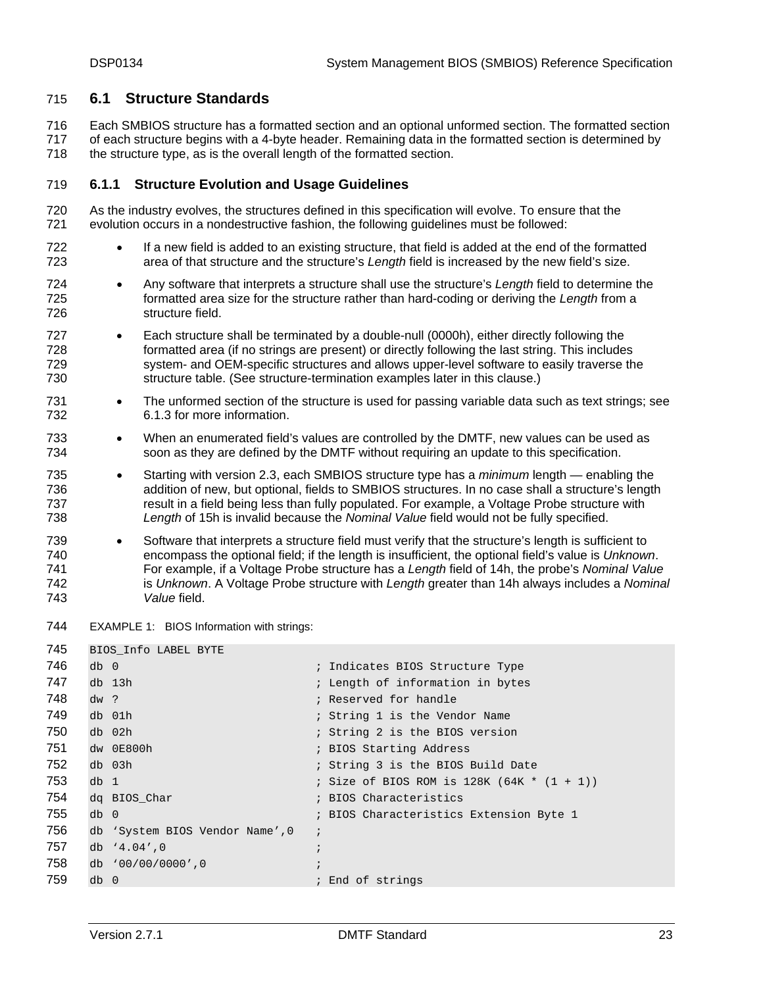## <span id="page-22-1"></span><span id="page-22-0"></span>715 **6.1 Structure Standards**

716 Each SMBIOS structure has a formatted section and an optional unformed section. The formatted section 717 of each structure begins with a 4-byte header. Remaining data in the formatted section is determined by 718 the structure type, as is the overall length of the formatted section.

#### <span id="page-22-2"></span>719 **6.1.1 Structure Evolution and Usage Guidelines**

- 720 As the industry evolves, the structures defined in this specification will evolve. To ensure that the 721 evolution occurs in a nondestructive fashion, the following guidelines must be followed:
- 722 If a new field is added to an existing structure, that field is added at the end of the formatted 723 area of that structure and the structure's *Length* field is increased by the new field's size.
- 724 Any software that interprets a structure shall use the structure's *Length* field to determine the 725 formatted area size for the structure rather than hard-coding or deriving the *Length* from a 726 structure field.
- 727 Each structure shall be terminated by a double-null (0000h), either directly following the 728 formatted area (if no strings are present) or directly following the last string. This includes 729 system- and OEM-specific structures and allows upper-level software to easily traverse the 730 structure table. (See structure-termination examples later in this clause.)
- 731 The unformed section of the structure is used for passing variable data such as text strings; see 732 [6.1.3](#page-23-2) for more information.
- 733 When an enumerated field's values are controlled by the DMTF, new values can be used as 734 soon as they are defined by the DMTF without requiring an update to this specification.
- 735 Starting with version 2.3, each SMBIOS structure type has a *minimum* length enabling the 736 addition of new, but optional, fields to SMBIOS structures. In no case shall a structure's length 737 result in a field being less than fully populated. For example, a Voltage Probe structure with 738 *Length* of 15h is invalid because the *Nominal Value* field would not be fully specified.
- 739 Software that interprets a structure field must verify that the structure's length is sufficient to 740 encompass the optional field; if the length is insufficient, the optional field's value is *Unknown*. 741 For example, if a Voltage Probe structure has a *Length* field of 14h, the probe's *Nominal Value* 742 is *Unknown*. A Voltage Probe structure with *Length* greater than 14h always includes a *Nominal*  743 *Value* field.
- 744 EXAMPLE 1: BIOS Information with strings:

| 745 |        | BIOS Info LABEL BYTE            |            |                                              |
|-----|--------|---------------------------------|------------|----------------------------------------------|
| 746 | db 0   |                                 |            | ; Indicates BIOS Structure Type              |
| 747 |        | db 13h                          |            | ; Length of information in bytes             |
| 748 | $dw$ ? |                                 |            | ; Reserved for handle                        |
| 749 |        | db 01h                          |            | ; String 1 is the Vendor Name                |
| 750 |        | db 02h                          |            | ; String 2 is the BIOS version               |
| 751 |        | dw 0E800h                       |            | ; BIOS Starting Address                      |
| 752 |        | db 03h                          |            | ; String 3 is the BIOS Build Date            |
| 753 | db 1   |                                 |            | ; Size of BIOS ROM is $128K (64K * (1 + 1))$ |
| 754 |        | dg BIOS Char                    |            | ; BIOS Characteristics                       |
| 755 | db 0   |                                 |            | ; BIOS Characteristics Extension Byte 1      |
| 756 |        | db 'System BIOS Vendor Name', 0 | $\ddot{i}$ |                                              |
| 757 |        | db '4.04',0                     |            |                                              |
| 758 |        | $db'00/00/0000'$ , 0            |            |                                              |
| 759 | db 0   |                                 |            | ; End of strings                             |
|     |        |                                 |            |                                              |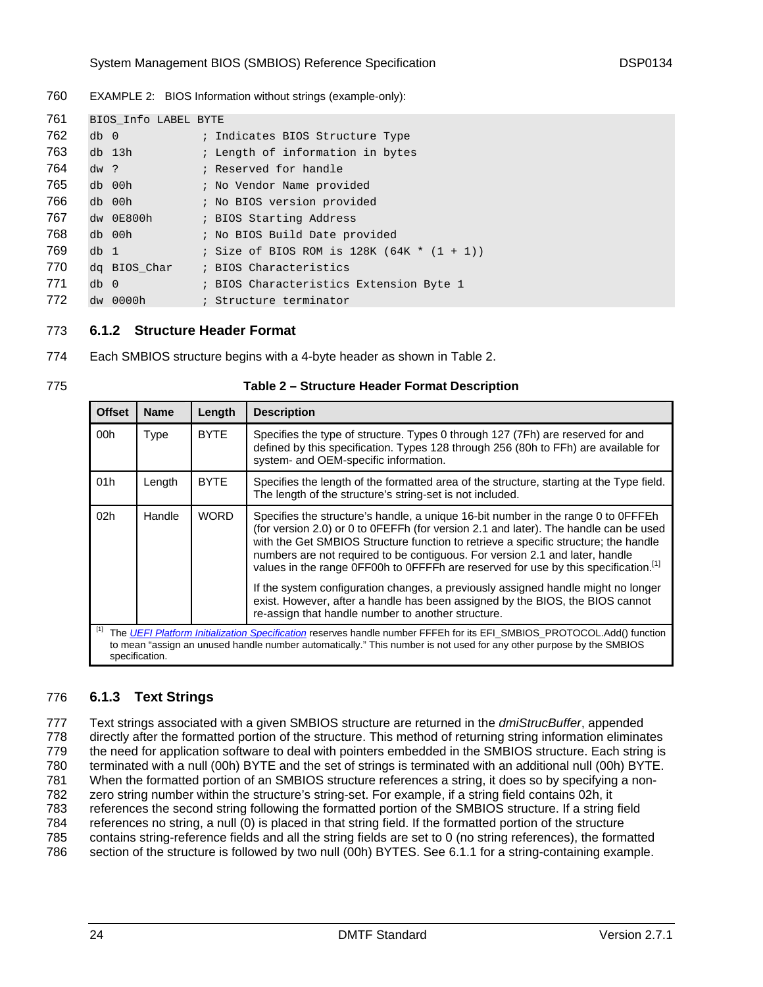<span id="page-23-0"></span>760 EXAMPLE 2: BIOS Information without strings (example-only):

| 761 |          | BIOS Info LABEL BYTE |                                              |
|-----|----------|----------------------|----------------------------------------------|
| 762 | $db = 0$ |                      | ; Indicates BIOS Structure Type              |
| 763 |          | db 13h               | ; Length of information in bytes             |
| 764 | $dw$ ?   |                      | ; Reserved for handle                        |
| 765 |          | db 00h               | ; No Vendor Name provided                    |
| 766 |          | db 00h               | ; No BIOS version provided                   |
| 767 |          | dw 0E800h            | ; BIOS Starting Address                      |
| 768 |          | db 00h               | ; No BIOS Build Date provided                |
| 769 | db 1     |                      | ; Size of BIOS ROM is $128K (64K * (1 + 1))$ |
| 770 |          | dg BIOS Char         | ; BIOS Characteristics                       |
| 771 | db 0     |                      | ; BIOS Characteristics Extension Byte 1      |
| 772 |          | dw 0000h             | ; Structure terminator                       |

## <span id="page-23-1"></span>773 **6.1.2 Structure Header Format**

- 774 Each SMBIOS structure begins with a 4-byte header as shown in [Table 2](#page-23-3).
- <span id="page-23-3"></span>

#### 775 **Table 2 – Structure Header Format Description**

| <b>Offset</b> | <b>Name</b>    | Length      | <b>Description</b>                                                                                                                                                                                                                                                                                                                                                                                                                                                                                                                                                                                                                                                              |
|---------------|----------------|-------------|---------------------------------------------------------------------------------------------------------------------------------------------------------------------------------------------------------------------------------------------------------------------------------------------------------------------------------------------------------------------------------------------------------------------------------------------------------------------------------------------------------------------------------------------------------------------------------------------------------------------------------------------------------------------------------|
| 00h           | Type           | <b>BYTE</b> | Specifies the type of structure. Types 0 through 127 (7Fh) are reserved for and<br>defined by this specification. Types 128 through 256 (80h to FFh) are available for<br>system- and OEM-specific information.                                                                                                                                                                                                                                                                                                                                                                                                                                                                 |
| 01h           | Length         | <b>BYTE</b> | Specifies the length of the formatted area of the structure, starting at the Type field.<br>The length of the structure's string-set is not included.                                                                                                                                                                                                                                                                                                                                                                                                                                                                                                                           |
| 02h           | Handle         | <b>WORD</b> | Specifies the structure's handle, a unique 16-bit number in the range 0 to OFFFEh<br>(for version 2.0) or 0 to 0FEFFh (for version 2.1 and later). The handle can be used<br>with the Get SMBIOS Structure function to retrieve a specific structure; the handle<br>numbers are not required to be contiguous. For version 2.1 and later, handle<br>values in the range OFF00h to OFFFFh are reserved for use by this specification. <sup>[1]</sup><br>If the system configuration changes, a previously assigned handle might no longer<br>exist. However, after a handle has been assigned by the BIOS, the BIOS cannot<br>re-assign that handle number to another structure. |
| $[1]$         | specification. |             | The UEFI Platform Initialization Specification reserves handle number FFFEh for its EFI_SMBIOS_PROTOCOL.Add() function<br>to mean "assign an unused handle number automatically." This number is not used for any other purpose by the SMBIOS                                                                                                                                                                                                                                                                                                                                                                                                                                   |

## <span id="page-23-2"></span>776 **6.1.3 Text Strings**

777 Text strings associated with a given SMBIOS structure are returned in the *dmiStrucBuffer*, appended 778 directly after the formatted portion of the structure. This method of returning string information eliminates 779 the need for application software to deal with pointers embedded in the SMBIOS structure. Each string is 780 terminated with a null (00h) BYTE and the set of strings is terminated with an additional null (00h) BYTE. 781 When the formatted portion of an SMBIOS structure references a string, it does so by specifying a non-782 zero string number within the structure's string-set. For example, if a string field contains 02h, it 783 references the second string following the formatted portion of the SMBIOS structure. If a string field 784 references no string, a null (0) is placed in that string field. If the formatted portion of the structure 785 contains string-reference fields and all the string fields are set to 0 (no string references), the formatted 786 section of the structure is followed by two null (00h) BYTES. See [6.1.1](#page-22-2) for a string-containing example.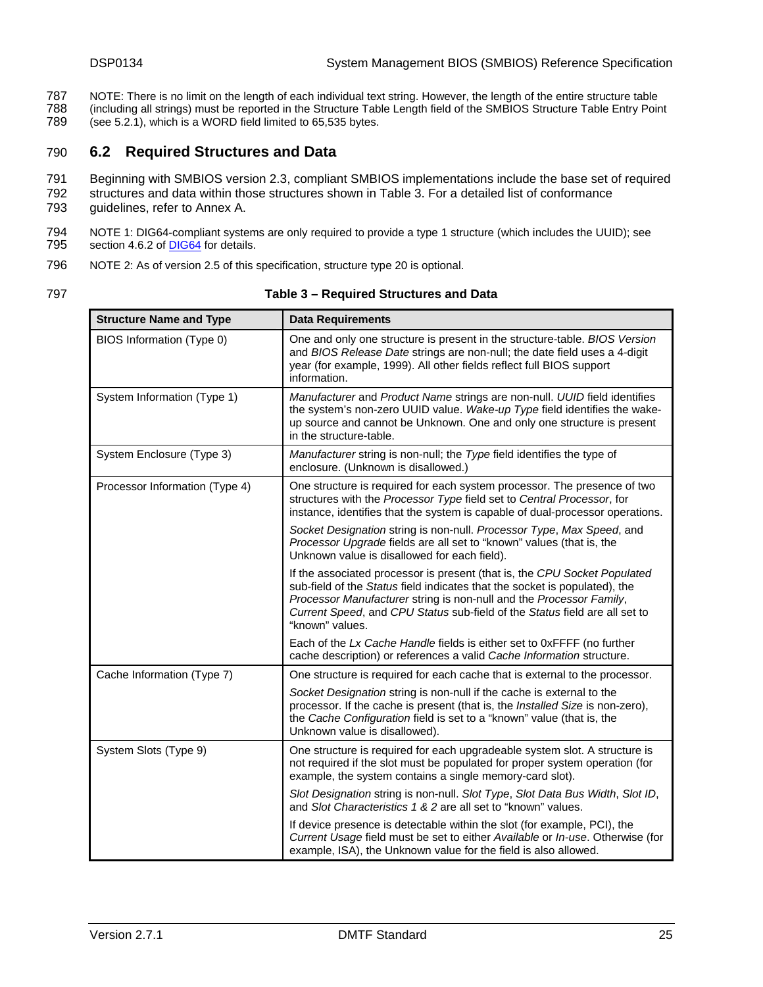- 
- <span id="page-24-0"></span>787 NOTE: There is no limit on the length of each individual text string. However, the length of the entire structure table<br>788 (including all strings) must be reported in the Structure Table Length field of the SMBIOS Str 788 (including all strings) must be reported in the Structure Table Length field of the SMBIOS Structure Table Entry Point<br>789 (see 5.2.1), which is a WORD field limited to 65,535 bytes. (see  $5.2.1$ ), which is a WORD field limited to  $65,535$  bytes.

## <span id="page-24-1"></span>790 **6.2 Required Structures and Data**

- 791 Beginning with SMBIOS version 2.3, compliant SMBIOS implementations include the base set of required
- 792 structures and data within those structures shown in [Table 3](#page-24-2). For a detailed list of conformance
- 793 guidelines, refer to [Annex A.](#page-121-1)

794 NOTE 1: DIG64-compliant systems are only required to provide a type 1 structure (which includes the UUID); see<br>795 section 4.6.2 of DIG64 for details. section 4.6.2 of **DIG64** for details.

- 796 NOTE 2: As of version 2.5 of this specification, structure type 20 is optional.
- <span id="page-24-2"></span>

797 **Table 3 – Required Structures and Data** 

| <b>Structure Name and Type</b> | <b>Data Requirements</b>                                                                                                                                                                                                                                                                                                        |  |  |  |
|--------------------------------|---------------------------------------------------------------------------------------------------------------------------------------------------------------------------------------------------------------------------------------------------------------------------------------------------------------------------------|--|--|--|
| BIOS Information (Type 0)      | One and only one structure is present in the structure-table. BIOS Version<br>and BIOS Release Date strings are non-null; the date field uses a 4-digit<br>year (for example, 1999). All other fields reflect full BIOS support<br>information.                                                                                 |  |  |  |
| System Information (Type 1)    | Manufacturer and Product Name strings are non-null. UUID field identifies<br>the system's non-zero UUID value. Wake-up Type field identifies the wake-<br>up source and cannot be Unknown. One and only one structure is present<br>in the structure-table.                                                                     |  |  |  |
| System Enclosure (Type 3)      | Manufacturer string is non-null; the Type field identifies the type of<br>enclosure. (Unknown is disallowed.)                                                                                                                                                                                                                   |  |  |  |
| Processor Information (Type 4) | One structure is required for each system processor. The presence of two<br>structures with the Processor Type field set to Central Processor, for<br>instance, identifies that the system is capable of dual-processor operations.                                                                                             |  |  |  |
|                                | Socket Designation string is non-null. Processor Type, Max Speed, and<br>Processor Upgrade fields are all set to "known" values (that is, the<br>Unknown value is disallowed for each field).                                                                                                                                   |  |  |  |
|                                | If the associated processor is present (that is, the CPU Socket Populated<br>sub-field of the Status field indicates that the socket is populated), the<br>Processor Manufacturer string is non-null and the Processor Family,<br>Current Speed, and CPU Status sub-field of the Status field are all set to<br>"known" values. |  |  |  |
|                                | Each of the Lx Cache Handle fields is either set to 0xFFFF (no further<br>cache description) or references a valid Cache Information structure.                                                                                                                                                                                 |  |  |  |
| Cache Information (Type 7)     | One structure is required for each cache that is external to the processor.                                                                                                                                                                                                                                                     |  |  |  |
|                                | Socket Designation string is non-null if the cache is external to the<br>processor. If the cache is present (that is, the Installed Size is non-zero),<br>the Cache Configuration field is set to a "known" value (that is, the<br>Unknown value is disallowed).                                                                |  |  |  |
| System Slots (Type 9)          | One structure is required for each upgradeable system slot. A structure is<br>not required if the slot must be populated for proper system operation (for<br>example, the system contains a single memory-card slot).                                                                                                           |  |  |  |
|                                | Slot Designation string is non-null. Slot Type, Slot Data Bus Width, Slot ID,<br>and Slot Characteristics 1 & 2 are all set to "known" values.                                                                                                                                                                                  |  |  |  |
|                                | If device presence is detectable within the slot (for example, PCI), the<br>Current Usage field must be set to either Available or In-use. Otherwise (for<br>example, ISA), the Unknown value for the field is also allowed.                                                                                                    |  |  |  |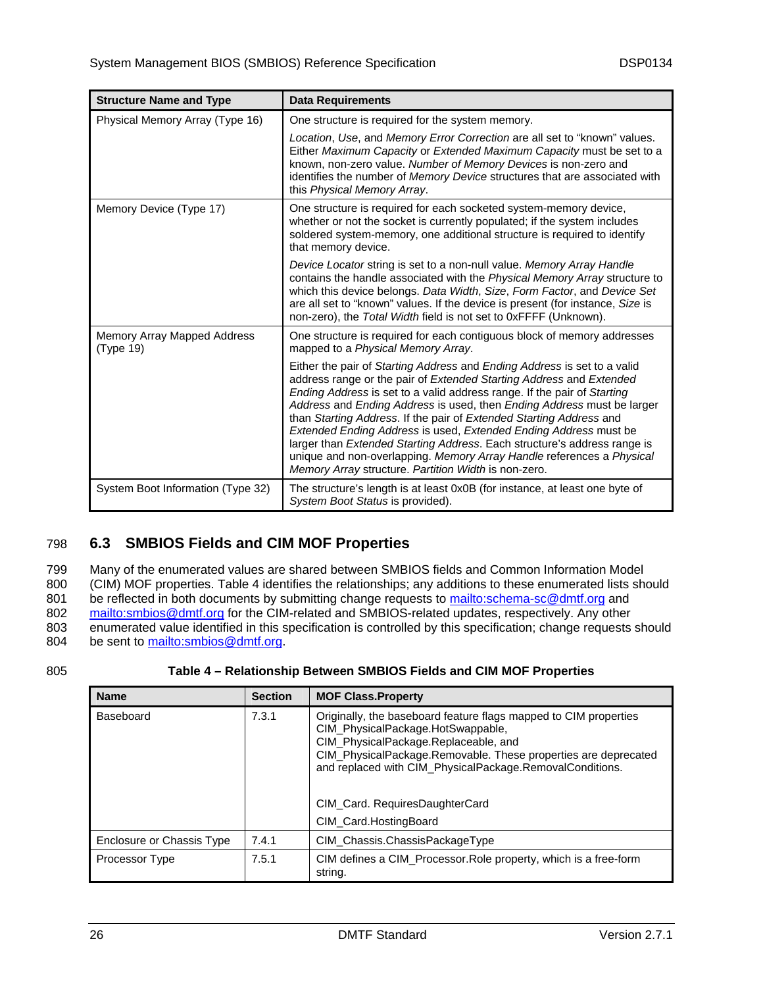<span id="page-25-0"></span>

| <b>Structure Name and Type</b>           | <b>Data Requirements</b>                                                                                                                                                                                                                                                                                                                                                                                                                                                                                                                                                                                                                                     |
|------------------------------------------|--------------------------------------------------------------------------------------------------------------------------------------------------------------------------------------------------------------------------------------------------------------------------------------------------------------------------------------------------------------------------------------------------------------------------------------------------------------------------------------------------------------------------------------------------------------------------------------------------------------------------------------------------------------|
| Physical Memory Array (Type 16)          | One structure is required for the system memory.                                                                                                                                                                                                                                                                                                                                                                                                                                                                                                                                                                                                             |
|                                          | Location, Use, and Memory Error Correction are all set to "known" values.<br>Either Maximum Capacity or Extended Maximum Capacity must be set to a<br>known, non-zero value. Number of Memory Devices is non-zero and<br>identifies the number of Memory Device structures that are associated with<br>this Physical Memory Array.                                                                                                                                                                                                                                                                                                                           |
| Memory Device (Type 17)                  | One structure is required for each socketed system-memory device,<br>whether or not the socket is currently populated; if the system includes<br>soldered system-memory, one additional structure is required to identify<br>that memory device.                                                                                                                                                                                                                                                                                                                                                                                                             |
|                                          | Device Locator string is set to a non-null value. Memory Array Handle<br>contains the handle associated with the Physical Memory Array structure to<br>which this device belongs. Data Width, Size, Form Factor, and Device Set<br>are all set to "known" values. If the device is present (for instance, Size is<br>non-zero), the Total Width field is not set to 0xFFFF (Unknown).                                                                                                                                                                                                                                                                        |
| Memory Array Mapped Address<br>(Type 19) | One structure is required for each contiguous block of memory addresses<br>mapped to a Physical Memory Array.                                                                                                                                                                                                                                                                                                                                                                                                                                                                                                                                                |
|                                          | Either the pair of Starting Address and Ending Address is set to a valid<br>address range or the pair of Extended Starting Address and Extended<br>Ending Address is set to a valid address range. If the pair of Starting<br>Address and Ending Address is used, then Ending Address must be larger<br>than Starting Address. If the pair of Extended Starting Address and<br>Extended Ending Address is used, Extended Ending Address must be<br>larger than Extended Starting Address. Each structure's address range is<br>unique and non-overlapping. Memory Array Handle references a Physical<br>Memory Array structure. Partition Width is non-zero. |
| System Boot Information (Type 32)        | The structure's length is at least 0x0B (for instance, at least one byte of<br>System Boot Status is provided).                                                                                                                                                                                                                                                                                                                                                                                                                                                                                                                                              |

## <span id="page-25-1"></span>798 **6.3 SMBIOS Fields and CIM MOF Properties**

799 Many of the enumerated values are shared between SMBIOS fields and Common Information Model<br>800 (CIM) MOF properties. Table 4 identifies the relationships; any additions to these enumerated lists sh (CIM) MOF properties. [Table 4](#page-25-2) identifies the relationships; any additions to these enumerated lists should 801 be reflected in both documents by submitting change requests to<mailto:schema-sc@dmtf.org>and 802 <mailto:smbios@dmtf.org> for the CIM-related and SMBIOS-related updates, respectively. Any other 803 enumerated value identified in this specification is controlled by this specification; change requests should 804 be sent to mailto: smbios@dmtf.org.

<span id="page-25-2"></span>

| 805 | Table 4 – Relationship Between SMBIOS Fields and CIM MOF Properties |
|-----|---------------------------------------------------------------------|
|-----|---------------------------------------------------------------------|

| <b>Name</b>               | <b>Section</b> | <b>MOF Class.Property</b>                                                                                                                                                                                                                                                   |
|---------------------------|----------------|-----------------------------------------------------------------------------------------------------------------------------------------------------------------------------------------------------------------------------------------------------------------------------|
| Baseboard                 | 7.3.1          | Originally, the baseboard feature flags mapped to CIM properties<br>CIM_PhysicalPackage.HotSwappable,<br>CIM_PhysicalPackage.Replaceable, and<br>CIM_PhysicalPackage.Removable. These properties are deprecated<br>and replaced with CIM_PhysicalPackage.RemovalConditions. |
|                           |                | CIM_Card. RequiresDaughterCard                                                                                                                                                                                                                                              |
|                           |                | CIM Card.HostingBoard                                                                                                                                                                                                                                                       |
| Enclosure or Chassis Type | 7.4.1          | CIM Chassis.ChassisPackageType                                                                                                                                                                                                                                              |
| <b>Processor Type</b>     | 7.5.1          | CIM defines a CIM_Processor.Role property, which is a free-form<br>string.                                                                                                                                                                                                  |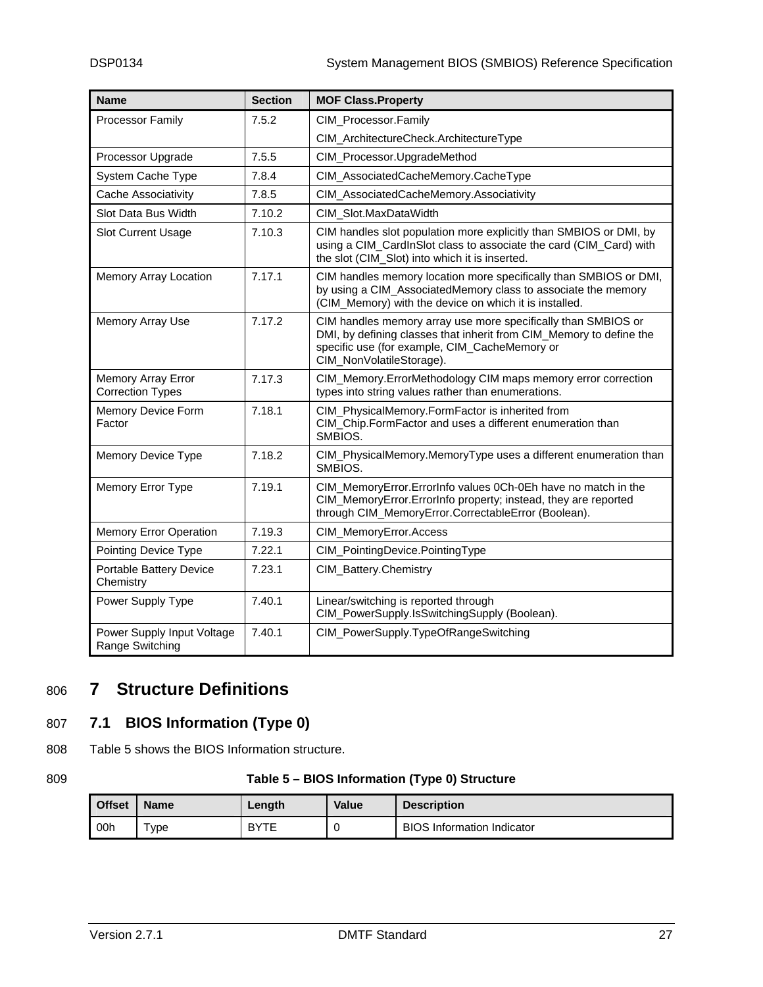<span id="page-26-0"></span>

| <b>Name</b>                                   | <b>Section</b> | <b>MOF Class.Property</b>                                                                                                                                                                                         |  |
|-----------------------------------------------|----------------|-------------------------------------------------------------------------------------------------------------------------------------------------------------------------------------------------------------------|--|
| Processor Family                              | 7.5.2          | CIM_Processor.Family                                                                                                                                                                                              |  |
|                                               |                | CIM_ArchitectureCheck.ArchitectureType                                                                                                                                                                            |  |
| Processor Upgrade                             | 7.5.5          | CIM_Processor.UpgradeMethod                                                                                                                                                                                       |  |
| System Cache Type                             | 7.8.4          | CIM_AssociatedCacheMemory.CacheType                                                                                                                                                                               |  |
| Cache Associativity                           | 7.8.5          | CIM_AssociatedCacheMemory.Associativity                                                                                                                                                                           |  |
| Slot Data Bus Width                           | 7.10.2         | CIM_Slot.MaxDataWidth                                                                                                                                                                                             |  |
| <b>Slot Current Usage</b>                     | 7.10.3         | CIM handles slot population more explicitly than SMBIOS or DMI, by<br>using a CIM_CardInSlot class to associate the card (CIM_Card) with<br>the slot (CIM_Slot) into which it is inserted.                        |  |
| Memory Array Location                         | 7.17.1         | CIM handles memory location more specifically than SMBIOS or DMI,<br>by using a CIM_AssociatedMemory class to associate the memory<br>(CIM_Memory) with the device on which it is installed.                      |  |
| Memory Array Use                              | 7.17.2         | CIM handles memory array use more specifically than SMBIOS or<br>DMI, by defining classes that inherit from CIM_Memory to define the<br>specific use (for example, CIM_CacheMemory or<br>CIM_NonVolatileStorage). |  |
| Memory Array Error<br><b>Correction Types</b> | 7.17.3         | CIM_Memory.ErrorMethodology CIM maps memory error correction<br>types into string values rather than enumerations.                                                                                                |  |
| Memory Device Form<br>Factor                  | 7.18.1         | CIM_PhysicalMemory.FormFactor is inherited from<br>CIM_Chip.FormFactor and uses a different enumeration than<br>SMBIOS.                                                                                           |  |
| Memory Device Type                            | 7.18.2         | CIM_PhysicalMemory.MemoryType uses a different enumeration than<br>SMBIOS.                                                                                                                                        |  |
| Memory Error Type                             | 7.19.1         | CIM_MemoryError.ErrorInfo values 0Ch-0Eh have no match in the<br>CIM_MemoryError.ErrorInfo property; instead, they are reported<br>through CIM_MemoryError.CorrectableError (Boolean).                            |  |
| <b>Memory Error Operation</b>                 | 7.19.3         | CIM_MemoryError.Access                                                                                                                                                                                            |  |
| Pointing Device Type                          | 7.22.1         | CIM_PointingDevice.PointingType                                                                                                                                                                                   |  |
| Portable Battery Device<br>Chemistry          | 7.23.1         | CIM_Battery.Chemistry                                                                                                                                                                                             |  |
| Power Supply Type                             | 7.40.1         | Linear/switching is reported through<br>CIM_PowerSupply.IsSwitchingSupply (Boolean).                                                                                                                              |  |
| Power Supply Input Voltage<br>Range Switching | 7.40.1         | CIM_PowerSupply.TypeOfRangeSwitching                                                                                                                                                                              |  |

## <span id="page-26-4"></span><span id="page-26-1"></span>806 **7 Structure Definitions**

## <span id="page-26-2"></span>807 **7.1 BIOS Information (Type 0)**

- 808 [Table 5](#page-26-3) shows the BIOS Information structure.
- <span id="page-26-3"></span>

## 809 **Table 5 – BIOS Information (Type 0) Structure**

| <b>Offset</b> | <b>Name</b> | Length      | <b>Value</b> | <b>Description</b>                |
|---------------|-------------|-------------|--------------|-----------------------------------|
| 00h           | -<br>ype    | <b>RVTE</b> |              | <b>BIOS Information Indicator</b> |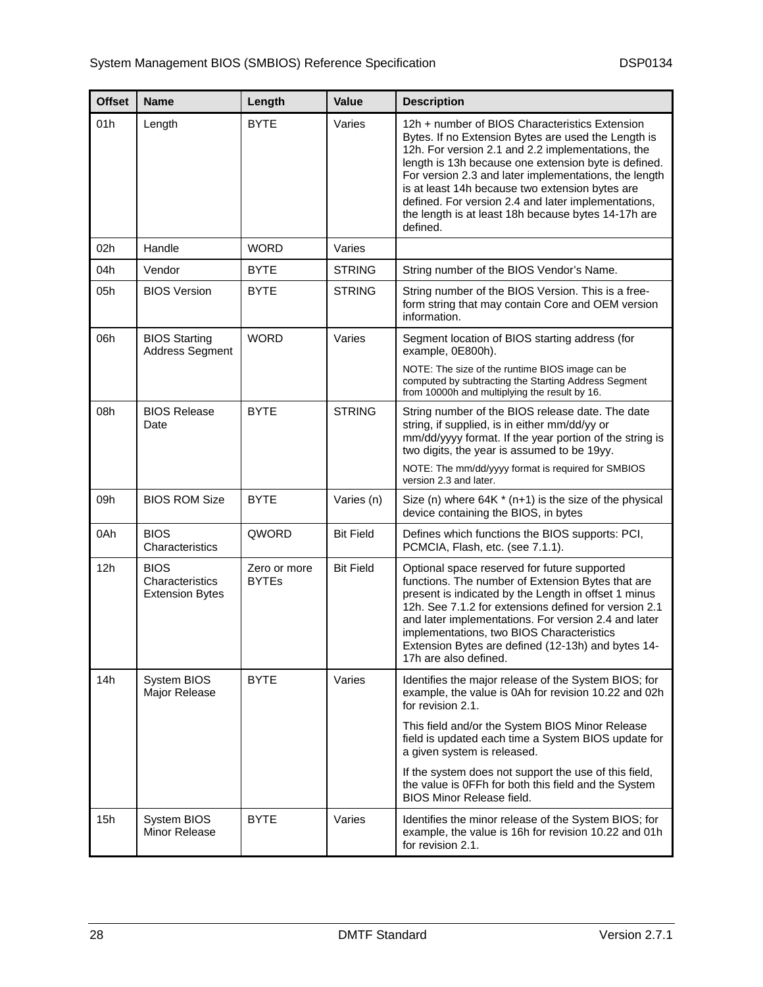| <b>Offset</b> | <b>Name</b>                                              | Length                       | <b>Value</b>     | <b>Description</b>                                                                                                                                                                                                                                                                                                                                                                                                                                       |
|---------------|----------------------------------------------------------|------------------------------|------------------|----------------------------------------------------------------------------------------------------------------------------------------------------------------------------------------------------------------------------------------------------------------------------------------------------------------------------------------------------------------------------------------------------------------------------------------------------------|
| 01h           | Length                                                   | <b>BYTE</b>                  | Varies           | 12h + number of BIOS Characteristics Extension<br>Bytes. If no Extension Bytes are used the Length is<br>12h. For version 2.1 and 2.2 implementations, the<br>length is 13h because one extension byte is defined.<br>For version 2.3 and later implementations, the length<br>is at least 14h because two extension bytes are<br>defined. For version 2.4 and later implementations,<br>the length is at least 18h because bytes 14-17h are<br>defined. |
| 02h           | Handle                                                   | <b>WORD</b>                  | Varies           |                                                                                                                                                                                                                                                                                                                                                                                                                                                          |
| 04h           | Vendor                                                   | <b>BYTE</b>                  | <b>STRING</b>    | String number of the BIOS Vendor's Name.                                                                                                                                                                                                                                                                                                                                                                                                                 |
| 05h           | <b>BIOS Version</b>                                      | <b>BYTE</b>                  | <b>STRING</b>    | String number of the BIOS Version. This is a free-<br>form string that may contain Core and OEM version<br>information.                                                                                                                                                                                                                                                                                                                                  |
| 06h           | <b>BIOS Starting</b><br><b>Address Segment</b>           | <b>WORD</b>                  | Varies           | Segment location of BIOS starting address (for<br>example, 0E800h).                                                                                                                                                                                                                                                                                                                                                                                      |
|               |                                                          |                              |                  | NOTE: The size of the runtime BIOS image can be<br>computed by subtracting the Starting Address Segment<br>from 10000h and multiplying the result by 16.                                                                                                                                                                                                                                                                                                 |
| 08h           | <b>BIOS Release</b><br>Date                              | <b>BYTE</b>                  | <b>STRING</b>    | String number of the BIOS release date. The date<br>string, if supplied, is in either mm/dd/yy or<br>mm/dd/yyyy format. If the year portion of the string is<br>two digits, the year is assumed to be 19yy.                                                                                                                                                                                                                                              |
|               |                                                          |                              |                  | NOTE: The mm/dd/yyyy format is required for SMBIOS<br>version 2.3 and later.                                                                                                                                                                                                                                                                                                                                                                             |
| 09h           | <b>BIOS ROM Size</b>                                     | <b>BYTE</b>                  | Varies (n)       | Size (n) where $64K * (n+1)$ is the size of the physical<br>device containing the BIOS, in bytes                                                                                                                                                                                                                                                                                                                                                         |
| 0Ah           | <b>BIOS</b><br>Characteristics                           | QWORD                        | <b>Bit Field</b> | Defines which functions the BIOS supports: PCI,<br>PCMCIA, Flash, etc. (see 7.1.1).                                                                                                                                                                                                                                                                                                                                                                      |
| 12h           | <b>BIOS</b><br>Characteristics<br><b>Extension Bytes</b> | Zero or more<br><b>BYTEs</b> | <b>Bit Field</b> | Optional space reserved for future supported<br>functions. The number of Extension Bytes that are<br>present is indicated by the Length in offset 1 minus<br>12h, See 7.1.2 for extensions defined for version 2.1<br>and later implementations. For version 2.4 and later<br>implementations, two BIOS Characteristics<br>Extension Bytes are defined (12-13h) and bytes 14-<br>17h are also defined.                                                   |
| 14h           | System BIOS<br>Major Release                             | <b>BYTE</b>                  | Varies           | Identifies the major release of the System BIOS; for<br>example, the value is 0Ah for revision 10.22 and 02h<br>for revision 2.1.                                                                                                                                                                                                                                                                                                                        |
|               |                                                          |                              |                  | This field and/or the System BIOS Minor Release<br>field is updated each time a System BIOS update for<br>a given system is released.                                                                                                                                                                                                                                                                                                                    |
|               |                                                          |                              |                  | If the system does not support the use of this field,<br>the value is OFFh for both this field and the System<br><b>BIOS Minor Release field.</b>                                                                                                                                                                                                                                                                                                        |
| 15h           | System BIOS<br>Minor Release                             | <b>BYTE</b>                  | Varies           | Identifies the minor release of the System BIOS; for<br>example, the value is 16h for revision 10.22 and 01h<br>for revision 2.1.                                                                                                                                                                                                                                                                                                                        |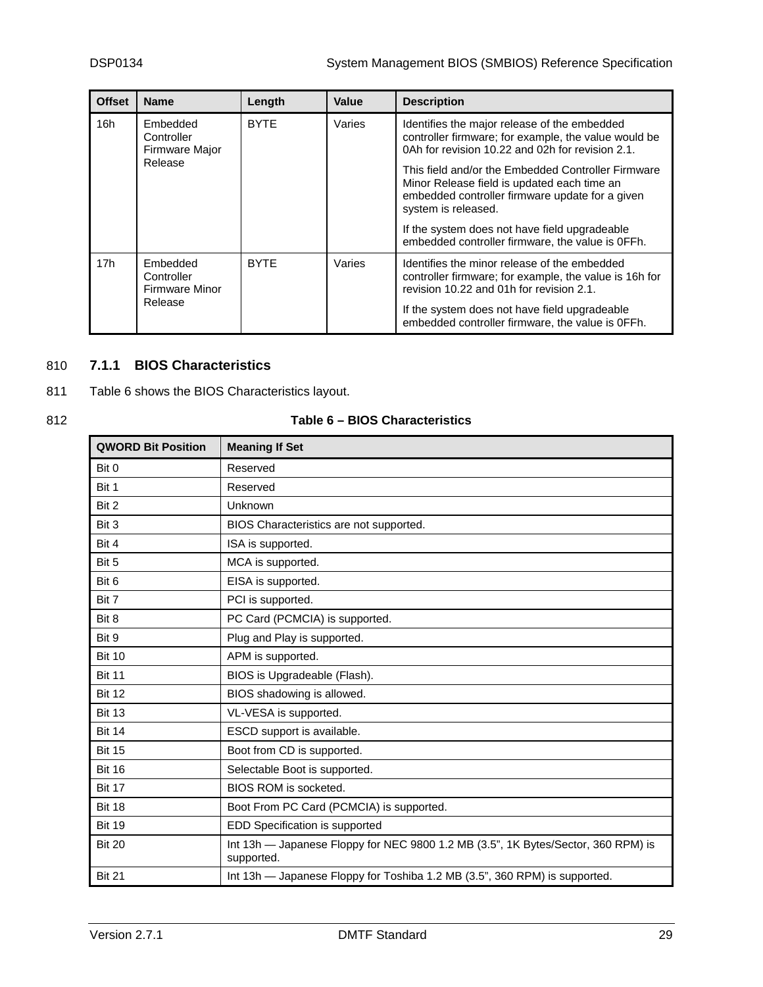<span id="page-28-0"></span>

| <b>Offset</b> | <b>Name</b>                              | Length      | Value  | <b>Description</b>                                                                                                                                                          |
|---------------|------------------------------------------|-------------|--------|-----------------------------------------------------------------------------------------------------------------------------------------------------------------------------|
| 16h           | Embedded<br>Controller<br>Firmware Major | <b>BYTE</b> | Varies | Identifies the major release of the embedded<br>controller firmware; for example, the value would be<br>0Ah for revision 10.22 and 02h for revision 2.1.                    |
|               | Release                                  |             |        | This field and/or the Embedded Controller Firmware<br>Minor Release field is updated each time an<br>embedded controller firmware update for a given<br>system is released. |
|               |                                          |             |        | If the system does not have field upgradeable<br>embedded controller firmware, the value is OFFh.                                                                           |
| 17h           | Embedded<br>Controller<br>Firmware Minor | <b>BYTE</b> | Varies | Identifies the minor release of the embedded<br>controller firmware; for example, the value is 16h for<br>revision 10.22 and 01h for revision 2.1.                          |
|               | Release                                  |             |        | If the system does not have field upgradeable<br>embedded controller firmware, the value is OFFh.                                                                           |

## <span id="page-28-1"></span>810 **7.1.1 BIOS Characteristics**

811 [Table 6](#page-28-2) shows the BIOS Characteristics layout.

## <span id="page-28-2"></span>812 **Table 6 – BIOS Characteristics**

| <b>QWORD Bit Position</b> | <b>Meaning If Set</b>                                                                           |  |
|---------------------------|-------------------------------------------------------------------------------------------------|--|
| Bit 0                     | Reserved                                                                                        |  |
| Bit 1                     | Reserved                                                                                        |  |
| Bit 2                     | Unknown                                                                                         |  |
| Bit 3                     | BIOS Characteristics are not supported.                                                         |  |
| Bit 4                     | ISA is supported.                                                                               |  |
| Bit 5                     | MCA is supported.                                                                               |  |
| Bit 6                     | EISA is supported.                                                                              |  |
| Bit 7                     | PCI is supported.                                                                               |  |
| Bit 8                     | PC Card (PCMCIA) is supported.                                                                  |  |
| Bit 9                     | Plug and Play is supported.                                                                     |  |
| <b>Bit 10</b>             | APM is supported.                                                                               |  |
| <b>Bit 11</b>             | BIOS is Upgradeable (Flash).                                                                    |  |
| <b>Bit 12</b>             | BIOS shadowing is allowed.                                                                      |  |
| <b>Bit 13</b>             | VL-VESA is supported.                                                                           |  |
| <b>Bit 14</b>             | ESCD support is available.                                                                      |  |
| <b>Bit 15</b>             | Boot from CD is supported.                                                                      |  |
| <b>Bit 16</b>             | Selectable Boot is supported.                                                                   |  |
| <b>Bit 17</b>             | BIOS ROM is socketed.                                                                           |  |
| <b>Bit 18</b>             | Boot From PC Card (PCMCIA) is supported.                                                        |  |
| <b>Bit 19</b>             | EDD Specification is supported                                                                  |  |
| <b>Bit 20</b>             | Int 13h - Japanese Floppy for NEC 9800 1.2 MB (3.5", 1K Bytes/Sector, 360 RPM) is<br>supported. |  |
| <b>Bit 21</b>             | Int 13h - Japanese Floppy for Toshiba 1.2 MB (3.5", 360 RPM) is supported.                      |  |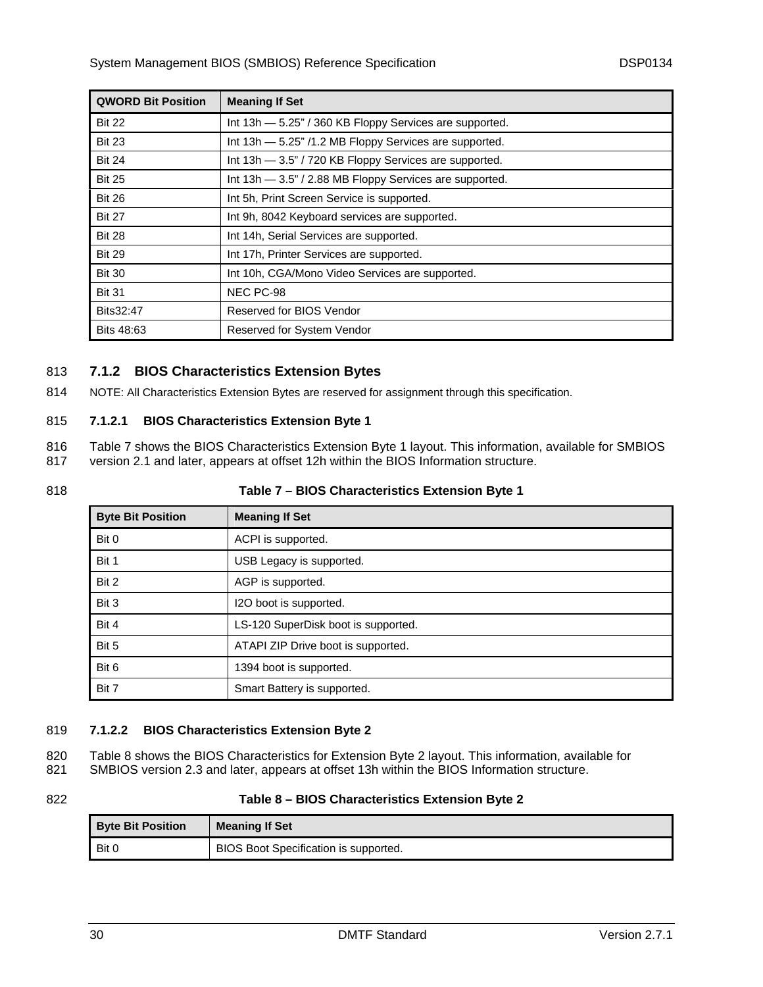<span id="page-29-0"></span>

| <b>QWORD Bit Position</b> | <b>Meaning If Set</b>                                   |
|---------------------------|---------------------------------------------------------|
| <b>Bit 22</b>             | Int 13h - 5.25" / 360 KB Floppy Services are supported. |
| <b>Bit 23</b>             | Int 13h - 5.25" /1.2 MB Floppy Services are supported.  |
| <b>Bit 24</b>             | Int 13h - 3.5" / 720 KB Floppy Services are supported.  |
| <b>Bit 25</b>             | Int 13h - 3.5" / 2.88 MB Floppy Services are supported. |
| <b>Bit 26</b>             | Int 5h, Print Screen Service is supported.              |
| <b>Bit 27</b>             | Int 9h, 8042 Keyboard services are supported.           |
| <b>Bit 28</b>             | Int 14h, Serial Services are supported.                 |
| <b>Bit 29</b>             | Int 17h, Printer Services are supported.                |
| <b>Bit 30</b>             | Int 10h, CGA/Mono Video Services are supported.         |
| <b>Bit 31</b>             | NEC PC-98                                               |
| Bits32:47                 | Reserved for BIOS Vendor                                |
| Bits 48:63                | Reserved for System Vendor                              |

## <span id="page-29-1"></span>813 **7.1.2 BIOS Characteristics Extension Bytes**

814 NOTE: All Characteristics Extension Bytes are reserved for assignment through this specification.

#### 815 **7.1.2.1 BIOS Characteristics Extension Byte 1**

- 816 [Table 7](#page-29-2) shows the BIOS Characteristics Extension Byte 1 layout. This information, available for SMBIOS 817 version 2.1 and later, appears at offset 12h within the BIOS Information structure.
- <span id="page-29-2"></span>

#### 818 **Table 7 – BIOS Characteristics Extension Byte 1**

| <b>Byte Bit Position</b> | <b>Meaning If Set</b>               |  |  |
|--------------------------|-------------------------------------|--|--|
| Bit 0                    | ACPI is supported.                  |  |  |
| Bit 1                    | USB Legacy is supported.            |  |  |
| Bit 2                    | AGP is supported.                   |  |  |
| Bit 3                    | I2O boot is supported.              |  |  |
| Bit 4                    | LS-120 SuperDisk boot is supported. |  |  |
| Bit 5                    | ATAPI ZIP Drive boot is supported.  |  |  |
| Bit 6                    | 1394 boot is supported.             |  |  |
| Bit 7                    | Smart Battery is supported.         |  |  |

#### 819 **7.1.2.2 BIOS Characteristics Extension Byte 2**

- 820 [Table 8](#page-29-3) shows the BIOS Characteristics for Extension Byte 2 layout. This information, available for
- 821 SMBIOS version 2.3 and later, appears at offset 13h within the BIOS Information structure.
- <span id="page-29-3"></span>

## 822 **Table 8 – BIOS Characteristics Extension Byte 2**

| <b>Byte Bit Position</b> | <b>Meaning If Set</b>                 |
|--------------------------|---------------------------------------|
| Bit 0                    | BIOS Boot Specification is supported. |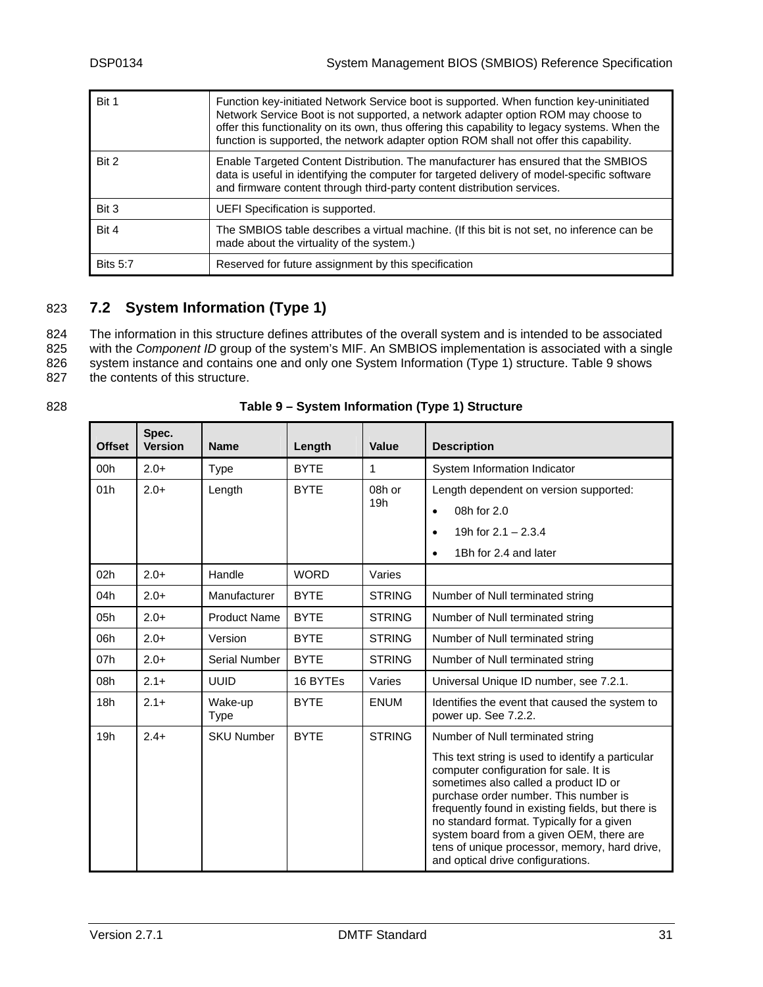<span id="page-30-0"></span>

| Bit 1           | Function key-initiated Network Service boot is supported. When function key-uninitiated<br>Network Service Boot is not supported, a network adapter option ROM may choose to<br>offer this functionality on its own, thus offering this capability to legacy systems. When the<br>function is supported, the network adapter option ROM shall not offer this capability. |
|-----------------|--------------------------------------------------------------------------------------------------------------------------------------------------------------------------------------------------------------------------------------------------------------------------------------------------------------------------------------------------------------------------|
| Bit 2           | Enable Targeted Content Distribution. The manufacturer has ensured that the SMBIOS<br>data is useful in identifying the computer for targeted delivery of model-specific software<br>and firmware content through third-party content distribution services.                                                                                                             |
| Bit 3           | UEFI Specification is supported.                                                                                                                                                                                                                                                                                                                                         |
| Bit 4           | The SMBIOS table describes a virtual machine. (If this bit is not set, no inference can be<br>made about the virtuality of the system.)                                                                                                                                                                                                                                  |
| <b>Bits 5:7</b> | Reserved for future assignment by this specification                                                                                                                                                                                                                                                                                                                     |

## <span id="page-30-1"></span>823 **7.2 System Information (Type 1)**

824 The information in this structure defines attributes of the overall system and is intended to be associated<br>825 with the Component ID group of the system's MIF. An SMBIOS implementation is associated with a single

825 with the *Component ID* group of the system's MIF. An SMBIOS implementation is associated with a single 826 system instance and contains one and only one System Information (Type 1) structure. Table 9 shows 826 system instance and contains one and only one System Information (Type 1) structure. [Table 9](#page-30-2) shows the contents of this structure.

the contents of this structure.

## <span id="page-30-2"></span>828 **Table 9 – System Information (Type 1) Structure**

| <b>Offset</b> | Spec.<br><b>Version</b> | <b>Name</b>            | Length      | Value         | <b>Description</b>                                                                                                                                                                                                                                                                                                                                                                                                |
|---------------|-------------------------|------------------------|-------------|---------------|-------------------------------------------------------------------------------------------------------------------------------------------------------------------------------------------------------------------------------------------------------------------------------------------------------------------------------------------------------------------------------------------------------------------|
| 00h           | $2.0+$                  | <b>Type</b>            | <b>BYTE</b> | 1             | System Information Indicator                                                                                                                                                                                                                                                                                                                                                                                      |
| 01h           | $2.0+$                  | Length                 | <b>BYTE</b> | 08h or<br>19h | Length dependent on version supported:<br>08h for 2.0<br>$\bullet$<br>19h for $2.1 - 2.3.4$<br>$\bullet$<br>1Bh for 2.4 and later<br>$\bullet$                                                                                                                                                                                                                                                                    |
| 02h           | $2.0+$                  | Handle                 | <b>WORD</b> | Varies        |                                                                                                                                                                                                                                                                                                                                                                                                                   |
| 04h           | $2.0+$                  | Manufacturer           | <b>BYTE</b> | <b>STRING</b> | Number of Null terminated string                                                                                                                                                                                                                                                                                                                                                                                  |
| 05h           | $2.0+$                  | <b>Product Name</b>    | <b>BYTE</b> | <b>STRING</b> | Number of Null terminated string                                                                                                                                                                                                                                                                                                                                                                                  |
| 06h           | $2.0+$                  | Version                | <b>BYTE</b> | <b>STRING</b> | Number of Null terminated string                                                                                                                                                                                                                                                                                                                                                                                  |
| 07h           | $2.0+$                  | Serial Number          | <b>BYTE</b> | <b>STRING</b> | Number of Null terminated string                                                                                                                                                                                                                                                                                                                                                                                  |
| 08h           | $2.1+$                  | <b>UUID</b>            | 16 BYTEs    | Varies        | Universal Unique ID number, see 7.2.1.                                                                                                                                                                                                                                                                                                                                                                            |
| 18h           | $2.1 +$                 | Wake-up<br><b>Type</b> | <b>BYTE</b> | <b>ENUM</b>   | Identifies the event that caused the system to<br>power up. See 7.2.2.                                                                                                                                                                                                                                                                                                                                            |
| 19h           | $2.4+$                  | <b>SKU Number</b>      | <b>BYTE</b> | <b>STRING</b> | Number of Null terminated string                                                                                                                                                                                                                                                                                                                                                                                  |
|               |                         |                        |             |               | This text string is used to identify a particular<br>computer configuration for sale. It is<br>sometimes also called a product ID or<br>purchase order number. This number is<br>frequently found in existing fields, but there is<br>no standard format. Typically for a given<br>system board from a given OEM, there are<br>tens of unique processor, memory, hard drive,<br>and optical drive configurations. |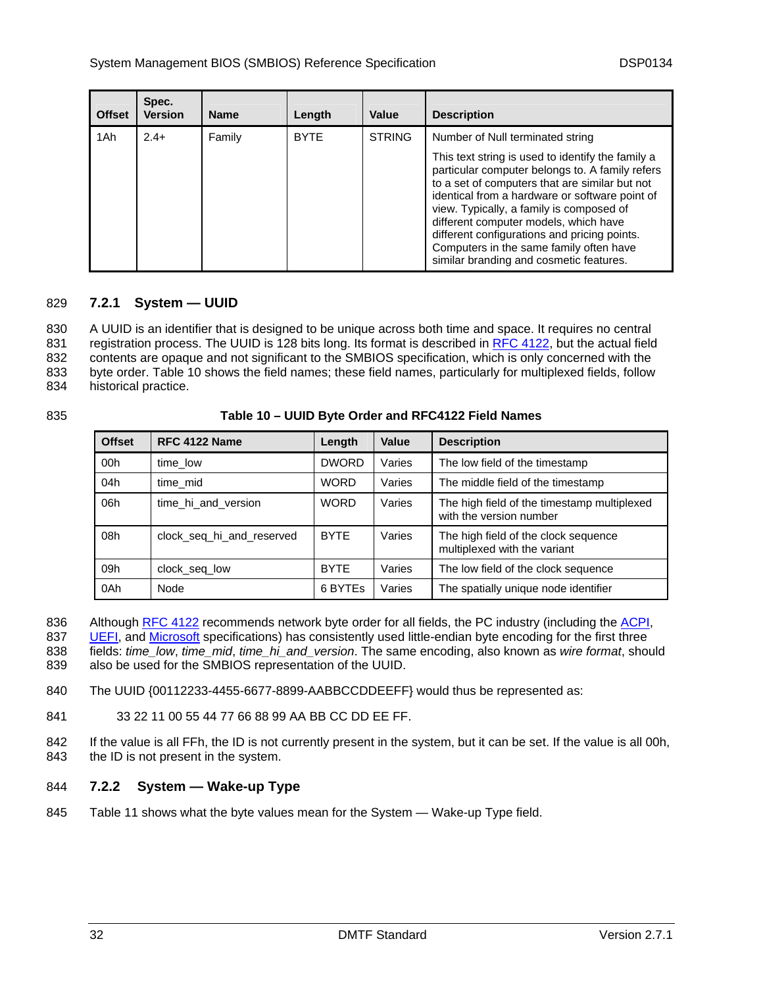<span id="page-31-0"></span>

| <b>Offset</b> | Spec.<br><b>Version</b> | <b>Name</b> | Length      | Value         | <b>Description</b>                                                                                                                                                                                                                                                                                                                                                                                                                  |
|---------------|-------------------------|-------------|-------------|---------------|-------------------------------------------------------------------------------------------------------------------------------------------------------------------------------------------------------------------------------------------------------------------------------------------------------------------------------------------------------------------------------------------------------------------------------------|
| 1Ah           | $2.4+$                  | Family      | <b>BYTE</b> | <b>STRING</b> | Number of Null terminated string                                                                                                                                                                                                                                                                                                                                                                                                    |
|               |                         |             |             |               | This text string is used to identify the family a<br>particular computer belongs to. A family refers<br>to a set of computers that are similar but not<br>identical from a hardware or software point of<br>view. Typically, a family is composed of<br>different computer models, which have<br>different configurations and pricing points.<br>Computers in the same family often have<br>similar branding and cosmetic features. |

## <span id="page-31-1"></span>829 **7.2.1 System — UUID**

830 A UUID is an identifier that is designed to be unique across both time and space. It requires no central 831 registration process. The UUID is 128 bits long. Its format is described in [RFC 4122](#page-12-0), but the actual field 832 contents are opaque and not significant to the SMBIOS specification, which is only concerned with the 833 byte order. [Table 10](#page-31-3) shows the field names; these field names, particularly for multiplexed fields, follow 834 historical practice.

## <span id="page-31-3"></span>835 **Table 10 – UUID Byte Order and RFC4122 Field Names**

| <b>Offset</b> | RFC 4122 Name             | Length       | Value  | <b>Description</b>                                                     |
|---------------|---------------------------|--------------|--------|------------------------------------------------------------------------|
| 00h           | time low                  | <b>DWORD</b> | Varies | The low field of the timestamp                                         |
| 04h           | time mid                  | <b>WORD</b>  | Varies | The middle field of the timestamp                                      |
| 06h           | time_hi_and_version       | <b>WORD</b>  | Varies | The high field of the timestamp multiplexed<br>with the version number |
| 08h           | clock_seq_hi_and_reserved | <b>BYTE</b>  | Varies | The high field of the clock sequence<br>multiplexed with the variant   |
| 09h           | clock seg low             | <b>BYTE</b>  | Varies | The low field of the clock sequence                                    |
| 0Ah           | Node                      | 6 BYTES      | Varies | The spatially unique node identifier                                   |

836 Although [RFC 4122](#page-12-0) recommends network byte order for all fields, the PC industry (including the [ACPI,](#page-12-0)

837 [UEFI,](#page-13-0) and [Microsoft](#page-12-0) specifications) has consistently used little-endian byte encoding for the first three 838 fields: *time\_low*, *time\_mid*, *time\_hi\_and\_version*. The same encoding, also known as *wire format*, should

839 also be used for the SMBIOS representation of the UUID.

- 840 The UUID {00112233-4455-6677-8899-AABBCCDDEEFF} would thus be represented as:
- 841 33 22 11 00 55 44 77 66 88 99 AA BB CC DD EE FF.

842 If the value is all FFh, the ID is not currently present in the system, but it can be set. If the value is all 00h, 843 the ID is not present in the system.

## <span id="page-31-2"></span>844 **7.2.2 System — Wake-up Type**

845 [Table 11](#page-32-2) shows what the byte values mean for the System — Wake-up Type field.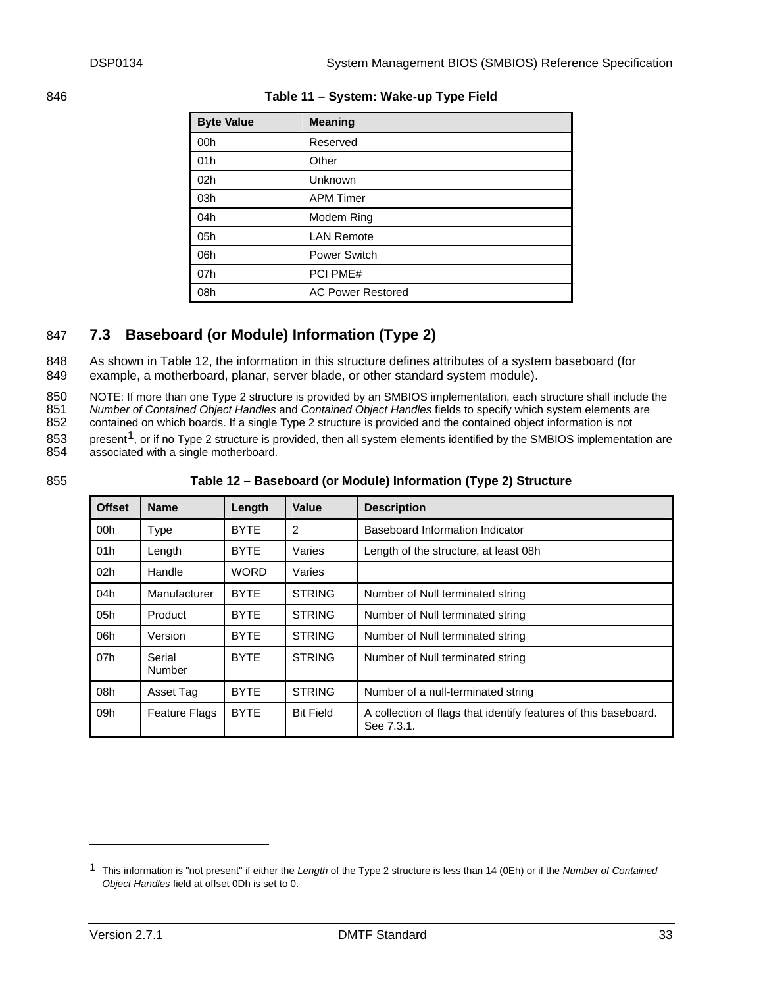| <b>Byte Value</b> | <b>Meaning</b>           |  |  |
|-------------------|--------------------------|--|--|
| 00h               | Reserved                 |  |  |
| 01h               | Other                    |  |  |
| 02h               | Unknown                  |  |  |
| 03h               | <b>APM Timer</b>         |  |  |
| 04h               | Modem Ring               |  |  |
| 05h               | <b>LAN Remote</b>        |  |  |
| 06h               | <b>Power Switch</b>      |  |  |
| 07h               | <b>PCI PME#</b>          |  |  |
| 08h               | <b>AC Power Restored</b> |  |  |

#### <span id="page-32-2"></span><span id="page-32-0"></span>846 **Table 11 – System: Wake-up Type Field**

## <span id="page-32-1"></span>847 **7.3 Baseboard (or Module) Information (Type 2)**

848 As shown in [Table 12,](#page-32-3) the information in this structure defines attributes of a system baseboard (for 849 example, a motherboard, planar, server blade, or other standard system module).

850 NOTE: If more than one Type 2 structure is provided by an SMBIOS implementation, each structure shall include the<br>851 Number of Contained Object Handles and Contained Object Handles fields to specify which system eleme

851 *Number of Contained Object Handles* and *Contained Object Handles* fields to specify which system elements are contained on which boards. If a single Type 2 structure is provided and the contained object information is not

853 present<sup>1</sup>[,](#page-32-4) or if no Type 2 structure is provided, then all system elements identified by the SMBIOS implementation are <br>854 associated with a single motherboard. associated with a single motherboard.

<span id="page-32-3"></span>

855 **Table 12 – Baseboard (or Module) Information (Type 2) Structure** 

| <b>Offset</b>   | <b>Name</b>          | Length      | Value                                             | <b>Description</b>                                                            |  |
|-----------------|----------------------|-------------|---------------------------------------------------|-------------------------------------------------------------------------------|--|
| 00h             | <b>Type</b>          | <b>BYTE</b> | $\overline{2}$                                    | Baseboard Information Indicator                                               |  |
| 01h             | Length               | <b>BYTE</b> | Varies                                            | Length of the structure, at least 08h                                         |  |
| 02 <sub>h</sub> | Handle               | <b>WORD</b> | Varies                                            |                                                                               |  |
| 04h             | Manufacturer         | <b>BYTE</b> | <b>STRING</b><br>Number of Null terminated string |                                                                               |  |
| 05h             | Product              | <b>BYTE</b> | <b>STRING</b>                                     | Number of Null terminated string                                              |  |
| 06h             | Version              | <b>BYTE</b> | Number of Null terminated string<br><b>STRING</b> |                                                                               |  |
| 07h             | Serial<br>Number     | <b>BYTE</b> | <b>STRING</b>                                     | Number of Null terminated string                                              |  |
| 08h             | Asset Tag            | <b>BYTE</b> | <b>STRING</b>                                     | Number of a null-terminated string                                            |  |
| 09h             | <b>Feature Flags</b> | <b>BYTE</b> | <b>Bit Field</b>                                  | A collection of flags that identify features of this baseboard.<br>See 7.3.1. |  |

l

<span id="page-32-4"></span><sup>1</sup> This information is "not present" if either the *Length* of the Type 2 structure is less than 14 (0Eh) or if the *Number of Contained Object Handles* field at offset 0Dh is set to 0.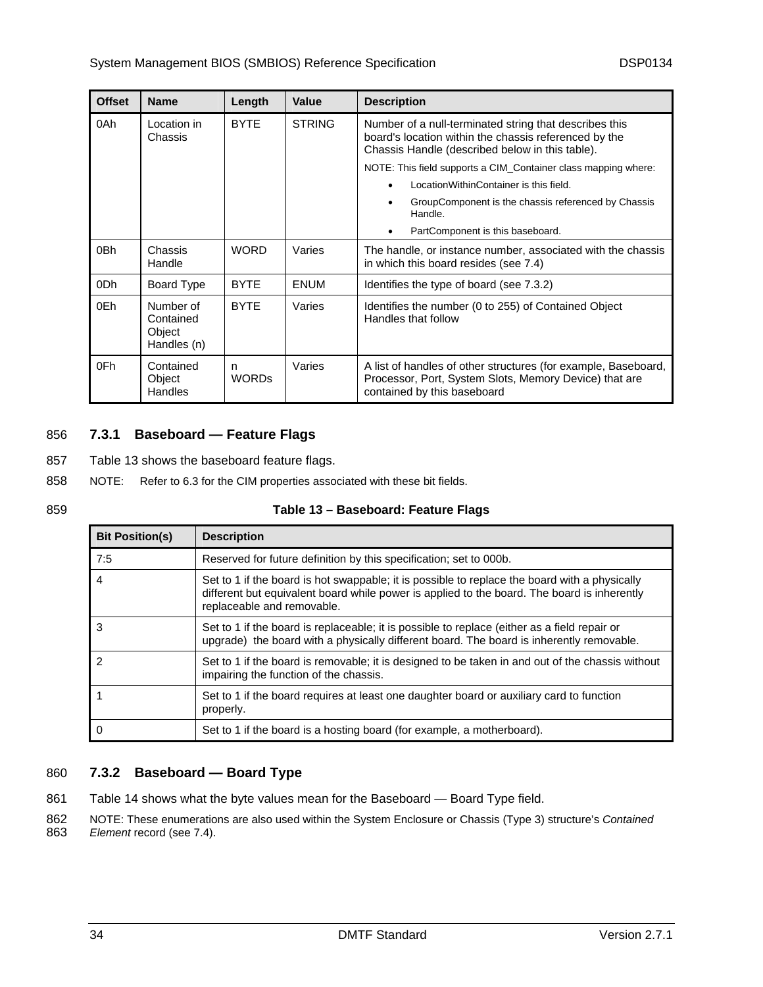<span id="page-33-0"></span>

| <b>Offset</b> | <b>Name</b>                                     | Length            | Value                                                                                                                                                                               | <b>Description</b>                                                                                                                                      |  |  |
|---------------|-------------------------------------------------|-------------------|-------------------------------------------------------------------------------------------------------------------------------------------------------------------------------------|---------------------------------------------------------------------------------------------------------------------------------------------------------|--|--|
| 0Ah           | Location in<br>Chassis                          | <b>BYTE</b>       | <b>STRING</b><br>Number of a null-terminated string that describes this<br>board's location within the chassis referenced by the<br>Chassis Handle (described below in this table). |                                                                                                                                                         |  |  |
|               |                                                 |                   |                                                                                                                                                                                     | NOTE: This field supports a CIM_Container class mapping where:                                                                                          |  |  |
|               |                                                 |                   |                                                                                                                                                                                     | LocationWithinContainer is this field.                                                                                                                  |  |  |
|               |                                                 |                   |                                                                                                                                                                                     | GroupComponent is the chassis referenced by Chassis<br>Handle.                                                                                          |  |  |
|               |                                                 |                   |                                                                                                                                                                                     | PartComponent is this baseboard.<br>$\bullet$                                                                                                           |  |  |
| 0Bh           | Chassis<br>Handle                               | <b>WORD</b>       | Varies                                                                                                                                                                              | The handle, or instance number, associated with the chassis<br>in which this board resides (see 7.4)                                                    |  |  |
| 0Dh           | Board Type                                      | <b>BYTE</b>       | <b>ENUM</b>                                                                                                                                                                         | Identifies the type of board (see 7.3.2)                                                                                                                |  |  |
| 0Eh           | Number of<br>Contained<br>Object<br>Handles (n) | <b>BYTE</b>       | Varies                                                                                                                                                                              | Identifies the number (0 to 255) of Contained Object<br>Handles that follow                                                                             |  |  |
| 0Fh           | Contained<br>Object<br><b>Handles</b>           | n<br><b>WORDs</b> | Varies                                                                                                                                                                              | A list of handles of other structures (for example, Baseboard,<br>Processor, Port, System Slots, Memory Device) that are<br>contained by this baseboard |  |  |

## <span id="page-33-1"></span>856 **7.3.1 Baseboard — Feature Flags**

857 [Table 13](#page-33-3) shows the baseboard feature flags.

- 858 NOTE: Refer to [6.3](#page-25-1) for the CIM properties associated with these bit fields.
- 

#### <span id="page-33-3"></span>859 **Table 13 – Baseboard: Feature Flags**

| <b>Bit Position(s)</b> | <b>Description</b>                                                                                                                                                                                                         |
|------------------------|----------------------------------------------------------------------------------------------------------------------------------------------------------------------------------------------------------------------------|
| 7:5                    | Reserved for future definition by this specification; set to 000b.                                                                                                                                                         |
| 4                      | Set to 1 if the board is hot swappable; it is possible to replace the board with a physically<br>different but equivalent board while power is applied to the board. The board is inherently<br>replaceable and removable. |
| 3                      | Set to 1 if the board is replaceable; it is possible to replace (either as a field repair or<br>upgrade) the board with a physically different board. The board is inherently removable.                                   |
| 2                      | Set to 1 if the board is removable; it is designed to be taken in and out of the chassis without<br>impairing the function of the chassis.                                                                                 |
|                        | Set to 1 if the board requires at least one daughter board or auxiliary card to function<br>properly.                                                                                                                      |
| 0                      | Set to 1 if the board is a hosting board (for example, a motherboard).                                                                                                                                                     |

## <span id="page-33-2"></span>860 **7.3.2 Baseboard — Board Type**

861 [Table 14](#page-34-2) shows what the byte values mean for the Baseboard - Board Type field.

862 NOTE: These enumerations are also used within the System Enclosure or Chassis (Type 3) structure's *Contained*  863 *Element* record (see [7.4](#page-34-1)).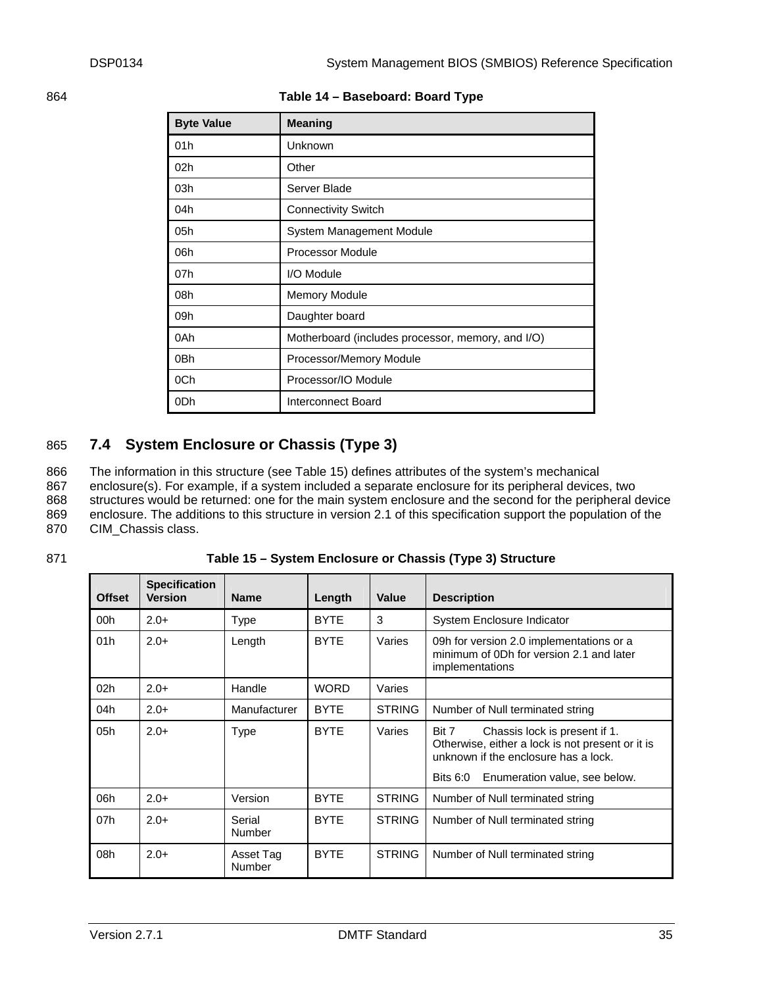<span id="page-34-2"></span><span id="page-34-0"></span>864 **Table 14 – Baseboard: Board Type** 

| <b>Byte Value</b> | <b>Meaning</b>                                    |  |  |  |
|-------------------|---------------------------------------------------|--|--|--|
| 01h               | Unknown                                           |  |  |  |
| 02 <sub>h</sub>   | Other                                             |  |  |  |
| 03h               | Server Blade                                      |  |  |  |
| 04h               | <b>Connectivity Switch</b>                        |  |  |  |
| 05h               | <b>System Management Module</b>                   |  |  |  |
| 06h               | Processor Module                                  |  |  |  |
| 07h               | I/O Module                                        |  |  |  |
| 08h               | <b>Memory Module</b>                              |  |  |  |
| 09h               | Daughter board                                    |  |  |  |
| 0Ah               | Motherboard (includes processor, memory, and I/O) |  |  |  |
| 0Bh               | Processor/Memory Module                           |  |  |  |
| 0Ch               | Processor/IO Module                               |  |  |  |
| 0Dh               | Interconnect Board                                |  |  |  |

## <span id="page-34-1"></span>865 **7.4 System Enclosure or Chassis (Type 3)**

866 The information in this structure (see [Table 15](#page-34-3)) defines attributes of the system's mechanical

867 enclosure(s). For example, if a system included a separate enclosure for its peripheral devices, two

868 structures would be returned: one for the main system enclosure and the second for the peripheral device

869 enclosure. The additions to this structure in version 2.1 of this specification support the population of the

870 CIM\_Chassis class.

<span id="page-34-3"></span>871 **Table 15 – System Enclosure or Chassis (Type 3) Structure** 

| <b>Offset</b>   | <b>Specification</b><br><b>Version</b> | <b>Name</b>             | Length      | Value         | <b>Description</b>                                                                                                                                                                |
|-----------------|----------------------------------------|-------------------------|-------------|---------------|-----------------------------------------------------------------------------------------------------------------------------------------------------------------------------------|
| 00h             | $2.0+$                                 | <b>Type</b>             | <b>BYTE</b> | 3             | System Enclosure Indicator                                                                                                                                                        |
| 01h             | $2.0+$                                 | Length                  | <b>BYTE</b> | Varies        | 09h for version 2.0 implementations or a<br>minimum of 0Dh for version 2.1 and later<br>implementations                                                                           |
| 02 <sub>h</sub> | $2.0+$                                 | Handle                  | <b>WORD</b> | Varies        |                                                                                                                                                                                   |
| 04h             | $2.0+$                                 | Manufacturer            | <b>BYTE</b> | <b>STRING</b> | Number of Null terminated string                                                                                                                                                  |
| 05h             | $2.0+$                                 | <b>Type</b>             | <b>BYTE</b> | Varies        | Chassis lock is present if 1.<br>Bit 7<br>Otherwise, either a lock is not present or it is<br>unknown if the enclosure has a lock.<br>Enumeration value, see below.<br>Bits $6:0$ |
| 06h             | $2.0+$                                 | Version                 | <b>BYTE</b> | <b>STRING</b> | Number of Null terminated string                                                                                                                                                  |
|                 |                                        |                         |             |               |                                                                                                                                                                                   |
| 07h             | $2.0+$                                 | Serial<br><b>Number</b> | <b>BYTE</b> | <b>STRING</b> | Number of Null terminated string                                                                                                                                                  |
| 08h             | $2.0+$                                 | Asset Tag<br>Number     | <b>BYTE</b> | <b>STRING</b> | Number of Null terminated string                                                                                                                                                  |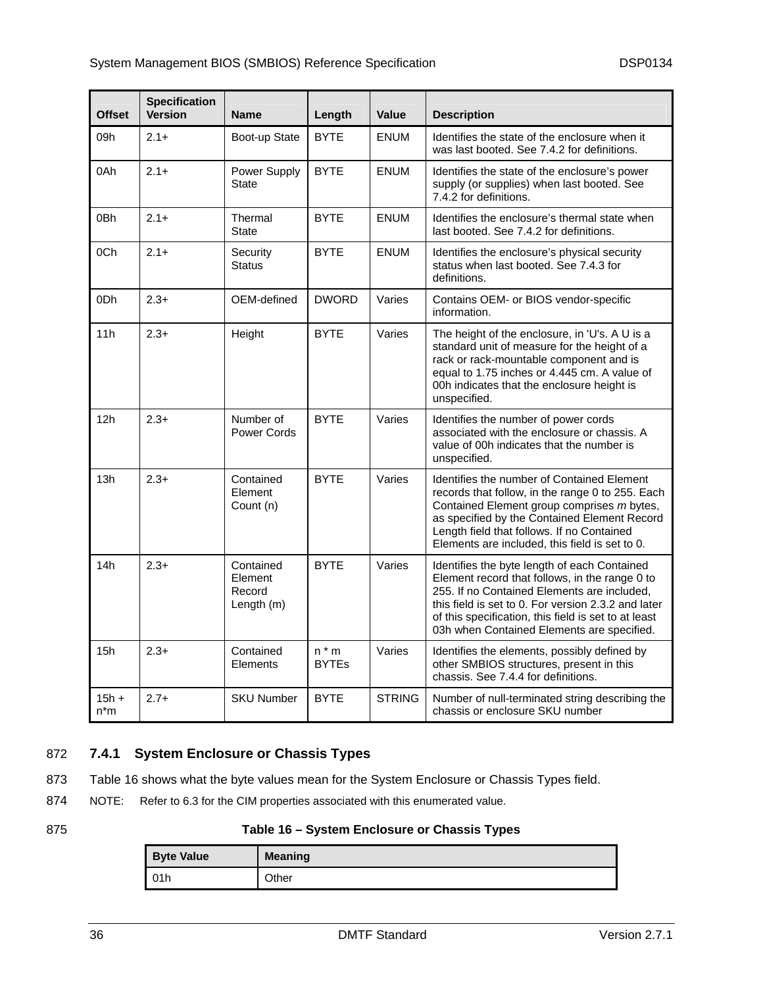<span id="page-35-0"></span>

| <b>Offset</b>    | <b>Specification</b><br><b>Version</b> | <b>Name</b>                                  | Length                  | <b>Value</b>  | <b>Description</b>                                                                                                                                                                                                                                                                                         |
|------------------|----------------------------------------|----------------------------------------------|-------------------------|---------------|------------------------------------------------------------------------------------------------------------------------------------------------------------------------------------------------------------------------------------------------------------------------------------------------------------|
| 09h              | $2.1+$                                 | Boot-up State                                | <b>BYTE</b>             | <b>ENUM</b>   | Identifies the state of the enclosure when it<br>was last booted. See 7.4.2 for definitions.                                                                                                                                                                                                               |
| 0Ah              | $2.1+$                                 | Power Supply<br><b>State</b>                 | <b>BYTE</b>             | <b>ENUM</b>   | Identifies the state of the enclosure's power<br>supply (or supplies) when last booted. See<br>7.4.2 for definitions.                                                                                                                                                                                      |
| 0Bh              | $2.1+$                                 | Thermal<br><b>State</b>                      | <b>BYTE</b>             | <b>ENUM</b>   | Identifies the enclosure's thermal state when<br>last booted. See 7.4.2 for definitions.                                                                                                                                                                                                                   |
| 0Ch              | $2.1+$                                 | Security<br><b>Status</b>                    | <b>BYTE</b>             | <b>ENUM</b>   | Identifies the enclosure's physical security<br>status when last booted. See 7.4.3 for<br>definitions.                                                                                                                                                                                                     |
| 0 <sub>Dh</sub>  | $2.3+$                                 | OEM-defined                                  | <b>DWORD</b>            | Varies        | Contains OEM- or BIOS vendor-specific<br>information.                                                                                                                                                                                                                                                      |
| 11h              | $2.3+$                                 | Height                                       | <b>BYTE</b>             | Varies        | The height of the enclosure, in 'U's. A U is a<br>standard unit of measure for the height of a<br>rack or rack-mountable component and is<br>equal to 1.75 inches or 4.445 cm. A value of<br>00h indicates that the enclosure height is<br>unspecified.                                                    |
| 12 <sub>h</sub>  | $2.3+$                                 | Number of<br>Power Cords                     | <b>BYTE</b>             | Varies        | Identifies the number of power cords<br>associated with the enclosure or chassis. A<br>value of 00h indicates that the number is<br>unspecified.                                                                                                                                                           |
| 13h              | $2.3+$                                 | Contained<br>Element<br>Count (n)            | <b>BYTE</b>             | Varies        | Identifies the number of Contained Element<br>records that follow, in the range 0 to 255. Each<br>Contained Element group comprises m bytes,<br>as specified by the Contained Element Record<br>Length field that follows. If no Contained<br>Elements are included, this field is set to 0.               |
| 14h              | $2.3+$                                 | Contained<br>Element<br>Record<br>Length (m) | <b>BYTE</b>             | Varies        | Identifies the byte length of each Contained<br>Element record that follows, in the range 0 to<br>255. If no Contained Elements are included,<br>this field is set to 0. For version 2.3.2 and later<br>of this specification, this field is set to at least<br>03h when Contained Elements are specified. |
| 15h              | $2.3+$                                 | Contained<br>Elements                        | $n * m$<br><b>BYTEs</b> | Varies        | Identifies the elements, possibly defined by<br>other SMBIOS structures, present in this<br>chassis. See 7.4.4 for definitions.                                                                                                                                                                            |
| $15h +$<br>$n*m$ | $2.7+$                                 | <b>SKU Number</b>                            | <b>BYTE</b>             | <b>STRING</b> | Number of null-terminated string describing the<br>chassis or enclosure SKU number                                                                                                                                                                                                                         |

## <span id="page-35-1"></span>872 **7.4.1 System Enclosure or Chassis Types**

- 873 [Table 16](#page-35-2) shows what the byte values mean for the System Enclosure or Chassis Types field.
- 874 NOTE: Refer to [6.3](#page-25-1) for the CIM properties associated with this enumerated value.
- <span id="page-35-2"></span>

## 875 **Table 16 – System Enclosure or Chassis Types**

| <b>Byte Value</b> | <b>Meaning</b> |
|-------------------|----------------|
| 01h               | Other          |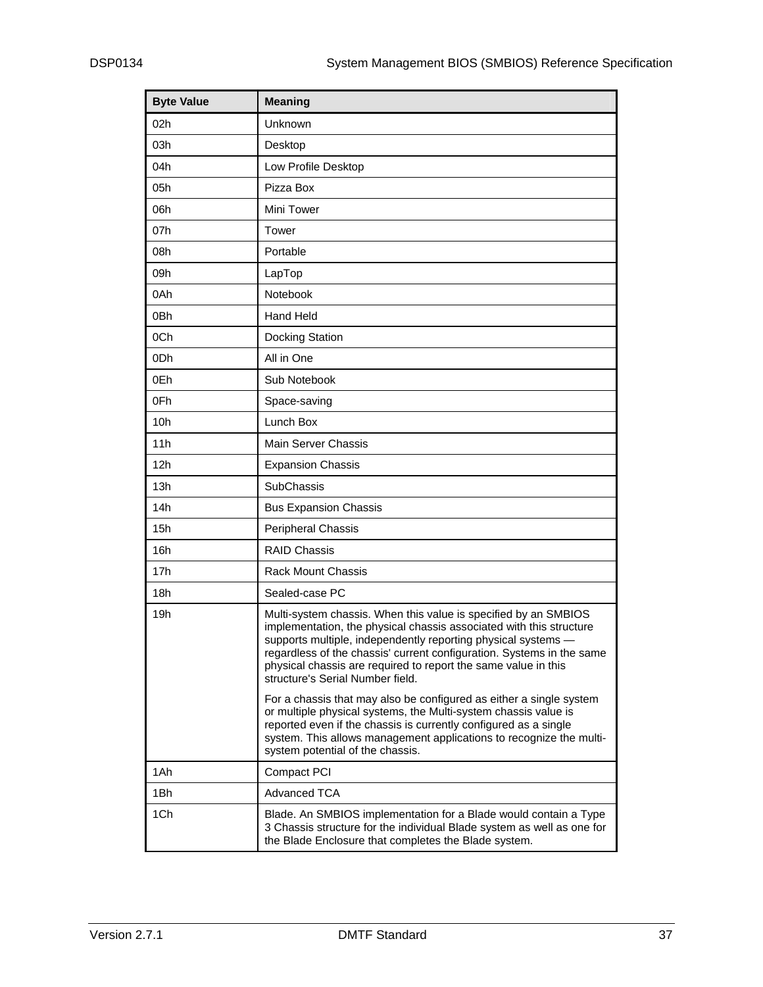| <b>Byte Value</b> | <b>Meaning</b>                                                                                                                                                                                                                                                                                                                                                                         |
|-------------------|----------------------------------------------------------------------------------------------------------------------------------------------------------------------------------------------------------------------------------------------------------------------------------------------------------------------------------------------------------------------------------------|
| 02h               | Unknown                                                                                                                                                                                                                                                                                                                                                                                |
| 03h               | Desktop                                                                                                                                                                                                                                                                                                                                                                                |
| 04h               | Low Profile Desktop                                                                                                                                                                                                                                                                                                                                                                    |
| 05h               | Pizza Box                                                                                                                                                                                                                                                                                                                                                                              |
| 06h               | Mini Tower                                                                                                                                                                                                                                                                                                                                                                             |
| 07h               | Tower                                                                                                                                                                                                                                                                                                                                                                                  |
| 08h               | Portable                                                                                                                                                                                                                                                                                                                                                                               |
| 09h               | LapTop                                                                                                                                                                                                                                                                                                                                                                                 |
| 0Ah               | Notebook                                                                                                                                                                                                                                                                                                                                                                               |
| 0 <sub>Bh</sub>   | <b>Hand Held</b>                                                                                                                                                                                                                                                                                                                                                                       |
| 0Ch               | Docking Station                                                                                                                                                                                                                                                                                                                                                                        |
| 0 <sub>Dh</sub>   | All in One                                                                                                                                                                                                                                                                                                                                                                             |
| 0Eh               | Sub Notebook                                                                                                                                                                                                                                                                                                                                                                           |
| 0Fh               | Space-saving                                                                                                                                                                                                                                                                                                                                                                           |
| 10h               | Lunch Box                                                                                                                                                                                                                                                                                                                                                                              |
| 11h               | Main Server Chassis                                                                                                                                                                                                                                                                                                                                                                    |
| 12 <sub>h</sub>   | <b>Expansion Chassis</b>                                                                                                                                                                                                                                                                                                                                                               |
| 13h               | SubChassis                                                                                                                                                                                                                                                                                                                                                                             |
| 14h               | <b>Bus Expansion Chassis</b>                                                                                                                                                                                                                                                                                                                                                           |
| 15h               | <b>Peripheral Chassis</b>                                                                                                                                                                                                                                                                                                                                                              |
| 16h               | <b>RAID Chassis</b>                                                                                                                                                                                                                                                                                                                                                                    |
| 17 <sub>h</sub>   | <b>Rack Mount Chassis</b>                                                                                                                                                                                                                                                                                                                                                              |
| 18h               | Sealed-case PC                                                                                                                                                                                                                                                                                                                                                                         |
| 19h               | Multi-system chassis. When this value is specified by an SMBIOS<br>implementation, the physical chassis associated with this structure<br>supports multiple, independently reporting physical systems -<br>regardless of the chassis' current configuration. Systems in the same<br>physical chassis are required to report the same value in this<br>structure's Serial Number field. |
|                   | For a chassis that may also be configured as either a single system<br>or multiple physical systems, the Multi-system chassis value is<br>reported even if the chassis is currently configured as a single<br>system. This allows management applications to recognize the multi-<br>system potential of the chassis.                                                                  |
| 1Ah               | Compact PCI                                                                                                                                                                                                                                                                                                                                                                            |
| 1Bh               | Advanced TCA                                                                                                                                                                                                                                                                                                                                                                           |
| 1Ch               | Blade. An SMBIOS implementation for a Blade would contain a Type<br>3 Chassis structure for the individual Blade system as well as one for<br>the Blade Enclosure that completes the Blade system.                                                                                                                                                                                     |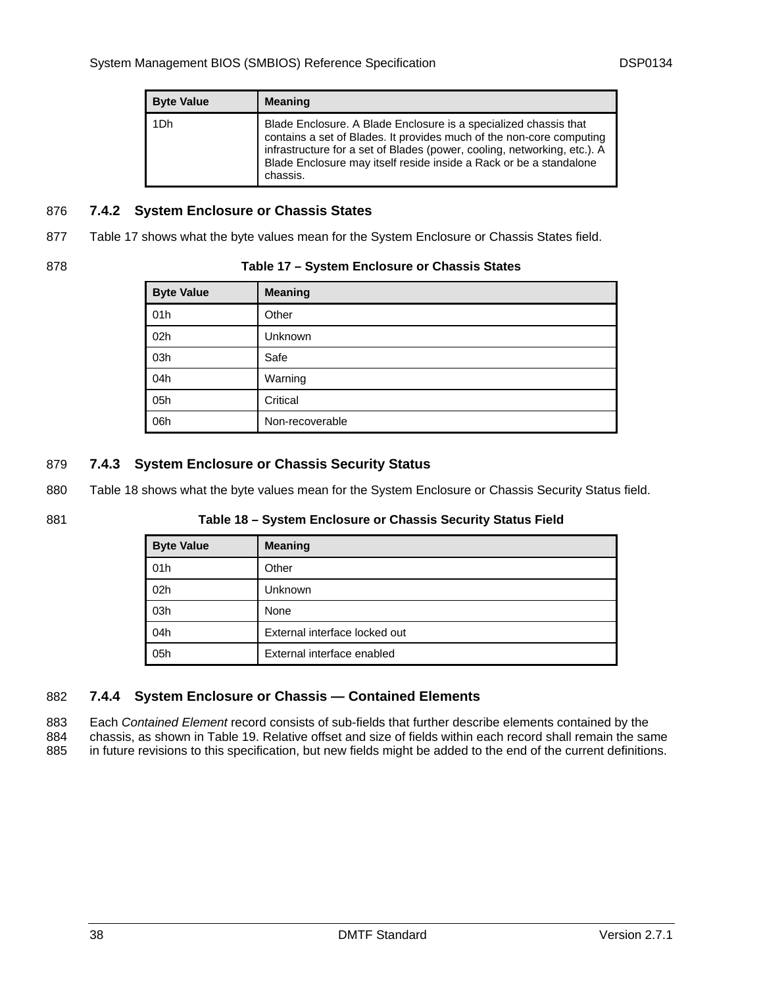| <b>Byte Value</b> | <b>Meaning</b>                                                                                                                                                                                                                                                                                         |
|-------------------|--------------------------------------------------------------------------------------------------------------------------------------------------------------------------------------------------------------------------------------------------------------------------------------------------------|
| 1Dh               | Blade Enclosure. A Blade Enclosure is a specialized chassis that<br>contains a set of Blades. It provides much of the non-core computing<br>infrastructure for a set of Blades (power, cooling, networking, etc.). A<br>Blade Enclosure may itself reside inside a Rack or be a standalone<br>chassis. |

#### 876 **7.4.2 System Enclosure or Chassis States**

877 [Table 17](#page-37-0) shows what the byte values mean for the System Enclosure or Chassis States field.

<span id="page-37-0"></span>

#### 878 **Table 17 – System Enclosure or Chassis States**

| <b>Byte Value</b> | <b>Meaning</b>  |
|-------------------|-----------------|
| 01h               | Other           |
| 02h               | Unknown         |
| 03h               | Safe            |
| 04h               | Warning         |
| 05h               | Critical        |
| 06h               | Non-recoverable |

### 879 **7.4.3 System Enclosure or Chassis Security Status**

880 [Table 18](#page-37-1) shows what the byte values mean for the System Enclosure or Chassis Security Status field.

<span id="page-37-1"></span>

#### 881 **Table 18 – System Enclosure or Chassis Security Status Field**

| <b>Byte Value</b> | <b>Meaning</b>                |
|-------------------|-------------------------------|
| 01h               | Other                         |
| 02h               | Unknown                       |
| 03h               | None                          |
| 04h               | External interface locked out |
| 05h               | External interface enabled    |

# 882 **7.4.4 System Enclosure or Chassis — Contained Elements**

883 Each *Contained Element* record consists of sub-fields that further describe elements contained by the

884 chassis, as shown in [Table 19](#page-38-0). Relative offset and size of fields within each record shall remain the same

885 in future revisions to this specification, but new fields might be added to the end of the current definitions.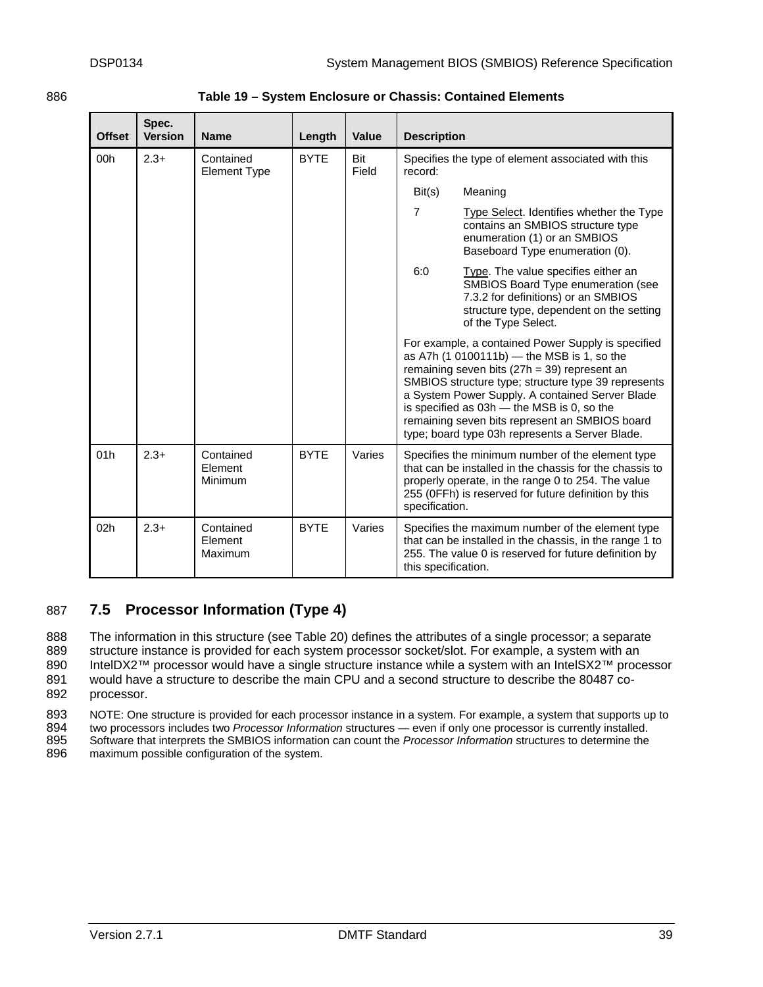<span id="page-38-0"></span>

| 886 | Table 19 – System Enclosure or Chassis: Contained Elements |  |  |
|-----|------------------------------------------------------------|--|--|
|     |                                                            |  |  |

| <b>Offset</b> | Spec.<br><b>Version</b> | <b>Name</b>                      | Length      | <b>Value</b> | <b>Description</b>  |                                                                                                                                                                                                                                                                                                                                                                                                                   |
|---------------|-------------------------|----------------------------------|-------------|--------------|---------------------|-------------------------------------------------------------------------------------------------------------------------------------------------------------------------------------------------------------------------------------------------------------------------------------------------------------------------------------------------------------------------------------------------------------------|
| 00h           | $2.3+$                  | Contained<br><b>Element Type</b> | <b>BYTE</b> | Bit<br>Field | record:             | Specifies the type of element associated with this                                                                                                                                                                                                                                                                                                                                                                |
|               |                         |                                  |             |              | Bit(s)              | Meaning                                                                                                                                                                                                                                                                                                                                                                                                           |
|               |                         |                                  |             |              | $\overline{7}$      | <b>Type Select.</b> Identifies whether the Type<br>contains an SMBIOS structure type<br>enumeration (1) or an SMBIOS<br>Baseboard Type enumeration (0).                                                                                                                                                                                                                                                           |
|               |                         |                                  |             |              | 6:0                 | Type. The value specifies either an<br><b>SMBIOS Board Type enumeration (see</b><br>7.3.2 for definitions) or an SMBIOS<br>structure type, dependent on the setting<br>of the Type Select.                                                                                                                                                                                                                        |
|               |                         |                                  |             |              |                     | For example, a contained Power Supply is specified<br>as A7h (1 0100111b) - the MSB is 1, so the<br>remaining seven bits $(27h = 39)$ represent an<br>SMBIOS structure type; structure type 39 represents<br>a System Power Supply. A contained Server Blade<br>is specified as $03h$ - the MSB is 0, so the<br>remaining seven bits represent an SMBIOS board<br>type; board type 03h represents a Server Blade. |
| 01h           | $2.3+$                  | Contained<br>Element<br>Minimum  | <b>BYTE</b> | Varies       | specification.      | Specifies the minimum number of the element type<br>that can be installed in the chassis for the chassis to<br>properly operate, in the range 0 to 254. The value<br>255 (OFFh) is reserved for future definition by this                                                                                                                                                                                         |
| 02h           | $2.3+$                  | Contained<br>Element<br>Maximum  | <b>BYTE</b> | Varies       | this specification. | Specifies the maximum number of the element type<br>that can be installed in the chassis, in the range 1 to<br>255. The value 0 is reserved for future definition by                                                                                                                                                                                                                                              |

# <span id="page-38-1"></span>887 **7.5 Processor Information (Type 4)**

888 The information in this structure (see [Table 20](#page-39-0)) defines the attributes of a single processor; a separate<br>889 structure instance is provided for each system processor socket/slot. For example, a system with an structure instance is provided for each system processor socket/slot. For example, a system with an 890 IntelDX2™ processor would have a single structure instance while a system with an IntelSX2™ processor<br>891 would have a structure to describe the main CPU and a second structure to describe the 80487 cowould have a structure to describe the main CPU and a second structure to describe the 80487 co-892 processor.

893 NOTE: One structure is provided for each processor instance in a system. For example, a system that supports up to 894 two processors includes two *Processor Information* structures — even if only one processor is curr 894 two processors includes two *Processor Information* structures — even if only one processor is currently installed. 895 Software that interprets the SMBIOS information can count the *Processor Information* structures to determine the maximum possible configuration of the system.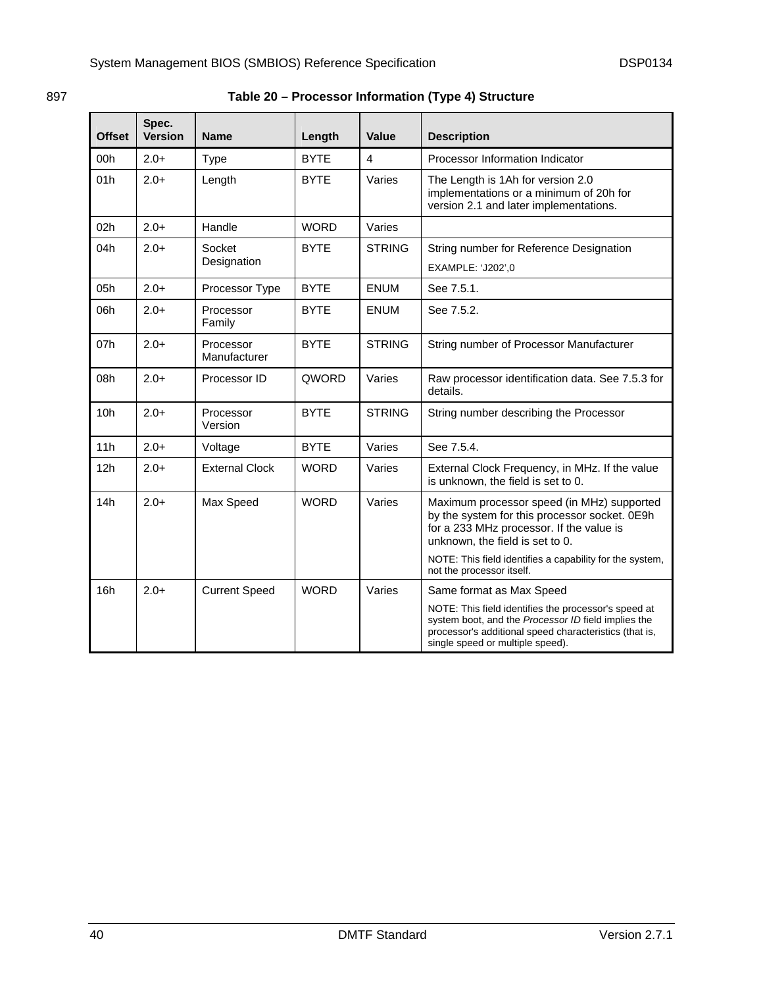<span id="page-39-0"></span>

# 897 **Table 20 – Processor Information (Type 4) Structure**

| <b>Offset</b> | Spec.<br><b>Version</b> | <b>Name</b>               | Length      | <b>Value</b>                                                                                                                     | <b>Description</b>                                                                                                                                                                                        |
|---------------|-------------------------|---------------------------|-------------|----------------------------------------------------------------------------------------------------------------------------------|-----------------------------------------------------------------------------------------------------------------------------------------------------------------------------------------------------------|
| 00h           | $2.0+$                  | Type                      | <b>BYTE</b> | $\overline{4}$                                                                                                                   | Processor Information Indicator                                                                                                                                                                           |
| 01h           | $2.0+$                  | Length                    | <b>BYTE</b> | Varies<br>The Length is 1Ah for version 2.0<br>implementations or a minimum of 20h for<br>version 2.1 and later implementations. |                                                                                                                                                                                                           |
| 02h           | $2.0+$                  | Handle                    | <b>WORD</b> | Varies                                                                                                                           |                                                                                                                                                                                                           |
| 04h           | $2.0+$                  | Socket<br>Designation     | <b>BYTE</b> | <b>STRING</b><br>String number for Reference Designation<br>EXAMPLE: 'J202',0                                                    |                                                                                                                                                                                                           |
| 05h           | $2.0+$                  | Processor Type            | <b>BYTE</b> | <b>ENUM</b>                                                                                                                      | See 7.5.1.                                                                                                                                                                                                |
| 06h           | $2.0+$                  | Processor<br>Family       | <b>BYTE</b> | <b>ENUM</b>                                                                                                                      | See 7.5.2.                                                                                                                                                                                                |
| 07h           | $2.0+$                  | Processor<br>Manufacturer | <b>BYTE</b> | <b>STRING</b>                                                                                                                    | String number of Processor Manufacturer                                                                                                                                                                   |
| 08h           | $2.0+$                  | Processor ID              | QWORD       | Varies                                                                                                                           | Raw processor identification data. See 7.5.3 for<br>details.                                                                                                                                              |
| 10h           | $2.0+$                  | Processor<br>Version      | <b>BYTE</b> | <b>STRING</b>                                                                                                                    | String number describing the Processor                                                                                                                                                                    |
| 11h           | $2.0+$                  | Voltage                   | <b>BYTE</b> | Varies                                                                                                                           | See 7.5.4.                                                                                                                                                                                                |
| 12h           | $2.0+$                  | <b>External Clock</b>     | <b>WORD</b> | Varies                                                                                                                           | External Clock Frequency, in MHz. If the value<br>is unknown, the field is set to 0.                                                                                                                      |
| 14h           | $2.0+$                  | Max Speed                 | <b>WORD</b> | Varies                                                                                                                           | Maximum processor speed (in MHz) supported<br>by the system for this processor socket. 0E9h<br>for a 233 MHz processor. If the value is<br>unknown, the field is set to 0.                                |
|               |                         |                           |             |                                                                                                                                  | NOTE: This field identifies a capability for the system,<br>not the processor itself.                                                                                                                     |
| 16h           | $2.0+$                  | <b>Current Speed</b>      | <b>WORD</b> | Varies                                                                                                                           | Same format as Max Speed                                                                                                                                                                                  |
|               |                         |                           |             |                                                                                                                                  | NOTE: This field identifies the processor's speed at<br>system boot, and the Processor ID field implies the<br>processor's additional speed characteristics (that is,<br>single speed or multiple speed). |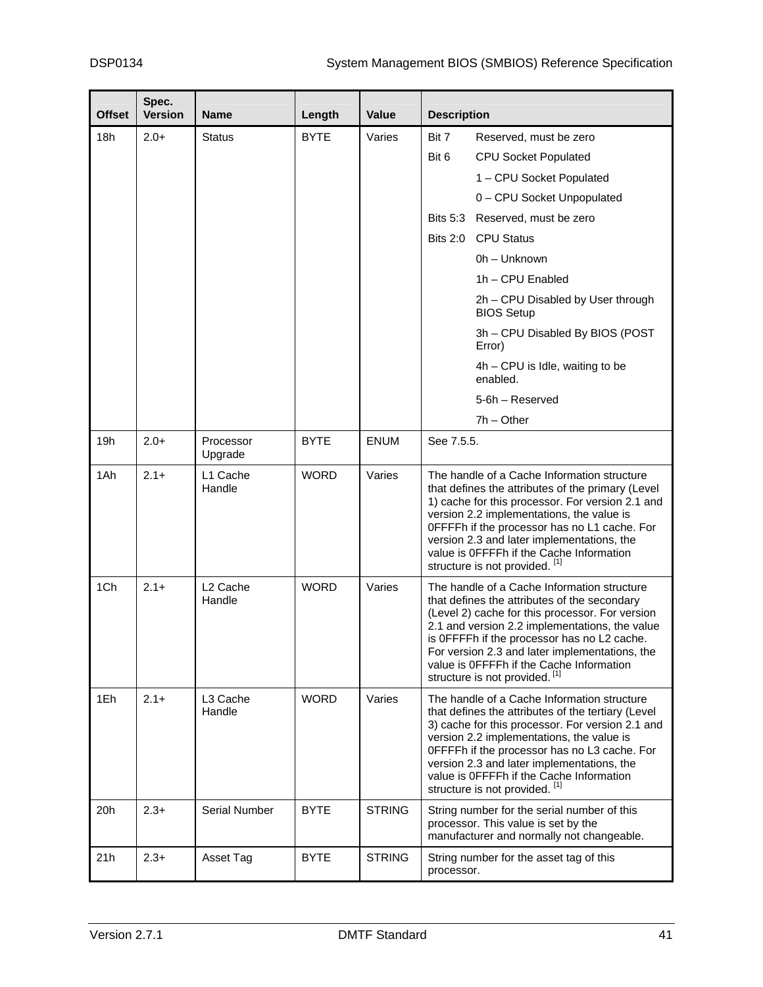| <b>Offset</b> | Spec.<br><b>Version</b> | <b>Name</b>                    | Length      | <b>Value</b>  | <b>Description</b>                                                                                                                                                                                                                                                                                                                                                              |
|---------------|-------------------------|--------------------------------|-------------|---------------|---------------------------------------------------------------------------------------------------------------------------------------------------------------------------------------------------------------------------------------------------------------------------------------------------------------------------------------------------------------------------------|
| 18h           | $2.0+$                  | <b>Status</b>                  | <b>BYTE</b> | Varies        | Bit 7<br>Reserved, must be zero                                                                                                                                                                                                                                                                                                                                                 |
|               |                         |                                |             |               | Bit 6<br><b>CPU Socket Populated</b>                                                                                                                                                                                                                                                                                                                                            |
|               |                         |                                |             |               | 1 - CPU Socket Populated                                                                                                                                                                                                                                                                                                                                                        |
|               |                         |                                |             |               | 0 - CPU Socket Unpopulated                                                                                                                                                                                                                                                                                                                                                      |
|               |                         |                                |             |               | <b>Bits 5:3</b><br>Reserved, must be zero                                                                                                                                                                                                                                                                                                                                       |
|               |                         |                                |             |               | <b>CPU Status</b><br>Bits $2:0$                                                                                                                                                                                                                                                                                                                                                 |
|               |                         |                                |             |               | 0h - Unknown                                                                                                                                                                                                                                                                                                                                                                    |
|               |                         |                                |             |               | 1h - CPU Enabled                                                                                                                                                                                                                                                                                                                                                                |
|               |                         |                                |             |               | 2h - CPU Disabled by User through<br><b>BIOS Setup</b>                                                                                                                                                                                                                                                                                                                          |
|               |                         |                                |             |               | 3h - CPU Disabled By BIOS (POST<br>Error)                                                                                                                                                                                                                                                                                                                                       |
|               |                         |                                |             |               | 4h - CPU is Idle, waiting to be<br>enabled.                                                                                                                                                                                                                                                                                                                                     |
|               |                         |                                |             |               | 5-6h – Reserved                                                                                                                                                                                                                                                                                                                                                                 |
|               |                         |                                |             |               | $7h - Other$                                                                                                                                                                                                                                                                                                                                                                    |
| 19h           | $2.0+$                  | Processor<br>Upgrade           | <b>BYTE</b> | <b>ENUM</b>   | See 7.5.5.                                                                                                                                                                                                                                                                                                                                                                      |
| 1Ah           | $2.1+$                  | L1 Cache<br>Handle             | <b>WORD</b> | Varies        | The handle of a Cache Information structure<br>that defines the attributes of the primary (Level<br>1) cache for this processor. For version 2.1 and<br>version 2.2 implementations, the value is<br>OFFFFh if the processor has no L1 cache. For<br>version 2.3 and later implementations, the<br>value is OFFFFh if the Cache Information<br>structure is not provided. [1]   |
| 1Ch           | $2.1+$                  | L <sub>2</sub> Cache<br>Handle | <b>WORD</b> | Varies        | The handle of a Cache Information structure<br>that defines the attributes of the secondary<br>(Level 2) cache for this processor. For version<br>2.1 and version 2.2 implementations, the value<br>is OFFFFh if the processor has no L2 cache.<br>For version 2.3 and later implementations, the<br>value is OFFFFh if the Cache Information<br>structure is not provided. [1] |
| 1Eh           | $2.1+$                  | L <sub>3</sub> Cache<br>Handle | <b>WORD</b> | Varies        | The handle of a Cache Information structure<br>that defines the attributes of the tertiary (Level<br>3) cache for this processor. For version 2.1 and<br>version 2.2 implementations, the value is<br>OFFFFh if the processor has no L3 cache. For<br>version 2.3 and later implementations, the<br>value is OFFFFh if the Cache Information<br>structure is not provided. [1]  |
| 20h           | $2.3+$                  | Serial Number                  | <b>BYTE</b> | <b>STRING</b> | String number for the serial number of this<br>processor. This value is set by the<br>manufacturer and normally not changeable.                                                                                                                                                                                                                                                 |
| 21h           | $2.3+$                  | Asset Tag                      | <b>BYTE</b> | <b>STRING</b> | String number for the asset tag of this<br>processor.                                                                                                                                                                                                                                                                                                                           |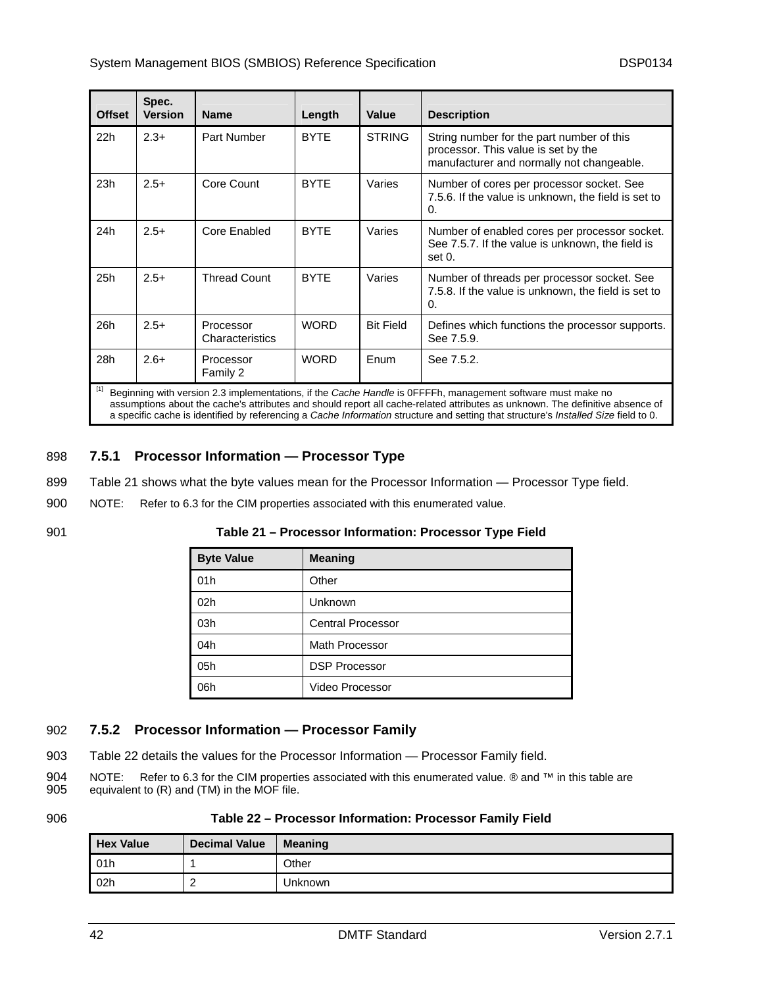| <b>Offset</b> | Spec.<br><b>Version</b>                                                                                     | <b>Name</b>                  | Length      | Value            | <b>Description</b>                                                                                                            |  |
|---------------|-------------------------------------------------------------------------------------------------------------|------------------------------|-------------|------------------|-------------------------------------------------------------------------------------------------------------------------------|--|
| 22h           | $2.3+$                                                                                                      | Part Number                  | <b>BYTE</b> | <b>STRING</b>    | String number for the part number of this<br>processor. This value is set by the<br>manufacturer and normally not changeable. |  |
| 23h           | $2.5+$                                                                                                      | Core Count                   | <b>BYTE</b> | Varies           | Number of cores per processor socket. See<br>7.5.6. If the value is unknown, the field is set to<br>$\Omega$ .                |  |
| 24h           | $2.5+$                                                                                                      | Core Enabled                 | <b>BYTE</b> | Varies           | Number of enabled cores per processor socket.<br>See 7.5.7. If the value is unknown, the field is<br>set 0.                   |  |
| 25h           | $2.5+$                                                                                                      | <b>Thread Count</b>          | <b>BYTE</b> | Varies           | Number of threads per processor socket. See<br>7.5.8. If the value is unknown, the field is set to<br>$\Omega$ .              |  |
| 26h           | $2.5+$                                                                                                      | Processor<br>Characteristics | <b>WORD</b> | <b>Bit Field</b> | Defines which functions the processor supports.<br>See 7.5.9.                                                                 |  |
| 28h           | $2.6+$                                                                                                      | Processor<br>Family 2        | <b>WORD</b> | Enum             | See 7.5.2.                                                                                                                    |  |
|               | Beginning with version 2.3 implementations, if the Cache Handle is OFFFFh, management software must make no |                              |             |                  |                                                                                                                               |  |

assumptions about the cache's attributes and should report all cache-related attributes as unknown. The definitive absence of a specific cache is identified by referencing a *Cache Information* structure and setting that structure's *Installed Size* field to 0.

# <span id="page-41-0"></span>898 **7.5.1 Processor Information — Processor Type**

- 899 [Table 21](#page-41-2) shows what the byte values mean for the Processor Information Processor Type field.
- 900 NOTE: Refer to [6.3](#page-25-0) for the CIM properties associated with this enumerated value.
- <span id="page-41-2"></span>

### 901 **Table 21 – Processor Information: Processor Type Field**

| <b>Byte Value</b> | <b>Meaning</b>           |
|-------------------|--------------------------|
| 01h               | Other                    |
| 02 <sub>h</sub>   | Unknown                  |
| 03h               | <b>Central Processor</b> |
| 04h               | <b>Math Processor</b>    |
| 05h               | <b>DSP Processor</b>     |
| 06h               | Video Processor          |

### <span id="page-41-1"></span>902 **7.5.2 Processor Information — Processor Family**

- 903 [Table 22](#page-41-3) details the values for the Processor Information Processor Family field.
- 904 NOTE: Refer to [6.3](#page-25-0) for the CIM properties associated with this enumerated value. <sup>®</sup> and ™ in this table are 905 equivalent to (R) and (TM) in the MOF file. equivalent to  $(R)$  and  $(TM)$  in the MOF file.
- <span id="page-41-3"></span>

#### 906 **Table 22 – Processor Information: Processor Family Field**

| <b>Hex Value</b> | <b>Decimal Value</b> | <b>Meaning</b> |
|------------------|----------------------|----------------|
| 01h              |                      | Other          |
| 02h              |                      | Jnknown        |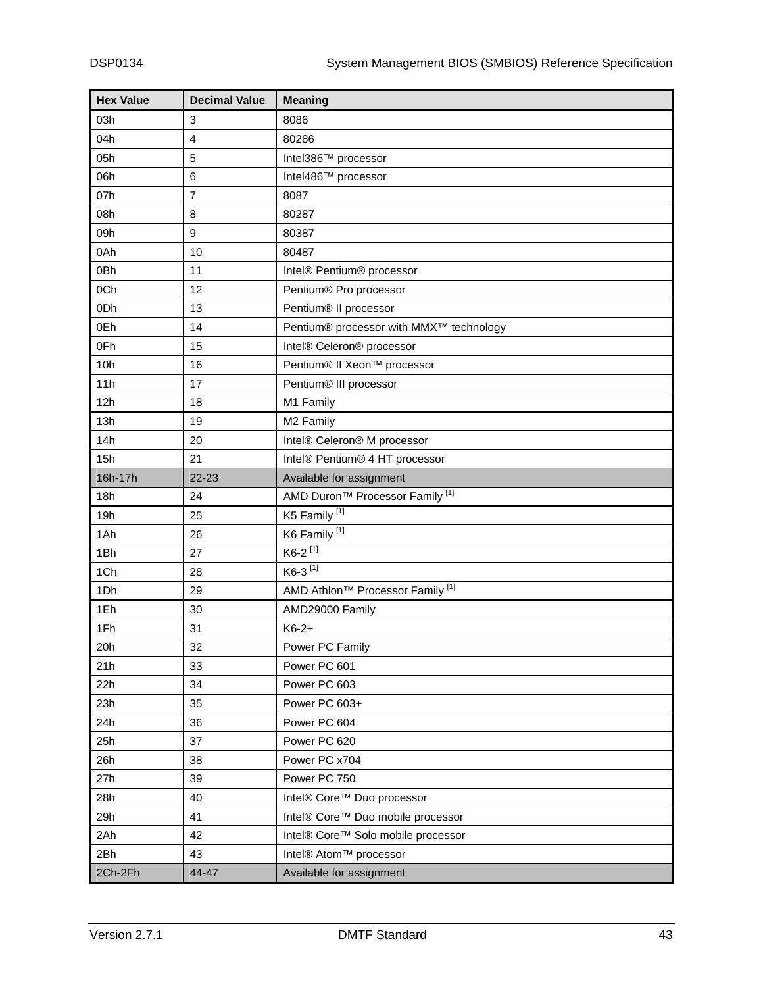| <b>Hex Value</b> | <b>Decimal Value</b> | <b>Meaning</b>                                         |  |  |  |
|------------------|----------------------|--------------------------------------------------------|--|--|--|
| 03h              | $\sqrt{3}$           | 8086                                                   |  |  |  |
| 04h              | 4                    | 80286                                                  |  |  |  |
| 05h              | 5                    | Intel386™ processor                                    |  |  |  |
| 06h              | 6                    | Intel486™ processor                                    |  |  |  |
| 07h              | $\overline{7}$       | 8087                                                   |  |  |  |
| 08h              | 8                    | 80287                                                  |  |  |  |
| 09h              | 9                    | 80387                                                  |  |  |  |
| 0Ah              | 10                   | 80487                                                  |  |  |  |
| 0Bh              | 11                   | Intel® Pentium® processor                              |  |  |  |
| 0Ch              | 12                   | Pentium® Pro processor                                 |  |  |  |
| 0Dh              | 13                   | Pentium <sup>®</sup> II processor                      |  |  |  |
| 0Eh              | 14                   | Pentium® processor with MMX™ technology                |  |  |  |
| 0Fh              | 15                   | Intel® Celeron® processor                              |  |  |  |
| 10h              | 16                   | Pentium® II Xeon™ processor                            |  |  |  |
| 11h              | 17                   | Pentium® III processor                                 |  |  |  |
| 12h              | 18                   | M1 Family                                              |  |  |  |
| 13h              | 19                   | M2 Family                                              |  |  |  |
| 14h              | 20                   | Intel® Celeron® M processor                            |  |  |  |
| 15h              | 21                   | Intel® Pentium® 4 HT processor                         |  |  |  |
| 16h-17h          | 22-23                | Available for assignment                               |  |  |  |
| 18h              | 24                   | AMD Duron <sup>™</sup> Processor Family <sup>[1]</sup> |  |  |  |
| 19h              | 25                   | K5 Family <sup>[1]</sup>                               |  |  |  |
| 1Ah              | 26                   | K6 Family <sup>[1]</sup>                               |  |  |  |
| 1Bh              | 27                   | $K6-2^{[1]}$                                           |  |  |  |
| 1Ch              | 28                   | $K6-3$ <sup>[1]</sup>                                  |  |  |  |
| 1Dh              | 29                   | AMD Athlon™ Processor Family <sup>[1]</sup>            |  |  |  |
| 1Eh              | 30                   | AMD29000 Family                                        |  |  |  |
| 1Fh              | 31                   | $K6-2+$                                                |  |  |  |
| 20h              | 32                   | Power PC Family                                        |  |  |  |
| 21h              | 33                   | Power PC 601                                           |  |  |  |
| 22h              | 34                   | Power PC 603                                           |  |  |  |
| 23h              | 35                   | Power PC 603+                                          |  |  |  |
| 24h              | 36                   | Power PC 604                                           |  |  |  |
| 25h              | 37                   | Power PC 620                                           |  |  |  |
| 26h              | 38                   | Power PC x704                                          |  |  |  |
| 27h              | 39                   | Power PC 750                                           |  |  |  |
| 28h              | 40                   | Intel® Core™ Duo processor                             |  |  |  |
| 29h              | 41                   | Intel® Core™ Duo mobile processor                      |  |  |  |
| 2Ah              | 42                   | Intel® Core™ Solo mobile processor                     |  |  |  |
| 2Bh              | 43                   | Intel® Atom™ processor                                 |  |  |  |
| 2Ch-2Fh          | 44-47                | Available for assignment                               |  |  |  |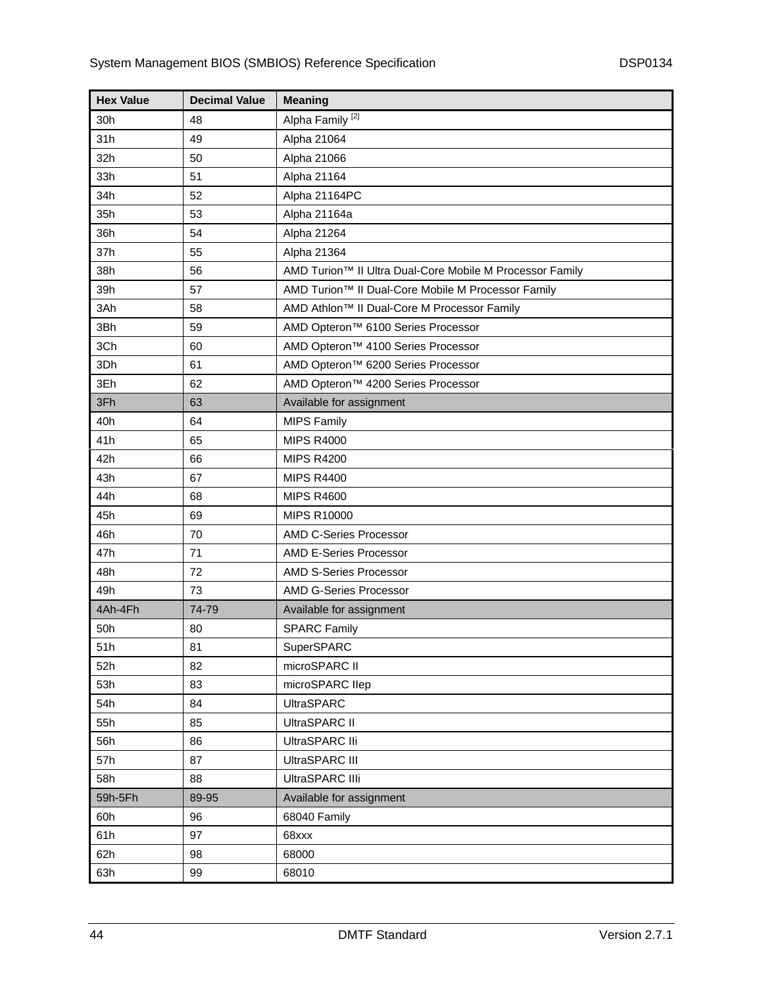| <b>Hex Value</b> | <b>Decimal Value</b> | <b>Meaning</b>                                           |  |  |  |
|------------------|----------------------|----------------------------------------------------------|--|--|--|
| 30h              | 48                   | Alpha Family <sup>[2]</sup>                              |  |  |  |
| 31h              | 49                   | Alpha 21064                                              |  |  |  |
| 32h              | 50                   | Alpha 21066                                              |  |  |  |
| 33h              | 51                   | Alpha 21164                                              |  |  |  |
| 34h              | 52                   | Alpha 21164PC                                            |  |  |  |
| 35h              | 53                   | Alpha 21164a                                             |  |  |  |
| 36h              | 54                   | Alpha 21264                                              |  |  |  |
| 37h              | 55                   | Alpha 21364                                              |  |  |  |
| 38h              | 56                   | AMD Turion™ II Ultra Dual-Core Mobile M Processor Family |  |  |  |
| 39h              | 57                   | AMD Turion™ II Dual-Core Mobile M Processor Family       |  |  |  |
| 3Ah              | 58                   | AMD Athlon™ II Dual-Core M Processor Family              |  |  |  |
| 3Bh              | 59                   | AMD Opteron <sup>™</sup> 6100 Series Processor           |  |  |  |
| 3Ch              | 60                   | AMD Opteron <sup>™</sup> 4100 Series Processor           |  |  |  |
| 3Dh              | 61                   | AMD Opteron™ 6200 Series Processor                       |  |  |  |
| 3Eh              | 62                   | AMD Opteron <sup>™</sup> 4200 Series Processor           |  |  |  |
| 3Fh              | 63                   | Available for assignment                                 |  |  |  |
| 40h              | 64                   | <b>MIPS Family</b>                                       |  |  |  |
| 41h              | 65                   | <b>MIPS R4000</b>                                        |  |  |  |
| 42h              | 66                   | <b>MIPS R4200</b>                                        |  |  |  |
| 43h              | 67                   | <b>MIPS R4400</b>                                        |  |  |  |
| 44h              | 68                   | <b>MIPS R4600</b>                                        |  |  |  |
| 45h              | 69                   | <b>MIPS R10000</b>                                       |  |  |  |
| 46h              | 70                   | AMD C-Series Processor                                   |  |  |  |
| 47h              | 71                   | <b>AMD E-Series Processor</b>                            |  |  |  |
| 48h              | 72                   | AMD S-Series Processor                                   |  |  |  |
| 49h              | 73                   | AMD G-Series Processor                                   |  |  |  |
| 4Ah-4Fh          | 74-79                | Available for assignment                                 |  |  |  |
| 50h              | 80                   | <b>SPARC Family</b>                                      |  |  |  |
| 51h              | 81                   | SuperSPARC                                               |  |  |  |
| 52h              | 82                   | microSPARC II                                            |  |  |  |
| 53h              | 83                   | microSPARC IIep                                          |  |  |  |
| 54h              | 84                   | <b>UltraSPARC</b>                                        |  |  |  |
| 55h              | 85                   | UltraSPARC II                                            |  |  |  |
| 56h              | 86                   | UltraSPARC IIi                                           |  |  |  |
| 57h              | 87                   | UltraSPARC III                                           |  |  |  |
| 58h              | 88                   | UltraSPARC IIIi                                          |  |  |  |
| 59h-5Fh          | 89-95                | Available for assignment                                 |  |  |  |
| 60h              | 96                   | 68040 Family                                             |  |  |  |
| 61h              | 97                   | 68xxx                                                    |  |  |  |
| 62h              | 98                   | 68000                                                    |  |  |  |
| 63h              | 99                   | 68010                                                    |  |  |  |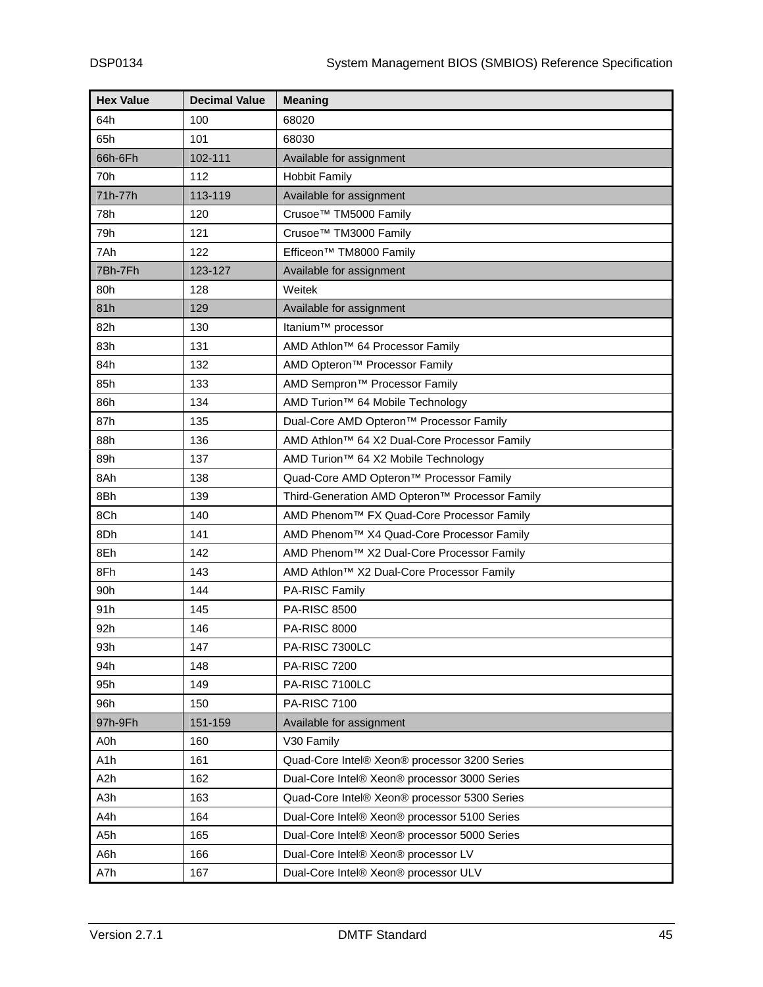| <b>Hex Value</b> | <b>Decimal Value</b> | <b>Meaning</b>                                        |  |  |  |
|------------------|----------------------|-------------------------------------------------------|--|--|--|
| 64h              | 100                  | 68020                                                 |  |  |  |
| 65h              | 101                  | 68030                                                 |  |  |  |
| 66h-6Fh          | 102-111              | Available for assignment                              |  |  |  |
| 70h              | 112                  | <b>Hobbit Family</b>                                  |  |  |  |
| 71h-77h          | 113-119              | Available for assignment                              |  |  |  |
| 78h              | 120                  | Crusoe™ TM5000 Family                                 |  |  |  |
| 79h              | 121                  | Crusoe™ TM3000 Family                                 |  |  |  |
| 7Ah              | 122                  | Efficeon <sup>™</sup> TM8000 Family                   |  |  |  |
| 7Bh-7Fh          | 123-127              | Available for assignment                              |  |  |  |
| 80h              | 128                  | Weitek                                                |  |  |  |
| 81h              | 129                  | Available for assignment                              |  |  |  |
| 82h              | 130                  | Itanium <sup>™</sup> processor                        |  |  |  |
| 83h              | 131                  | AMD Athlon™ 64 Processor Family                       |  |  |  |
| 84h              | 132                  | AMD Opteron <sup>™</sup> Processor Family             |  |  |  |
| 85h              | 133                  | AMD Sempron <sup>™</sup> Processor Family             |  |  |  |
| 86h              | 134                  | AMD Turion <sup>™</sup> 64 Mobile Technology          |  |  |  |
| 87h              | 135                  | Dual-Core AMD Opteron <sup>™</sup> Processor Family   |  |  |  |
| 88h              | 136                  | AMD Athlon™ 64 X2 Dual-Core Processor Family          |  |  |  |
| 89h              | 137                  | AMD Turion <sup>™</sup> 64 X2 Mobile Technology       |  |  |  |
| 8Ah              | 138                  | Quad-Core AMD Opteron™ Processor Family               |  |  |  |
| 8Bh              | 139                  | Third-Generation AMD Opteron™ Processor Family        |  |  |  |
| 8Ch              | 140                  | AMD Phenom™ FX Quad-Core Processor Family             |  |  |  |
| 8Dh              | 141                  | AMD Phenom <sup>™</sup> X4 Quad-Core Processor Family |  |  |  |
| 8Eh              | 142                  | AMD Phenom <sup>™</sup> X2 Dual-Core Processor Family |  |  |  |
| 8Fh              | 143                  | AMD Athlon™ X2 Dual-Core Processor Family             |  |  |  |
| 90h              | 144                  | PA-RISC Family                                        |  |  |  |
| 91h              | 145                  | <b>PA-RISC 8500</b>                                   |  |  |  |
| 92h              | 146                  | <b>PA-RISC 8000</b>                                   |  |  |  |
| 93h              | 147                  | PA-RISC 7300LC                                        |  |  |  |
| 94h              | 148                  | <b>PA-RISC 7200</b>                                   |  |  |  |
| 95h              | 149                  | PA-RISC 7100LC                                        |  |  |  |
| 96h              | 150                  | <b>PA-RISC 7100</b>                                   |  |  |  |
| 97h-9Fh          | 151-159              | Available for assignment                              |  |  |  |
| A0h              | 160                  | V30 Family                                            |  |  |  |
| A1h              | 161                  | Quad-Core Intel® Xeon® processor 3200 Series          |  |  |  |
| A2h              | 162                  | Dual-Core Intel® Xeon® processor 3000 Series          |  |  |  |
| A3h              | 163                  | Quad-Core Intel® Xeon® processor 5300 Series          |  |  |  |
| A4h              | 164                  | Dual-Core Intel® Xeon® processor 5100 Series          |  |  |  |
| A5h              | 165                  | Dual-Core Intel® Xeon® processor 5000 Series          |  |  |  |
| A6h              | 166                  | Dual-Core Intel® Xeon® processor LV                   |  |  |  |
| A7h              | 167                  | Dual-Core Intel® Xeon® processor ULV                  |  |  |  |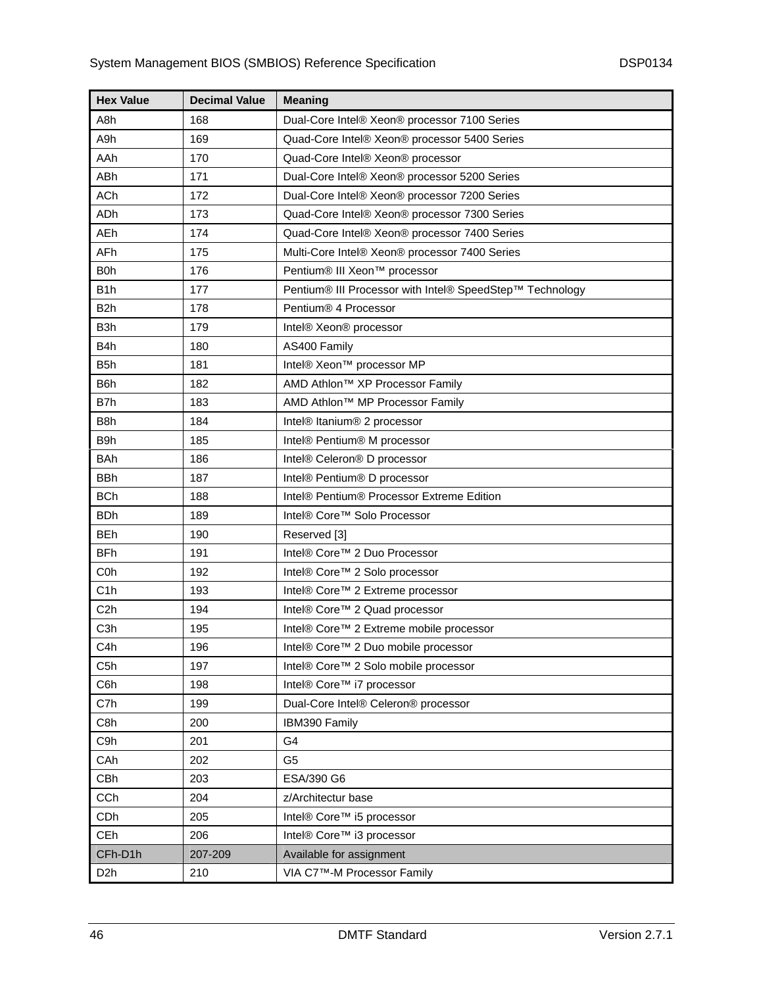| <b>Hex Value</b> | <b>Decimal Value</b> | <b>Meaning</b>                                           |  |  |  |
|------------------|----------------------|----------------------------------------------------------|--|--|--|
| A8h              | 168                  | Dual-Core Intel® Xeon® processor 7100 Series             |  |  |  |
| A9h              | 169                  | Quad-Core Intel® Xeon® processor 5400 Series             |  |  |  |
| AAh              | 170                  | Quad-Core Intel® Xeon® processor                         |  |  |  |
| ABh              | 171                  | Dual-Core Intel® Xeon® processor 5200 Series             |  |  |  |
| ACh              | 172                  | Dual-Core Intel® Xeon® processor 7200 Series             |  |  |  |
| ADh              | 173                  | Quad-Core Intel® Xeon® processor 7300 Series             |  |  |  |
| AEh              | 174                  | Quad-Core Intel® Xeon® processor 7400 Series             |  |  |  |
| AFh              | 175                  | Multi-Core Intel® Xeon® processor 7400 Series            |  |  |  |
| B <sub>0</sub> h | 176                  | Pentium® III Xeon™ processor                             |  |  |  |
| B <sub>1</sub> h | 177                  | Pentium® III Processor with Intel® SpeedStep™ Technology |  |  |  |
| B <sub>2</sub> h | 178                  | Pentium® 4 Processor                                     |  |  |  |
| B <sub>3</sub> h | 179                  | Intel® Xeon® processor                                   |  |  |  |
| B4h              | 180                  | AS400 Family                                             |  |  |  |
| B <sub>5</sub> h | 181                  | Intel® Xeon™ processor MP                                |  |  |  |
| B6h              | 182                  | AMD Athlon™ XP Processor Family                          |  |  |  |
| B7h              | 183                  | AMD Athlon™ MP Processor Family                          |  |  |  |
| B8h              | 184                  | Intel® Itanium® 2 processor                              |  |  |  |
| B9h              | 185                  | Intel® Pentium® M processor                              |  |  |  |
| BAh              | 186                  | Intel® Celeron® D processor                              |  |  |  |
| <b>BBh</b>       | 187                  | Intel® Pentium® D processor                              |  |  |  |
| <b>BCh</b>       | 188                  | Intel® Pentium® Processor Extreme Edition                |  |  |  |
| <b>BDh</b>       | 189                  | Intel® Core™ Solo Processor                              |  |  |  |
| <b>BEh</b>       | 190                  | Reserved [3]                                             |  |  |  |
| <b>BFh</b>       | 191                  | Intel® Core™ 2 Duo Processor                             |  |  |  |
| C <sub>0</sub> h | 192                  | Intel® Core™ 2 Solo processor                            |  |  |  |
| C <sub>1</sub> h | 193                  | Intel® Core™ 2 Extreme processor                         |  |  |  |
| C2h              | 194                  | Intel® Core™ 2 Quad processor                            |  |  |  |
| C <sub>3</sub> h | 195                  | Intel® Core™ 2 Extreme mobile processor                  |  |  |  |
| C4h              | 196                  | Intel® Core™ 2 Duo mobile processor                      |  |  |  |
| C5h              | 197                  | Intel® Core™ 2 Solo mobile processor                     |  |  |  |
| C6h              | 198                  | Intel® Core™ i7 processor                                |  |  |  |
| C7h              | 199                  | Dual-Core Intel® Celeron® processor                      |  |  |  |
| C8h              | 200                  | IBM390 Family                                            |  |  |  |
| C9h              | 201                  | G <sub>4</sub>                                           |  |  |  |
| CAh              | 202                  | G <sub>5</sub>                                           |  |  |  |
| CBh              | 203                  | ESA/390 G6                                               |  |  |  |
| CCh              | 204                  | z/Architectur base                                       |  |  |  |
| CDh              | 205                  | Intel® Core™ i5 processor                                |  |  |  |
| <b>CEh</b>       | 206                  | Intel® Core™ i3 processor                                |  |  |  |
| CFh-D1h          | 207-209              | Available for assignment                                 |  |  |  |
| D <sub>2</sub> h | 210                  | VIA C7™-M Processor Family                               |  |  |  |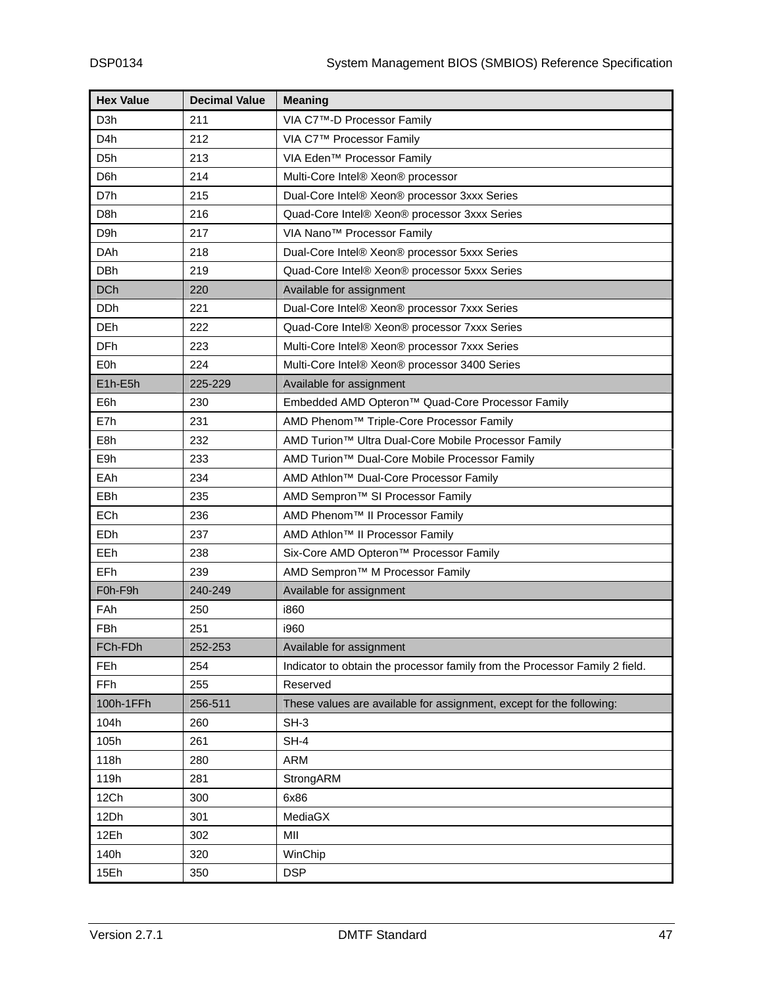| <b>Hex Value</b> | <b>Decimal Value</b> | <b>Meaning</b>                                                              |  |  |  |
|------------------|----------------------|-----------------------------------------------------------------------------|--|--|--|
| D3h              | 211                  | VIA C7™-D Processor Family                                                  |  |  |  |
| D <sub>4</sub> h | 212                  | VIA C7™ Processor Family                                                    |  |  |  |
| D <sub>5</sub> h | 213                  | VIA Eden™ Processor Family                                                  |  |  |  |
| D <sub>6</sub> h | 214                  | Multi-Core Intel® Xeon® processor                                           |  |  |  |
| D7h              | 215                  | Dual-Core Intel® Xeon® processor 3xxx Series                                |  |  |  |
| D <sub>8</sub> h | 216                  | Quad-Core Intel® Xeon® processor 3xxx Series                                |  |  |  |
| D9h              | 217                  | VIA Nano <sup>™</sup> Processor Family                                      |  |  |  |
| <b>DAh</b>       | 218                  | Dual-Core Intel® Xeon® processor 5xxx Series                                |  |  |  |
| <b>DBh</b>       | 219                  | Quad-Core Intel® Xeon® processor 5xxx Series                                |  |  |  |
| <b>DCh</b>       | 220                  | Available for assignment                                                    |  |  |  |
| <b>DDh</b>       | 221                  | Dual-Core Intel® Xeon® processor 7xxx Series                                |  |  |  |
| DE <sub>h</sub>  | 222                  | Quad-Core Intel® Xeon® processor 7xxx Series                                |  |  |  |
| <b>DFh</b>       | 223                  | Multi-Core Intel® Xeon® processor 7xxx Series                               |  |  |  |
| E <sub>0</sub> h | 224                  | Multi-Core Intel® Xeon® processor 3400 Series                               |  |  |  |
| E1h-E5h          | 225-229              | Available for assignment                                                    |  |  |  |
| E6h              | 230                  | Embedded AMD Opteron™ Quad-Core Processor Family                            |  |  |  |
| E7h              | 231                  | AMD Phenom™ Triple-Core Processor Family                                    |  |  |  |
| E8h              | 232                  | AMD Turion™ Ultra Dual-Core Mobile Processor Family                         |  |  |  |
| E9h              | 233                  | AMD Turion™ Dual-Core Mobile Processor Family                               |  |  |  |
| EAh              | 234                  | AMD Athlon™ Dual-Core Processor Family                                      |  |  |  |
| EBh              | 235                  | AMD Sempron <sup>™</sup> SI Processor Family                                |  |  |  |
| ECh              | 236                  | AMD Phenom™ II Processor Family                                             |  |  |  |
| <b>EDh</b>       | 237                  | AMD Athlon™ II Processor Family                                             |  |  |  |
| EEh              | 238                  | Six-Core AMD Opteron™ Processor Family                                      |  |  |  |
| EFh              | 239                  | AMD Sempron <sup>™</sup> M Processor Family                                 |  |  |  |
| F0h-F9h          | 240-249              | Available for assignment                                                    |  |  |  |
| FAh              | 250                  | i860                                                                        |  |  |  |
| FBh              | 251                  | i960                                                                        |  |  |  |
| FCh-FDh          | 252-253              | Available for assignment                                                    |  |  |  |
| FEh              | 254                  | Indicator to obtain the processor family from the Processor Family 2 field. |  |  |  |
| <b>FFh</b>       | 255                  | Reserved                                                                    |  |  |  |
| 100h-1FFh        | 256-511              | These values are available for assignment, except for the following:        |  |  |  |
| 104h             | 260                  | SH-3                                                                        |  |  |  |
| 105h             | 261                  | SH-4                                                                        |  |  |  |
| 118h             | 280                  | <b>ARM</b>                                                                  |  |  |  |
| 119h             | 281                  | StrongARM                                                                   |  |  |  |
| 12Ch             | 300                  | 6x86                                                                        |  |  |  |
| 12Dh             | 301                  | MediaGX                                                                     |  |  |  |
| 12Eh             | 302                  | MII                                                                         |  |  |  |
| 140h             | 320                  | WinChip                                                                     |  |  |  |
| 15Eh             | 350                  | <b>DSP</b>                                                                  |  |  |  |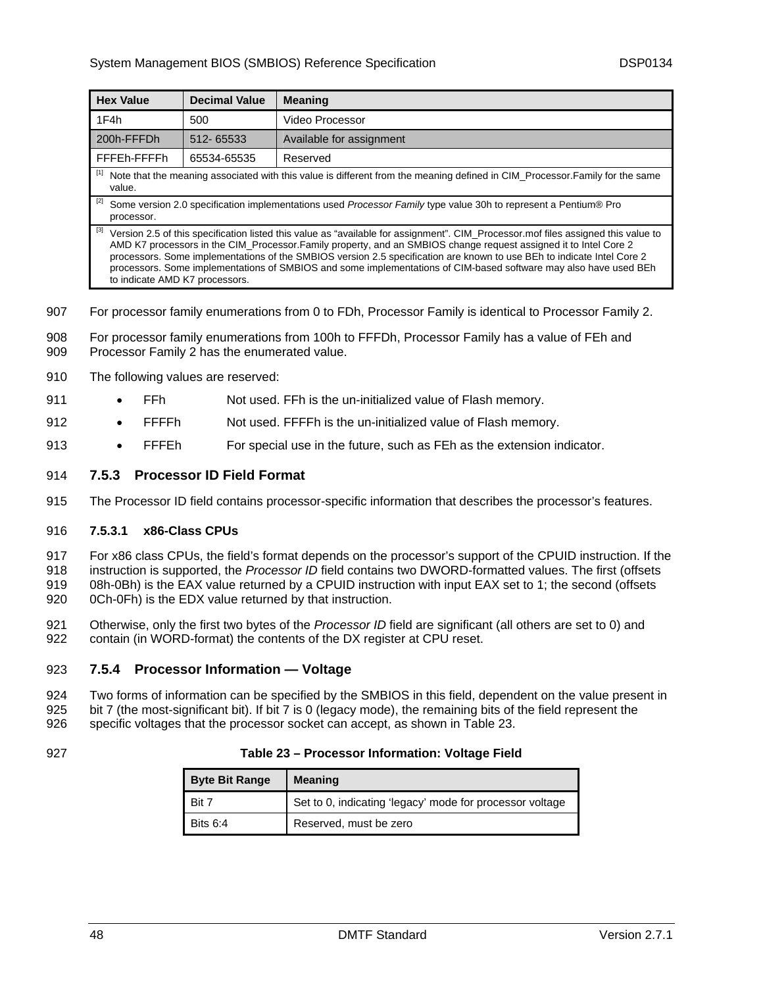| <b>Hex Value</b><br><b>Decimal Value</b>                                                                                                                                                                                                                                                                                                                                                                                                                                                                                                       |             | <b>Meaning</b>           |  |  |
|------------------------------------------------------------------------------------------------------------------------------------------------------------------------------------------------------------------------------------------------------------------------------------------------------------------------------------------------------------------------------------------------------------------------------------------------------------------------------------------------------------------------------------------------|-------------|--------------------------|--|--|
| 1F4h<br>500                                                                                                                                                                                                                                                                                                                                                                                                                                                                                                                                    |             | Video Processor          |  |  |
| 200h-FFFDh                                                                                                                                                                                                                                                                                                                                                                                                                                                                                                                                     | 512-65533   | Available for assignment |  |  |
| FFFEh-FFFFh                                                                                                                                                                                                                                                                                                                                                                                                                                                                                                                                    | 65534-65535 | Reserved                 |  |  |
| $[1]$<br>Note that the meaning associated with this value is different from the meaning defined in CIM_Processor.Family for the same<br>value.                                                                                                                                                                                                                                                                                                                                                                                                 |             |                          |  |  |
| Some version 2.0 specification implementations used Processor Family type value 30h to represent a Pentium® Pro<br>processor.                                                                                                                                                                                                                                                                                                                                                                                                                  |             |                          |  |  |
| $[3]$<br>Version 2.5 of this specification listed this value as "available for assignment". CIM_Processor.mof files assigned this value to<br>AMD K7 processors in the CIM_Processor.Family property, and an SMBIOS change request assigned it to Intel Core 2<br>processors. Some implementations of the SMBIOS version 2.5 specification are known to use BEh to indicate Intel Core 2<br>processors. Some implementations of SMBIOS and some implementations of CIM-based software may also have used BEh<br>to indicate AMD K7 processors. |             |                          |  |  |

- 907 For processor family enumerations from 0 to FDh, Processor Family is identical to Processor Family 2.
- 908 For processor family enumerations from 100h to FFFDh, Processor Family has a value of FEh and 909 Processor Family 2 has the enumerated value.
- 910 The following values are reserved:
- 911 FFh Not used. FFh is the un-initialized value of Flash memory.
- 912 FFFFh Not used. FFFFh is the un-initialized value of Flash memory.
- 913 FFFEh For special use in the future, such as FEh as the extension indicator.

### <span id="page-47-0"></span>914 **7.5.3 Processor ID Field Format**

915 The Processor ID field contains processor-specific information that describes the processor's features.

#### 916 **7.5.3.1 x86-Class CPUs**

917 For x86 class CPUs, the field's format depends on the processor's support of the CPUID instruction. If the

918 instruction is supported, the *Processor ID* field contains two DWORD-formatted values. The first (offsets 919 08h-0Bh) is the EAX value returned by a CPUID instruction with input EAX set to 1; the second (offsets

920 0Ch-0Fh) is the EDX value returned by that instruction.

921 Otherwise, only the first two bytes of the *Processor ID* field are significant (all others are set to 0) and 922 contain (in WORD-format) the contents of the DX register at CPU reset.

### <span id="page-47-1"></span>923 **7.5.4 Processor Information — Voltage**

924 Two forms of information can be specified by the SMBIOS in this field, dependent on the value present in 925 bit 7 (the most-significant bit). If bit 7 is 0 (legacy mode), the remaining bits of the field represent the

926 specific voltages that the processor socket can accept, as shown in [Table 23](#page-47-2).

#### <span id="page-47-2"></span>927 **Table 23 – Processor Information: Voltage Field**

| <b>Byte Bit Range</b> | <b>Meaning</b>                                           |  |  |
|-----------------------|----------------------------------------------------------|--|--|
| Bit 7                 | Set to 0, indicating 'legacy' mode for processor voltage |  |  |
| Bits $6:4$            | Reserved, must be zero                                   |  |  |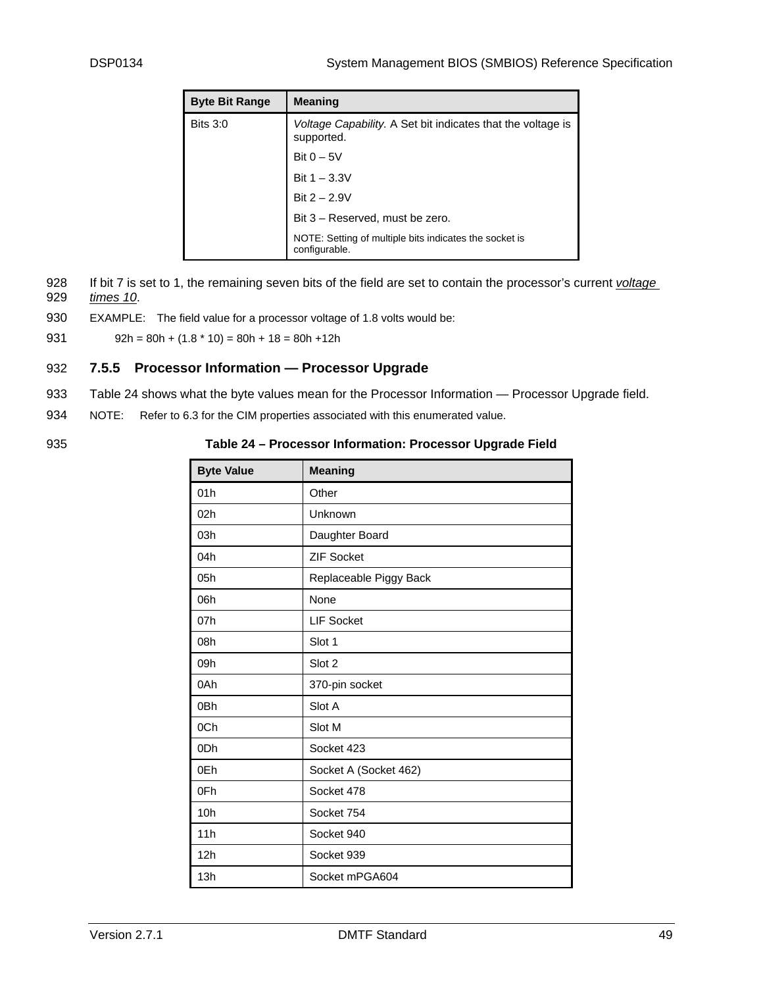| <b>Byte Bit Range</b> | <b>Meaning</b>                                                                   |
|-----------------------|----------------------------------------------------------------------------------|
| <b>Bits 3:0</b>       | <i>Voltage Capability.</i> A Set bit indicates that the voltage is<br>supported. |
|                       | Bit $0 - 5V$                                                                     |
|                       | Bit $1 - 3.3V$                                                                   |
|                       | Bit $2 - 2.9V$                                                                   |
|                       | Bit 3 - Reserved, must be zero.                                                  |
|                       | NOTE: Setting of multiple bits indicates the socket is<br>configurable.          |

- 928 If bit 7 is set to 1, the remaining seven bits of the field are set to contain the processor's current *voltage*  929 *times 10*.
- 930 EXAMPLE: The field value for a processor voltage of 1.8 volts would be:
- 931 92h = 80h +  $(1.8 * 10)$  = 80h + 18 = 80h + 12h

#### <span id="page-48-0"></span>932 **7.5.5 Processor Information — Processor Upgrade**

- 933 [Table 24](#page-48-1) shows what the byte values mean for the Processor Information Processor Upgrade field.
- 934 NOTE: Refer to [6.3](#page-25-0) for the CIM properties associated with this enumerated value.
- 

#### <span id="page-48-1"></span>935 **Table 24 – Processor Information: Processor Upgrade Field**

| <b>Byte Value</b> | <b>Meaning</b>         |  |  |  |
|-------------------|------------------------|--|--|--|
| 01h               | Other                  |  |  |  |
| 02h               | Unknown                |  |  |  |
| 03h               | Daughter Board         |  |  |  |
| 04h               | <b>ZIF Socket</b>      |  |  |  |
| 05h               | Replaceable Piggy Back |  |  |  |
| 06h               | None                   |  |  |  |
| 07h               | <b>LIF Socket</b>      |  |  |  |
| 08h               | Slot 1                 |  |  |  |
| 09h               | Slot 2                 |  |  |  |
| 0Ah               | 370-pin socket         |  |  |  |
| 0Bh               | Slot A                 |  |  |  |
| 0Ch               | Slot M                 |  |  |  |
| 0 <sub>Dh</sub>   | Socket 423             |  |  |  |
| 0Eh               | Socket A (Socket 462)  |  |  |  |
| 0Fh               | Socket 478             |  |  |  |
| 10h               | Socket 754             |  |  |  |
| 11h               | Socket 940             |  |  |  |
| 12h               | Socket 939             |  |  |  |
| 13h               | Socket mPGA604         |  |  |  |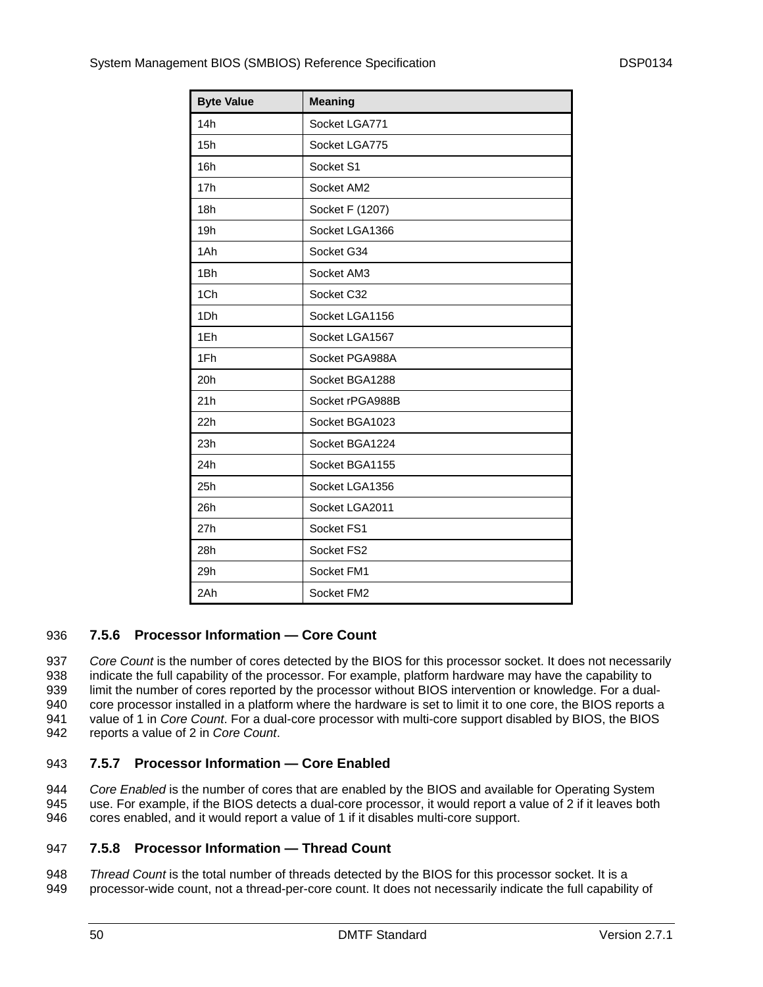| <b>Byte Value</b> | <b>Meaning</b>  |
|-------------------|-----------------|
| 14h               | Socket LGA771   |
| 15h               | Socket LGA775   |
| 16h               | Socket S1       |
| 17 <sub>h</sub>   | Socket AM2      |
| 18h               | Socket F (1207) |
| 19h               | Socket LGA1366  |
| 1Ah               | Socket G34      |
| 1Bh               | Socket AM3      |
| 1Ch               | Socket C32      |
| 1Dh               | Socket LGA1156  |
| 1Eh               | Socket LGA1567  |
| 1Fh               | Socket PGA988A  |
| 20h               | Socket BGA1288  |
| 21h               | Socket rPGA988B |
| 22h               | Socket BGA1023  |
| 23h               | Socket BGA1224  |
| 24h               | Socket BGA1155  |
| 25h               | Socket LGA1356  |
| 26h               | Socket LGA2011  |
| 27h               | Socket FS1      |
| 28h               | Socket FS2      |
| 29h               | Socket FM1      |
| 2Ah               | Socket FM2      |

# <span id="page-49-0"></span>936 **7.5.6 Processor Information — Core Count**

937 *Core Count* is the number of cores detected by the BIOS for this processor socket. It does not necessarily 938 indicate the full capability of the processor. For example, platform hardware may have the capability to 939 limit the number of cores reported by the processor without BIOS intervention or knowledge. For a dual-940 core processor installed in a platform where the hardware is set to limit it to one core, the BIOS reports a 941 value of 1 in *Core Count*. For a dual-core processor with multi-core support disabled by BIOS, the BIOS 942 reports a value of 2 in *Core Count*.

# <span id="page-49-1"></span>943 **7.5.7 Processor Information — Core Enabled**

944 *Core Enabled* is the number of cores that are enabled by the BIOS and available for Operating System 945 use. For example, if the BIOS detects a dual-core processor, it would report a value of 2 if it leaves both 946 cores enabled, and it would report a value of 1 if it disables multi-core support.

# <span id="page-49-2"></span>947 **7.5.8 Processor Information — Thread Count**

948 *Thread Count* is the total number of threads detected by the BIOS for this processor socket. It is a 949 processor-wide count, not a thread-per-core count. It does not necessarily indicate the full capability of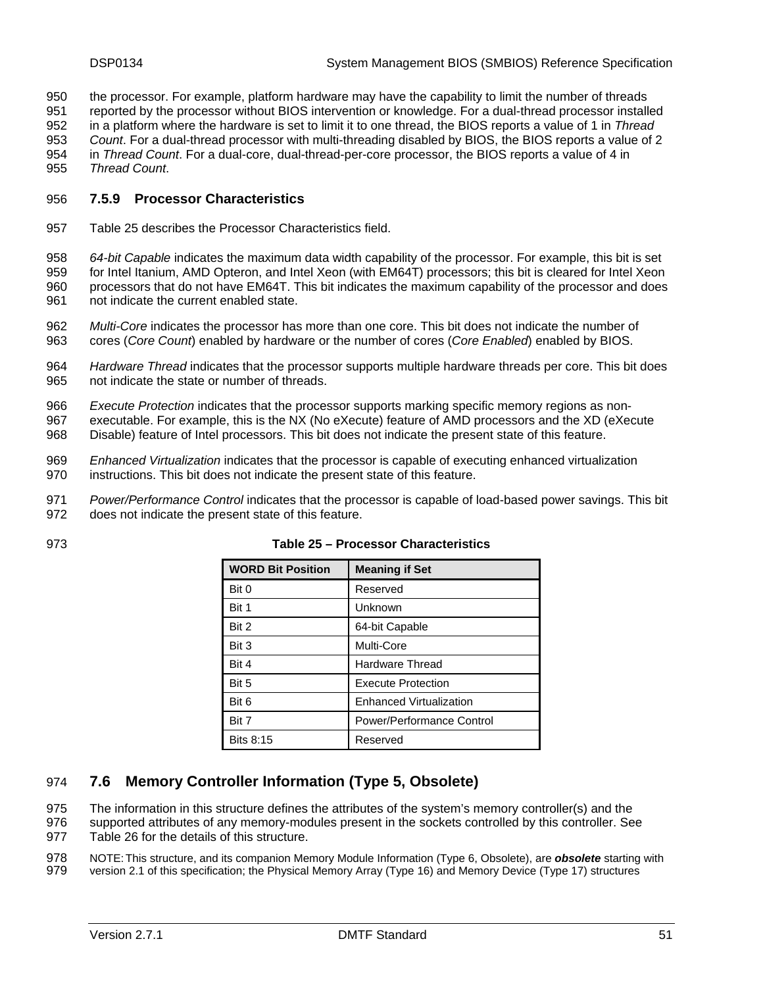950 the processor. For example, platform hardware may have the capability to limit the number of threads

951 reported by the processor without BIOS intervention or knowledge. For a dual-thread processor installed 952 in a platform where the hardware is set to limit it to one thread, the BIOS reports a value of 1 in *Thread* 

953 *Count*. For a dual-thread processor with multi-threading disabled by BIOS, the BIOS reports a value of 2

954 in *Thread Count*. For a dual-core, dual-thread-per-core processor, the BIOS reports a value of 4 in

955 *Thread Count*.

#### <span id="page-50-0"></span>956 **7.5.9 Processor Characteristics**

957 [Table 25](#page-50-1) describes the Processor Characteristics field.

958 *64-bit Capable* indicates the maximum data width capability of the processor. For example, this bit is set 959 for Intel Itanium, AMD Opteron, and Intel Xeon (with EM64T) processors; this bit is cleared for Intel Xeon 960 processors that do not have EM64T. This bit indicates the maximum capability of the processor and does 961 not indicate the current enabled state.

962 *Multi-Core* indicates the processor has more than one core. This bit does not indicate the number of 963 cores (*Core Count*) enabled by hardware or the number of cores (*Core Enabled*) enabled by BIOS.

964 *Hardware Thread* indicates that the processor supports multiple hardware threads per core. This bit does 965 not indicate the state or number of threads.

966 *Execute Protection* indicates that the processor supports marking specific memory regions as non-

967 executable. For example, this is the NX (No eXecute) feature of AMD processors and the XD (eXecute 968 Disable) feature of Intel processors. This bit does not indicate the present state of this feature.

969 *Enhanced Virtualization* indicates that the processor is capable of executing enhanced virtualization 970 instructions. This bit does not indicate the present state of this feature.

971 *Power/Performance Control* indicates that the processor is capable of load-based power savings. This bit 972 does not indicate the present state of this feature.

<span id="page-50-1"></span>

| <b>WORD Bit Position</b> | <b>Meaning if Set</b>          |  |  |
|--------------------------|--------------------------------|--|--|
| Bit 0                    | Reserved                       |  |  |
| Bit 1                    | Unknown                        |  |  |
| Bit 2                    | 64-bit Capable                 |  |  |
| Bit 3                    | Multi-Core                     |  |  |
| Bit 4                    | Hardware Thread                |  |  |
| Bit 5                    | <b>Execute Protection</b>      |  |  |
| Bit 6                    | <b>Enhanced Virtualization</b> |  |  |
| Bit 7                    | Power/Performance Control      |  |  |
| <b>Bits 8:15</b>         | Reserved                       |  |  |

#### 973 **Table 25 – Processor Characteristics**

# <span id="page-50-2"></span>974 **7.6 Memory Controller Information (Type 5, Obsolete)**

975 The information in this structure defines the attributes of the system's memory controller(s) and the 976 supported attributes of any memory-modules present in the sockets controlled by this controller. See 977 [Table 26](#page-51-0) for the details of this structure.

978 NOTE: This structure, and its companion [Memory Module Information \(Type 6, Obsolete\),](#page-53-0) are **obsolete** starting with

979 version 2.1 of this specification; the [Physical Memory Array \(Type 16\)](#page-81-0) and [Memory Device \(Type 17\)](#page-84-0) structures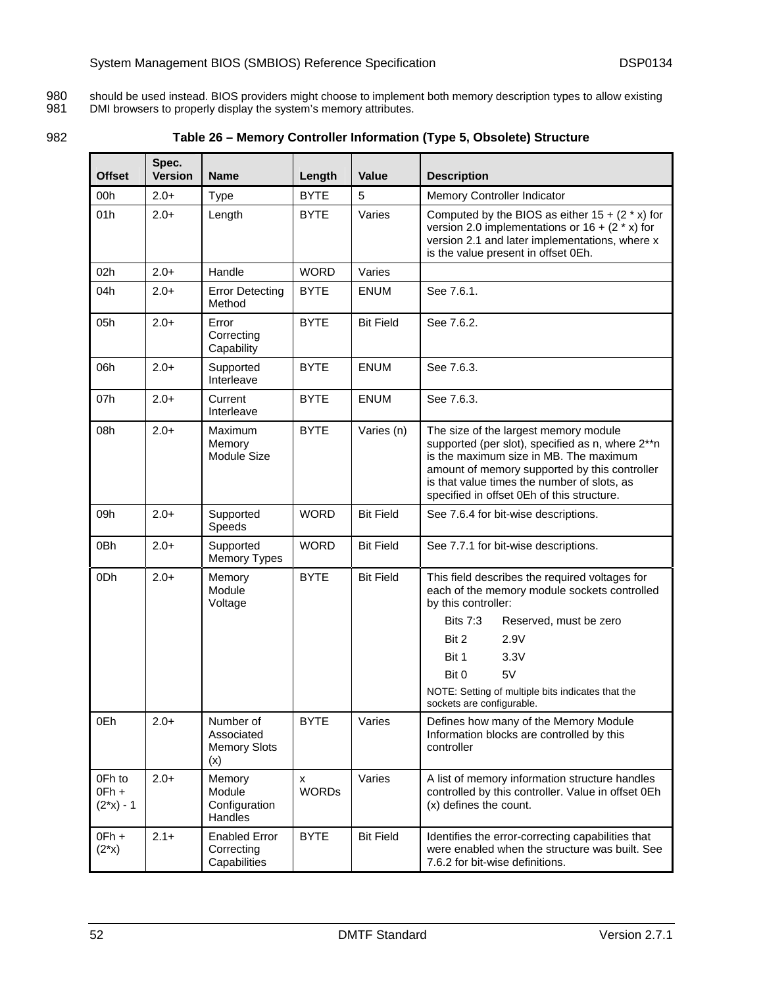980 should be used instead. BIOS providers might choose to implement both memory description types to allow existing

- 981 DMI browsers to properly display the system's memory attributes.
- 

<span id="page-51-0"></span>982 **Table 26 – Memory Controller Information (Type 5, Obsolete) Structure** 

| <b>Offset</b>                    | Spec.<br><b>Version</b> | <b>Name</b>                                           | Length            | <b>Value</b>     | <b>Description</b>                                                                                                                                                                                                                                                                |
|----------------------------------|-------------------------|-------------------------------------------------------|-------------------|------------------|-----------------------------------------------------------------------------------------------------------------------------------------------------------------------------------------------------------------------------------------------------------------------------------|
| 00h                              | $2.0+$                  | <b>Type</b>                                           | <b>BYTE</b>       | 5                | Memory Controller Indicator                                                                                                                                                                                                                                                       |
| 01h                              | $2.0+$                  | Length                                                | <b>BYTE</b>       | Varies           | Computed by the BIOS as either $15 + (2 * x)$ for<br>version 2.0 implementations or $16 + (2 * x)$ for<br>version 2.1 and later implementations, where x<br>is the value present in offset 0Eh.                                                                                   |
| 02h                              | $2.0+$                  | Handle                                                | <b>WORD</b>       | Varies           |                                                                                                                                                                                                                                                                                   |
| 04h                              | $2.0+$                  | <b>Error Detecting</b><br>Method                      | <b>BYTE</b>       | <b>ENUM</b>      | See 7.6.1.                                                                                                                                                                                                                                                                        |
| 05h                              | $2.0+$                  | Error<br>Correcting<br>Capability                     | <b>BYTE</b>       | <b>Bit Field</b> | See 7.6.2.                                                                                                                                                                                                                                                                        |
| 06h                              | $2.0+$                  | Supported<br>Interleave                               | <b>BYTE</b>       | <b>ENUM</b>      | See 7.6.3.                                                                                                                                                                                                                                                                        |
| 07h                              | $2.0+$                  | Current<br>Interleave                                 | <b>BYTE</b>       | <b>ENUM</b>      | See 7.6.3.                                                                                                                                                                                                                                                                        |
| 08h                              | $2.0+$                  | Maximum<br>Memory<br>Module Size                      | <b>BYTE</b>       | Varies (n)       | The size of the largest memory module<br>supported (per slot), specified as n, where 2**n<br>is the maximum size in MB. The maximum<br>amount of memory supported by this controller<br>is that value times the number of slots, as<br>specified in offset 0Eh of this structure. |
| 09h                              | $2.0+$                  | Supported<br>Speeds                                   | <b>WORD</b>       | <b>Bit Field</b> | See 7.6.4 for bit-wise descriptions.                                                                                                                                                                                                                                              |
| 0Bh                              | $2.0+$                  | Supported<br><b>Memory Types</b>                      | <b>WORD</b>       | <b>Bit Field</b> | See 7.7.1 for bit-wise descriptions.                                                                                                                                                                                                                                              |
| 0Dh                              | $2.0+$                  | Memory<br>Module<br>Voltage                           | <b>BYTE</b>       | <b>Bit Field</b> | This field describes the required voltages for<br>each of the memory module sockets controlled<br>by this controller:                                                                                                                                                             |
|                                  |                         |                                                       |                   |                  | <b>Bits 7:3</b><br>Reserved, must be zero                                                                                                                                                                                                                                         |
|                                  |                         |                                                       |                   |                  | Bit 2<br>2.9V                                                                                                                                                                                                                                                                     |
|                                  |                         |                                                       |                   |                  | Bit 1<br>3.3V                                                                                                                                                                                                                                                                     |
|                                  |                         |                                                       |                   |                  | 5V<br>Bit 0                                                                                                                                                                                                                                                                       |
|                                  |                         |                                                       |                   |                  | NOTE: Setting of multiple bits indicates that the<br>sockets are configurable.                                                                                                                                                                                                    |
| 0Eh                              | $2.0+$                  | Number of<br>Associated<br><b>Memory Slots</b><br>(x) | <b>BYTE</b>       | Varies           | Defines how many of the Memory Module<br>Information blocks are controlled by this<br>controller                                                                                                                                                                                  |
| 0Fh to<br>$OFh +$<br>$(2*x) - 1$ | $2.0+$                  | Memory<br>Module<br>Configuration<br>Handles          | x<br><b>WORDs</b> | Varies           | A list of memory information structure handles<br>controlled by this controller. Value in offset 0Eh<br>(x) defines the count.                                                                                                                                                    |
| $OFh +$<br>$(2^*x)$              | $2.1+$                  | <b>Enabled Error</b><br>Correcting<br>Capabilities    | <b>BYTE</b>       | <b>Bit Field</b> | Identifies the error-correcting capabilities that<br>were enabled when the structure was built. See<br>7.6.2 for bit-wise definitions.                                                                                                                                            |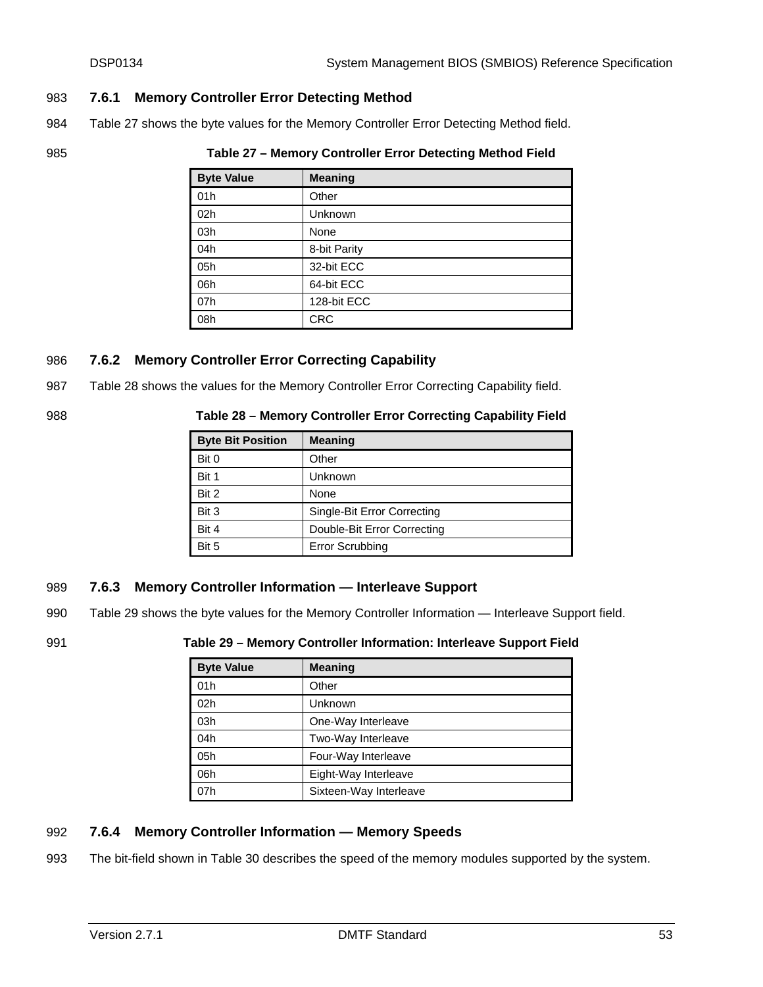## <span id="page-52-0"></span>983 **7.6.1 Memory Controller Error Detecting Method**

- 984 [Table 27](#page-52-4) shows the byte values for the Memory Controller Error Detecting Method field.
- <span id="page-52-4"></span>

#### 985 **Table 27 – Memory Controller Error Detecting Method Field**

| <b>Byte Value</b> | <b>Meaning</b> |
|-------------------|----------------|
| 01h               | Other          |
| 02h               | <b>Unknown</b> |
| 03h               | None           |
| 04h               | 8-bit Parity   |
| 05h               | 32-bit ECC     |
| 06h               | 64-bit ECC     |
| 07h               | 128-bit ECC    |
| 08h               | <b>CRC</b>     |

### <span id="page-52-1"></span>986 **7.6.2 Memory Controller Error Correcting Capability**

987 [Table 28](#page-52-5) shows the values for the Memory Controller Error Correcting Capability field.

<span id="page-52-5"></span>

# 988 **Table 28 – Memory Controller Error Correcting Capability Field**

| <b>Byte Bit Position</b> | <b>Meaning</b>              |
|--------------------------|-----------------------------|
| Bit 0                    | Other                       |
| Bit 1                    | Unknown                     |
| Bit 2                    | None                        |
| Bit 3                    | Single-Bit Error Correcting |
| Bit 4                    | Double-Bit Error Correcting |
| Bit 5                    | <b>Error Scrubbing</b>      |

#### <span id="page-52-2"></span>989 **7.6.3 Memory Controller Information — Interleave Support**

- 990 [Table 29](#page-52-6) shows the byte values for the Memory Controller Information Interleave Support field.
- <span id="page-52-6"></span>

#### 991 **Table 29 – Memory Controller Information: Interleave Support Field**

| <b>Byte Value</b> | <b>Meaning</b>         |
|-------------------|------------------------|
| 01h               | Other                  |
| 02h               | Unknown                |
| 03h               | One-Way Interleave     |
| 04h               | Two-Way Interleave     |
| 05h               | Four-Way Interleave    |
| 06h               | Eight-Way Interleave   |
| 07h               | Sixteen-Way Interleave |

## <span id="page-52-3"></span>992 **7.6.4 Memory Controller Information — Memory Speeds**

993 The bit-field shown in [Table 30](#page-53-1) describes the speed of the memory modules supported by the system.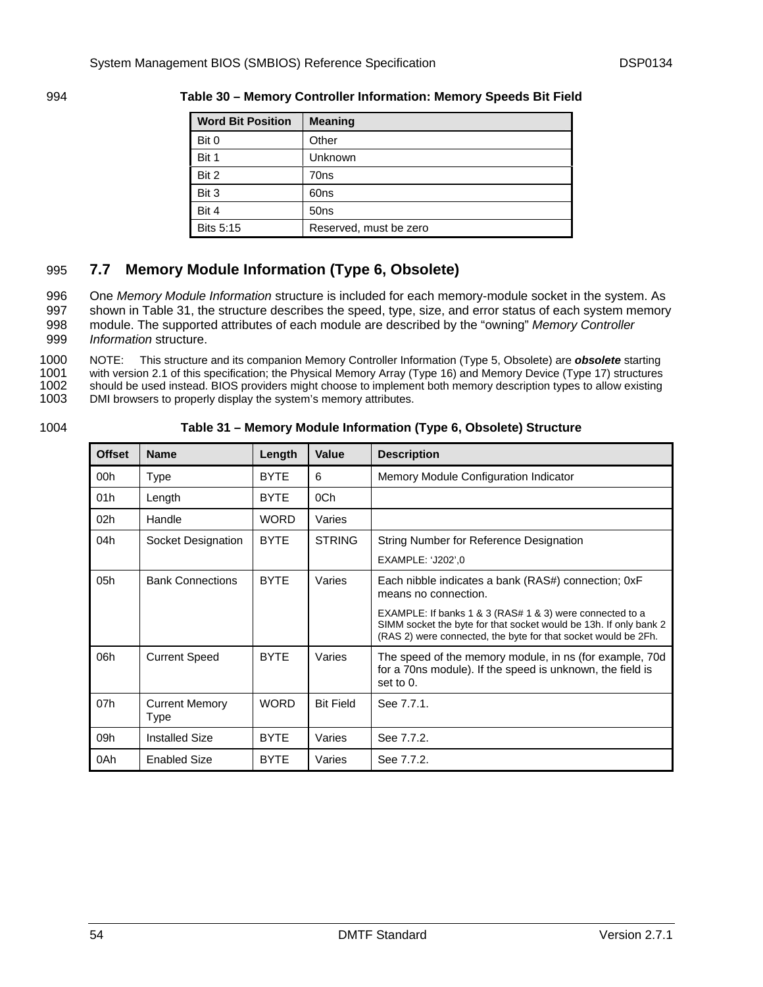| <b>Word Bit Position</b> | <b>Meaning</b>         |
|--------------------------|------------------------|
| Bit 0                    | Other                  |
| Bit 1                    | Unknown                |
| Bit 2                    | 70ns                   |
| Bit 3                    | 60 <sub>ns</sub>       |
| Bit 4                    | 50 <sub>ns</sub>       |
| <b>Bits 5:15</b>         | Reserved, must be zero |

### <span id="page-53-1"></span>994 **Table 30 – Memory Controller Information: Memory Speeds Bit Field**

# <span id="page-53-0"></span>995 **7.7 Memory Module Information (Type 6, Obsolete)**

996 One *Memory Module Information* structure is included for each memory-module socket in the system. As 997 shown in [Table 31](#page-53-2), the structure describes the speed, type, size, and error status of each system memory 998 module. The supported attributes of each module are described by the "owning" *Memory Controller*  999 *Information* structure.

1000 NOTE: This structure and its companion [Memory Controller Information \(Type 5, Obsolete\)](#page-50-2) are *obsolete* starting 1001 with version 2.1 of this specification; the [Physical Memory Array \(Type 16\)](#page-81-0) and [Memory Device \(Type 17\)](#page-84-0) structures<br>1002 should be used instead. BIOS providers might choose to implement both memory description types to 1002 should be used instead. BIOS providers might choose to implement both memory description types to allow existing<br>1003 DMI browsers to properly display the system's memory attributes. DMI browsers to properly display the system's memory attributes.

#### <span id="page-53-2"></span>1004 **Table 31 – Memory Module Information (Type 6, Obsolete) Structure**

| <b>Offset</b>   | <b>Name</b>                   | Length      | <b>Value</b>     | <b>Description</b>                                                                                                                                                                              |
|-----------------|-------------------------------|-------------|------------------|-------------------------------------------------------------------------------------------------------------------------------------------------------------------------------------------------|
| 00h             | Type                          | <b>BYTE</b> | 6                | Memory Module Configuration Indicator                                                                                                                                                           |
| 01 <sub>h</sub> | Length                        | <b>BYTE</b> | 0Ch              |                                                                                                                                                                                                 |
| 02 <sub>h</sub> | Handle                        | <b>WORD</b> | Varies           |                                                                                                                                                                                                 |
| 04h             | Socket Designation            | <b>BYTE</b> | <b>STRING</b>    | String Number for Reference Designation                                                                                                                                                         |
|                 |                               |             |                  | EXAMPLE: 'J202',0                                                                                                                                                                               |
| 05h             | <b>Bank Connections</b>       | <b>BYTE</b> | Varies           | Each nibble indicates a bank (RAS#) connection; 0xF<br>means no connection.                                                                                                                     |
|                 |                               |             |                  | EXAMPLE: If banks 1 & 3 (RAS# 1 & 3) were connected to a<br>SIMM socket the byte for that socket would be 13h. If only bank 2<br>(RAS 2) were connected, the byte for that socket would be 2Fh. |
| 06h             | <b>Current Speed</b>          | <b>BYTE</b> | Varies           | The speed of the memory module, in ns (for example, 70d<br>for a 70ns module). If the speed is unknown, the field is<br>set to 0.                                                               |
| 07h             | <b>Current Memory</b><br>Type | <b>WORD</b> | <b>Bit Field</b> | See 7.7.1.                                                                                                                                                                                      |
| 09h             | <b>Installed Size</b>         | <b>BYTE</b> | Varies           | See 7.7.2.                                                                                                                                                                                      |
| 0Ah             | Enabled Size                  | <b>BYTE</b> | Varies           | See 7.7.2.                                                                                                                                                                                      |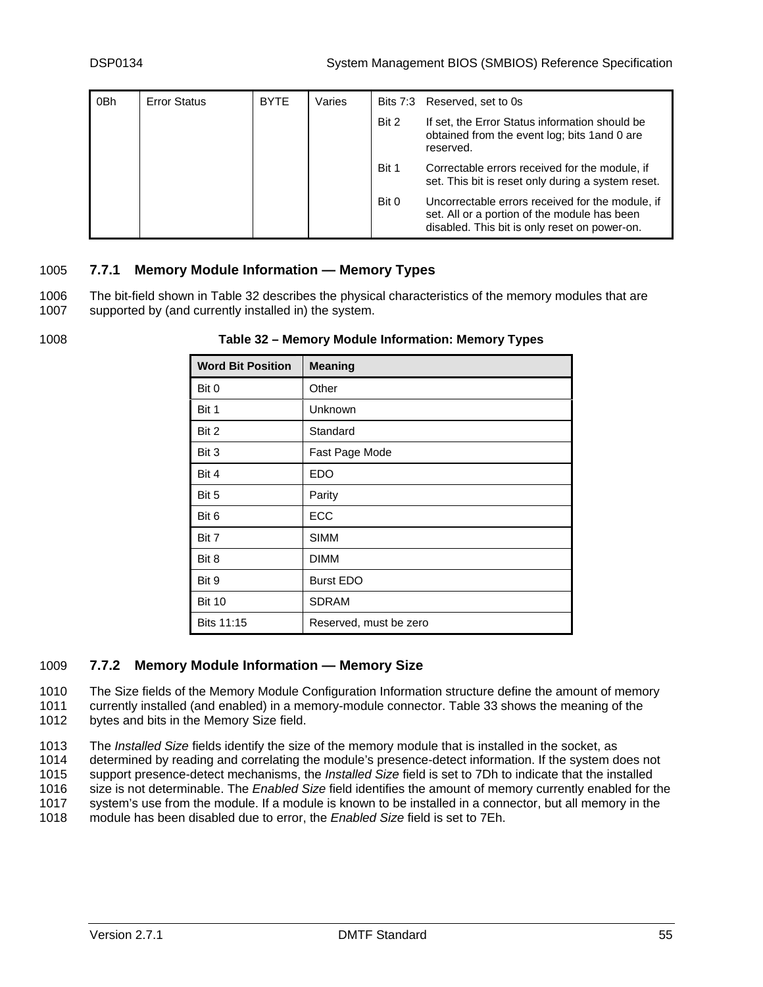| 0Bh | <b>Error Status</b> | <b>BYTE</b> | Varies |       | Bits 7:3 Reserved, set to 0s                                                                                                                      |
|-----|---------------------|-------------|--------|-------|---------------------------------------------------------------------------------------------------------------------------------------------------|
|     |                     |             |        | Bit 2 | If set, the Error Status information should be<br>obtained from the event log; bits 1 and 0 are<br>reserved.                                      |
|     |                     |             |        | Bit 1 | Correctable errors received for the module, if<br>set. This bit is reset only during a system reset.                                              |
|     |                     |             |        | Bit 0 | Uncorrectable errors received for the module, if<br>set. All or a portion of the module has been<br>disabled. This bit is only reset on power-on. |

# <span id="page-54-0"></span>1005 **7.7.1 Memory Module Information — Memory Types**

1006 The bit-field shown in [Table 32](#page-54-2) describes the physical characteristics of the memory modules that are 1007 supported by (and currently installed in) the system.

#### <span id="page-54-2"></span>1008 **Table 32 – Memory Module Information: Memory Types**

| <b>Word Bit Position</b> | <b>Meaning</b>         |
|--------------------------|------------------------|
| Bit 0                    | Other                  |
| Bit 1                    | Unknown                |
| Bit 2                    | Standard               |
| Bit 3                    | Fast Page Mode         |
| Bit 4                    | <b>EDO</b>             |
| Bit 5                    | Parity                 |
| Bit 6                    | <b>ECC</b>             |
| Bit 7                    | <b>SIMM</b>            |
| Bit 8                    | <b>DIMM</b>            |
| Bit 9                    | <b>Burst EDO</b>       |
| <b>Bit 10</b>            | <b>SDRAM</b>           |
| Bits 11:15               | Reserved, must be zero |

# <span id="page-54-1"></span>1009 **7.7.2 Memory Module Information — Memory Size**

1010 The Size fields of the Memory Module Configuration Information structure define the amount of memory<br>1011 currently installed (and enabled) in a memory-module connector. Table 33 shows the meaning of the 1011 currently installed (and enabled) in a memory-module connector. [Table 33](#page-55-0) shows the meaning of the 1012 bytes and bits in the Memory Size field. bytes and bits in the Memory Size field.

1013 The *Installed Size* fields identify the size of the memory module that is installed in the socket, as 1014 determined by reading and correlating the module's presence-detect information. If the system does not 1015 support presence-detect mechanisms, the *Installed Size* field is set to 7Dh to indicate that the installed 1016 size is not determinable. The *Enabled Size* field identifies the amount of memory currently enabled for the 1017 system's use from the module. If a module is known to be installed in a connector, but all memory in the 1018 module has been disabled due to error, the *Enabled Size* field is set to 7Eh.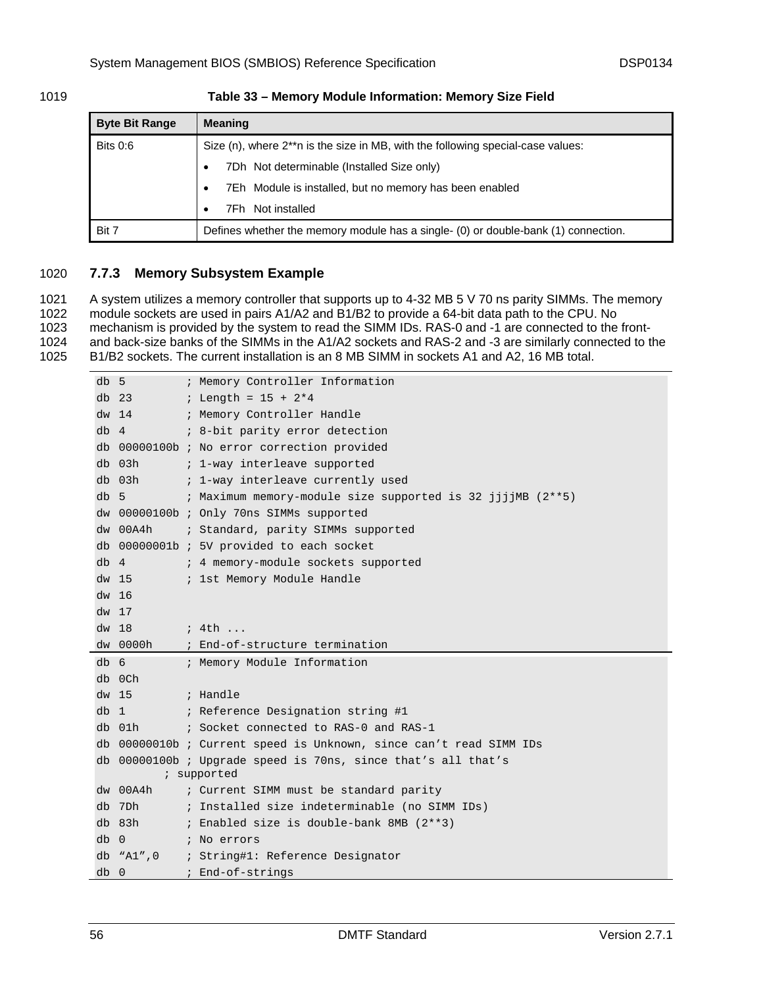<span id="page-55-0"></span>

| 1019 | Table 33 - Memory Module Information: Memory Size Field |  |
|------|---------------------------------------------------------|--|
|      |                                                         |  |

| <b>Byte Bit Range</b> | <b>Meaning</b>                                                                     |
|-----------------------|------------------------------------------------------------------------------------|
| <b>Bits 0:6</b>       | Size (n), where 2**n is the size in MB, with the following special-case values:    |
|                       | 7Dh Not determinable (Installed Size only)                                         |
|                       | 7Eh Module is installed, but no memory has been enabled                            |
|                       | 7Fh Not installed                                                                  |
| Bit 7                 | Defines whether the memory module has a single- (0) or double-bank (1) connection. |

## 1020 **7.7.3 Memory Subsystem Example**

1021 A system utilizes a memory controller that supports up to 4-32 MB 5 V 70 ns parity SIMMs. The memory 1022 module sockets are used in pairs A1/A2 and B1/B2 to provide a 64-bit data path to the CPU. No 1023 mechanism is provided by the system to read the SIMM IDs. RAS-0 and -1 are connected to the front-1024 and back-size banks of the SIMMs in the A1/A2 sockets and RAS-2 and -3 are similarly connected to the 1025 B1/B2 sockets. The current installation is an 8 MB SIMM in sockets A1 and A2, 16 MB total. B1/B2 sockets. The current installation is an 8 MB SIMM in sockets A1 and A2, 16 MB total.

|    | db 5             | ; Memory Controller Information                                 |
|----|------------------|-----------------------------------------------------------------|
|    | $db$ 23          | ; Length = $15 + 2*4$                                           |
| dw | 14               | ; Memory Controller Handle                                      |
| db | $\overline{4}$   | ; 8-bit parity error detection                                  |
| db |                  | 00000100b ; No error correction provided                        |
| db | 03h              | ; 1-way interleave supported                                    |
| db | 0.3 <sub>h</sub> | ; 1-way interleave currently used                               |
|    | db 5             | ; Maximum memory-module size supported is 32 jjjjMB (2**5)      |
| dw |                  | 00000100b ; Only 70ns SIMMs supported                           |
| dw | 00A4h            | ; Standard, parity SIMMs supported                              |
| db |                  | 00000001b ; 5V provided to each socket                          |
|    | db 4             | ; 4 memory-module sockets supported                             |
|    | dw 15            | ; 1st Memory Module Handle                                      |
|    | $dw$ 16          |                                                                 |
|    | $dw$ 17          |                                                                 |
| dw | 18               | ; 4th                                                           |
| dw | 0000h            | ; End-of-structure termination                                  |
|    | db 6             | ; Memory Module Information                                     |
| db | 0Ch              |                                                                 |
|    | dw 15            | ; Handle                                                        |
| db | $\mathbf{1}$     | ; Reference Designation string #1                               |
| db | 01h              | ; Socket connected to RAS-0 and RAS-1                           |
| db |                  | 00000010b ; Current speed is Unknown, since can't read SIMM IDs |
|    |                  | db 00000100b; Upgrade speed is 70ns, since that's all that's    |
|    |                  | ; supported                                                     |
|    | dw 00A4h         | ; Current SIMM must be standard parity                          |
| db | 7Dh              | ; Installed size indeterminable (no SIMM IDs)                   |
|    | db 83h           | ; Enabled size is double-bank 8MB (2**3)                        |
| db | $\overline{0}$   | ; No errors                                                     |
| db | "A1",0           | ; String#1: Reference Designator                                |
|    |                  |                                                                 |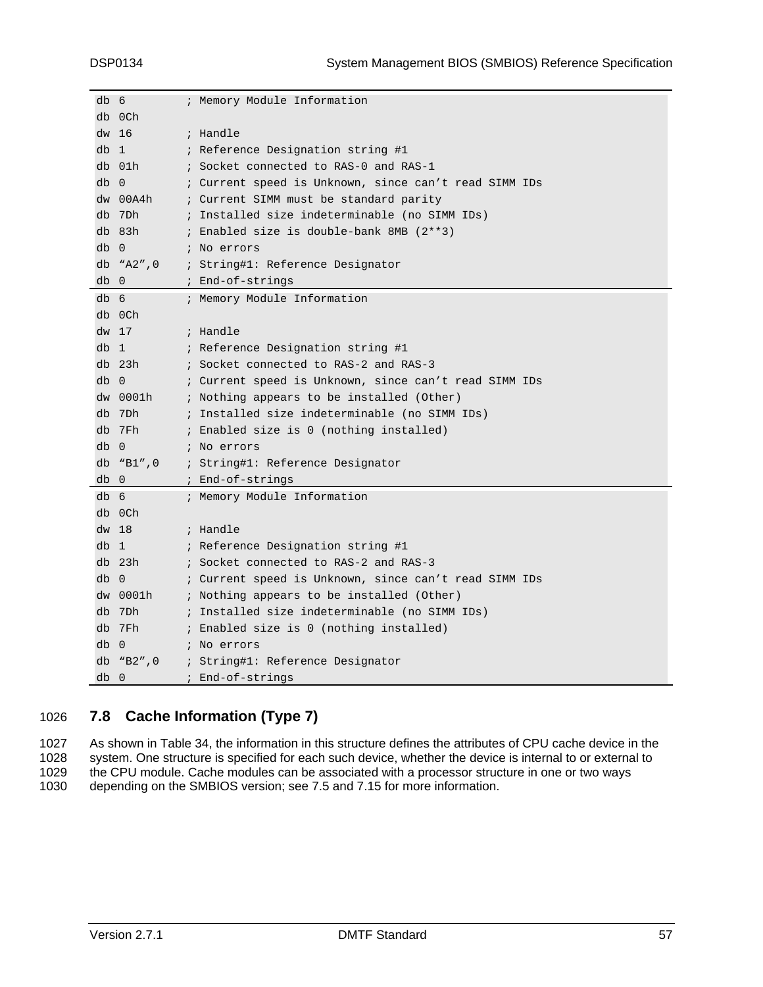| db 6 |                | ; Memory Module Information                           |
|------|----------------|-------------------------------------------------------|
| db   | 0Ch            |                                                       |
| dw   | 16             | ; Handle                                              |
| db   | $\mathbf{1}$   | ; Reference Designation string #1                     |
|      | db 01h         | ; Socket connected to RAS-0 and RAS-1                 |
| db   | $\Omega$       | ; Current speed is Unknown, since can't read SIMM IDs |
|      | dw 00A4h       | : Current SIMM must be standard parity                |
|      | db 7Dh         | ; Installed size indeterminable (no SIMM IDs)         |
|      | db 83h         | ; Enabled size is double-bank 8MB (2**3)              |
| db 0 |                | ; No errors                                           |
|      | db "A2", 0     | ; String#1: Reference Designator                      |
| db   | $\mathbf 0$    | ; End-of-strings                                      |
| db 6 |                | ; Memory Module Information                           |
|      | db 0Ch         |                                                       |
| dw   | 17             | ; Handle                                              |
| db   | $\mathbf{1}$   | ; Reference Designation string #1                     |
| db   | – 23h          | ; Socket connected to RAS-2 and RAS-3                 |
| db 0 |                | ; Current speed is Unknown, since can't read SIMM IDs |
|      | dw 0001h       | ; Nothing appears to be installed (Other)             |
| db   | 7Dh            | ; Installed size indeterminable (no SIMM IDs)         |
| db   | 7Fh            | ; Enabled size is 0 (nothing installed)               |
| db   | $\mathbf 0$    | ; No errors                                           |
| db   | "B1",0         | ; String#1: Reference Designator                      |
| db 0 |                | ; End-of-strings                                      |
| db 6 |                | ; Memory Module Information                           |
|      | db 0Ch         |                                                       |
| dw   | 18             | ; Handle                                              |
| db   | $\overline{1}$ | ; Reference Designation string #1                     |
| db   | – 23h          | ; Socket connected to RAS-2 and RAS-3                 |
| db 0 |                | ; Current speed is Unknown, since can't read SIMM IDs |
|      | dw 0001h       | ; Nothing appears to be installed (Other)             |
| db   | 7Dh            | ; Installed size indeterminable (no SIMM IDs)         |
| db   | 7Fh            | ; Enabled size is 0 (nothing installed)               |
| db   | 0              | ; No errors                                           |
| db   | "B2",0         | ; String#1: Reference Designator                      |
| db   | - 0            | ; End-of-strings                                      |

# 1026 **7.8 Cache Information (Type 7)**

1027 As shown in [Table 34,](#page-57-0) the information in this structure defines the attributes of CPU cache device in the 1028 system. One structure is specified for each such device, whether the device is internal to or external to 1029 the CPU module. Cache modules can be associated with a processor structure in one or two ways 1030 depending on the SMBIOS version; see [7.5](#page-38-1) and [7.15](#page-70-0) for more information.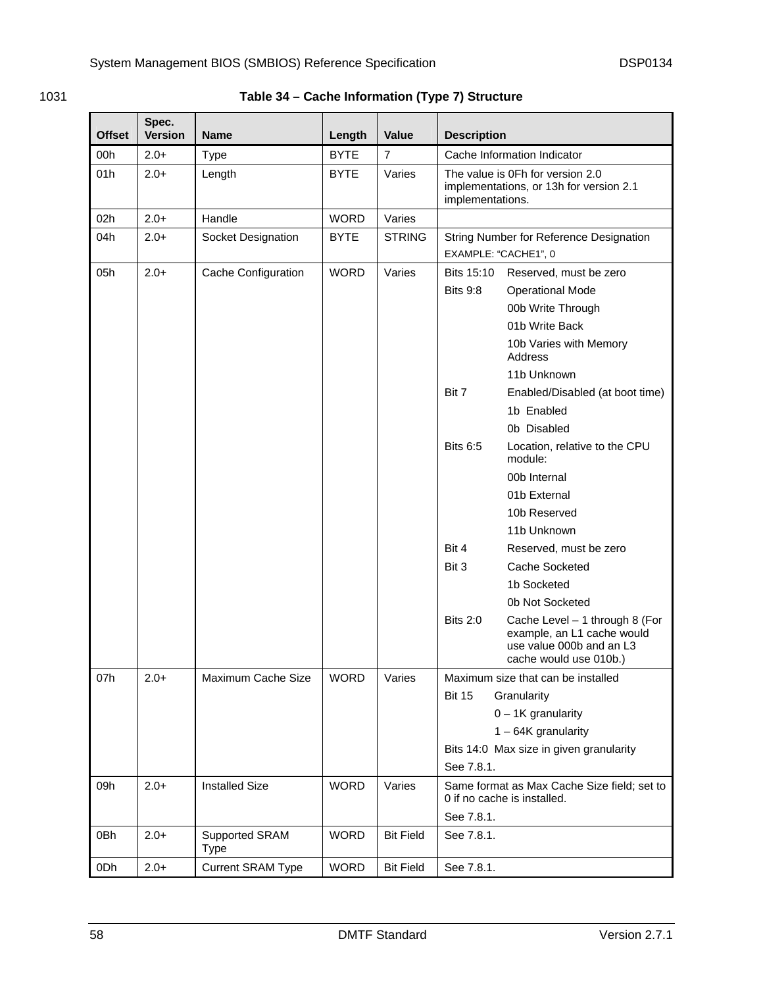<span id="page-57-0"></span>

# Table 34 – Cache Information (Type 7) Structure

| <b>Offset</b> | Spec.<br><b>Version</b> | Name                       | Length      | <b>Value</b>     | <b>Description</b> |                                                                                                                    |
|---------------|-------------------------|----------------------------|-------------|------------------|--------------------|--------------------------------------------------------------------------------------------------------------------|
| 00h           | $2.0+$                  | Type                       | <b>BYTE</b> | $\overline{7}$   |                    | Cache Information Indicator                                                                                        |
| 01h           | $2.0+$                  | Length                     | <b>BYTE</b> | Varies           | implementations.   | The value is 0Fh for version 2.0<br>implementations, or 13h for version 2.1                                        |
| 02h           | $2.0+$                  | Handle                     | <b>WORD</b> | Varies           |                    |                                                                                                                    |
| 04h           | $2.0+$                  | Socket Designation         | <b>BYTE</b> | <b>STRING</b>    |                    | String Number for Reference Designation                                                                            |
|               |                         |                            |             |                  |                    | EXAMPLE: "CACHE1", 0                                                                                               |
| 05h           | $2.0+$                  | <b>Cache Configuration</b> | <b>WORD</b> | Varies           | Bits 15:10         | Reserved, must be zero                                                                                             |
|               |                         |                            |             |                  | <b>Bits 9:8</b>    | <b>Operational Mode</b>                                                                                            |
|               |                         |                            |             |                  |                    | 00b Write Through                                                                                                  |
|               |                         |                            |             |                  |                    | 01b Write Back                                                                                                     |
|               |                         |                            |             |                  |                    | 10b Varies with Memory<br>Address                                                                                  |
|               |                         |                            |             |                  |                    | 11b Unknown                                                                                                        |
|               |                         |                            |             |                  | Bit 7              | Enabled/Disabled (at boot time)                                                                                    |
|               |                         |                            |             |                  |                    | 1b Enabled                                                                                                         |
|               |                         |                            |             |                  |                    | 0b Disabled                                                                                                        |
|               |                         |                            |             |                  | <b>Bits 6:5</b>    | Location, relative to the CPU<br>module:                                                                           |
|               |                         |                            |             |                  |                    | 00b Internal                                                                                                       |
|               |                         |                            |             |                  |                    | 01b External                                                                                                       |
|               |                         |                            |             |                  |                    | 10b Reserved                                                                                                       |
|               |                         |                            |             |                  |                    | 11b Unknown                                                                                                        |
|               |                         |                            |             |                  | Bit 4              | Reserved, must be zero                                                                                             |
|               |                         |                            |             |                  | Bit 3              | Cache Socketed                                                                                                     |
|               |                         |                            |             |                  |                    | 1b Socketed                                                                                                        |
|               |                         |                            |             |                  |                    | 0b Not Socketed                                                                                                    |
|               |                         |                            |             |                  | <b>Bits 2:0</b>    | Cache Level - 1 through 8 (For<br>example, an L1 cache would<br>use value 000b and an L3<br>cache would use 010b.) |
| 07h           | $2.0+$                  | Maximum Cache Size         | <b>WORD</b> | Varies           |                    | Maximum size that can be installed                                                                                 |
|               |                         |                            |             |                  | <b>Bit 15</b>      | Granularity                                                                                                        |
|               |                         |                            |             |                  |                    | $0 - 1K$ granularity                                                                                               |
|               |                         |                            |             |                  |                    | 1 - 64K granularity                                                                                                |
|               |                         |                            |             |                  |                    | Bits 14:0 Max size in given granularity                                                                            |
|               |                         |                            |             |                  | See 7.8.1.         |                                                                                                                    |
| 09h           | $2.0+$                  | <b>Installed Size</b>      | <b>WORD</b> | Varies           |                    | Same format as Max Cache Size field; set to<br>0 if no cache is installed.                                         |
|               |                         |                            |             |                  | See 7.8.1.         |                                                                                                                    |
| 0Bh           | $2.0+$                  | Supported SRAM<br>Type     | <b>WORD</b> | <b>Bit Field</b> | See 7.8.1.         |                                                                                                                    |
| 0Dh           | $2.0+$                  | <b>Current SRAM Type</b>   | <b>WORD</b> | <b>Bit Field</b> | See 7.8.1.         |                                                                                                                    |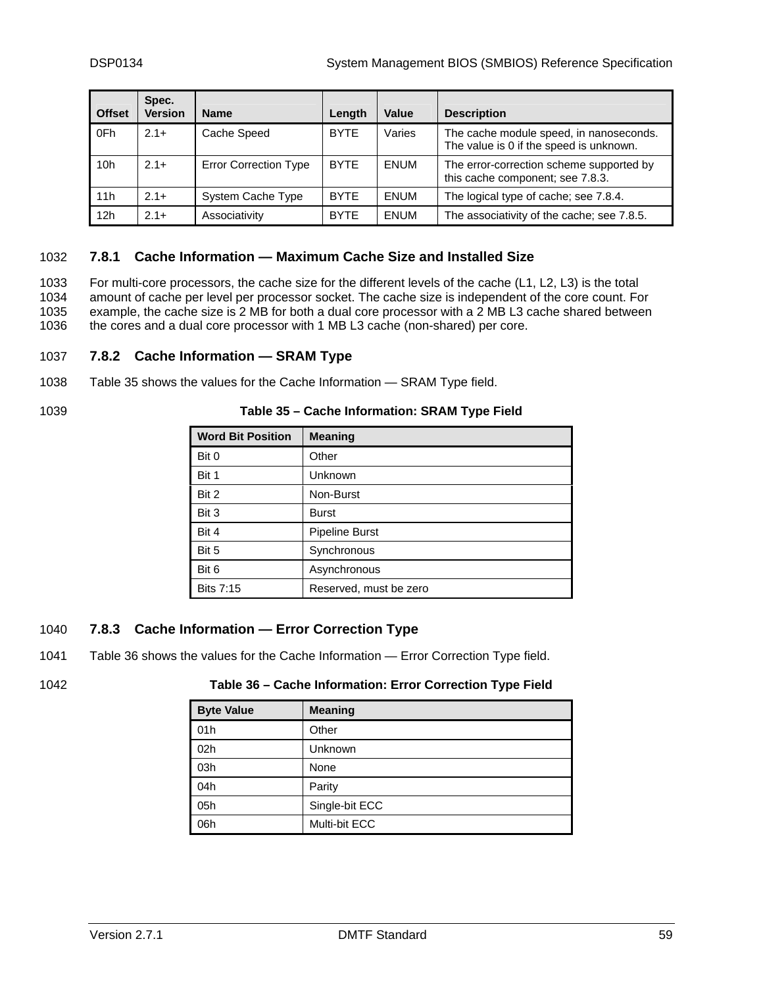| <b>Offset</b>   | Spec.<br><b>Version</b> | <b>Name</b>                  | Length      | <b>Value</b> | <b>Description</b>                                                                 |
|-----------------|-------------------------|------------------------------|-------------|--------------|------------------------------------------------------------------------------------|
| 0Fh             | $2.1+$                  | Cache Speed                  | <b>BYTE</b> | Varies       | The cache module speed, in nanoseconds.<br>The value is 0 if the speed is unknown. |
| 10 <sub>h</sub> | $2.1+$                  | <b>Error Correction Type</b> | <b>BYTE</b> | ENUM         | The error-correction scheme supported by<br>this cache component; see 7.8.3.       |
| 11h             | $2.1+$                  | System Cache Type            | <b>BYTE</b> | <b>ENUM</b>  | The logical type of cache; see 7.8.4.                                              |
| 12 <sub>h</sub> | $2.1+$                  | Associativity                | <b>BYTE</b> | <b>ENUM</b>  | The associativity of the cache; see 7.8.5.                                         |

## <span id="page-58-0"></span>1032 **7.8.1 Cache Information — Maximum Cache Size and Installed Size**

1033 For multi-core processors, the cache size for the different levels of the cache (L1, L2, L3) is the total 1034 amount of cache per level per processor socket. The cache size is independent of the core count. For 1035 example, the cache size is 2 MB for both a dual core processor with a 2 MB L3 cache shared between 1036 the cores and a dual core processor with 1 MB L3 cache (non-shared) per core.

#### 1037 **7.8.2 Cache Information — SRAM Type**

1038 [Table 35](#page-58-2) shows the values for the Cache Information — SRAM Type field.

#### <span id="page-58-2"></span>1039 **Table 35 – Cache Information: SRAM Type Field**

| <b>Word Bit Position</b> | <b>Meaning</b>         |
|--------------------------|------------------------|
| Bit 0                    | Other                  |
| Bit 1                    | Unknown                |
| Bit 2                    | Non-Burst              |
| Bit 3                    | <b>Burst</b>           |
| Bit 4                    | <b>Pipeline Burst</b>  |
| Bit 5                    | Synchronous            |
| Bit 6                    | Asynchronous           |
| <b>Bits 7:15</b>         | Reserved, must be zero |

### <span id="page-58-1"></span>1040 **7.8.3 Cache Information — Error Correction Type**

1041 [Table 36](#page-58-3) shows the values for the Cache Information — Error Correction Type field.

### <span id="page-58-3"></span>1042 **Table 36 – Cache Information: Error Correction Type Field**

| <b>Byte Value</b> | <b>Meaning</b> |
|-------------------|----------------|
| 01h               | Other          |
| 02h               | Unknown        |
| 03h               | None           |
| 04h               | Parity         |
| 05h               | Single-bit ECC |
| 06h               | Multi-bit ECC  |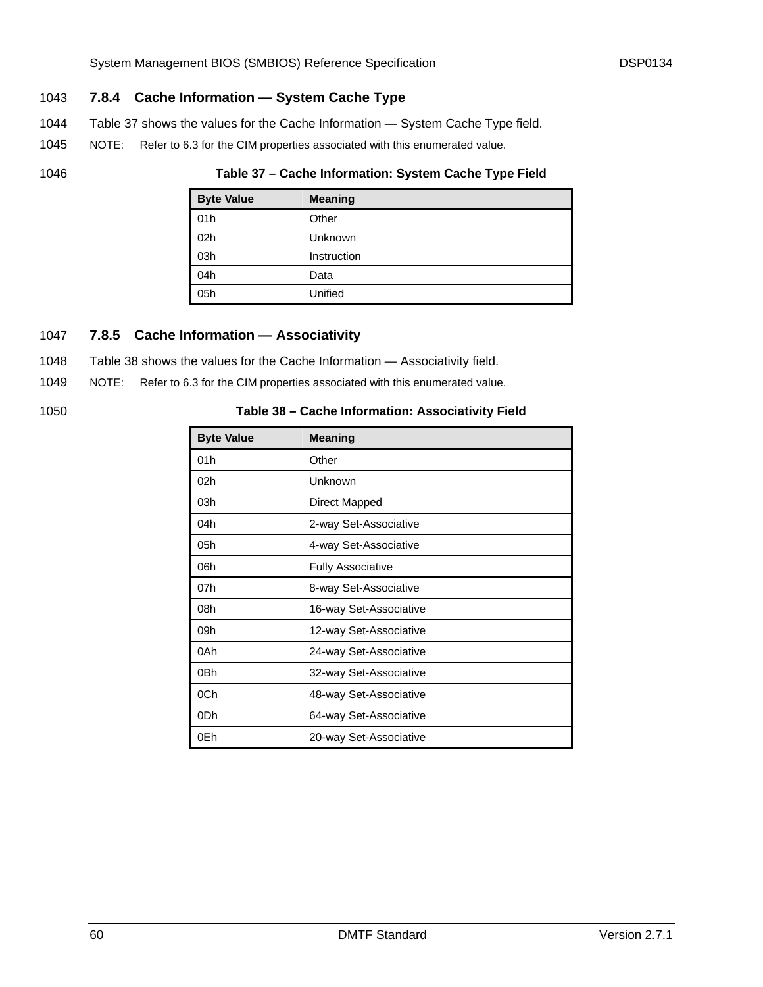# <span id="page-59-0"></span>1043 **7.8.4 Cache Information — System Cache Type**

- 1044 [Table 37](#page-59-2) shows the values for the Cache Information System Cache Type field.
- 1045 NOTE: Refer to [6.3](#page-25-0) for the CIM properties associated with this enumerated value.

### <span id="page-59-2"></span>1046 **Table 37 – Cache Information: System Cache Type Field**

| <b>Byte Value</b> | <b>Meaning</b> |
|-------------------|----------------|
| 01h               | Other          |
| 02h               | <b>Unknown</b> |
| 03h               | Instruction    |
| 04h               | Data           |
| 05h               | Unified        |

### <span id="page-59-1"></span>1047 **7.8.5 Cache Information — Associativity**

- 1048 [Table 38](#page-59-3) shows the values for the Cache Information Associativity field.
- 1049 NOTE: Refer to [6.3](#page-25-0) for the CIM properties associated with this enumerated value.

#### <span id="page-59-3"></span>1050 **Table 38 – Cache Information: Associativity Field**

| <b>Byte Value</b> | Meaning                  |
|-------------------|--------------------------|
| 01h               | Other                    |
| 02h               | Unknown                  |
| 03h               | Direct Mapped            |
| 04h               | 2-way Set-Associative    |
| 05h               | 4-way Set-Associative    |
| 06h               | <b>Fully Associative</b> |
| 07h               | 8-way Set-Associative    |
| 08h               | 16-way Set-Associative   |
| 09h               | 12-way Set-Associative   |
| 0Ah               | 24-way Set-Associative   |
| 0Bh               | 32-way Set-Associative   |
| 0Ch               | 48-way Set-Associative   |
| 0Dh               | 64-way Set-Associative   |
| 0Eh               | 20-way Set-Associative   |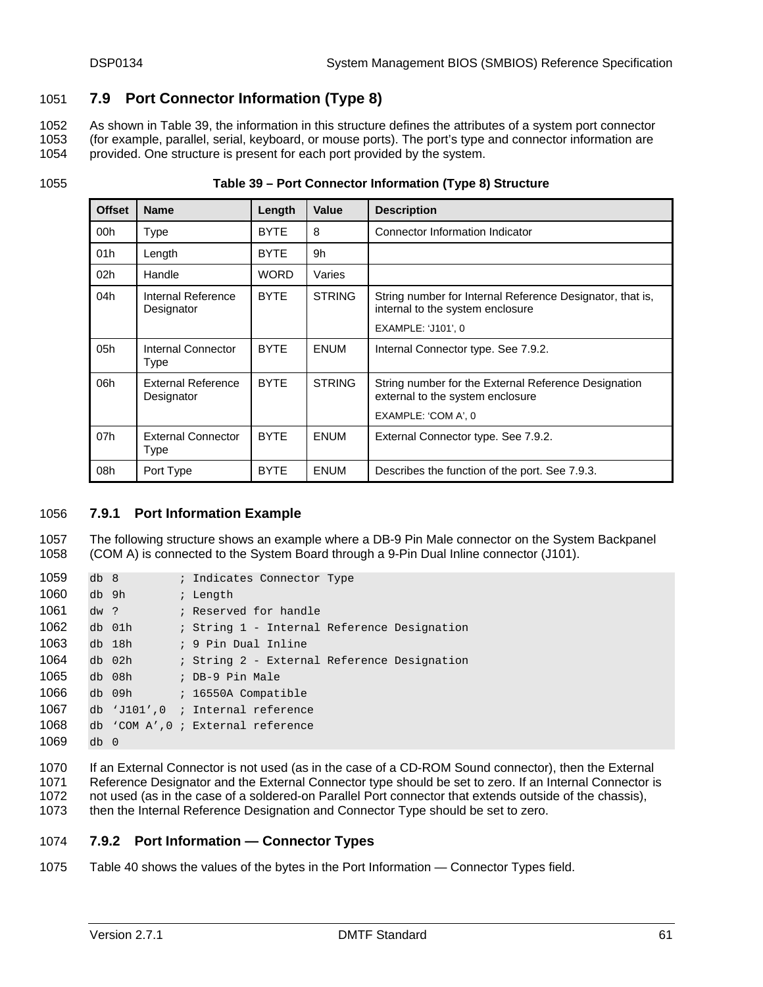# 1051 **7.9 Port Connector Information (Type 8)**

1052 As shown in [Table 39,](#page-60-0) the information in this structure defines the attributes of a system port connector 1053 (for example, parallel, serial, keyboard, or mouse ports). The port's type and connector information are <br>1054 provided. One structure is present for each port provided by the system. provided. One structure is present for each port provided by the system.

<span id="page-60-0"></span>

| 1055 | Table 39 – Port Connector Information (Type 8) Structure |  |
|------|----------------------------------------------------------|--|
|      |                                                          |  |

| <b>Offset</b>   | <b>Name</b>                             | Length      | <b>Value</b>  | <b>Description</b>                                                                            |
|-----------------|-----------------------------------------|-------------|---------------|-----------------------------------------------------------------------------------------------|
| 00h             | <b>Type</b>                             | <b>BYTE</b> | 8             | Connector Information Indicator                                                               |
| 01 <sub>h</sub> | Length                                  | <b>BYTE</b> | 9h            |                                                                                               |
| 02 <sub>h</sub> | Handle                                  | <b>WORD</b> | Varies        |                                                                                               |
| 04h             | Internal Reference<br>Designator        | <b>BYTE</b> | <b>STRING</b> | String number for Internal Reference Designator, that is,<br>internal to the system enclosure |
|                 |                                         |             |               | EXAMPLE: 'J101', 0                                                                            |
| 05h             | Internal Connector<br><b>Type</b>       | <b>BYTE</b> | <b>ENUM</b>   | Internal Connector type. See 7.9.2.                                                           |
| 06h             | <b>External Reference</b><br>Designator | <b>BYTE</b> | <b>STRING</b> | String number for the External Reference Designation<br>external to the system enclosure      |
|                 |                                         |             |               | EXAMPLE: 'COM A', 0                                                                           |
| 07h             | <b>External Connector</b><br>Type       | <b>BYTE</b> | <b>ENUM</b>   | External Connector type. See 7.9.2.                                                           |
| 08h             | Port Type                               | <b>BYTE</b> | <b>ENUM</b>   | Describes the function of the port. See 7.9.3.                                                |

### 1056 **7.9.1 Port Information Example**

1057 The following structure shows an example where a DB-9 Pin Male connector on the System Backpanel 1058 (COM A) is connected to the System Board through a 9-Pin Dual Inline connector (J101).

| 1059 | db 8     |        | ; Indicates Connector Type                  |
|------|----------|--------|---------------------------------------------|
| 1060 | db 9h    |        | ; Length                                    |
| 1061 |          | $dw$ ? | ; Reserved for handle                       |
| 1062 |          | db 01h | ; String 1 - Internal Reference Designation |
| 1063 |          | db 18h | ; 9 Pin Dual Inline                         |
| 1064 |          | db 02h | ; String 2 - External Reference Designation |
| 1065 |          | db 08h | : DB-9 Pin Male                             |
| 1066 |          |        |                                             |
| 1067 |          |        | db 'J101',0 ; Internal reference            |
| 1068 |          |        | db 'COM A', 0; External reference           |
| 1069 | $db = 0$ |        |                                             |

1070 If an External Connector is not used (as in the case of a CD-ROM Sound connector), then the External<br>1071 Reference Designator and the External Connector type should be set to zero. If an Internal Connector is Reference Designator and the External Connector type should be set to zero. If an Internal Connector is 1072 not used (as in the case of a soldered-on Parallel Port connector that extends outside of the chassis), 1073 then the Internal Reference Designation and Connector Type should be set to zero.

# <span id="page-60-1"></span>1074 **7.9.2 Port Information — Connector Types**

1075 [Table 40](#page-61-0) shows the values of the bytes in the Port Information — Connector Types field.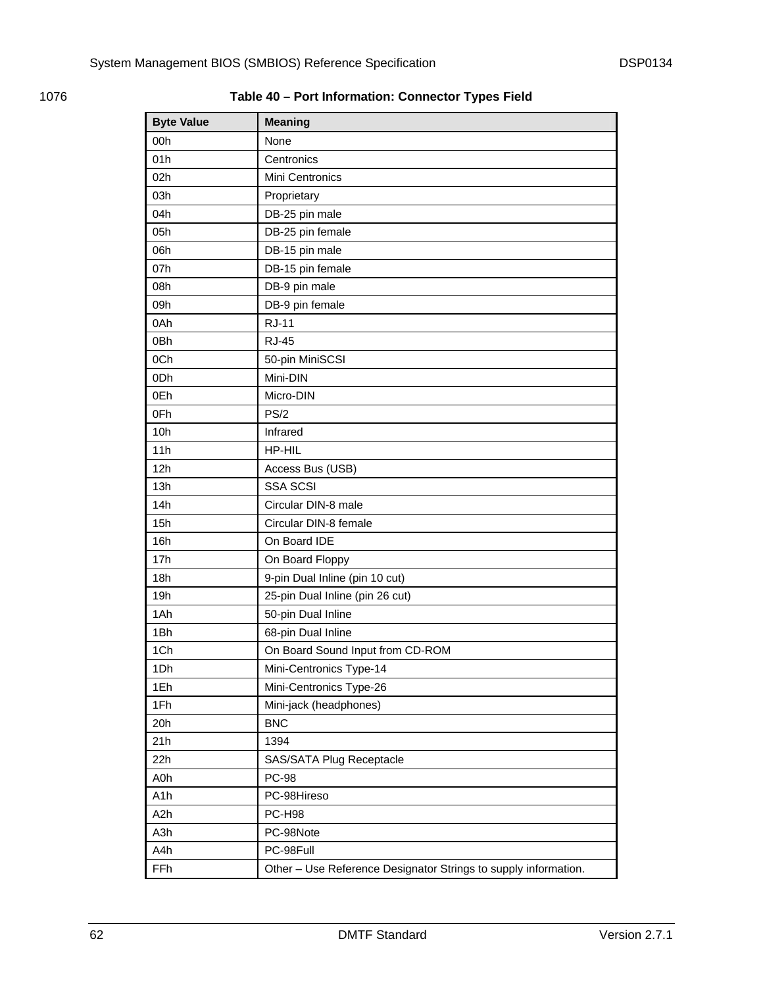# <span id="page-61-0"></span>1076 **Table 40 – Port Information: Connector Types Field**

| <b>Byte Value</b> | <b>Meaning</b>                                                  |
|-------------------|-----------------------------------------------------------------|
| 00h               | None                                                            |
| 01h               | Centronics                                                      |
| 02h               | Mini Centronics                                                 |
| 03h               | Proprietary                                                     |
| 04h               | DB-25 pin male                                                  |
| 05h               | DB-25 pin female                                                |
| 06h               | DB-15 pin male                                                  |
| 07h               | DB-15 pin female                                                |
| 08h               | DB-9 pin male                                                   |
| 09h               | DB-9 pin female                                                 |
| 0Ah               | <b>RJ-11</b>                                                    |
| 0Bh               | <b>RJ-45</b>                                                    |
| 0Ch               | 50-pin MiniSCSI                                                 |
| 0Dh               | Mini-DIN                                                        |
| 0Eh               | Micro-DIN                                                       |
| 0Fh               | PS/2                                                            |
| 10h               | Infrared                                                        |
| 11h               | HP-HIL                                                          |
| 12h               | Access Bus (USB)                                                |
| 13h               | <b>SSA SCSI</b>                                                 |
| 14h               | Circular DIN-8 male                                             |
| 15h               | Circular DIN-8 female                                           |
| 16h               | On Board IDE                                                    |
| 17h               | On Board Floppy                                                 |
| 18h               | 9-pin Dual Inline (pin 10 cut)                                  |
| 19h               | 25-pin Dual Inline (pin 26 cut)                                 |
| 1Ah               | 50-pin Dual Inline                                              |
| 1Bh               | 68-pin Dual Inline                                              |
| 1Ch               | On Board Sound Input from CD-ROM                                |
| 1Dh               | Mini-Centronics Type-14                                         |
| 1Eh               | Mini-Centronics Type-26                                         |
| 1Fh               | Mini-jack (headphones)                                          |
| 20h               | <b>BNC</b>                                                      |
| 21h               | 1394                                                            |
| 22h               | SAS/SATA Plug Receptacle                                        |
| A0h               | <b>PC-98</b>                                                    |
| A1h               | PC-98Hireso                                                     |
| A <sub>2</sub> h  | <b>PC-H98</b>                                                   |
| A3h               | PC-98Note                                                       |
| A4h               | PC-98Full                                                       |
| FFh               | Other - Use Reference Designator Strings to supply information. |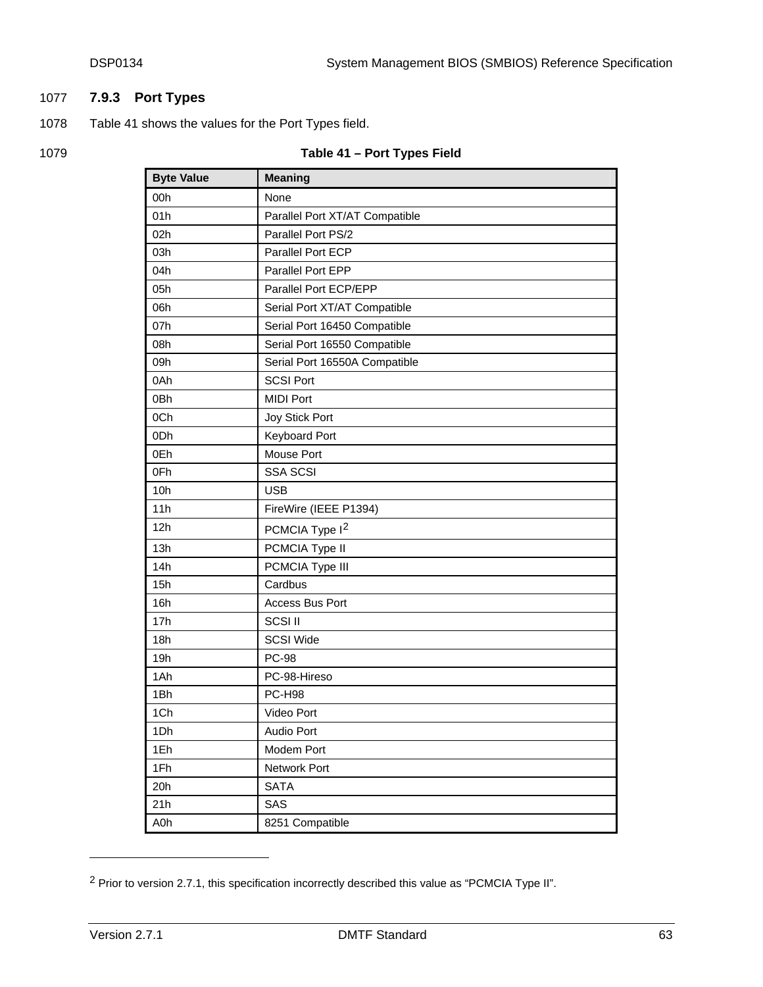# <span id="page-62-0"></span>1077 **7.9.3 Port Types**

1078 [Table 41](#page-62-1) shows the values for the Port Types field.

# <span id="page-62-1"></span>1079 **Table 41 – Port Types Field**

| <b>Byte Value</b> | <b>Meaning</b>                 |  |  |  |  |
|-------------------|--------------------------------|--|--|--|--|
| 00h               | None                           |  |  |  |  |
| 01h               | Parallel Port XT/AT Compatible |  |  |  |  |
| 02h               | Parallel Port PS/2             |  |  |  |  |
| 03h               | Parallel Port ECP              |  |  |  |  |
| 04h               | Parallel Port EPP              |  |  |  |  |
| 05h               | Parallel Port ECP/EPP          |  |  |  |  |
| 06h               | Serial Port XT/AT Compatible   |  |  |  |  |
| 07h               | Serial Port 16450 Compatible   |  |  |  |  |
| 08h               | Serial Port 16550 Compatible   |  |  |  |  |
| 09h               | Serial Port 16550A Compatible  |  |  |  |  |
| 0Ah               | <b>SCSI Port</b>               |  |  |  |  |
| 0 <sub>Bh</sub>   | <b>MIDI Port</b>               |  |  |  |  |
| 0Ch               | Joy Stick Port                 |  |  |  |  |
| 0Dh               | Keyboard Port                  |  |  |  |  |
| 0Eh               | Mouse Port                     |  |  |  |  |
| 0Fh               | <b>SSA SCSI</b>                |  |  |  |  |
| 10h               | <b>USB</b>                     |  |  |  |  |
| 11h               | FireWire (IEEE P1394)          |  |  |  |  |
| 12h               | PCMCIA Type I <sup>2</sup>     |  |  |  |  |
| 13h               | PCMCIA Type II                 |  |  |  |  |
| 14h               | PCMCIA Type III                |  |  |  |  |
| 15h               | Cardbus                        |  |  |  |  |
| 16h               | <b>Access Bus Port</b>         |  |  |  |  |
| 17h               | <b>SCSI II</b>                 |  |  |  |  |
| 18h               | <b>SCSI Wide</b>               |  |  |  |  |
| 19h               | <b>PC-98</b>                   |  |  |  |  |
| 1Ah               | PC-98-Hireso                   |  |  |  |  |
| 1Bh               | PC-H98                         |  |  |  |  |
| 1Ch               | Video Port                     |  |  |  |  |
| 1Dh               | Audio Port                     |  |  |  |  |
| 1Eh               | Modem Port                     |  |  |  |  |
| 1Fh               | Network Port                   |  |  |  |  |
| 20h               | <b>SATA</b>                    |  |  |  |  |
| 21h               | SAS                            |  |  |  |  |
| A0h               | 8251 Compatible                |  |  |  |  |

<span id="page-62-2"></span><sup>2</sup> Prior to version 2.7.1, this specification incorrectly described this value as "PCMCIA Type II".

l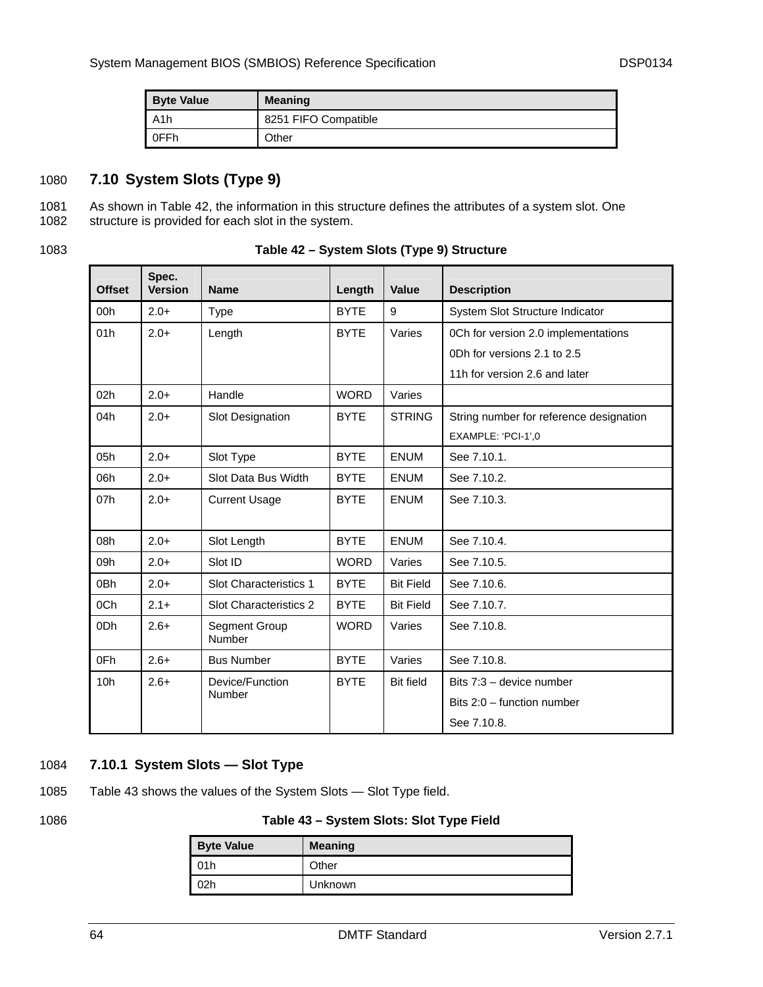| <b>Byte Value</b> | <b>Meaning</b>       |
|-------------------|----------------------|
| l A1h             | 8251 FIFO Compatible |
| 0FFh              | Other                |

# 1080 **7.10 System Slots (Type 9)**

1081 As shown in [Table 42,](#page-63-0) the information in this structure defines the attributes of a system slot. One 1082 structure is provided for each slot in the system. structure is provided for each slot in the system.

#### <span id="page-63-0"></span>1083 **Table 42 – System Slots (Type 9) Structure**

| <b>Offset</b>   | Spec.<br><b>Version</b> | <b>Name</b>             | Length      | Value            | <b>Description</b>                      |
|-----------------|-------------------------|-------------------------|-------------|------------------|-----------------------------------------|
| 00h             | $2.0+$                  | Type                    | <b>BYTE</b> | 9                | System Slot Structure Indicator         |
| 01h             | $2.0+$                  | Length                  | <b>BYTE</b> | Varies           | 0Ch for version 2.0 implementations     |
|                 |                         |                         |             |                  | 0Dh for versions 2.1 to 2.5             |
|                 |                         |                         |             |                  | 11h for version 2.6 and later           |
| 02 <sub>h</sub> | $2.0+$                  | Handle                  | <b>WORD</b> | Varies           |                                         |
| 04h             | $2.0+$                  | Slot Designation        | <b>BYTE</b> | <b>STRING</b>    | String number for reference designation |
|                 |                         |                         |             |                  | EXAMPLE: 'PCI-1',0                      |
| 05h             | $2.0+$                  | Slot Type               | <b>BYTE</b> | <b>ENUM</b>      | See 7.10.1.                             |
| 06h             | $2.0+$                  | Slot Data Bus Width     | <b>BYTE</b> | <b>ENUM</b>      | See 7.10.2.                             |
| 07h             | $2.0+$                  | <b>Current Usage</b>    | <b>BYTE</b> | <b>ENUM</b>      | See 7.10.3.                             |
|                 |                         |                         |             |                  |                                         |
| 08h             | $2.0+$                  | Slot Length             | <b>BYTE</b> | <b>ENUM</b>      | See 7.10.4.                             |
| 09h             | $2.0+$                  | Slot ID                 | <b>WORD</b> | Varies           | See 7.10.5.                             |
| 0Bh             | $2.0+$                  | Slot Characteristics 1  | <b>BYTE</b> | <b>Bit Field</b> | See 7.10.6.                             |
| 0Ch             | $2.1+$                  | Slot Characteristics 2  | <b>BYTE</b> | <b>Bit Field</b> | See 7.10.7.                             |
| 0 <sub>Dh</sub> | $2.6+$                  | Segment Group<br>Number | <b>WORD</b> | Varies           | See 7.10.8.                             |
| 0Fh             | $2.6+$                  | <b>Bus Number</b>       | <b>BYTE</b> | Varies           | See 7.10.8.                             |
| 10 <sub>h</sub> | $2.6+$                  | Device/Function         | <b>BYTE</b> | <b>Bit field</b> | Bits 7:3 - device number                |
|                 |                         | Number                  |             |                  | Bits $2:0 -$ function number            |
|                 |                         |                         |             |                  | See 7.10.8.                             |

# <span id="page-63-1"></span>1084 **7.10.1 System Slots — Slot Type**

1085 [Table 43](#page-63-2) shows the values of the System Slots — Slot Type field.

<span id="page-63-2"></span>

### 1086 **Table 43 – System Slots: Slot Type Field**

| <b>Byte Value</b> | <b>Meaning</b> |
|-------------------|----------------|
| 01 h              | Other          |
| 02h               | <b>Unknown</b> |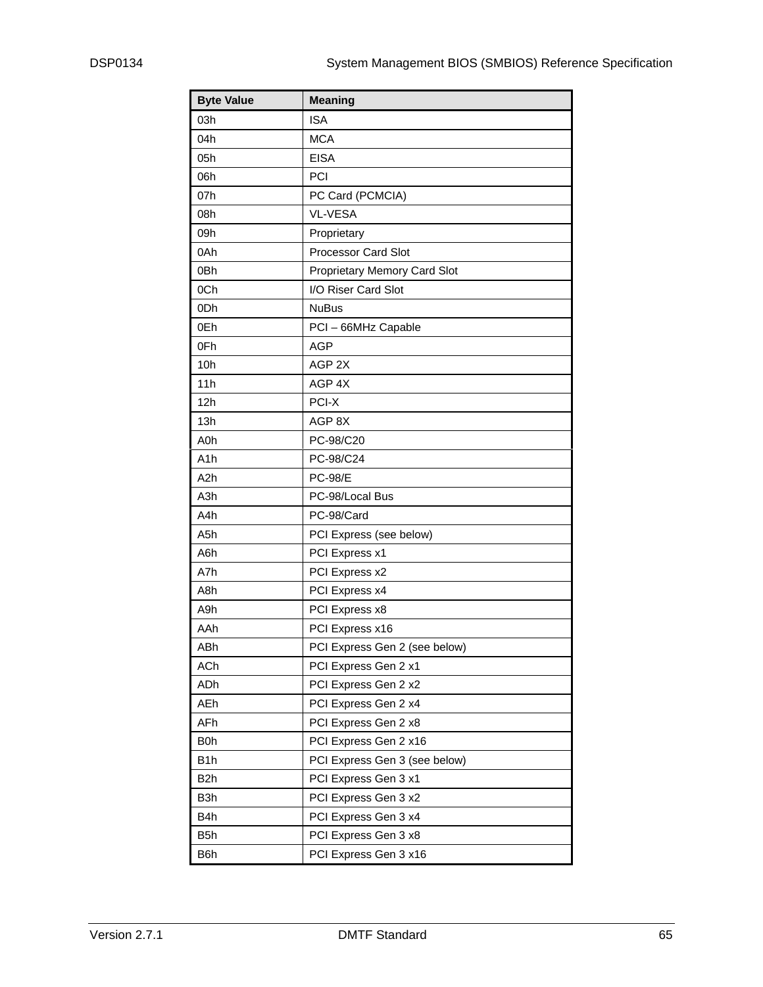| <b>Byte Value</b> | <b>Meaning</b>                |
|-------------------|-------------------------------|
| 03h               | <b>ISA</b>                    |
| 04h               | <b>MCA</b>                    |
| 05h               | <b>EISA</b>                   |
| 06h               | PCI                           |
| 07h               | PC Card (PCMCIA)              |
| 08h               | <b>VL-VESA</b>                |
| 09h               | Proprietary                   |
| 0Ah               | Processor Card Slot           |
| 0Bh               | Proprietary Memory Card Slot  |
| 0Ch               | I/O Riser Card Slot           |
| 0Dh               | <b>NuBus</b>                  |
| 0Eh               | PCI-66MHz Capable             |
| 0Fh               | <b>AGP</b>                    |
| 10 <sub>h</sub>   | AGP <sub>2X</sub>             |
| 11h               | AGP <sub>4X</sub>             |
| 12h               | PCI-X                         |
| 13h               | AGP 8X                        |
| A0h               | PC-98/C20                     |
| A <sub>1</sub> h  | PC-98/C24                     |
| A <sub>2</sub> h  | <b>PC-98/E</b>                |
| A3h               | PC-98/Local Bus               |
| A4h               | PC-98/Card                    |
| A <sub>5</sub> h  | PCI Express (see below)       |
| A6h               | PCI Express x1                |
| A7h               | PCI Express x2                |
| A8h               | PCI Express x4                |
| A9h               | PCI Express x8                |
| AAh               | PCI Express x16               |
| ABh               | PCI Express Gen 2 (see below) |
| ACh               | PCI Express Gen 2 x1          |
| ADh               | PCI Express Gen 2 x2          |
| AEh               | PCI Express Gen 2 x4          |
| AFh               | PCI Express Gen 2 x8          |
| B0h               | PCI Express Gen 2 x16         |
| B1h               | PCI Express Gen 3 (see below) |
| B <sub>2</sub> h  | PCI Express Gen 3 x1          |
| B3h               | PCI Express Gen 3 x2          |
| B4h               | PCI Express Gen 3 x4          |
| B <sub>5</sub> h  | PCI Express Gen 3 x8          |
| B6h               | PCI Express Gen 3 x16         |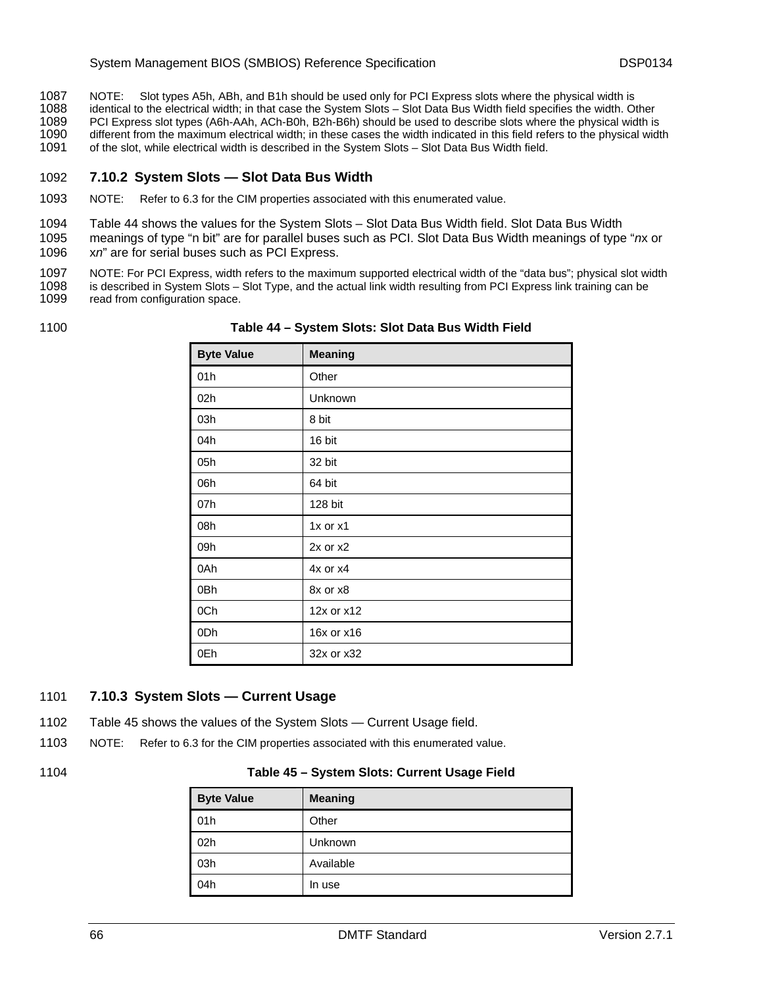1087 NOTE: Slot types A5h, ABh, and B1h should be used only for PCI Express slots where the physical width is<br>1088 identical to the electrical width: in that case the System Slots – Slot Data Bus Width field specifies the 1088 identical to the electrical width; in that case the System Slots – Slot Data Bus Width field specifies the width. Other<br>1089 PCI Express slot types (A6h-AAh, ACh-B0h, B2h-B6h) should be used to describe slots where th 1089 PCI Express slot types (A6h-AAh, ACh-B0h, B2h-B6h) should be used to describe slots where the physical width is 1090 different from the maximum electrical width; in these cases the width indicated in this field refers to the physical width 1091 of the slot. while electrical width is described in the System Slots – Slot Data Bus Widt of the slot, while electrical width is described in the System Slots - Slot Data Bus Width field.

### <span id="page-65-0"></span>1092 **7.10.2 System Slots — Slot Data Bus Width**

- 1093 NOTE: Refer to [6.3](#page-25-0) for the CIM properties associated with this enumerated value.
- 1094 [Table 44](#page-65-2) shows the values for the System Slots Slot Data Bus Width field. Slot Data Bus Width 1095 meanings of type "n bit" are for parallel buses such as PCI. Slot Data Bus Width meanings of type "*n*x or 1096 x*n*" are for serial buses such as PCI Express.
- 1097 NOTE: For PCI Express, width refers to the maximum supported electrical width of the "data bus"; physical slot width 1098 is described in System Slots Slot Type, and the actual link width resulting from PCI Express 1098 is described in System Slots – Slot Type, and the actual link width resulting from PCI Express link training can be<br>1099 read from configuration space. read from configuration space.

#### <span id="page-65-2"></span>1100 **Table 44 – System Slots: Slot Data Bus Width Field**

| <b>Byte Value</b> | <b>Meaning</b> |
|-------------------|----------------|
| 01h               | Other          |
| 02h               | Unknown        |
| 03h               | 8 bit          |
| 04h               | 16 bit         |
| 05h               | 32 bit         |
| 06h               | 64 bit         |
| 07h               | 128 bit        |
| 08h               | $1x$ or $x1$   |
| 09h               | $2x$ or $x2$   |
| 0Ah               | $4x$ or $x4$   |
| 0Bh               | 8x or x8       |
| 0Ch               | 12x or x12     |
| 0Dh               | 16x or x16     |
| 0Eh               | 32x or x32     |

### <span id="page-65-1"></span>1101 **7.10.3 System Slots — Current Usage**

- 1102 [Table 45](#page-65-3) shows the values of the System Slots Current Usage field.
- 1103 NOTE: Refer to [6.3](#page-25-0) for the CIM properties associated with this enumerated value.
- 

#### <span id="page-65-3"></span>1104 **Table 45 – System Slots: Current Usage Field**

| <b>Byte Value</b> | <b>Meaning</b> |
|-------------------|----------------|
| 01h               | Other          |
| 02 <sub>h</sub>   | <b>Unknown</b> |
| 03h               | Available      |
| 04h               | In use         |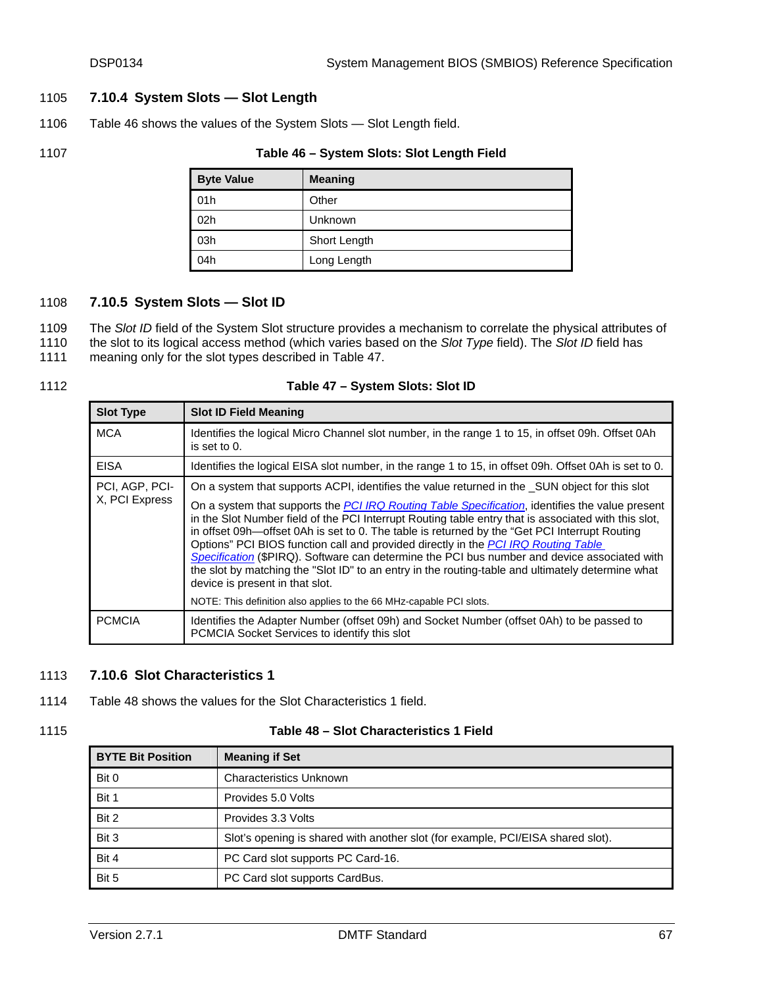#### <span id="page-66-0"></span>1105 **7.10.4 System Slots — Slot Length**

1106 [Table 46](#page-66-3) shows the values of the System Slots — Slot Length field.

<span id="page-66-3"></span>

#### 1107 **Table 46 – System Slots: Slot Length Field**

| <b>Byte Value</b> | <b>Meaning</b> |
|-------------------|----------------|
| 01h               | Other          |
| 02h               | Unknown        |
| 03h               | Short Length   |
| 04h               | Long Length    |

## <span id="page-66-1"></span>1108 **7.10.5 System Slots — Slot ID**

1109 The *Slot ID* field of the System Slot structure provides a mechanism to correlate the physical attributes of

1110 the slot to its logical access method (which varies based on the *Slot Type* field). The *Slot ID* field has

1111 meaning only for the slot types described in [Table 47](#page-66-4).

#### <span id="page-66-4"></span>1112 **Table 47 – System Slots: Slot ID**

| <b>Slot Type</b>                 | <b>Slot ID Field Meaning</b>                                                                                                                                                                                                                                                                                                                                                                                                                                                                                                                                                                                                                                                                                                                                                                                   |
|----------------------------------|----------------------------------------------------------------------------------------------------------------------------------------------------------------------------------------------------------------------------------------------------------------------------------------------------------------------------------------------------------------------------------------------------------------------------------------------------------------------------------------------------------------------------------------------------------------------------------------------------------------------------------------------------------------------------------------------------------------------------------------------------------------------------------------------------------------|
| <b>MCA</b>                       | Identifies the logical Micro Channel slot number, in the range 1 to 15, in offset 09h. Offset 0Ah<br>is set to $0$ .                                                                                                                                                                                                                                                                                                                                                                                                                                                                                                                                                                                                                                                                                           |
| <b>EISA</b>                      | Identifies the logical EISA slot number, in the range 1 to 15, in offset 09h. Offset 0Ah is set to 0.                                                                                                                                                                                                                                                                                                                                                                                                                                                                                                                                                                                                                                                                                                          |
| PCI, AGP, PCI-<br>X, PCI Express | On a system that supports ACPI, identifies the value returned in the SUN object for this slot<br>On a system that supports the PCI IRQ Routing Table Specification, identifies the value present<br>in the Slot Number field of the PCI Interrupt Routing table entry that is associated with this slot,<br>in offset 09h—offset 0Ah is set to 0. The table is returned by the "Get PCI Interrupt Routing<br>Options" PCI BIOS function call and provided directly in the PCI IRQ Routing Table<br>Specification (\$PIRQ). Software can determine the PCI bus number and device associated with<br>the slot by matching the "Slot ID" to an entry in the routing-table and ultimately determine what<br>device is present in that slot.<br>NOTE: This definition also applies to the 66 MHz-capable PCI slots. |
| <b>PCMCIA</b>                    | Identifies the Adapter Number (offset 09h) and Socket Number (offset 0Ah) to be passed to<br>PCMCIA Socket Services to identify this slot                                                                                                                                                                                                                                                                                                                                                                                                                                                                                                                                                                                                                                                                      |

### <span id="page-66-2"></span>1113 **7.10.6 Slot Characteristics 1**

1114 [Table 48](#page-66-5) shows the values for the Slot Characteristics 1 field.

#### <span id="page-66-5"></span>1115 **Table 48 – Slot Characteristics 1 Field**

| <b>BYTE Bit Position</b> | <b>Meaning if Set</b>                                                           |
|--------------------------|---------------------------------------------------------------------------------|
| Bit 0                    | <b>Characteristics Unknown</b>                                                  |
| Bit 1                    | Provides 5.0 Volts                                                              |
| Bit 2                    | Provides 3.3 Volts                                                              |
| Bit 3                    | Slot's opening is shared with another slot (for example, PCI/EISA shared slot). |
| Bit 4                    | PC Card slot supports PC Card-16.                                               |
| Bit 5                    | PC Card slot supports CardBus.                                                  |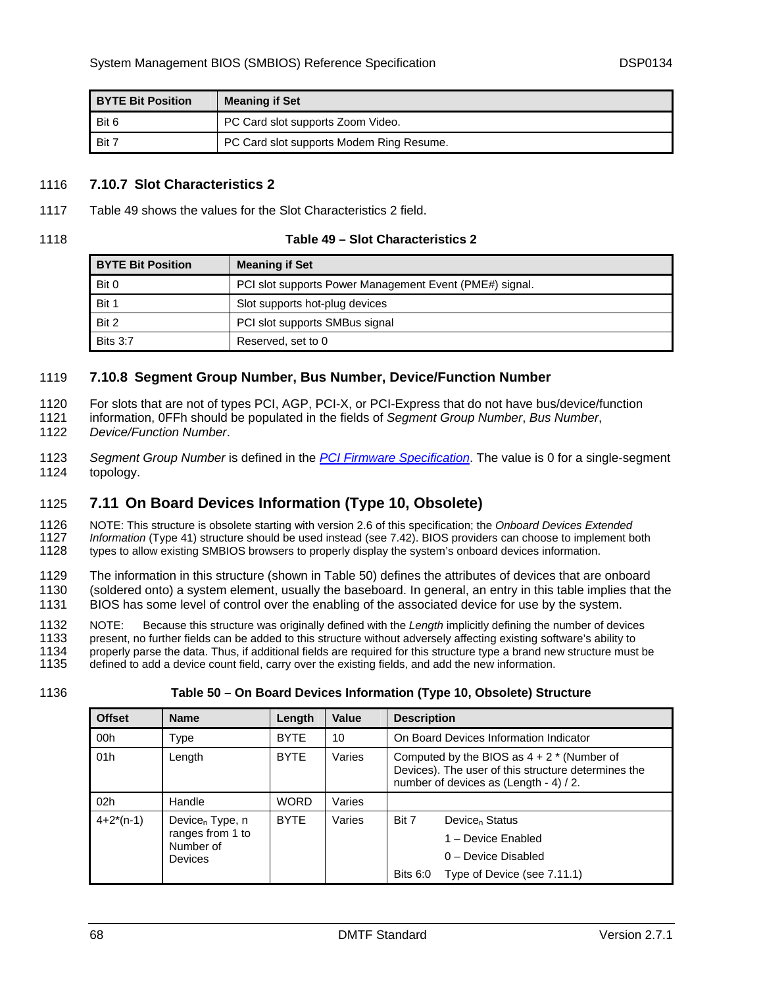| <b>BYTE Bit Position</b> | <b>Meaning if Set</b>                    |
|--------------------------|------------------------------------------|
| Bit 6                    | PC Card slot supports Zoom Video.        |
| Bit 7                    | PC Card slot supports Modem Ring Resume. |

#### <span id="page-67-0"></span>1116 **7.10.7 Slot Characteristics 2**

- 1117 [Table 49](#page-67-2) shows the values for the Slot Characteristics 2 field.
- 

#### <span id="page-67-2"></span>1118 **Table 49 – Slot Characteristics 2**

| <b>BYTE Bit Position</b> | <b>Meaning if Set</b>                                   |
|--------------------------|---------------------------------------------------------|
| Bit 0                    | PCI slot supports Power Management Event (PME#) signal. |
| Bit 1                    | Slot supports hot-plug devices                          |
| Bit 2                    | PCI slot supports SMBus signal                          |
| <b>Bits 3:7</b>          | Reserved, set to 0                                      |

### <span id="page-67-1"></span>1119 **7.10.8 Segment Group Number, Bus Number, Device/Function Number**

1120 For slots that are not of types PCI, AGP, PCI-X, or PCI-Express that do not have bus/device/function

1121 information, 0FFh should be populated in the fields of *Segment Group Number*, *Bus Number*,

1122 *Device/Function Number*.

1123 *Segment Group Number* is defined in the *[PCI Firmware Specification](#page-13-0)*. The value is 0 for a single-segment topology.

# 1125 **7.11 On Board Devices Information (Type 10, Obsolete)**

1126 NOTE: This structure is obsolete starting with version 2.6 of this specification; the *Onboard Devices Extended*  1127 *Information* (Type 41) structure should be used instead (see [7.42\)](#page-117-0). BIOS providers can choose to implement both 128 types to allow existing SMBIOS browsers to properly display the system's onboard devices information types to allow existing SMBIOS browsers to properly display the system's onboard devices information.

1129 The information in this structure (shown in [Table 50](#page-67-3)) defines the attributes of devices that are onboard 1130 (soldered onto) a system element, usually the baseboard. In general, an entry in this table implies that the

1131 BIOS has some level of control over the enabling of the associated device for use by the system.

1132 NOTE: Because this structure was originally defined with the *Length* implicitly defining the number of devices 1133 present, no further fields can be added to this structure without adversely affecting existing software's ability to<br>1134 properly parse the data. Thus, if additional fields are required for this structure type a bran

1134 properly parse the data. Thus, if additional fields are required for this structure type a brand new structure must be 1135 defined to add a device count field, carry over the existing fields, and add the new informat

defined to add a device count field, carry over the existing fields, and add the new information.

### <span id="page-67-3"></span>1136 **Table 50 – On Board Devices Information (Type 10, Obsolete) Structure**

| <b>Offset</b>   | <b>Name</b>                   | Length      | Value  | <b>Description</b>                                                                                                                                       |
|-----------------|-------------------------------|-------------|--------|----------------------------------------------------------------------------------------------------------------------------------------------------------|
| 00h             | Type                          | <b>BYTE</b> | 10     | On Board Devices Information Indicator                                                                                                                   |
| 01h             | Length                        | <b>BYTE</b> | Varies | Computed by the BIOS as $4 + 2$ <sup>*</sup> (Number of<br>Devices). The user of this structure determines the<br>number of devices as (Length - 4) / 2. |
| 02 <sub>h</sub> | Handle                        | WORD        | Varies |                                                                                                                                                          |
| $4+2^{*}(n-1)$  | Device <sub>n</sub> Type, $n$ | <b>BYTE</b> | Varies | Bit 7<br>Device <sub>n</sub> Status                                                                                                                      |
|                 | ranges from 1 to<br>Number of |             |        | 1 – Device Enabled                                                                                                                                       |
|                 | <b>Devices</b>                |             |        | $0$ – Device Disabled                                                                                                                                    |
|                 |                               |             |        | Type of Device (see 7.11.1)<br>Bits $6:0$                                                                                                                |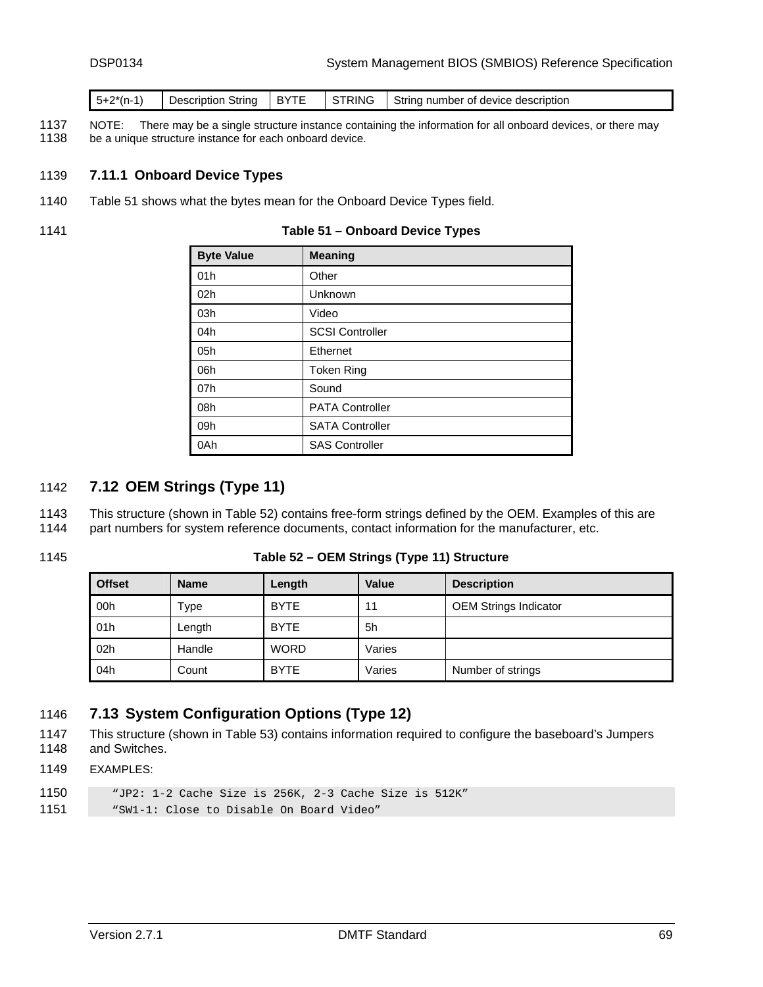| $\sim$<br>∽∸<br>'n- | Description<br>String<br>…ribtion ≅ | - BY<br>1 E | RING.<br>S1 | description<br>String<br>, number<br>device<br>nt. |
|---------------------|-------------------------------------|-------------|-------------|----------------------------------------------------|
|---------------------|-------------------------------------|-------------|-------------|----------------------------------------------------|

1137 NOTE: There may be a single structure instance containing the information for all onboard devices, or there may<br>1138 be a unique structure instance for each onboard device. be a unique structure instance for each onboard device.

## <span id="page-68-0"></span>1139 **7.11.1 Onboard Device Types**

1140 [Table 51](#page-68-1) shows what the bytes mean for the Onboard Device Types field.

#### <span id="page-68-1"></span>1141 **Table 51 – Onboard Device Types**

| <b>Byte Value</b> | <b>Meaning</b>         |
|-------------------|------------------------|
| 01h               | Other                  |
| 02 <sub>h</sub>   | Unknown                |
| 03h               | Video                  |
| 04h               | <b>SCSI Controller</b> |
| 05h               | Ethernet               |
| 06h               | <b>Token Ring</b>      |
| 07h               | Sound                  |
| 08h               | <b>PATA Controller</b> |
| 09h               | <b>SATA Controller</b> |
| 0Ah               | <b>SAS Controller</b>  |

## 1142 **7.12 OEM Strings (Type 11)**

- 1143 This structure (shown in [Table 52\)](#page-68-2) contains free-form strings defined by the OEM. Examples of this are
- 1144 part numbers for system reference documents, contact information for the manufacturer, etc.

<span id="page-68-2"></span>1145 **Table 52 – OEM Strings (Type 11) Structure** 

| <b>Offset</b>   | <b>Name</b> | Length      | <b>Value</b> | <b>Description</b>           |
|-----------------|-------------|-------------|--------------|------------------------------|
| 00h             | Type        | <b>BYTE</b> | 11           | <b>OEM Strings Indicator</b> |
| 01h             | Length      | <b>BYTE</b> | 5h           |                              |
| 02 <sub>h</sub> | Handle      | <b>WORD</b> | Varies       |                              |
| 04h             | Count       | <b>BYTE</b> | Varies       | Number of strings            |

# 1146 **7.13 System Configuration Options (Type 12)**

1147 This structure (shown in [Table 53\)](#page-69-0) contains information required to configure the baseboard's Jumpers

- 1148 and Switches.
- 1149 EXAMPLES:

```
1150 "JP2: 1-2 Cache Size is 256K, 2-3 Cache Size is 512K" 
1151 "SW1-1: Close to Disable On Board Video"
```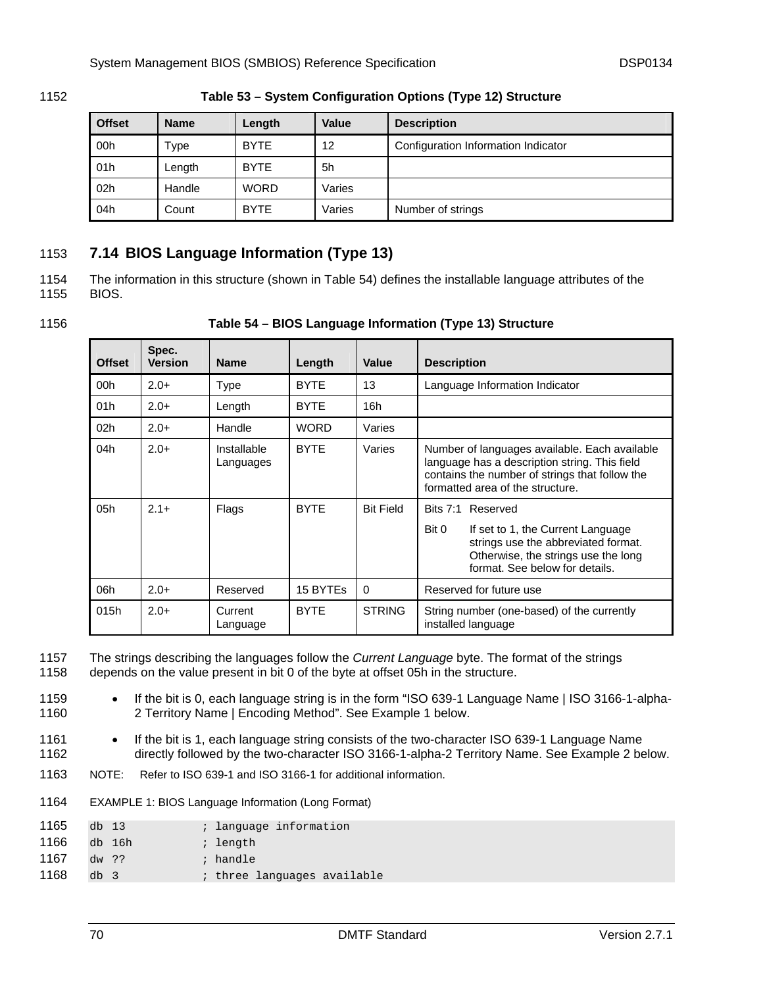<span id="page-69-0"></span>

1152 **Table 53 – System Configuration Options (Type 12) Structure** 

| <b>Offset</b> | <b>Name</b>         | Length      | Value  | <b>Description</b>                  |
|---------------|---------------------|-------------|--------|-------------------------------------|
| 00h           | $^{\mathsf{T}}$ ype | <b>BYTE</b> | 12     | Configuration Information Indicator |
| 01h           | Length              | <b>BYTE</b> | 5h     |                                     |
| 02h           | Handle              | <b>WORD</b> | Varies |                                     |
| 04h           | Count               | <b>BYTE</b> | Varies | Number of strings                   |

# 1153 **7.14 BIOS Language Information (Type 13)**

1154 The information in this structure (shown in [Table 54](#page-69-1)) defines the installable language attributes of the 1155 BIOS.

<span id="page-69-1"></span>

## 1156 **Table 54 – BIOS Language Information (Type 13) Structure**

| <b>Offset</b>   | Spec.<br><b>Version</b> | <b>Name</b>              | Length      | Value            | <b>Description</b>                                                                                                                                                                        |
|-----------------|-------------------------|--------------------------|-------------|------------------|-------------------------------------------------------------------------------------------------------------------------------------------------------------------------------------------|
| 00h             | $2.0+$                  | Type                     | <b>BYTE</b> | 13               | Language Information Indicator                                                                                                                                                            |
| 01h             | $2.0+$                  | Length                   | <b>BYTE</b> | 16h              |                                                                                                                                                                                           |
| 02 <sub>h</sub> | $2.0+$                  | Handle                   | <b>WORD</b> | Varies           |                                                                                                                                                                                           |
| 04h             | $2.0+$                  | Installable<br>Languages | <b>BYTE</b> | Varies           | Number of languages available. Each available<br>language has a description string. This field<br>contains the number of strings that follow the<br>formatted area of the structure.      |
| 05h             | $2.1+$                  | Flags                    | <b>BYTE</b> | <b>Bit Field</b> | <b>Bits 7:1</b><br>Reserved<br>Bit 0<br>If set to 1, the Current Language<br>strings use the abbreviated format.<br>Otherwise, the strings use the long<br>format. See below for details. |
| 06h             | $2.0+$                  | Reserved                 | 15 BYTEs    | $\Omega$         | Reserved for future use                                                                                                                                                                   |
| 015h            | $2.0+$                  | Current<br>Language      | <b>BYTE</b> | <b>STRING</b>    | String number (one-based) of the currently<br>installed language                                                                                                                          |

- 1157 The strings describing the languages follow the *Current Language* byte. The format of the strings depends on the value present in bit 0 of the byte at offset 05h in the structure.
- 1159 If the bit is 0, each language string is in the form "ISO 639-1 Language Name | ISO 3166-1-alpha-1160 2 Territory Name | Encoding Method". See Example 1 below.
- 1161 If the bit is 1, each language string consists of the two-character ISO 639-1 Language Name 1162 directly followed by the two-character ISO 3166-1-alpha-2 Territory Name. See Example 2 below.
- 1163 NOTE: Refer to ISO 639-1 and ISO 3166-1 for additional information.
- 1164 EXAMPLE 1: BIOS Language Information (Long Format)

| 1165 db 13 |  |  | ; language information |  |
|------------|--|--|------------------------|--|
|------------|--|--|------------------------|--|

- 1166 db 16h ; length
- 1167 dw ?? ; handle
- 1168 db 3 ; three languages available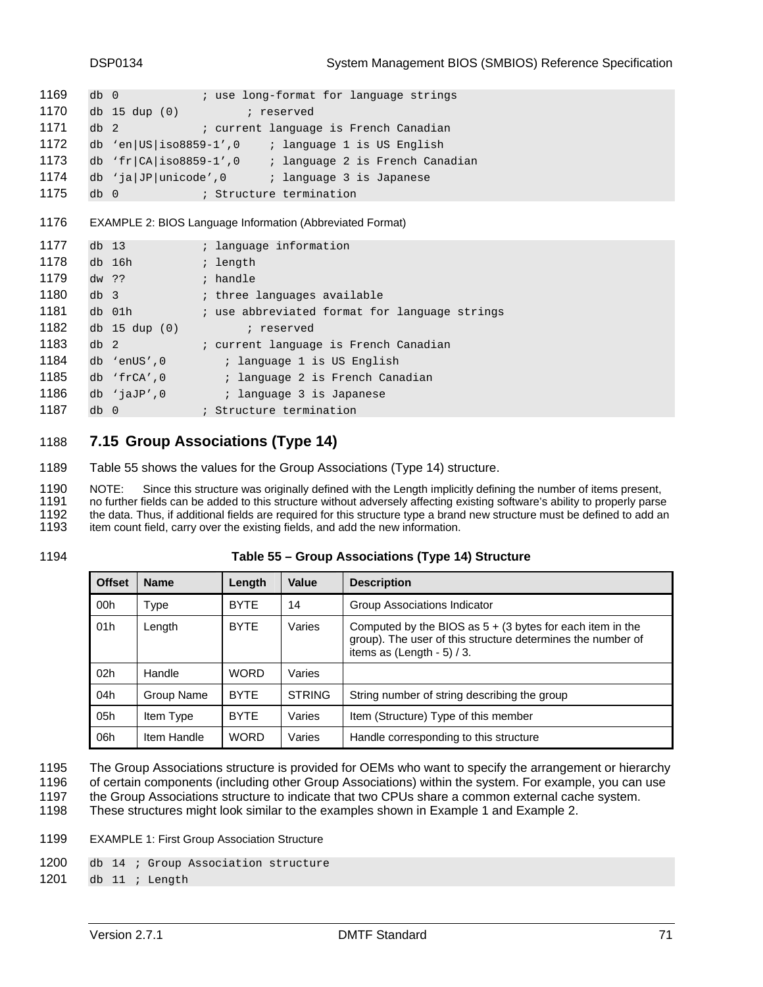| 1169 |               | db 0 is use long-format for language strings                     |
|------|---------------|------------------------------------------------------------------|
| 1170 |               | db 15 dup (0) i reserved                                         |
| 1171 |               | db 2 (a) i current language is French Canadian                   |
| 1172 |               | db 'en US iso8859-1',0 ; language 1 is US English                |
| 1173 |               | db 'fr CA iso8859-1',0 ; language 2 is French Canadian           |
| 1174 |               | db 'ja JP unicode',0 $\cdot$ ; language 3 is Japanese            |
| 1175 |               | db 0 i Structure termination                                     |
| 1176 |               | <b>EXAMPLE 2: BIOS Language Information (Abbreviated Format)</b> |
| 1177 | db 13         | ; language information                                           |
| 1178 | db 16h        | ; length                                                         |
| 1179 | dw ??         | ; handle                                                         |
| 1180 | $db \quad 3$  | ; three languages available                                      |
| 1181 | db 01h        | ; use abbreviated format for language strings                    |
| 1182 | db 15 dup (0) | ; reserved                                                       |
| 1183 | db2           | ; current language is French Canadian                            |
| 1184 | db 'enUS',0   | ; language 1 is US English                                       |
| 1185 | db 'frCA', 0  | ; language 2 is French Canadian                                  |
| 1186 |               | $db 'iaJP',0$ ; language 3 is Japanese                           |
| 1187 | $db \t0$      | ; Structure termination                                          |

# <span id="page-70-0"></span>1188 **7.15 Group Associations (Type 14)**

1189 [Table 55](#page-70-1) shows the values for the Group Associations (Type 14) structure.

1190 NOTE: Since this structure was originally defined with the Length implicitly defining the number of items present,<br>1191 no further fields can be added to this structure without adversely affecting existing software's

1191 no further fields can be added to this structure without adversely affecting existing software's ability to properly parse<br>1192 the data. Thus, if additional fields are required for this structure type a brand new str

1192 the data. Thus, if additional fields are required for this structure type a brand new structure must be defined to add an 1193 item count field, carry over the existing fields, and add the new information. item count field, carry over the existing fields, and add the new information.

### <span id="page-70-1"></span>1194 **Table 55 – Group Associations (Type 14) Structure**

| <b>Offset</b>   | <b>Name</b> | Length      | Value         | <b>Description</b>                                                                                                                                                   |
|-----------------|-------------|-------------|---------------|----------------------------------------------------------------------------------------------------------------------------------------------------------------------|
| 00h             | Type        | <b>BYTE</b> | 14            | Group Associations Indicator                                                                                                                                         |
| 01h             | Length      | <b>BYTE</b> | Varies        | Computed by the BIOS as $5 + (3 \text{ bytes for each item in the})$<br>group). The user of this structure determines the number of<br>items as $(Length - 5) / 3$ . |
| 02 <sub>h</sub> | Handle      | <b>WORD</b> | Varies        |                                                                                                                                                                      |
| 04h             | Group Name  | <b>BYTE</b> | <b>STRING</b> | String number of string describing the group                                                                                                                         |
| 05h             | Item Type   | <b>BYTE</b> | Varies        | Item (Structure) Type of this member                                                                                                                                 |
| 06h             | Item Handle | <b>WORD</b> | Varies        | Handle corresponding to this structure                                                                                                                               |

1195 The Group Associations structure is provided for OEMs who want to specify the arrangement or hierarchy

1196 of certain components (including other Group Associations) within the system. For example, you can use

1197 the Group Associations structure to indicate that two CPUs share a common external cache system.

1198 These structures might look similar to the examples shown in Example 1 and Example 2.

- 1199 EXAMPLE 1: First Group Association Structure
- 1200 db 14 ; Group Association structure

1201 db 11 ; Length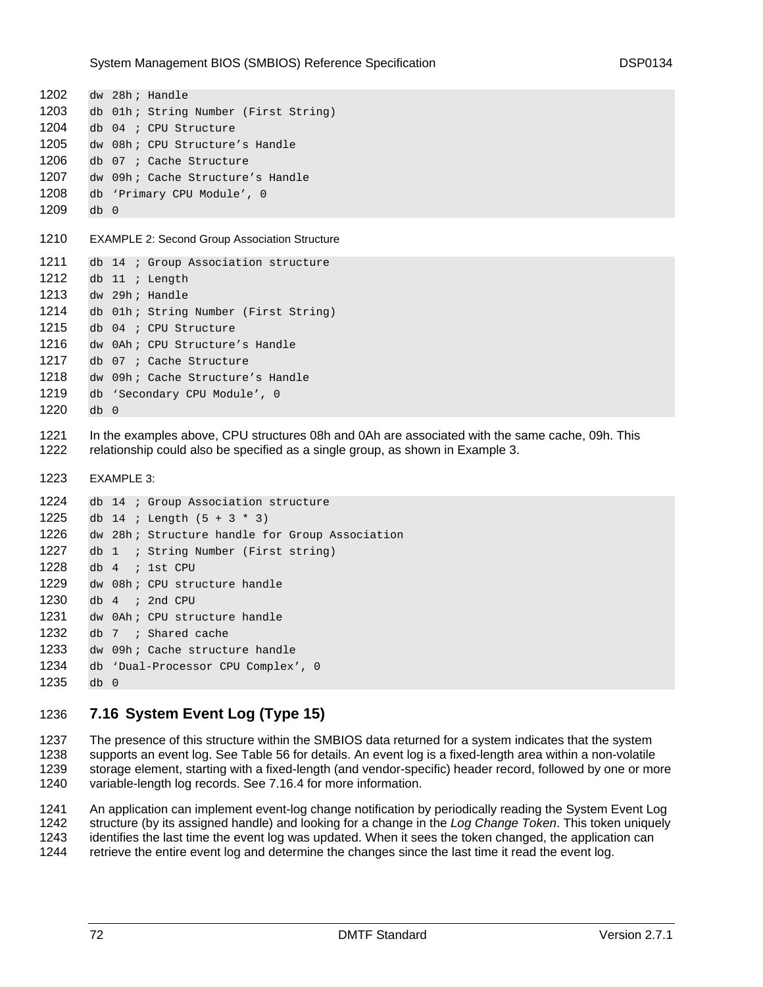1202 dw 28h ; Handle 1203 db 01h; String Number (First String) 1204 db 04 ; CPU Structure 1205 dw 08h; CPU Structure's Handle 1206 db 07 ; Cache Structure 1207 dw 09h ; Cache Structure's Handle 1208 db 'Primary CPU Module', 0 1209 db 0 1210 EXAMPLE 2: Second Group Association Structure 1211 db 14 ; Group Association structure 1212 db 11 ; Length 1213 dw 29h ; Handle 1214 db 01h; String Number (First String) 1215 db 04 ; CPU Structure 1216 dw 0Ah ; CPU Structure's Handle 1217 db 07 ; Cache Structure 1218 dw 09h ; Cache Structure's Handle 1219 db 'Secondary CPU Module', 0 1220 db 0 1221 In the examples above, CPU structures 08h and 0Ah are associated with the same cache, 09h. This

1222 relationship could also be specified as a single group, as shown in Example 3.

```
1223 EXAMPLE 3:
```

| 1224 |      |  | db 14 ; Group Association structure            |
|------|------|--|------------------------------------------------|
| 1225 |      |  | db 14 ; Length $(5 + 3 * 3)$                   |
| 1226 |      |  | dw 28h; Structure handle for Group Association |
| 1227 |      |  | db 1 ; String Number (First string)            |
| 1228 |      |  | $db 4$ ; 1st CPU                               |
| 1229 |      |  | dw 08h; CPU structure handle                   |
| 1230 |      |  | $db 4$ ; 2nd CPU                               |
| 1231 |      |  | dw OAh; CPU structure handle                   |
| 1232 |      |  | db 7 ; Shared cache                            |
| 1233 |      |  | dw 09h; Cache structure handle                 |
| 1234 |      |  | db 'Dual-Processor CPU Complex', 0             |
| 1235 | db 0 |  |                                                |

# 1236 **7.16 System Event Log (Type 15)**

1237 The presence of this structure within the SMBIOS data returned for a system indicates that the system 1238 supports an event log. See [Table 56](#page-72-0) for details. An event log is a fixed-length area within a non-volatile<br>1239 storage element, starting with a fixed-length (and vendor-specific) header record, followed by one or mo storage element, starting with a fixed-length (and vendor-specific) header record, followed by one or more 1240 variable-length log records. See [7.16.4](#page-75-0) for more information.

1241 An application can implement event-log change notification by periodically reading the System Event Log 1242 structure (by its assigned handle) and looking for a change in the *Log Change Token*. This token uniquely 1243 identifies the last time the event log was updated. When it sees the token changed, the application can 1244 retrieve the entire event log and determine the changes since the last time it read the event log.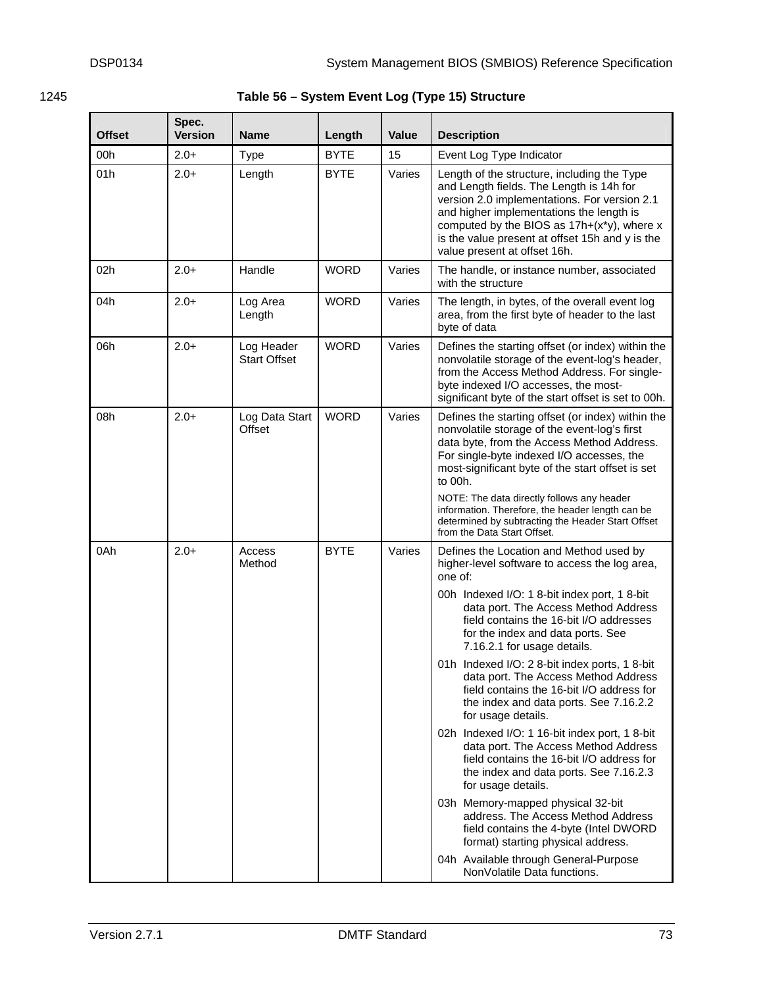# 1245 **Table 56 – System Event Log (Type 15) Structure**

| <b>Offset</b> | Spec.<br><b>Version</b> | <b>Name</b>                       | Length      | <b>Value</b> | <b>Description</b>                                                                                                                                                                                                                                                                                                                                            |
|---------------|-------------------------|-----------------------------------|-------------|--------------|---------------------------------------------------------------------------------------------------------------------------------------------------------------------------------------------------------------------------------------------------------------------------------------------------------------------------------------------------------------|
| 00h           | $2.0+$                  | <b>Type</b>                       | <b>BYTE</b> | 15           | Event Log Type Indicator                                                                                                                                                                                                                                                                                                                                      |
| 01h           | $2.0+$                  | Length                            | <b>BYTE</b> | Varies       | Length of the structure, including the Type<br>and Length fields. The Length is 14h for<br>version 2.0 implementations. For version 2.1<br>and higher implementations the length is<br>computed by the BIOS as $17h+(x^*y)$ , where x<br>is the value present at offset 15h and y is the<br>value present at offset 16h.                                      |
| 02h           | $2.0+$                  | Handle                            | <b>WORD</b> | Varies       | The handle, or instance number, associated<br>with the structure                                                                                                                                                                                                                                                                                              |
| 04h           | $2.0+$                  | Log Area<br>Length                | <b>WORD</b> | Varies       | The length, in bytes, of the overall event log<br>area, from the first byte of header to the last<br>byte of data                                                                                                                                                                                                                                             |
| 06h           | $2.0+$                  | Log Header<br><b>Start Offset</b> | <b>WORD</b> | Varies       | Defines the starting offset (or index) within the<br>nonvolatile storage of the event-log's header,<br>from the Access Method Address. For single-<br>byte indexed I/O accesses, the most-<br>significant byte of the start offset is set to 00h.                                                                                                             |
| 08h           | $2.0+$                  | Log Data Start<br>Offset          | <b>WORD</b> | Varies       | Defines the starting offset (or index) within the<br>nonvolatile storage of the event-log's first<br>data byte, from the Access Method Address.<br>For single-byte indexed I/O accesses, the<br>most-significant byte of the start offset is set<br>to 00h.<br>NOTE: The data directly follows any header<br>information. Therefore, the header length can be |
|               |                         |                                   |             |              | determined by subtracting the Header Start Offset<br>from the Data Start Offset.                                                                                                                                                                                                                                                                              |
| 0Ah           | $2.0+$                  | Access<br>Method                  | <b>BYTE</b> | Varies       | Defines the Location and Method used by<br>higher-level software to access the log area,<br>one of:                                                                                                                                                                                                                                                           |
|               |                         |                                   |             |              | 00h Indexed I/O: 1 8-bit index port, 1 8-bit<br>data port. The Access Method Address<br>field contains the 16-bit I/O addresses<br>for the index and data ports. See<br>7.16.2.1 for usage details.                                                                                                                                                           |
|               |                         |                                   |             |              | 01h Indexed I/O: 2 8-bit index ports, 1 8-bit<br>data port. The Access Method Address<br>field contains the 16-bit I/O address for<br>the index and data ports. See 7.16.2.2<br>for usage details.                                                                                                                                                            |
|               |                         |                                   |             |              | 02h Indexed I/O: 1 16-bit index port, 1 8-bit<br>data port. The Access Method Address<br>field contains the 16-bit I/O address for<br>the index and data ports. See 7.16.2.3<br>for usage details.                                                                                                                                                            |
|               |                         |                                   |             |              | 03h Memory-mapped physical 32-bit<br>address. The Access Method Address<br>field contains the 4-byte (Intel DWORD<br>format) starting physical address.                                                                                                                                                                                                       |
|               |                         |                                   |             |              | 04h Available through General-Purpose<br>NonVolatile Data functions.                                                                                                                                                                                                                                                                                          |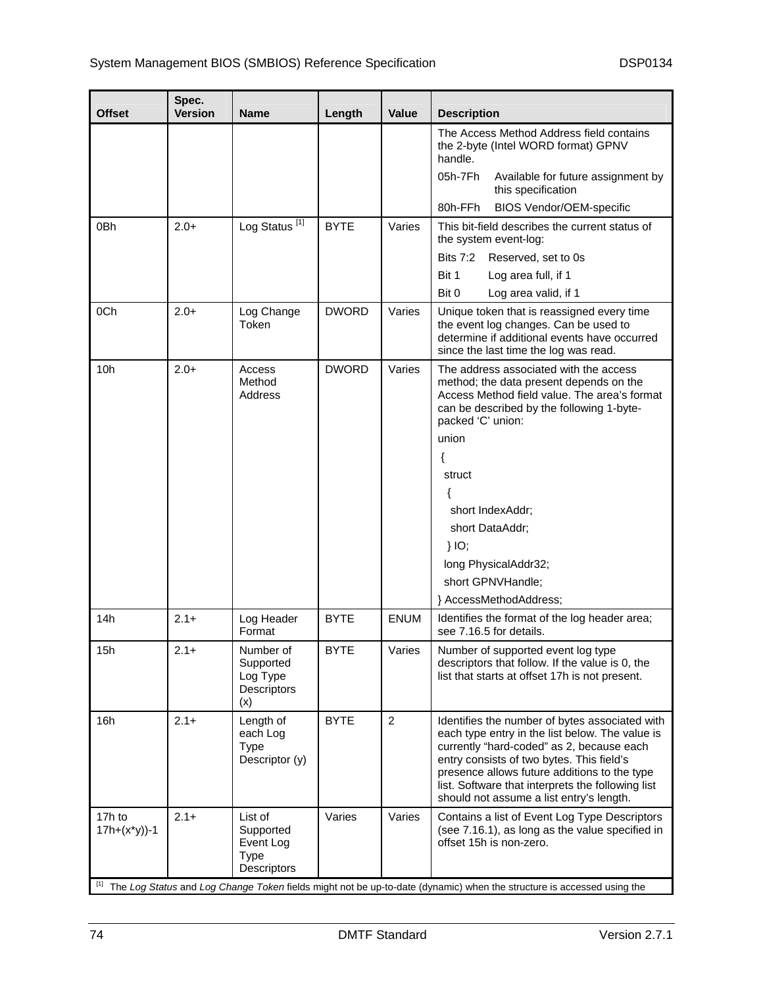<span id="page-73-1"></span><span id="page-73-0"></span>

| <b>Offset</b>                    | Spec.<br><b>Version</b> | <b>Name</b>                                                     | Length       | <b>Value</b>   | <b>Description</b>                                                                                                                                                                                                                                                                                                                           |
|----------------------------------|-------------------------|-----------------------------------------------------------------|--------------|----------------|----------------------------------------------------------------------------------------------------------------------------------------------------------------------------------------------------------------------------------------------------------------------------------------------------------------------------------------------|
|                                  |                         |                                                                 |              |                | The Access Method Address field contains<br>the 2-byte (Intel WORD format) GPNV<br>handle.                                                                                                                                                                                                                                                   |
|                                  |                         |                                                                 |              |                | 05h-7Fh<br>Available for future assignment by<br>this specification                                                                                                                                                                                                                                                                          |
|                                  |                         |                                                                 |              |                | 80h-FFh<br><b>BIOS Vendor/OEM-specific</b>                                                                                                                                                                                                                                                                                                   |
| 0 <sub>Bh</sub>                  | $2.0+$                  | Log Status <sup>[1]</sup>                                       | <b>BYTE</b>  | Varies         | This bit-field describes the current status of<br>the system event-log:                                                                                                                                                                                                                                                                      |
|                                  |                         |                                                                 |              |                | <b>Bits 7:2</b><br>Reserved, set to 0s                                                                                                                                                                                                                                                                                                       |
|                                  |                         |                                                                 |              |                | Bit 1<br>Log area full, if 1                                                                                                                                                                                                                                                                                                                 |
|                                  |                         |                                                                 |              |                | Bit 0<br>Log area valid, if 1                                                                                                                                                                                                                                                                                                                |
| 0Ch                              | $2.0+$                  | Log Change<br>Token                                             | <b>DWORD</b> | Varies         | Unique token that is reassigned every time<br>the event log changes. Can be used to<br>determine if additional events have occurred<br>since the last time the log was read.                                                                                                                                                                 |
| 10 <sub>h</sub>                  | $2.0+$                  | Access<br>Method<br>Address                                     | <b>DWORD</b> | Varies         | The address associated with the access<br>method; the data present depends on the<br>Access Method field value. The area's format<br>can be described by the following 1-byte-<br>packed 'C' union:                                                                                                                                          |
|                                  |                         |                                                                 |              |                | union                                                                                                                                                                                                                                                                                                                                        |
|                                  |                         |                                                                 |              |                | ₹                                                                                                                                                                                                                                                                                                                                            |
|                                  |                         |                                                                 |              |                | struct                                                                                                                                                                                                                                                                                                                                       |
|                                  |                         |                                                                 |              |                |                                                                                                                                                                                                                                                                                                                                              |
|                                  |                         |                                                                 |              |                | short IndexAddr;                                                                                                                                                                                                                                                                                                                             |
|                                  |                         |                                                                 |              |                | short DataAddr;                                                                                                                                                                                                                                                                                                                              |
|                                  |                         |                                                                 |              |                | $\}$ IO;                                                                                                                                                                                                                                                                                                                                     |
|                                  |                         |                                                                 |              |                | long PhysicalAddr32;                                                                                                                                                                                                                                                                                                                         |
|                                  |                         |                                                                 |              |                | short GPNVHandle;                                                                                                                                                                                                                                                                                                                            |
|                                  |                         |                                                                 |              |                | } AccessMethodAddress;                                                                                                                                                                                                                                                                                                                       |
| 14h                              | $2.1+$                  | Log Header<br>Format                                            | <b>BYTE</b>  | <b>ENUM</b>    | Identifies the format of the log header area;<br>see 7.16.5 for details.                                                                                                                                                                                                                                                                     |
| 15h                              | $2.1 +$                 | Number of<br>Supported<br>Log Type<br>Descriptors<br>(x)        | <b>BYTE</b>  | Varies         | Number of supported event log type<br>descriptors that follow. If the value is 0, the<br>list that starts at offset 17h is not present.                                                                                                                                                                                                      |
| 16h                              | $2.1 +$                 | Length of<br>each Log<br><b>Type</b><br>Descriptor (y)          | <b>BYTE</b>  | $\overline{2}$ | Identifies the number of bytes associated with<br>each type entry in the list below. The value is<br>currently "hard-coded" as 2, because each<br>entry consists of two bytes. This field's<br>presence allows future additions to the type<br>list. Software that interprets the following list<br>should not assume a list entry's length. |
| 17h to<br>$17h+(x*y)-1$<br>$[1]$ | $2.1 +$                 | List of<br>Supported<br>Event Log<br><b>Type</b><br>Descriptors | Varies       | Varies         | Contains a list of Event Log Type Descriptors<br>(see 7.16.1), as long as the value specified in<br>offset 15h is non-zero.<br>The Log Status and Log Change Token fields might not be up-to-date (dynamic) when the structure is accessed using the                                                                                         |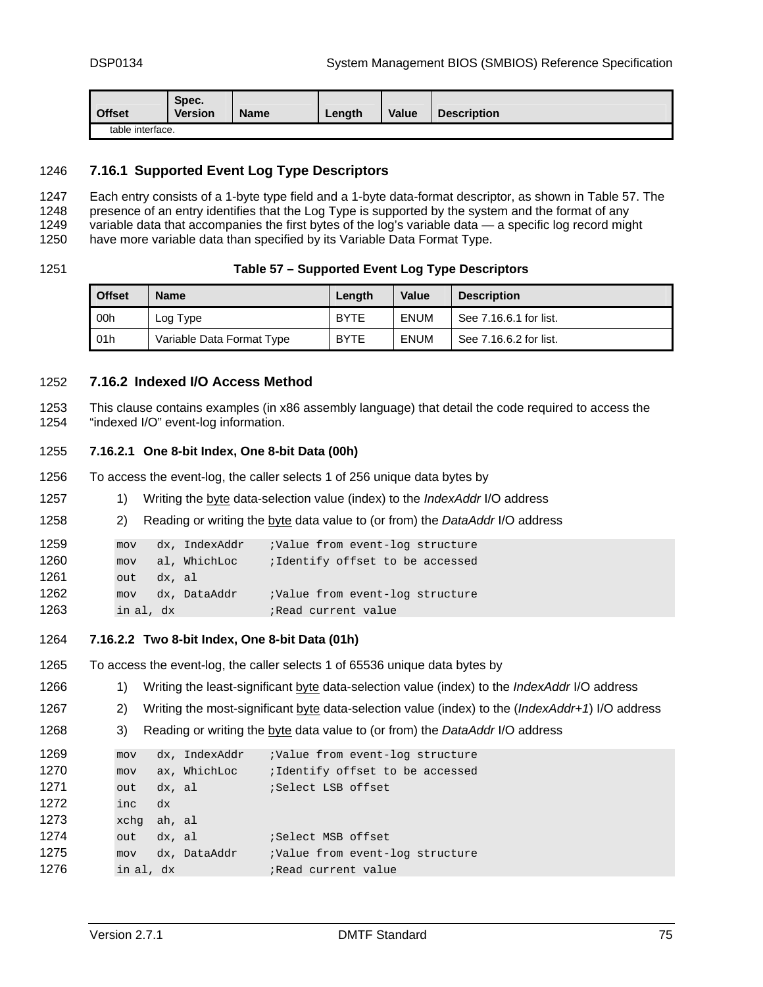| <b>Offset</b>    | Spec.<br><b>Version</b> | <b>Name</b> | Length | Value | <b>Description</b> |  |
|------------------|-------------------------|-------------|--------|-------|--------------------|--|
| table interface. |                         |             |        |       |                    |  |

## 1246 **7.16.1 Supported Event Log Type Descriptors**

1247 Each entry consists of a 1-byte type field and a 1-byte data-format descriptor, as shown in [Table 57.](#page-73-1) The 1248 presence of an entry identifies that the Log Type is supported by the system and the format of any 1249 variable data that accompanies the first bytes of the log's variable data — a specific log record might 1250 have more variable data than specified by its Variable Data Format Type.

#### 1251 **Table 57 – Supported Event Log Type Descriptors**

| <b>Offset</b> | <b>Name</b>               | Length      | Value       | <b>Description</b>     |
|---------------|---------------------------|-------------|-------------|------------------------|
| 00h           | Log Type                  | <b>BYTE</b> | <b>ENUM</b> | See 7.16.6.1 for list. |
| 01h           | Variable Data Format Type | <b>BYTE</b> | <b>ENUM</b> | See 7.16.6.2 for list. |

#### 1252 **7.16.2 Indexed I/O Access Method**

1253 This clause contains examples (in x86 assembly language) that detail the code required to access the 1254 "indexed I/O" event-log information.

## <span id="page-74-0"></span>1255 **7.16.2.1 One 8-bit Index, One 8-bit Data (00h)**

- 1256 To access the event-log, the caller selects 1 of 256 unique data bytes by
- 1257 1) Writing the byte data-selection value (index) to the *IndexAddr* I/O address
- 1258 2) Reading or writing the byte data value to (or from) the *DataAddr* I/O address

| 1259 | mov       |        | dx, IndexAddr | ;Value from event-log structure  |
|------|-----------|--------|---------------|----------------------------------|
| 1260 | mov       |        | al, WhichLoc  | ; Identify offset to be accessed |
| 1261 | out       | dx, al |               |                                  |
| 1262 | mov       |        | dx, DataAddr  | ;Value from event-log structure  |
| 1263 | in al, dx |        |               | Read current value               |

<span id="page-74-1"></span>1264 **7.16.2.2 Two 8-bit Index, One 8-bit Data (01h)** 

1265 To access the event-log, the caller selects 1 of 65536 unique data bytes by

- 1266 1) Writing the least-significant byte data-selection value (index) to the *IndexAddr* I/O address
- 1267 2) Writing the most-significant byte data-selection value (index) to the (*IndexAddr+1*) I/O address

```
1268 3) Reading or writing the byte data value to (or from) the DataAddr I/O address
```

| 1269 | mov         |        | dx, IndexAddr | Walue from event-log structure   |
|------|-------------|--------|---------------|----------------------------------|
| 1270 | mov         |        | ax, WhichLoc  | ; Identify offset to be accessed |
| 1271 | out         | dx, al |               | ;Select LSB offset               |
| 1272 | inc         | dx     |               |                                  |
| 1273 | xchq ah, al |        |               |                                  |
| 1274 | out         | dx, al |               | Select MSB offset                |
| 1275 | mov         |        | dx, DataAddr  | Walue from event-log structure   |
| 1276 | in al, dx   |        |               | Read current value               |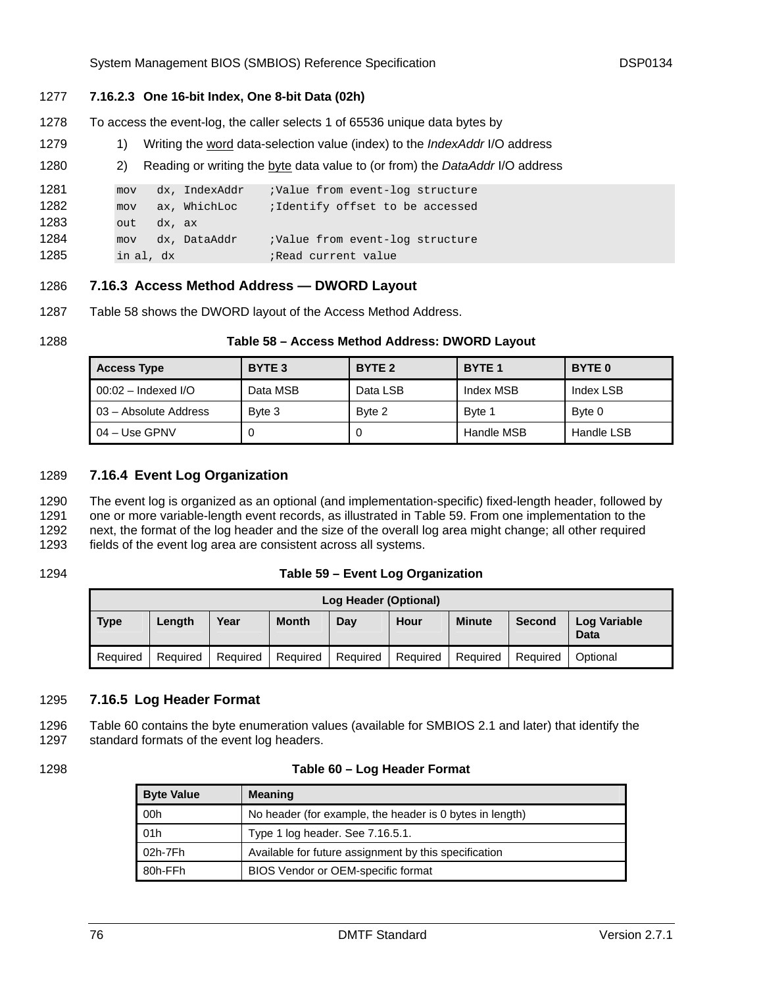## <span id="page-75-0"></span>1277 **7.16.2.3 One 16-bit Index, One 8-bit Data (02h)**

- 1278 To access the event-log, the caller selects 1 of 65536 unique data bytes by
- 1279 1) Writing the word data-selection value (index) to the *IndexAddr* I/O address
- 1280 2) Reading or writing the byte data value to (or from) the *DataAddr* I/O address

| 1281 | mov       |        | dx, IndexAddr | ;Value from event-log structure  |
|------|-----------|--------|---------------|----------------------------------|
| 1282 | mov       |        | ax. WhichLoc  | ; Identify offset to be accessed |
| 1283 | out       | dx, ax |               |                                  |
| 1284 | mov       |        | dx, DataAddr  | ;Value from event-log structure  |
| 1285 | in al, dx |        |               | Read current value               |

## 1286 **7.16.3 Access Method Address — DWORD Layout**

1287 [Table 58](#page-75-2) shows the DWORD layout of the Access Method Address.

#### <span id="page-75-2"></span>1288 **Table 58 – Access Method Address: DWORD Layout**

| <b>Access Type</b>    | BYTE 3   | BYTE 2   | <b>BYTE 1</b> | <b>BYTE 0</b> |
|-----------------------|----------|----------|---------------|---------------|
| $00:02 -$ Indexed I/O | Data MSB | Data LSB | Index MSB     | Index LSB     |
| 03 – Absolute Address | Byte 3   | Byte 2   | Byte 1        | Byte 0        |
| 04 – Use GPNV         |          |          | Handle MSB    | Handle LSB    |

## 1289 **7.16.4 Event Log Organization**

1290 The event log is organized as an optional (and implementation-specific) fixed-length header, followed by 1291 one or more variable-length event records, as illustrated in [Table 59.](#page-75-3) From one implementation to the 1292 next, the format of the log header and the size of the overall log area might change; all other required 1293 fields of the event log area are consistent across all systems. fields of the event log area are consistent across all systems.

## <span id="page-75-3"></span>1294 **Table 59 – Event Log Organization**

| Log Header (Optional) |          |          |              |          |          |               |               |                             |
|-----------------------|----------|----------|--------------|----------|----------|---------------|---------------|-----------------------------|
| <b>Type</b>           | Lenath   | Year     | <b>Month</b> | Day      | Hour     | <b>Minute</b> | <b>Second</b> | Log Variable<br><b>Data</b> |
| Required              | Required | Required | Required     | Required | Required | Required      | Required      | Optional                    |

## <span id="page-75-1"></span>1295 **7.16.5 Log Header Format**

1296 [Table 60](#page-75-4) contains the byte enumeration values (available for SMBIOS 2.1 and later) that identify the standard formats of the event log headers.

<span id="page-75-4"></span>

| 1298 | Table 60 - Log Header Format |
|------|------------------------------|
|------|------------------------------|

| <b>Byte Value</b> | <b>Meaning</b>                                           |  |  |  |
|-------------------|----------------------------------------------------------|--|--|--|
| 00h               | No header (for example, the header is 0 bytes in length) |  |  |  |
| 01h               | Type 1 log header. See 7.16.5.1.                         |  |  |  |
| 02h-7Fh           | Available for future assignment by this specification    |  |  |  |
| 80h-FFh           | <b>BIOS Vendor or OEM-specific format</b>                |  |  |  |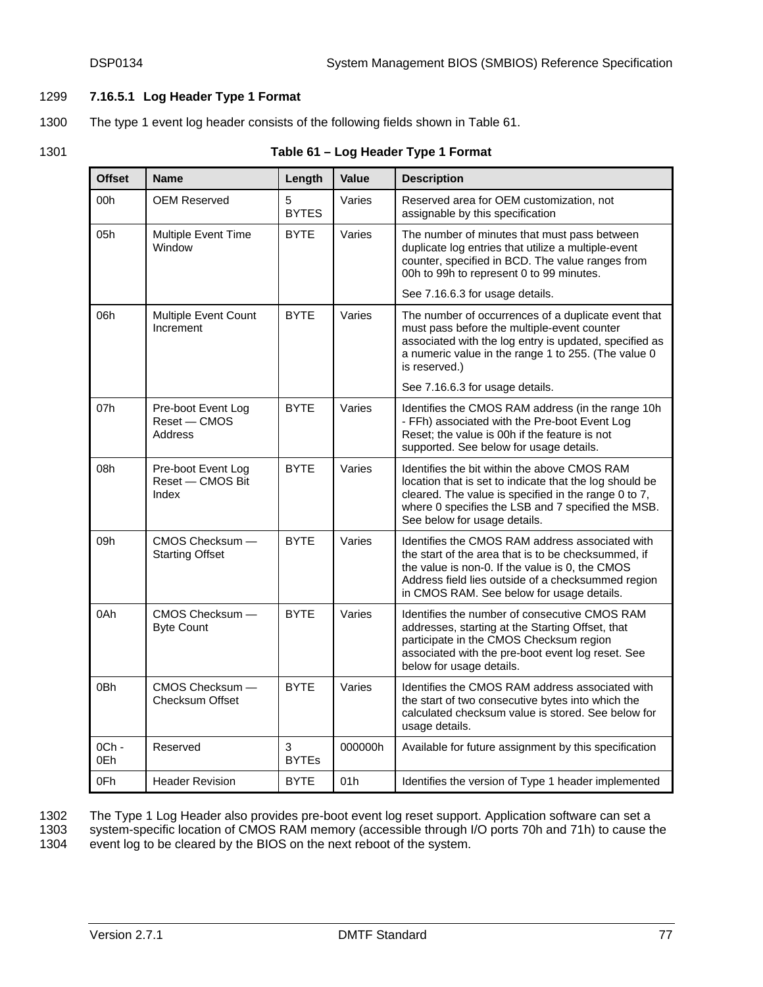## <span id="page-76-0"></span>1299 **7.16.5.1 Log Header Type 1 Format**

- 1300 The type 1 event log header consists of the following fields shown in [Table 61](#page-76-1).
- 

## <span id="page-76-1"></span>1301 **Table 61 – Log Header Type 1 Format**

| <b>Offset</b>  | <b>Name</b>                                          | Length            | Value   | <b>Description</b>                                                                                                                                                                                                                                           |
|----------------|------------------------------------------------------|-------------------|---------|--------------------------------------------------------------------------------------------------------------------------------------------------------------------------------------------------------------------------------------------------------------|
| 00h            | <b>OEM Reserved</b>                                  | 5<br><b>BYTES</b> | Varies  | Reserved area for OEM customization, not<br>assignable by this specification                                                                                                                                                                                 |
| 05h            | Multiple Event Time<br>Window                        | <b>BYTE</b>       | Varies  | The number of minutes that must pass between<br>duplicate log entries that utilize a multiple-event<br>counter, specified in BCD. The value ranges from<br>00h to 99h to represent 0 to 99 minutes.                                                          |
|                |                                                      |                   |         | See 7.16.6.3 for usage details.                                                                                                                                                                                                                              |
| 06h            | Multiple Event Count<br>Increment                    | <b>BYTE</b>       | Varies  | The number of occurrences of a duplicate event that<br>must pass before the multiple-event counter<br>associated with the log entry is updated, specified as<br>a numeric value in the range 1 to 255. (The value 0<br>is reserved.)                         |
|                |                                                      |                   |         | See 7.16.6.3 for usage details.                                                                                                                                                                                                                              |
| 07h            | Pre-boot Event Log<br>Reset - CMOS<br><b>Address</b> | <b>BYTE</b>       | Varies  | Identifies the CMOS RAM address (in the range 10h)<br>- FFh) associated with the Pre-boot Event Log<br>Reset; the value is 00h if the feature is not<br>supported. See below for usage details.                                                              |
| 08h            | Pre-boot Event Log<br>Reset - CMOS Bit<br>Index      | <b>BYTE</b>       | Varies  | Identifies the bit within the above CMOS RAM<br>location that is set to indicate that the log should be<br>cleared. The value is specified in the range 0 to 7,<br>where 0 specifies the LSB and 7 specified the MSB.<br>See below for usage details.        |
| 09h            | CMOS Checksum -<br><b>Starting Offset</b>            | <b>BYTE</b>       | Varies  | Identifies the CMOS RAM address associated with<br>the start of the area that is to be checksummed, if<br>the value is non-0. If the value is 0, the CMOS<br>Address field lies outside of a checksummed region<br>in CMOS RAM. See below for usage details. |
| 0Ah            | CMOS Checksum -<br><b>Byte Count</b>                 | <b>BYTE</b>       | Varies  | Identifies the number of consecutive CMOS RAM<br>addresses, starting at the Starting Offset, that<br>participate in the CMOS Checksum region<br>associated with the pre-boot event log reset. See<br>below for usage details.                                |
| 0Bh            | CMOS Checksum -<br>Checksum Offset                   | <b>BYTE</b>       | Varies  | Identifies the CMOS RAM address associated with<br>the start of two consecutive bytes into which the<br>calculated checksum value is stored. See below for<br>usage details.                                                                                 |
| $0Ch$ -<br>0Eh | Reserved                                             | 3<br><b>BYTEs</b> | 000000h | Available for future assignment by this specification                                                                                                                                                                                                        |
| 0Fh            | <b>Header Revision</b>                               | <b>BYTE</b>       | 01h     | Identifies the version of Type 1 header implemented                                                                                                                                                                                                          |

1302 The Type 1 Log Header also provides pre-boot event log reset support. Application software can set a 1303 system-specific location of CMOS RAM memory (accessible through I/O ports 70h and 71h) to cause the 1304 event log to be cleared by the BIOS on the next reboot of the system. event log to be cleared by the BIOS on the next reboot of the system.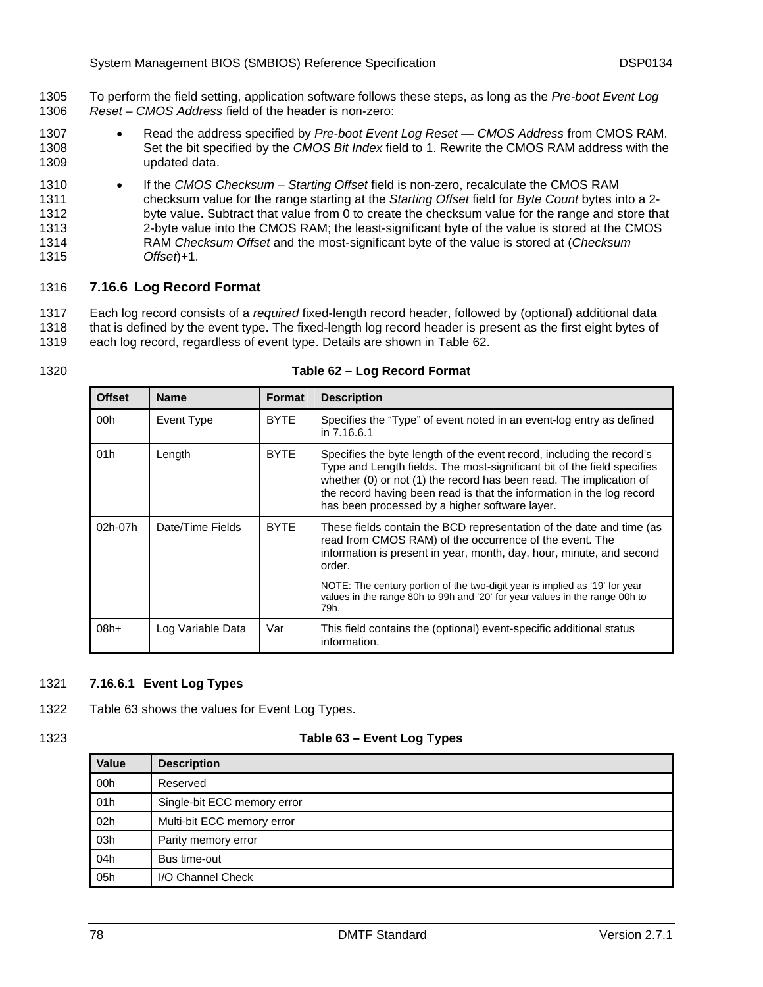- 1305 To perform the field setting, application software follows these steps, as long as the *Pre-boot Event Log*  1306 *Reset – CMOS Address* field of the header is non-zero:
- 1307 Read the address specified by *Pre-boot Event Log Reset CMOS Address* from CMOS RAM. 1308 Set the bit specified by the *CMOS Bit Index* field to 1. Rewrite the CMOS RAM address with the 1309 updated data.
- 1310 If the *CMOS Checksum Starting Offset* field is non-zero, recalculate the CMOS RAM 1311 checksum value for the range starting at the *Starting Offset* field for *Byte Count* bytes into a 2- 1312 byte value. Subtract that value from 0 to create the checksum value for the range and store that 1313 2-byte value into the CMOS RAM; the least-significant byte of the value is stored at the CMOS<br>1314 RAM Checksum Offset and the most-significant byte of the value is stored at (Checksum 1314 RAM *Checksum Offset* and the most-significant byte of the value is stored at (*Checksum*  1315 *Offset*)+1.

## 1316 **7.16.6 Log Record Format**

1317 Each log record consists of a *required* fixed-length record header, followed by (optional) additional data 1318 that is defined by the event type. The fixed-length log record header is present as the first eight bytes of 1319 each log record, regardless of event type. Details are shown in [Table 62.](#page-77-1)

<span id="page-77-1"></span>

| × |  |
|---|--|

| <b>Offset</b> | <b>Name</b>       | Format      | <b>Description</b>                                                                                                                                                                                                                                                                                                                                 |
|---------------|-------------------|-------------|----------------------------------------------------------------------------------------------------------------------------------------------------------------------------------------------------------------------------------------------------------------------------------------------------------------------------------------------------|
| 00h           | Event Type        | <b>BYTE</b> | Specifies the "Type" of event noted in an event-log entry as defined<br>in 7.16.6.1                                                                                                                                                                                                                                                                |
| 01h           | Length            | <b>BYTE</b> | Specifies the byte length of the event record, including the record's<br>Type and Length fields. The most-significant bit of the field specifies<br>whether (0) or not (1) the record has been read. The implication of<br>the record having been read is that the information in the log record<br>has been processed by a higher software layer. |
| 02h-07h       | Date/Time Fields  | <b>BYTE</b> | These fields contain the BCD representation of the date and time (as<br>read from CMOS RAM) of the occurrence of the event. The<br>information is present in year, month, day, hour, minute, and second<br>order.                                                                                                                                  |
|               |                   |             | NOTE: The century portion of the two-digit year is implied as '19' for year<br>values in the range 80h to 99h and '20' for year values in the range 00h to<br>79h.                                                                                                                                                                                 |
| $08h+$        | Log Variable Data | Var         | This field contains the (optional) event-specific additional status<br>information.                                                                                                                                                                                                                                                                |

#### 1320 **Table 62 – Log Record Format**

## <span id="page-77-0"></span>1321 **7.16.6.1 Event Log Types**

1322 [Table 63](#page-77-2) shows the values for Event Log Types.

## <span id="page-77-2"></span>1323 **Table 63 – Event Log Types**

| <b>Value</b> | <b>Description</b>          |
|--------------|-----------------------------|
| 00h          | Reserved                    |
| 01h          | Single-bit ECC memory error |
| 02h          | Multi-bit ECC memory error  |
| 03h          | Parity memory error         |
| 04h          | Bus time-out                |
| 05h          | I/O Channel Check           |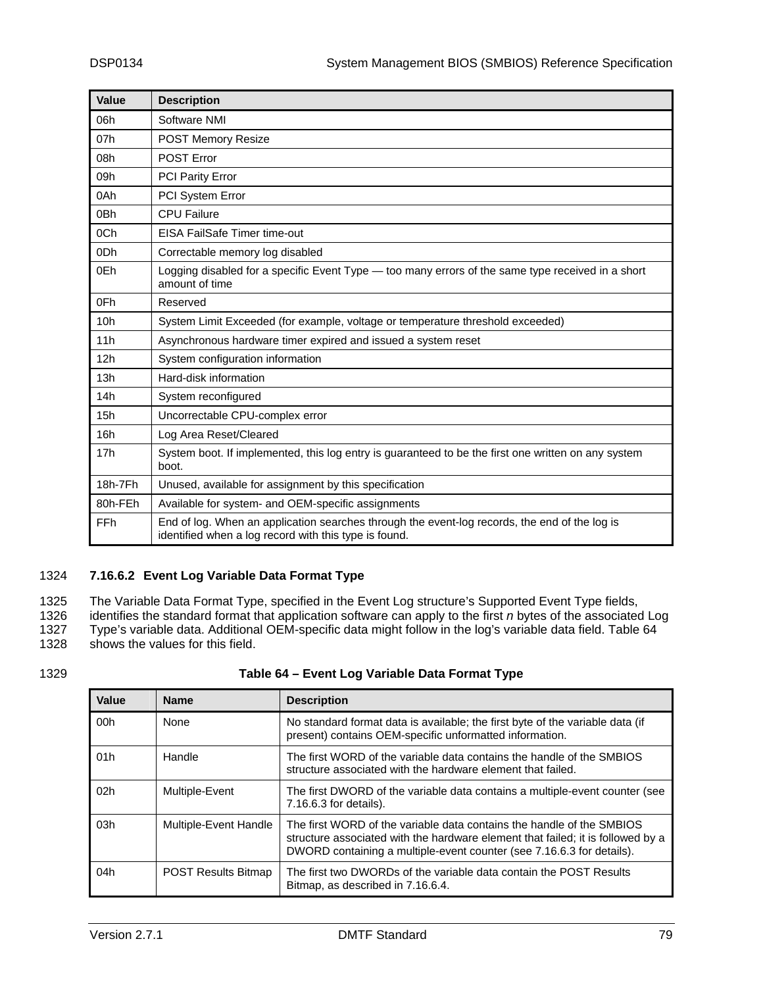| <b>Value</b>    | <b>Description</b>                                                                                                                                     |
|-----------------|--------------------------------------------------------------------------------------------------------------------------------------------------------|
| 06h             | Software NMI                                                                                                                                           |
| 07h             | <b>POST Memory Resize</b>                                                                                                                              |
| 08h             | <b>POST Error</b>                                                                                                                                      |
| 09h             | <b>PCI Parity Error</b>                                                                                                                                |
| 0Ah             | PCI System Error                                                                                                                                       |
| 0Bh             | <b>CPU Failure</b>                                                                                                                                     |
| 0Ch             | <b>EISA FailSafe Timer time-out</b>                                                                                                                    |
| 0 <sub>Dh</sub> | Correctable memory log disabled                                                                                                                        |
| 0Eh             | Logging disabled for a specific Event Type — too many errors of the same type received in a short<br>amount of time                                    |
| 0Fh             | Reserved                                                                                                                                               |
| 10 <sub>h</sub> | System Limit Exceeded (for example, voltage or temperature threshold exceeded)                                                                         |
| 11h             | Asynchronous hardware timer expired and issued a system reset                                                                                          |
| 12h             | System configuration information                                                                                                                       |
| 13h             | Hard-disk information                                                                                                                                  |
| 14h             | System reconfigured                                                                                                                                    |
| 15h             | Uncorrectable CPU-complex error                                                                                                                        |
| 16h             | Log Area Reset/Cleared                                                                                                                                 |
| 17 <sub>h</sub> | System boot. If implemented, this log entry is guaranteed to be the first one written on any system<br>boot.                                           |
| 18h-7Fh         | Unused, available for assignment by this specification                                                                                                 |
| 80h-FEh         | Available for system- and OEM-specific assignments                                                                                                     |
| FFh             | End of log. When an application searches through the event-log records, the end of the log is<br>identified when a log record with this type is found. |

## <span id="page-78-0"></span>1324 **7.16.6.2 Event Log Variable Data Format Type**

1325 The Variable Data Format Type, specified in the Event Log structure's Supported Event Type fields, 1326 identifies the standard format that application software can apply to the first *n* bytes of the associated Log 1327 Type's variable data. Additional OEM-specific data might follow in the log's variable data field. [Table 64](#page-78-1)

shows the values for this field.

<span id="page-78-1"></span>

## Table 64 – Event Log Variable Data Format Type

| Value | <b>Name</b>                | <b>Description</b>                                                                                                                                                                                                                |
|-------|----------------------------|-----------------------------------------------------------------------------------------------------------------------------------------------------------------------------------------------------------------------------------|
| 00h   | <b>None</b>                | No standard format data is available; the first byte of the variable data (if<br>present) contains OEM-specific unformatted information.                                                                                          |
| 01h   | Handle                     | The first WORD of the variable data contains the handle of the SMBIOS<br>structure associated with the hardware element that failed.                                                                                              |
| 02h   | Multiple-Event             | The first DWORD of the variable data contains a multiple-event counter (see<br>7.16.6.3 for details).                                                                                                                             |
| 03h   | Multiple-Event Handle      | The first WORD of the variable data contains the handle of the SMBIOS<br>structure associated with the hardware element that failed; it is followed by a<br>DWORD containing a multiple-event counter (see 7.16.6.3 for details). |
| 04h   | <b>POST Results Bitmap</b> | The first two DWORDs of the variable data contain the POST Results<br>Bitmap, as described in 7.16.6.4.                                                                                                                           |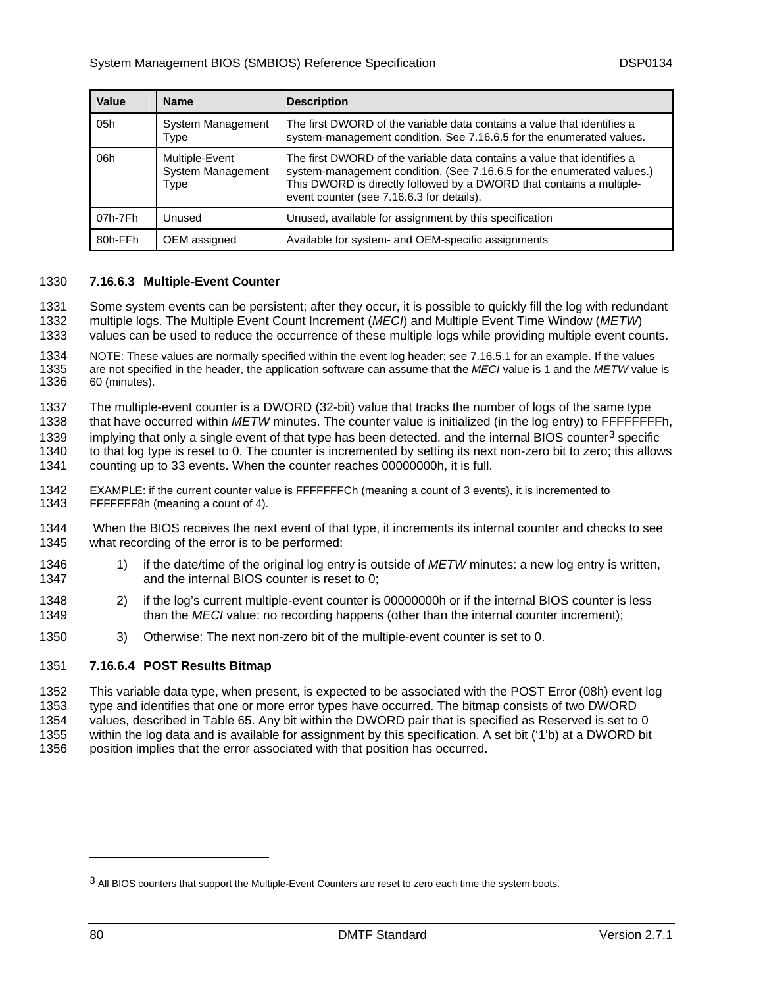| Value   | <b>Name</b>                                 | <b>Description</b>                                                                                                                                                                                                                                                     |
|---------|---------------------------------------------|------------------------------------------------------------------------------------------------------------------------------------------------------------------------------------------------------------------------------------------------------------------------|
| 05h     | System Management<br>Type                   | The first DWORD of the variable data contains a value that identifies a<br>system-management condition. See 7.16.6.5 for the enumerated values.                                                                                                                        |
| 06h     | Multiple-Event<br>System Management<br>Type | The first DWORD of the variable data contains a value that identifies a<br>system-management condition. (See 7.16.6.5 for the enumerated values.)<br>This DWORD is directly followed by a DWORD that contains a multiple-<br>event counter (see 7.16.6.3 for details). |
| 07h-7Fh | Unused                                      | Unused, available for assignment by this specification                                                                                                                                                                                                                 |
| 80h-FFh | OEM assigned                                | Available for system- and OEM-specific assignments                                                                                                                                                                                                                     |

#### <span id="page-79-0"></span>1330 **7.16.6.3 Multiple-Event Counter**

1331 Some system events can be persistent; after they occur, it is possible to quickly fill the log with redundant

1332 multiple logs. The Multiple Event Count Increment (*MECI*) and Multiple Event Time Window (*METW*) 1333 values can be used to reduce the occurrence of these multiple logs while providing multiple event counts.

1334 NOTE: These values are normally specified within the event log header; see [7.16.5.1](#page-76-0) for an example. If the values<br>1335 are not specified in the header, the application software can assume that the MECI value is 1 and 1335 are not specified in the header, the application software can assume that the *MECI* value is 1 and the *METW* value is 1336 60 (minutes).

1337 The multiple-event counter is a DWORD (32-bit) value that tracks the number of logs of the same type

1338 that have occurred within *METW* minutes. The counter value is initialized (in the log entry) to FFFFFFFFh, 1[3](#page-79-2)39 implying that only a single event of that type has been detected, and the internal BIOS counter<sup>3</sup> specific

1340 to that log type is reset to 0. The counter is incremented by setting its next non-zero bit to zero; this allows 1341 counting up to 33 events. When the counter reaches 00000000h, it is full. counting up to 33 events. When the counter reaches 00000000h, it is full.

1342 EXAMPLE: if the current counter value is FFFFFFFCh (meaning a count of 3 events), it is incremented to 1343 FFFFFFF8h (meaning a count of 4).

- 1344 When the BIOS receives the next event of that type, it increments its internal counter and checks to see 1345 what recording of the error is to be performed:
- 1346 1) if the date/time of the original log entry is outside of *METW* minutes: a new log entry is written, 1347 and the internal BIOS counter is reset to 0;
- 1348 2) if the log's current multiple-event counter is 00000000h or if the internal BIOS counter is less 1349 than the *MECI* value: no recording happens (other than the internal counter increment);
- 1350 3) Otherwise: The next non-zero bit of the multiple-event counter is set to 0.

## <span id="page-79-1"></span>1351 **7.16.6.4 POST Results Bitmap**

1352 This variable data type, when present, is expected to be associated with the POST Error (08h) event log 1353 type and identifies that one or more error types have occurred. The bitmap consists of two DWORD 1354 values, described in [Table 65](#page-80-1). Any bit within the DWORD pair that is specified as Reserved is set to 0 1355 within the log data and is available for assignment by this specification. A set bit ('1'b) at a DWORD bit

1356 position implies that the error associated with that position has occurred.

1

<span id="page-79-2"></span><sup>3</sup> All BIOS counters that support the Multiple-Event Counters are reset to zero each time the system boots.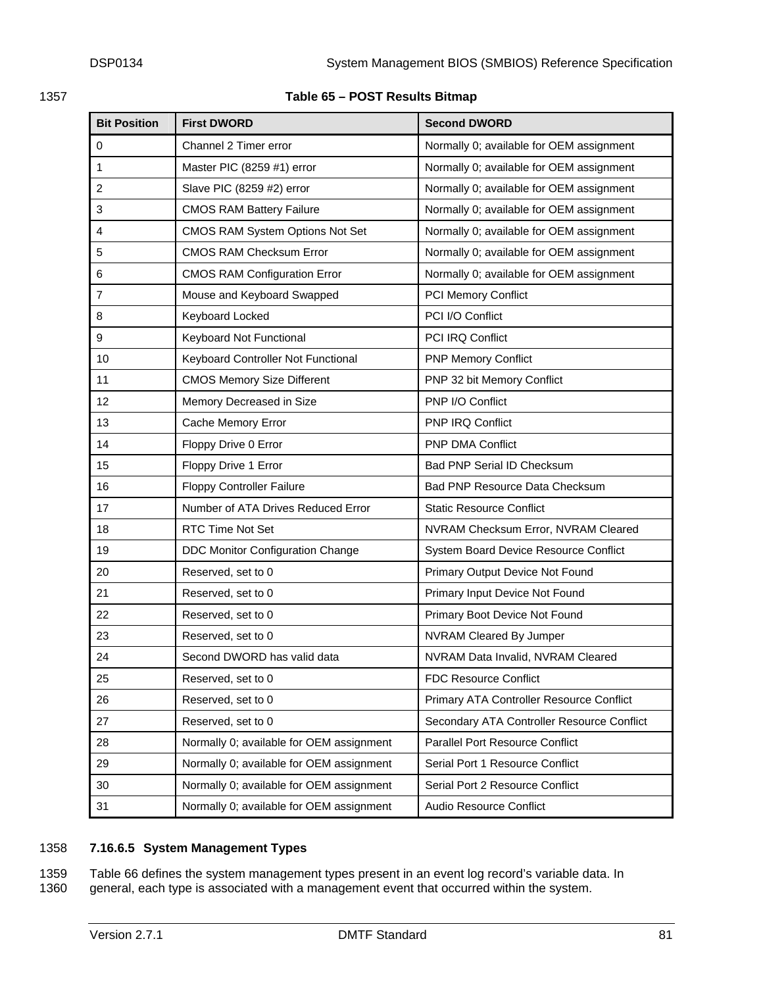#### <span id="page-80-1"></span>1357 **Table 65 – POST Results Bitmap**

| <b>Bit Position</b> | <b>First DWORD</b>                       | <b>Second DWORD</b>                        |
|---------------------|------------------------------------------|--------------------------------------------|
| 0                   | Channel 2 Timer error                    | Normally 0; available for OEM assignment   |
| 1                   | Master PIC (8259 #1) error               | Normally 0; available for OEM assignment   |
| $\overline{c}$      | Slave PIC (8259 #2) error                | Normally 0; available for OEM assignment   |
| 3                   | <b>CMOS RAM Battery Failure</b>          | Normally 0; available for OEM assignment   |
| 4                   | CMOS RAM System Options Not Set          | Normally 0; available for OEM assignment   |
| 5                   | <b>CMOS RAM Checksum Error</b>           | Normally 0; available for OEM assignment   |
| 6                   | <b>CMOS RAM Configuration Error</b>      | Normally 0; available for OEM assignment   |
| $\overline{7}$      | Mouse and Keyboard Swapped               | <b>PCI Memory Conflict</b>                 |
| 8                   | Keyboard Locked                          | PCI I/O Conflict                           |
| 9                   | Keyboard Not Functional                  | PCI IRQ Conflict                           |
| 10                  | Keyboard Controller Not Functional       | <b>PNP Memory Conflict</b>                 |
| 11                  | <b>CMOS Memory Size Different</b>        | PNP 32 bit Memory Conflict                 |
| 12                  | Memory Decreased in Size                 | PNP I/O Conflict                           |
| 13                  | Cache Memory Error                       | PNP IRQ Conflict                           |
| 14                  | Floppy Drive 0 Error                     | <b>PNP DMA Conflict</b>                    |
| 15                  | Floppy Drive 1 Error                     | Bad PNP Serial ID Checksum                 |
| 16                  | <b>Floppy Controller Failure</b>         | Bad PNP Resource Data Checksum             |
| 17                  | Number of ATA Drives Reduced Error       | <b>Static Resource Conflict</b>            |
| 18                  | RTC Time Not Set                         | NVRAM Checksum Error, NVRAM Cleared        |
| 19                  | DDC Monitor Configuration Change         | System Board Device Resource Conflict      |
| 20                  | Reserved, set to 0                       | Primary Output Device Not Found            |
| 21                  | Reserved, set to 0                       | Primary Input Device Not Found             |
| 22                  | Reserved, set to 0                       | Primary Boot Device Not Found              |
| 23                  | Reserved, set to 0                       | NVRAM Cleared By Jumper                    |
| 24                  | Second DWORD has valid data              | NVRAM Data Invalid, NVRAM Cleared          |
| 25                  | Reserved, set to 0                       | FDC Resource Conflict                      |
| 26                  | Reserved, set to 0                       | Primary ATA Controller Resource Conflict   |
| 27                  | Reserved, set to 0                       | Secondary ATA Controller Resource Conflict |
| 28                  | Normally 0; available for OEM assignment | <b>Parallel Port Resource Conflict</b>     |
| 29                  | Normally 0; available for OEM assignment | Serial Port 1 Resource Conflict            |
| 30                  | Normally 0; available for OEM assignment | Serial Port 2 Resource Conflict            |
| 31                  | Normally 0; available for OEM assignment | Audio Resource Conflict                    |

# <span id="page-80-0"></span>1358 **7.16.6.5 System Management Types**

1359 [Table 66](#page-81-0) defines the system management types present in an event log record's variable data. In 1360 general, each type is associated with a management event that occurred within the system.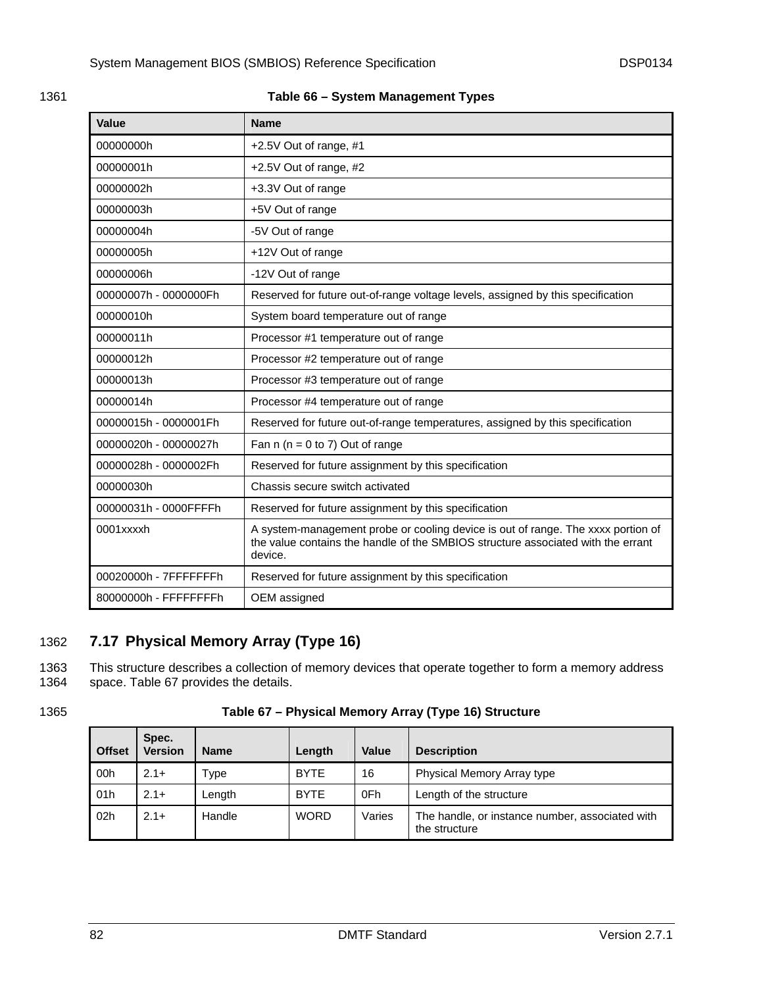## <span id="page-81-0"></span>1361 **Table 66 – System Management Types**

| <b>Value</b>          | <b>Name</b>                                                                                                                                                                     |
|-----------------------|---------------------------------------------------------------------------------------------------------------------------------------------------------------------------------|
| 00000000h             | +2.5V Out of range, #1                                                                                                                                                          |
| 00000001h             | +2.5V Out of range, #2                                                                                                                                                          |
| 00000002h             | +3.3V Out of range                                                                                                                                                              |
| 00000003h             | +5V Out of range                                                                                                                                                                |
| 00000004h             | -5V Out of range                                                                                                                                                                |
| 00000005h             | +12V Out of range                                                                                                                                                               |
| 00000006h             | -12V Out of range                                                                                                                                                               |
| 00000007h - 0000000Fh | Reserved for future out-of-range voltage levels, assigned by this specification                                                                                                 |
| 00000010h             | System board temperature out of range                                                                                                                                           |
| 00000011h             | Processor #1 temperature out of range                                                                                                                                           |
| 00000012h             | Processor #2 temperature out of range                                                                                                                                           |
| 00000013h             | Processor #3 temperature out of range                                                                                                                                           |
| 00000014h             | Processor #4 temperature out of range                                                                                                                                           |
| 00000015h - 0000001Fh | Reserved for future out-of-range temperatures, assigned by this specification                                                                                                   |
| 00000020h - 00000027h | Fan $n (n = 0 to 7)$ Out of range                                                                                                                                               |
| 00000028h - 0000002Fh | Reserved for future assignment by this specification                                                                                                                            |
| 00000030h             | Chassis secure switch activated                                                                                                                                                 |
| 00000031h - 0000FFFFh | Reserved for future assignment by this specification                                                                                                                            |
| 0001xxxxh             | A system-management probe or cooling device is out of range. The xxxx portion of<br>the value contains the handle of the SMBIOS structure associated with the errant<br>device. |
| 00020000h - 7FFFFFFFh | Reserved for future assignment by this specification                                                                                                                            |
| 80000000h - FFFFFFFFh | OEM assigned                                                                                                                                                                    |

# <span id="page-81-2"></span>1362 **7.17 Physical Memory Array (Type 16)**

1363 This structure describes a collection of memory devices that operate together to form a memory address 1364 space. [Table 67](#page-81-1) provides the details.

## <span id="page-81-1"></span>1365 **Table 67 – Physical Memory Array (Type 16) Structure**

| <b>Offset</b>   | Spec.<br><b>Version</b> | <b>Name</b> | Length      | Value  | <b>Description</b>                                               |
|-----------------|-------------------------|-------------|-------------|--------|------------------------------------------------------------------|
| 00h             | $2.1+$                  | Type        | <b>BYTE</b> | 16     | Physical Memory Array type                                       |
| 01h             | $2.1+$                  | Length      | <b>BYTE</b> | 0Fh    | Length of the structure                                          |
| 02 <sub>h</sub> | $2.1+$                  | Handle      | <b>WORD</b> | Varies | The handle, or instance number, associated with<br>the structure |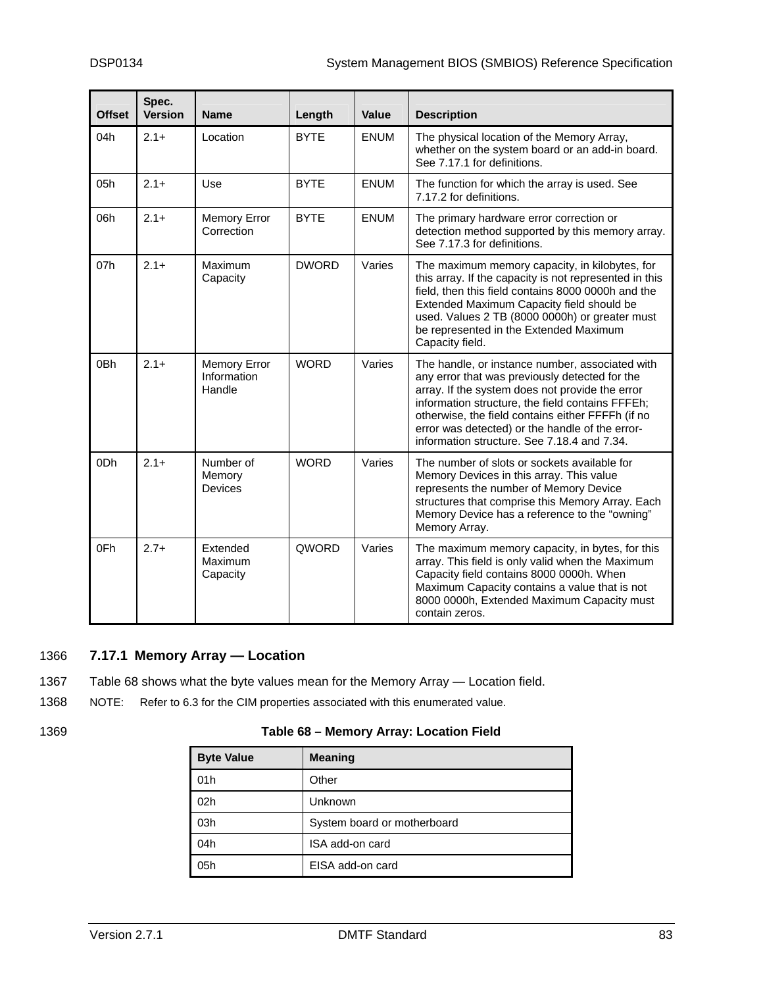| <b>Offset</b>   | Spec.<br><b>Version</b> | <b>Name</b>                                  | Length       | <b>Value</b> | <b>Description</b>                                                                                                                                                                                                                                                                                                                                              |
|-----------------|-------------------------|----------------------------------------------|--------------|--------------|-----------------------------------------------------------------------------------------------------------------------------------------------------------------------------------------------------------------------------------------------------------------------------------------------------------------------------------------------------------------|
| 04h             | $2.1+$                  | Location                                     | <b>BYTE</b>  | <b>ENUM</b>  | The physical location of the Memory Array,<br>whether on the system board or an add-in board.<br>See 7.17.1 for definitions.                                                                                                                                                                                                                                    |
| 05h             | $2.1+$                  | Use                                          | <b>BYTE</b>  | <b>ENUM</b>  | The function for which the array is used. See<br>7.17.2 for definitions.                                                                                                                                                                                                                                                                                        |
| 06h             | $2.1+$                  | <b>Memory Error</b><br>Correction            | <b>BYTE</b>  | <b>ENUM</b>  | The primary hardware error correction or<br>detection method supported by this memory array.<br>See 7.17.3 for definitions.                                                                                                                                                                                                                                     |
| 07h             | $2.1+$                  | Maximum<br>Capacity                          | <b>DWORD</b> | Varies       | The maximum memory capacity, in kilobytes, for<br>this array. If the capacity is not represented in this<br>field, then this field contains 8000 0000h and the<br>Extended Maximum Capacity field should be<br>used. Values 2 TB (8000 0000h) or greater must<br>be represented in the Extended Maximum<br>Capacity field.                                      |
| 0 <sub>Bh</sub> | $2.1+$                  | <b>Memory Error</b><br>Information<br>Handle | <b>WORD</b>  | Varies       | The handle, or instance number, associated with<br>any error that was previously detected for the<br>array. If the system does not provide the error<br>information structure, the field contains FFFEh;<br>otherwise, the field contains either FFFFh (if no<br>error was detected) or the handle of the error-<br>information structure. See 7.18.4 and 7.34. |
| 0 <sub>Dh</sub> | $2.1 +$                 | Number of<br>Memory<br><b>Devices</b>        | <b>WORD</b>  | Varies       | The number of slots or sockets available for<br>Memory Devices in this array. This value<br>represents the number of Memory Device<br>structures that comprise this Memory Array. Each<br>Memory Device has a reference to the "owning"<br>Memory Array.                                                                                                        |
| 0Fh             | $2.7+$                  | Extended<br>Maximum<br>Capacity              | QWORD        | Varies       | The maximum memory capacity, in bytes, for this<br>array. This field is only valid when the Maximum<br>Capacity field contains 8000 0000h. When<br>Maximum Capacity contains a value that is not<br>8000 0000h, Extended Maximum Capacity must<br>contain zeros.                                                                                                |

# <span id="page-82-0"></span>1366 **7.17.1 Memory Array — Location**

- 1367 [Table 68](#page-82-1) shows what the byte values mean for the Memory Array Location field.
- 1368 NOTE: Refer to [6.3](#page-25-0) for the CIM properties associated with this enumerated value.

#### <span id="page-82-1"></span>1369 **Table 68 – Memory Array: Location Field**

| <b>Byte Value</b> | <b>Meaning</b>              |
|-------------------|-----------------------------|
| 01h               | Other                       |
| 02h               | Unknown                     |
| 03h               | System board or motherboard |
| 04h               | ISA add-on card             |
| 05h               | EISA add-on card            |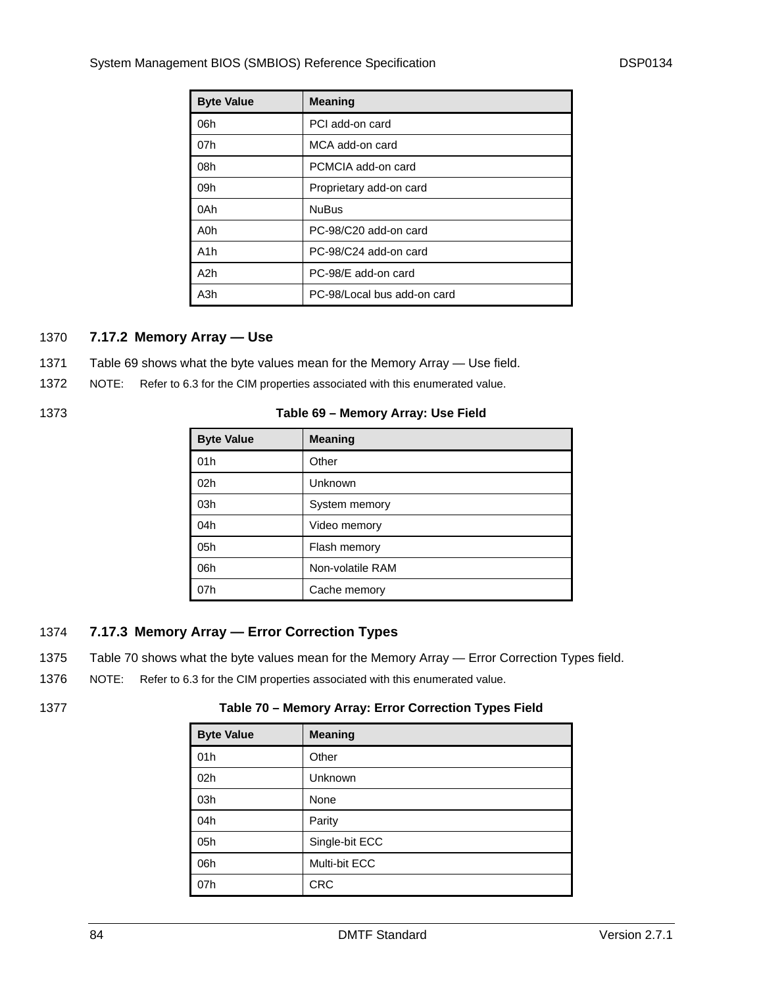| <b>Byte Value</b> | <b>Meaning</b>              |
|-------------------|-----------------------------|
| 06h               | PCI add-on card             |
| 07h               | MCA add-on card             |
| 08h               | PCMCIA add-on card          |
| 09h               | Proprietary add-on card     |
| 0Ah               | <b>NuBus</b>                |
| A0h               | PC-98/C20 add-on card       |
| A <sub>1</sub> h  | PC-98/C24 add-on card       |
| A <sub>2</sub> h  | PC-98/E add-on card         |
| A3h               | PC-98/Local bus add-on card |

## <span id="page-83-0"></span>1370 **7.17.2 Memory Array — Use**

- 1371 [Table 69](#page-83-2) shows what the byte values mean for the Memory Array Use field.
- 1372 NOTE: Refer to [6.3](#page-25-0) for the CIM properties associated with this enumerated value.

## <span id="page-83-2"></span>1373 **Table 69 – Memory Array: Use Field**

| <b>Byte Value</b> | <b>Meaning</b>   |
|-------------------|------------------|
| 01h               | Other            |
| 02 <sub>h</sub>   | Unknown          |
| 03h               | System memory    |
| 04h               | Video memory     |
| 05h               | Flash memory     |
| 06h               | Non-volatile RAM |
| 07h               | Cache memory     |

## <span id="page-83-1"></span>1374 **7.17.3 Memory Array — Error Correction Types**

- 1375 [Table 70](#page-83-3) shows what the byte values mean for the Memory Array Error Correction Types field.
- 1376 NOTE: Refer to [6.3](#page-25-0) for the CIM properties associated with this enumerated value.

## <span id="page-83-3"></span>1377 **Table 70 – Memory Array: Error Correction Types Field**

| <b>Byte Value</b> | <b>Meaning</b> |
|-------------------|----------------|
| 01h               | Other          |
| 02 <sub>h</sub>   | Unknown        |
| 03h               | None           |
| 04h               | Parity         |
| 05h               | Single-bit ECC |
| 06h               | Multi-bit ECC  |
| 07h               | <b>CRC</b>     |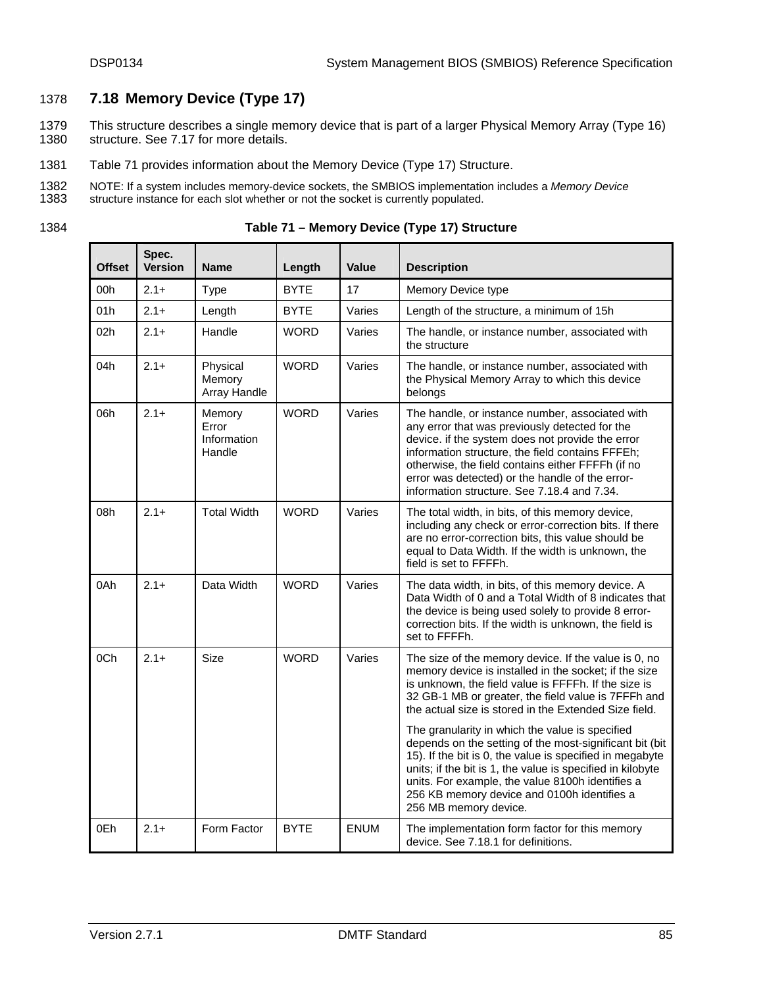# <span id="page-84-1"></span>1378 **7.18 Memory Device (Type 17)**

1379 This structure describes a single memory device that is part of a larger Physical Memory Array (Type 16)<br>1380 structure. See 7.17 for more details. structure. See [7.17](#page-81-2) for more details.

1381 [Table 71](#page-84-0) provides information about the Memory Device (Type 17) Structure.

1382 NOTE: If a system includes memory-device sockets, the SMBIOS implementation includes a *Memory Device* structure instance for each slot whether or not the socket is currently populated.

#### <span id="page-84-0"></span>1384 **Table 71 – Memory Device (Type 17) Structure**

| <b>Offset</b> | Spec.<br><b>Version</b> | <b>Name</b>                              | Length      | <b>Value</b> | <b>Description</b>                                                                                                                                                                                                                                                                                                                                               |
|---------------|-------------------------|------------------------------------------|-------------|--------------|------------------------------------------------------------------------------------------------------------------------------------------------------------------------------------------------------------------------------------------------------------------------------------------------------------------------------------------------------------------|
| 00h           | $2.1 +$                 | <b>Type</b>                              | <b>BYTE</b> | 17           | Memory Device type                                                                                                                                                                                                                                                                                                                                               |
| 01h           | $2.1+$                  | Length                                   | <b>BYTE</b> | Varies       | Length of the structure, a minimum of 15h                                                                                                                                                                                                                                                                                                                        |
| 02h           | $2.1+$                  | Handle                                   | <b>WORD</b> | Varies       | The handle, or instance number, associated with<br>the structure                                                                                                                                                                                                                                                                                                 |
| 04h           | $2.1+$                  | Physical<br>Memory<br>Array Handle       | <b>WORD</b> | Varies       | The handle, or instance number, associated with<br>the Physical Memory Array to which this device<br>belongs                                                                                                                                                                                                                                                     |
| 06h           | $2.1+$                  | Memory<br>Error<br>Information<br>Handle | <b>WORD</b> | Varies       | The handle, or instance number, associated with<br>any error that was previously detected for the<br>device. if the system does not provide the error<br>information structure, the field contains FFFEh;<br>otherwise, the field contains either FFFFh (if no<br>error was detected) or the handle of the error-<br>information structure. See 7.18.4 and 7.34. |
| 08h           | $2.1+$                  | <b>Total Width</b>                       | <b>WORD</b> | Varies       | The total width, in bits, of this memory device,<br>including any check or error-correction bits. If there<br>are no error-correction bits, this value should be<br>equal to Data Width. If the width is unknown, the<br>field is set to FFFFh.                                                                                                                  |
| 0Ah           | $2.1+$                  | Data Width                               | <b>WORD</b> | Varies       | The data width, in bits, of this memory device. A<br>Data Width of 0 and a Total Width of 8 indicates that<br>the device is being used solely to provide 8 error-<br>correction bits. If the width is unknown, the field is<br>set to FFFFh.                                                                                                                     |
| 0Ch           | $2.1+$                  | Size                                     | <b>WORD</b> | Varies       | The size of the memory device. If the value is 0, no<br>memory device is installed in the socket; if the size<br>is unknown, the field value is FFFFh. If the size is<br>32 GB-1 MB or greater, the field value is 7FFFh and<br>the actual size is stored in the Extended Size field.                                                                            |
|               |                         |                                          |             |              | The granularity in which the value is specified<br>depends on the setting of the most-significant bit (bit<br>15). If the bit is 0, the value is specified in megabyte<br>units; if the bit is 1, the value is specified in kilobyte<br>units. For example, the value 8100h identifies a<br>256 KB memory device and 0100h identifies a<br>256 MB memory device. |
| 0Eh           | $2.1+$                  | Form Factor                              | <b>BYTE</b> | <b>ENUM</b>  | The implementation form factor for this memory<br>device. See 7.18.1 for definitions.                                                                                                                                                                                                                                                                            |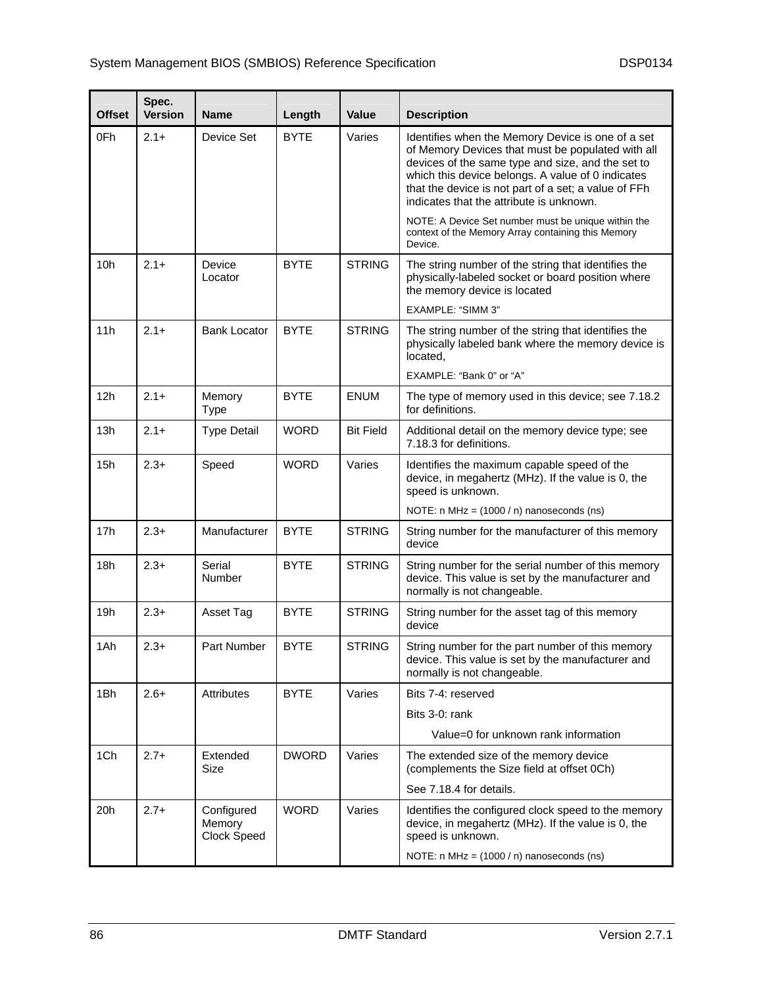| <b>Offset</b>   | Spec.<br><b>Version</b> | <b>Name</b>                         | Length       | <b>Value</b>     | <b>Description</b>                                                                                                                                                                                                                                                                                                   |
|-----------------|-------------------------|-------------------------------------|--------------|------------------|----------------------------------------------------------------------------------------------------------------------------------------------------------------------------------------------------------------------------------------------------------------------------------------------------------------------|
| 0Fh             | $2.1 +$                 | Device Set                          | <b>BYTE</b>  | Varies           | Identifies when the Memory Device is one of a set<br>of Memory Devices that must be populated with all<br>devices of the same type and size, and the set to<br>which this device belongs. A value of 0 indicates<br>that the device is not part of a set; a value of FFh<br>indicates that the attribute is unknown. |
|                 |                         |                                     |              |                  | NOTE: A Device Set number must be unique within the<br>context of the Memory Array containing this Memory<br>Device.                                                                                                                                                                                                 |
| 10 <sub>h</sub> | $2.1+$                  | Device<br>Locator                   | <b>BYTE</b>  | <b>STRING</b>    | The string number of the string that identifies the<br>physically-labeled socket or board position where<br>the memory device is located                                                                                                                                                                             |
|                 |                         |                                     |              |                  | <b>EXAMPLE: "SIMM 3"</b>                                                                                                                                                                                                                                                                                             |
| 11h             | $2.1+$                  | <b>Bank Locator</b>                 | <b>BYTE</b>  | <b>STRING</b>    | The string number of the string that identifies the<br>physically labeled bank where the memory device is<br>located,                                                                                                                                                                                                |
|                 |                         |                                     |              |                  | EXAMPLE: "Bank 0" or "A"                                                                                                                                                                                                                                                                                             |
| 12h             | $2.1+$                  | Memory<br><b>Type</b>               | <b>BYTE</b>  | <b>ENUM</b>      | The type of memory used in this device; see 7.18.2<br>for definitions.                                                                                                                                                                                                                                               |
| 13h             | $2.1+$                  | <b>Type Detail</b>                  | <b>WORD</b>  | <b>Bit Field</b> | Additional detail on the memory device type; see<br>7.18.3 for definitions.                                                                                                                                                                                                                                          |
| 15h             | $2.3+$                  | Speed                               | <b>WORD</b>  | Varies           | Identifies the maximum capable speed of the<br>device, in megahertz (MHz). If the value is 0, the<br>speed is unknown.                                                                                                                                                                                               |
|                 |                         |                                     |              |                  | NOTE: $n$ MHz = $(1000 / n)$ nanoseconds (ns)                                                                                                                                                                                                                                                                        |
| 17h             | $2.3+$                  | Manufacturer                        | <b>BYTE</b>  | <b>STRING</b>    | String number for the manufacturer of this memory<br>device                                                                                                                                                                                                                                                          |
| 18h             | $2.3+$                  | Serial<br>Number                    | <b>BYTE</b>  | <b>STRING</b>    | String number for the serial number of this memory<br>device. This value is set by the manufacturer and<br>normally is not changeable.                                                                                                                                                                               |
| 19h             | $2.3+$                  | Asset Tag                           | <b>BYTE</b>  | <b>STRING</b>    | String number for the asset tag of this memory<br>device                                                                                                                                                                                                                                                             |
| 1Ah             | $2.3+$                  | Part Number                         | <b>BYTE</b>  | <b>STRING</b>    | String number for the part number of this memory<br>device. This value is set by the manufacturer and<br>normally is not changeable.                                                                                                                                                                                 |
| 1Bh             | $2.6+$                  | Attributes                          | <b>BYTE</b>  | Varies           | Bits 7-4: reserved                                                                                                                                                                                                                                                                                                   |
|                 |                         |                                     |              |                  | Bits 3-0: rank                                                                                                                                                                                                                                                                                                       |
|                 |                         |                                     |              |                  | Value=0 for unknown rank information                                                                                                                                                                                                                                                                                 |
| 1Ch             | $2.7+$                  | Extended<br>Size                    | <b>DWORD</b> | Varies           | The extended size of the memory device<br>(complements the Size field at offset 0Ch)                                                                                                                                                                                                                                 |
|                 |                         |                                     |              |                  | See 7.18.4 for details.                                                                                                                                                                                                                                                                                              |
| 20h             | $2.7+$                  | Configured<br>Memory<br>Clock Speed | <b>WORD</b>  | Varies           | Identifies the configured clock speed to the memory<br>device, in megahertz (MHz). If the value is 0, the<br>speed is unknown.                                                                                                                                                                                       |
|                 |                         |                                     |              |                  | NOTE: $n$ MHz = (1000 / $n$ ) nanoseconds (ns)                                                                                                                                                                                                                                                                       |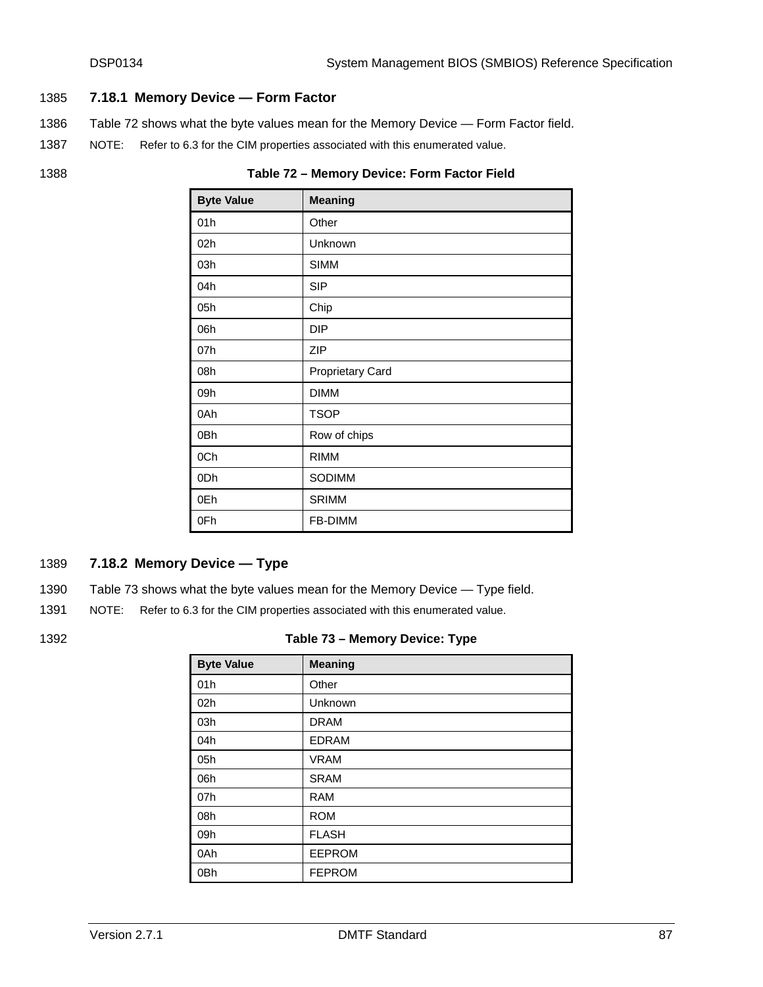## <span id="page-86-0"></span>1385 **7.18.1 Memory Device — Form Factor**

- 1386 [Table 72](#page-86-2) shows what the byte values mean for the Memory Device Form Factor field.
- 1387 NOTE: Refer to [6.3](#page-25-0) for the CIM properties associated with this enumerated value.
- 

## <span id="page-86-2"></span>1388 **Table 72 – Memory Device: Form Factor Field**

| <b>Byte Value</b> | <b>Meaning</b>   |
|-------------------|------------------|
| 01h               | Other            |
| 02h               | Unknown          |
| 03h               | <b>SIMM</b>      |
| 04h               | <b>SIP</b>       |
| 05h               | Chip             |
| 06h               | <b>DIP</b>       |
| 07h               | <b>ZIP</b>       |
| 08h               | Proprietary Card |
| 09h               | <b>DIMM</b>      |
| 0Ah               | <b>TSOP</b>      |
| 0Bh               | Row of chips     |
| 0Ch               | <b>RIMM</b>      |
| 0Dh               | SODIMM           |
| 0Eh               | <b>SRIMM</b>     |
| 0Fh               | FB-DIMM          |

## <span id="page-86-1"></span>1389 **7.18.2 Memory Device — Type**

- 1390 [Table 73](#page-86-3) shows what the byte values mean for the Memory Device Type field.
- 1391 NOTE: Refer to [6.3](#page-25-0) for the CIM properties associated with this enumerated value.
- 

## <span id="page-86-3"></span>1392 **Table 73 – Memory Device: Type**

| <b>Byte Value</b> | <b>Meaning</b> |
|-------------------|----------------|
| 01h               | Other          |
| 02h               | Unknown        |
| 03h               | <b>DRAM</b>    |
| 04h               | <b>EDRAM</b>   |
| 05h               | <b>VRAM</b>    |
| 06h               | <b>SRAM</b>    |
| 07h               | <b>RAM</b>     |
| 08h               | <b>ROM</b>     |
| 09h               | <b>FLASH</b>   |
| 0Ah               | <b>EEPROM</b>  |
| 0 <sub>Bh</sub>   | <b>FEPROM</b>  |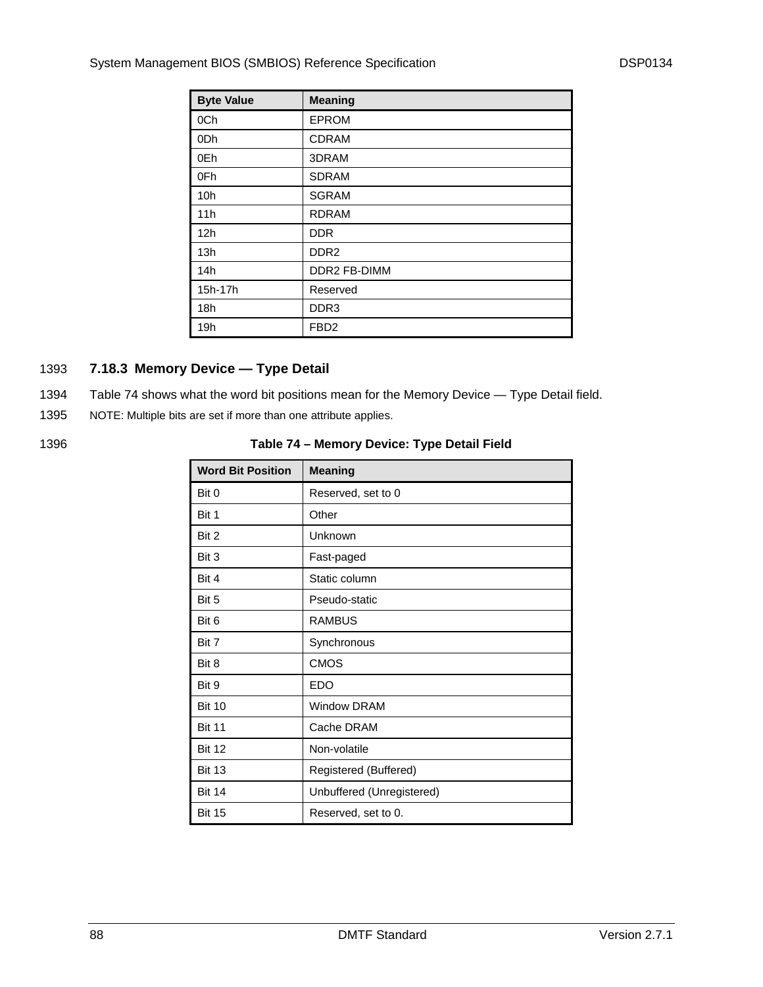## System Management BIOS (SMBIOS) Reference Specification DSP0134

| <b>Byte Value</b> | <b>Meaning</b>   |
|-------------------|------------------|
| 0Ch               | <b>EPROM</b>     |
| 0 <sub>Dh</sub>   | <b>CDRAM</b>     |
| 0Eh               | 3DRAM            |
| 0Fh               | <b>SDRAM</b>     |
| 10 <sub>h</sub>   | <b>SGRAM</b>     |
| 11h               | <b>RDRAM</b>     |
| 12h               | DDR.             |
| 13h               | DDR <sub>2</sub> |
| 14h               | DDR2 FB-DIMM     |
| 15h-17h           | Reserved         |
| 18h               | DDR <sub>3</sub> |
| 19h               | FBD <sub>2</sub> |

# <span id="page-87-0"></span>1393 **7.18.3 Memory Device — Type Detail**

1394 [Table 74](#page-87-1) shows what the word bit positions mean for the Memory Device — Type Detail field.

1395 NOTE: Multiple bits are set if more than one attribute applies.

## <span id="page-87-1"></span>1396 **Table 74 – Memory Device: Type Detail Field**

| <b>Word Bit Position</b> | <b>Meaning</b>            |
|--------------------------|---------------------------|
| Bit 0                    | Reserved, set to 0        |
| Bit 1                    | Other                     |
| Bit 2                    | Unknown                   |
| Bit 3                    | Fast-paged                |
| Bit 4                    | Static column             |
| Bit 5                    | Pseudo-static             |
| Bit 6                    | <b>RAMBUS</b>             |
| Bit 7                    | Synchronous               |
| Bit 8                    | <b>CMOS</b>               |
| Bit 9                    | <b>EDO</b>                |
| <b>Bit 10</b>            | <b>Window DRAM</b>        |
| <b>Bit 11</b>            | Cache DRAM                |
| <b>Bit 12</b>            | Non-volatile              |
| <b>Bit 13</b>            | Registered (Buffered)     |
| <b>Bit 14</b>            | Unbuffered (Unregistered) |
| <b>Bit 15</b>            | Reserved, set to 0.       |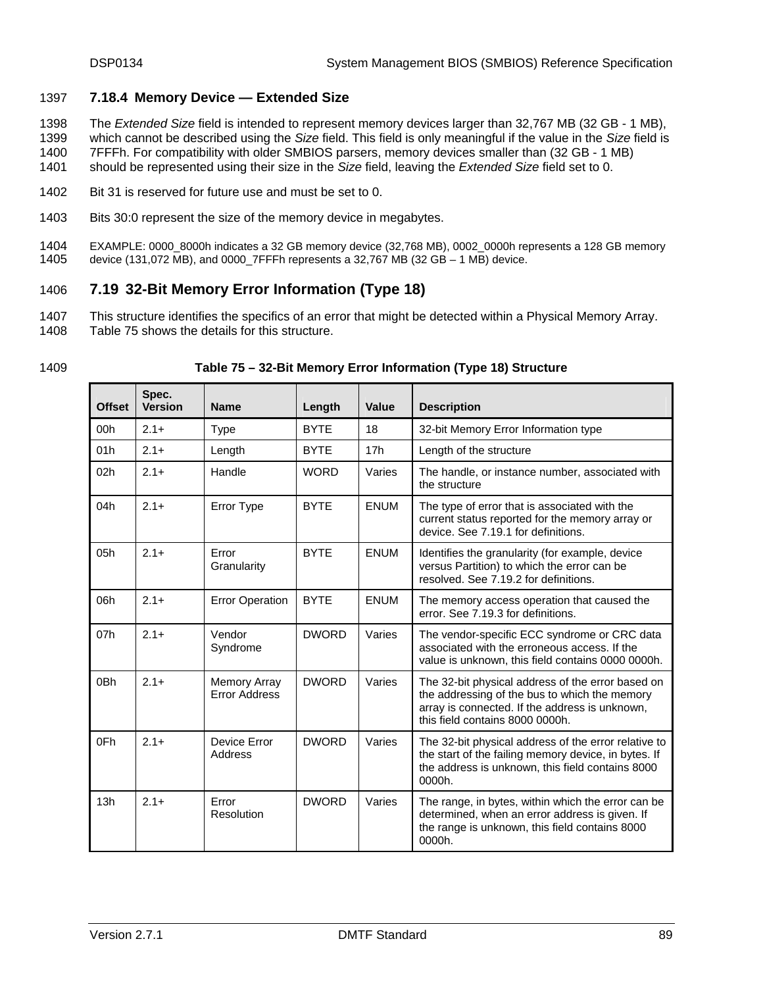### <span id="page-88-0"></span>1397 **7.18.4 Memory Device — Extended Size**

1398 The *Extended Size* field is intended to represent memory devices larger than 32,767 MB (32 GB - 1 MB),

1399 which cannot be described using the *Size* field. This field is only meaningful if the value in the *Size* field is

1400 7FFFh. For compatibility with older SMBIOS parsers, memory devices smaller than (32 GB - 1 MB)<br>1401 should be represented using their size in the Size field. leaving the Extended Size field set to 0.

1401 should be represented using their size in the *Size* field, leaving the *Extended Size* field set to 0.

- 1402 Bit 31 is reserved for future use and must be set to 0.
- 1403 Bits 30:0 represent the size of the memory device in megabytes.

1404 EXAMPLE: 0000\_8000h indicates a 32 GB memory device (32,768 MB), 0002\_0000h represents a 128 GB memory 1405 device (131,072 MB), and 0000\_7FFFh represents a 32,767 MB (32 GB - 1 MB) device. device (131,072 MB), and 0000\_7FFFh represents a 32,767 MB (32 GB  $-$  1 MB) device.

## 1406 **7.19 32-Bit Memory Error Information (Type 18)**

1407 This structure identifies the specifics of an error that might be detected within a Physical Memory Array.<br>1408 Table 75 shows the details for this structure.

[Table 75](#page-88-1) shows the details for this structure.

#### <span id="page-88-1"></span>1409 **Table 75 – 32-Bit Memory Error Information (Type 18) Structure**

| <b>Offset</b>   | Spec.<br><b>Version</b> | <b>Name</b>                                 | Length       | Value       | <b>Description</b>                                                                                                                                                                      |
|-----------------|-------------------------|---------------------------------------------|--------------|-------------|-----------------------------------------------------------------------------------------------------------------------------------------------------------------------------------------|
| 00h             | $2.1+$                  | <b>Type</b>                                 | <b>BYTE</b>  | 18          | 32-bit Memory Error Information type                                                                                                                                                    |
| 01h             | $2.1+$                  | Length                                      | <b>BYTE</b>  | 17h         | Length of the structure                                                                                                                                                                 |
| 02h             | $2.1 +$                 | Handle                                      | <b>WORD</b>  | Varies      | The handle, or instance number, associated with<br>the structure                                                                                                                        |
| 04h             | $2.1+$                  | <b>Error Type</b>                           | <b>BYTE</b>  | <b>ENUM</b> | The type of error that is associated with the<br>current status reported for the memory array or<br>device. See 7.19.1 for definitions.                                                 |
| 05h             | $2.1 +$                 | Error<br>Granularity                        | <b>BYTE</b>  | <b>ENUM</b> | Identifies the granularity (for example, device<br>versus Partition) to which the error can be<br>resolved. See 7.19.2 for definitions.                                                 |
| 06h             | $2.1+$                  | <b>Error Operation</b>                      | <b>BYTE</b>  | <b>ENUM</b> | The memory access operation that caused the<br>error. See 7.19.3 for definitions.                                                                                                       |
| 07h             | $2.1 +$                 | Vendor<br>Syndrome                          | <b>DWORD</b> | Varies      | The vendor-specific ECC syndrome or CRC data<br>associated with the erroneous access. If the<br>value is unknown, this field contains 0000 0000h.                                       |
| 0 <sub>Bh</sub> | $2.1 +$                 | <b>Memory Array</b><br><b>Error Address</b> | <b>DWORD</b> | Varies      | The 32-bit physical address of the error based on<br>the addressing of the bus to which the memory<br>array is connected. If the address is unknown,<br>this field contains 8000 0000h. |
| 0Fh             | $2.1 +$                 | Device Error<br>Address                     | <b>DWORD</b> | Varies      | The 32-bit physical address of the error relative to<br>the start of the failing memory device, in bytes. If<br>the address is unknown, this field contains 8000<br>0000h.              |
| 13h             | $2.1 +$                 | Error<br>Resolution                         | <b>DWORD</b> | Varies      | The range, in bytes, within which the error can be<br>determined, when an error address is given. If<br>the range is unknown, this field contains 8000<br>0000h.                        |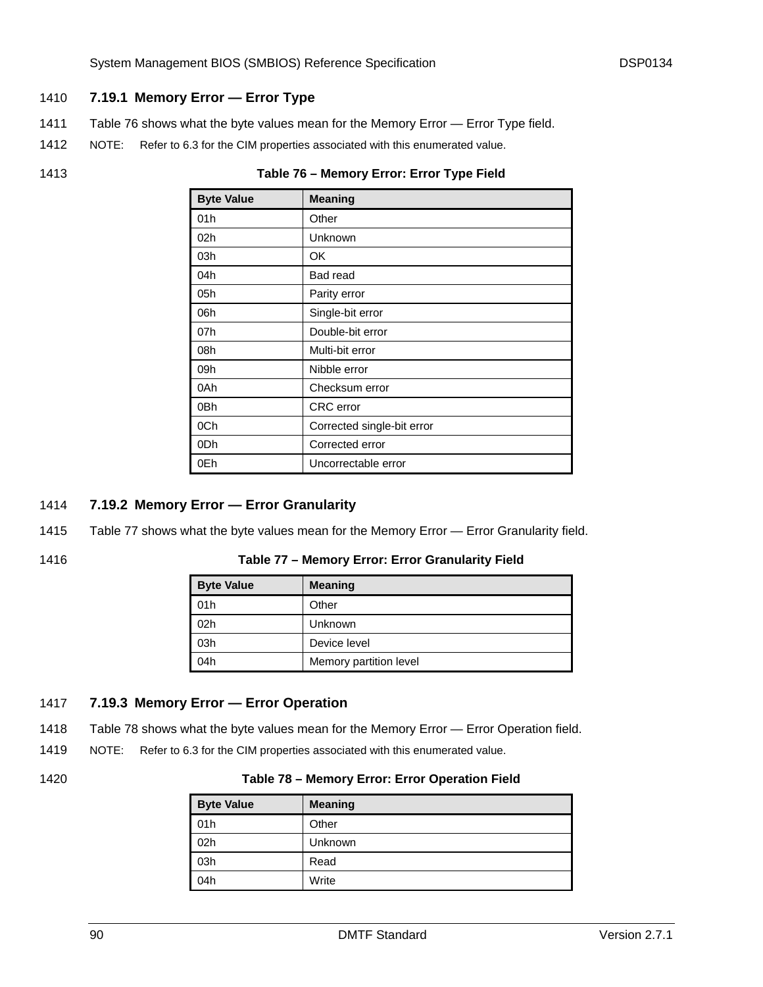## <span id="page-89-0"></span>1410 **7.19.1 Memory Error — Error Type**

- 1411 [Table 76](#page-89-3) shows what the byte values mean for the Memory Error Error Type field.
- 1412 NOTE: Refer to [6.3](#page-25-0) for the CIM properties associated with this enumerated value.
- 

### <span id="page-89-3"></span>1413 **Table 76 – Memory Error: Error Type Field**

| <b>Byte Value</b> | <b>Meaning</b>             |
|-------------------|----------------------------|
| 01h               | Other                      |
| 02h               | Unknown                    |
| 03h               | OK                         |
| 04h               | Bad read                   |
| 05h               | Parity error               |
| 06h               | Single-bit error           |
| 07h               | Double-bit error           |
| 08h               | Multi-bit error            |
| 09h               | Nibble error               |
| 0Ah               | Checksum error             |
| 0Bh               | <b>CRC</b> error           |
| 0Ch               | Corrected single-bit error |
| 0 <sub>Dh</sub>   | Corrected error            |
| 0Eh               | Uncorrectable error        |

## <span id="page-89-1"></span>1414 **7.19.2 Memory Error — Error Granularity**

1415 [Table 77](#page-89-4) shows what the byte values mean for the Memory Error — Error Granularity field.

#### <span id="page-89-4"></span>1416 **Table 77 – Memory Error: Error Granularity Field**

| <b>Byte Value</b> | <b>Meaning</b>         |
|-------------------|------------------------|
| 01h               | Other                  |
| 02h               | Unknown                |
| 03h               | Device level           |
| 04h               | Memory partition level |

## <span id="page-89-2"></span>1417 **7.19.3 Memory Error — Error Operation**

- 1418 [Table 78](#page-89-5) shows what the byte values mean for the Memory Error Error Operation field.
- 1419 NOTE: Refer to [6.3](#page-25-0) for the CIM properties associated with this enumerated value.
- 

#### <span id="page-89-5"></span>1420 **Table 78 – Memory Error: Error Operation Field**

| <b>Byte Value</b> | <b>Meaning</b> |
|-------------------|----------------|
| 01h               | Other          |
| 02h               | <b>Unknown</b> |
| 03h               | Read           |
| 04h               | Write          |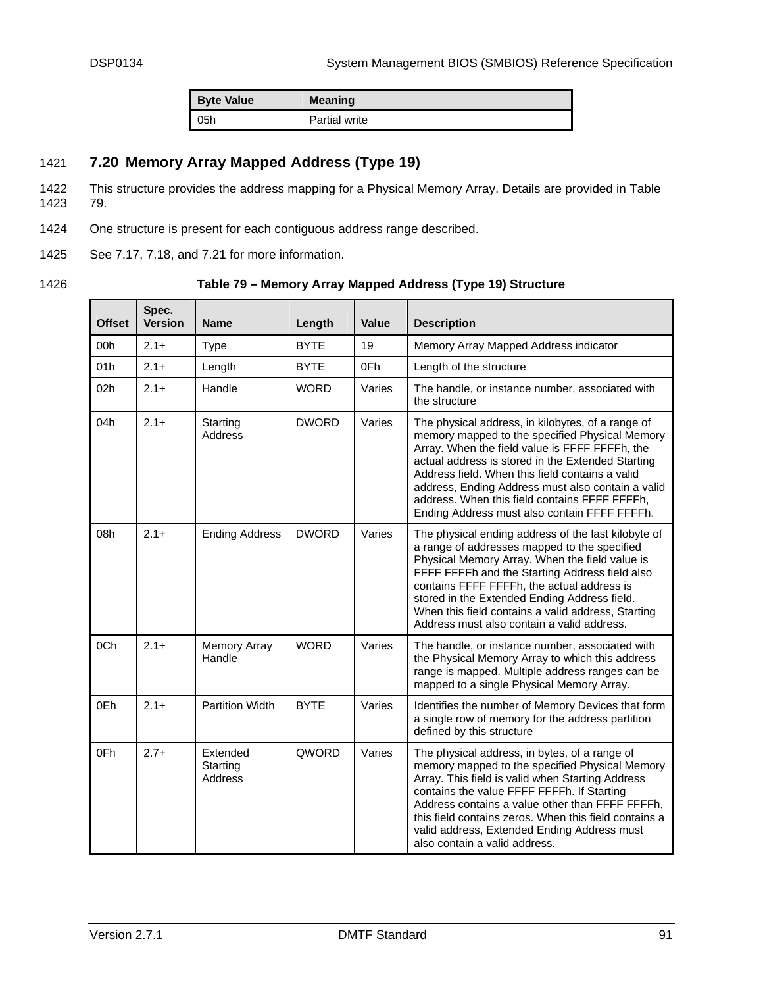| <b>Byte Value</b> | <b>Meaning</b>       |
|-------------------|----------------------|
| 05h               | <b>Partial write</b> |

## 1421 **7.20 Memory Array Mapped Address (Type 19)**

- [1422 This structure provides the address mapping for a Physical Memory Array. Details are provided in Table](#page-90-0)  1423
- 1424 One structure is present for each contiguous address range described.
- 1425 See [7.17](#page-81-2), [7.18](#page-84-1), and [7.21](#page-91-0) for more information.
- 

## <span id="page-90-0"></span>1426 **Table 79 – Memory Array Mapped Address (Type 19) Structure**

| <b>Offset</b> | Spec.<br><b>Version</b> | <b>Name</b>                     | Length       | Value  | <b>Description</b>                                                                                                                                                                                                                                                                                                                                                                                                  |
|---------------|-------------------------|---------------------------------|--------------|--------|---------------------------------------------------------------------------------------------------------------------------------------------------------------------------------------------------------------------------------------------------------------------------------------------------------------------------------------------------------------------------------------------------------------------|
| 00h           | $2.1+$                  | Type                            | <b>BYTE</b>  | 19     | Memory Array Mapped Address indicator                                                                                                                                                                                                                                                                                                                                                                               |
| 01h           | $2.1 +$                 | Length                          | <b>BYTE</b>  | 0Fh    | Length of the structure                                                                                                                                                                                                                                                                                                                                                                                             |
| 02h           | $2.1+$                  | Handle                          | <b>WORD</b>  | Varies | The handle, or instance number, associated with<br>the structure                                                                                                                                                                                                                                                                                                                                                    |
| 04h           | $2.1+$                  | Starting<br>Address             | <b>DWORD</b> | Varies | The physical address, in kilobytes, of a range of<br>memory mapped to the specified Physical Memory<br>Array. When the field value is FFFF FFFFh, the<br>actual address is stored in the Extended Starting<br>Address field. When this field contains a valid<br>address, Ending Address must also contain a valid<br>address. When this field contains FFFF FFFFh,<br>Ending Address must also contain FFFF FFFFh. |
| 08h           | $2.1+$                  | <b>Ending Address</b>           | <b>DWORD</b> | Varies | The physical ending address of the last kilobyte of<br>a range of addresses mapped to the specified<br>Physical Memory Array. When the field value is<br>FFFF FFFFh and the Starting Address field also<br>contains FFFF FFFFh, the actual address is<br>stored in the Extended Ending Address field.<br>When this field contains a valid address, Starting<br>Address must also contain a valid address.           |
| 0Ch           | $2.1+$                  | Memory Array<br>Handle          | <b>WORD</b>  | Varies | The handle, or instance number, associated with<br>the Physical Memory Array to which this address<br>range is mapped. Multiple address ranges can be<br>mapped to a single Physical Memory Array.                                                                                                                                                                                                                  |
| 0Eh           | $2.1+$                  | <b>Partition Width</b>          | <b>BYTE</b>  | Varies | Identifies the number of Memory Devices that form<br>a single row of memory for the address partition<br>defined by this structure                                                                                                                                                                                                                                                                                  |
| 0Fh           | $2.7+$                  | Extended<br>Starting<br>Address | QWORD        | Varies | The physical address, in bytes, of a range of<br>memory mapped to the specified Physical Memory<br>Array. This field is valid when Starting Address<br>contains the value FFFF FFFFh. If Starting<br>Address contains a value other than FFFF FFFFh,<br>this field contains zeros. When this field contains a<br>valid address, Extended Ending Address must<br>also contain a valid address.                       |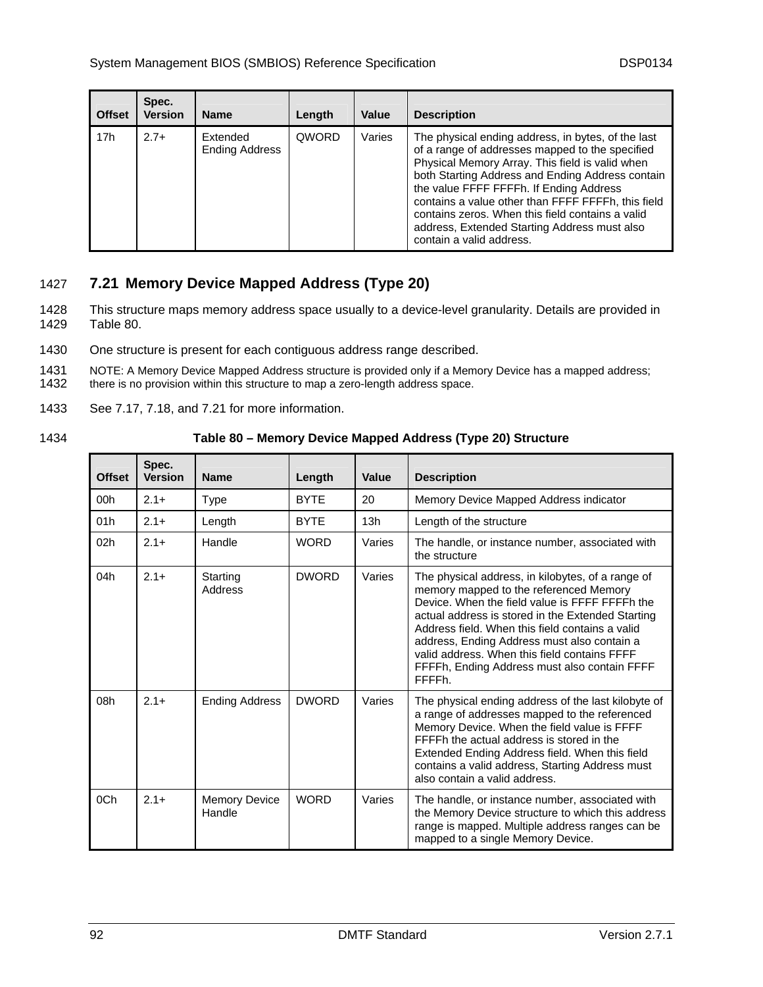| <b>Offset</b> | Spec.<br><b>Version</b> | <b>Name</b>                       | Length       | Value  | <b>Description</b>                                                                                                                                                                                                                                                                                                                                                                                                                            |
|---------------|-------------------------|-----------------------------------|--------------|--------|-----------------------------------------------------------------------------------------------------------------------------------------------------------------------------------------------------------------------------------------------------------------------------------------------------------------------------------------------------------------------------------------------------------------------------------------------|
| 17h           | $2.7+$                  | Extended<br><b>Ending Address</b> | <b>QWORD</b> | Varies | The physical ending address, in bytes, of the last<br>of a range of addresses mapped to the specified<br>Physical Memory Array. This field is valid when<br>both Starting Address and Ending Address contain<br>the value FFFF FFFFh. If Ending Address<br>contains a value other than FFFF FFFFh, this field<br>contains zeros. When this field contains a valid<br>address, Extended Starting Address must also<br>contain a valid address. |

# <span id="page-91-0"></span>1427 **7.21 Memory Device Mapped Address (Type 20)**

- 1428 This structure maps memory address space usually to a device-level granularity. Details are provided in 1429 Table 80. [Table 80.](#page-91-1)
- 1430 One structure is present for each contiguous address range described.

1431 NOTE: A Memory Device Mapped Address structure is provided only if a Memory Device has a mapped address;<br>1432 there is no provision within this structure to map a zero-length address space. there is no provision within this structure to map a zero-length address space.

- 1433 See [7.17](#page-81-2), [7.18](#page-84-1), and [7.21](#page-91-0) for more information.
- 

## <span id="page-91-1"></span>1434 **Table 80 – Memory Device Mapped Address (Type 20) Structure**

| <b>Offset</b> | Spec.<br><b>Version</b> | <b>Name</b>                    | Length       | Value  | <b>Description</b>                                                                                                                                                                                                                                                                                                                                                                                             |
|---------------|-------------------------|--------------------------------|--------------|--------|----------------------------------------------------------------------------------------------------------------------------------------------------------------------------------------------------------------------------------------------------------------------------------------------------------------------------------------------------------------------------------------------------------------|
| 00h           | $2.1+$                  | <b>Type</b>                    | <b>BYTE</b>  | 20     | Memory Device Mapped Address indicator                                                                                                                                                                                                                                                                                                                                                                         |
| 01h           | $2.1+$                  | Length                         | <b>BYTE</b>  | 13h    | Length of the structure                                                                                                                                                                                                                                                                                                                                                                                        |
| 02h           | $2.1+$                  | Handle                         | <b>WORD</b>  | Varies | The handle, or instance number, associated with<br>the structure                                                                                                                                                                                                                                                                                                                                               |
| 04h           | $2.1+$                  | Starting<br>Address            | <b>DWORD</b> | Varies | The physical address, in kilobytes, of a range of<br>memory mapped to the referenced Memory<br>Device. When the field value is FFFF FFFFh the<br>actual address is stored in the Extended Starting<br>Address field. When this field contains a valid<br>address, Ending Address must also contain a<br>valid address. When this field contains FFFF<br>FFFFh, Ending Address must also contain FFFF<br>FFFFh. |
| 08h           | $2.1+$                  | <b>Ending Address</b>          | <b>DWORD</b> | Varies | The physical ending address of the last kilobyte of<br>a range of addresses mapped to the referenced<br>Memory Device. When the field value is FFFF<br>FFFFh the actual address is stored in the<br>Extended Ending Address field. When this field<br>contains a valid address, Starting Address must<br>also contain a valid address.                                                                         |
| 0Ch           | $2.1+$                  | <b>Memory Device</b><br>Handle | <b>WORD</b>  | Varies | The handle, or instance number, associated with<br>the Memory Device structure to which this address<br>range is mapped. Multiple address ranges can be<br>mapped to a single Memory Device.                                                                                                                                                                                                                   |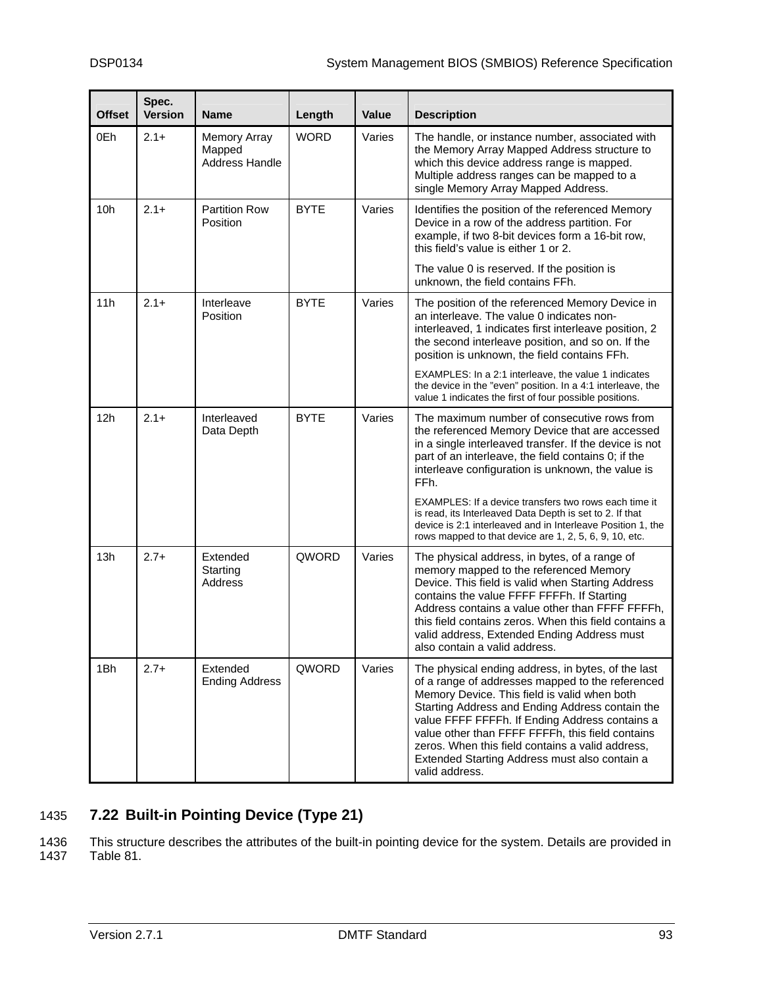| <b>Offset</b>   | Spec.<br><b>Version</b> | <b>Name</b>                                     | Length      | <b>Value</b> | <b>Description</b>                                                                                                                                                                                                                                                                                                                                                                                                                     |
|-----------------|-------------------------|-------------------------------------------------|-------------|--------------|----------------------------------------------------------------------------------------------------------------------------------------------------------------------------------------------------------------------------------------------------------------------------------------------------------------------------------------------------------------------------------------------------------------------------------------|
| 0Eh             | $2.1 +$                 | <b>Memory Array</b><br>Mapped<br>Address Handle | <b>WORD</b> | Varies       | The handle, or instance number, associated with<br>the Memory Array Mapped Address structure to<br>which this device address range is mapped.<br>Multiple address ranges can be mapped to a<br>single Memory Array Mapped Address.                                                                                                                                                                                                     |
| 10 <sub>h</sub> | $2.1 +$                 | <b>Partition Row</b><br>Position                | <b>BYTE</b> | Varies       | Identifies the position of the referenced Memory<br>Device in a row of the address partition. For<br>example, if two 8-bit devices form a 16-bit row,<br>this field's value is either 1 or 2.                                                                                                                                                                                                                                          |
|                 |                         |                                                 |             |              | The value 0 is reserved. If the position is<br>unknown, the field contains FFh.                                                                                                                                                                                                                                                                                                                                                        |
| 11h             | $2.1+$                  | Interleave<br>Position                          | <b>BYTE</b> | Varies       | The position of the referenced Memory Device in<br>an interleave. The value 0 indicates non-<br>interleaved, 1 indicates first interleave position, 2<br>the second interleave position, and so on. If the<br>position is unknown, the field contains FFh.                                                                                                                                                                             |
|                 |                         |                                                 |             |              | EXAMPLES: In a 2:1 interleave, the value 1 indicates<br>the device in the "even" position. In a 4:1 interleave, the<br>value 1 indicates the first of four possible positions.                                                                                                                                                                                                                                                         |
| 12h             | $2.1 +$                 | Interleaved<br>Data Depth                       | <b>BYTE</b> | Varies       | The maximum number of consecutive rows from<br>the referenced Memory Device that are accessed<br>in a single interleaved transfer. If the device is not<br>part of an interleave, the field contains 0; if the<br>interleave configuration is unknown, the value is<br>FFh.                                                                                                                                                            |
|                 |                         |                                                 |             |              | EXAMPLES: If a device transfers two rows each time it<br>is read, its Interleaved Data Depth is set to 2. If that<br>device is 2:1 interleaved and in Interleave Position 1, the<br>rows mapped to that device are 1, 2, 5, 6, 9, 10, etc.                                                                                                                                                                                             |
| 13h             | $2.7+$                  | Extended<br>Starting<br><b>Address</b>          | QWORD       | Varies       | The physical address, in bytes, of a range of<br>memory mapped to the referenced Memory<br>Device. This field is valid when Starting Address<br>contains the value FFFF FFFFh. If Starting<br>Address contains a value other than FFFF FFFFh,<br>this field contains zeros. When this field contains a<br>valid address, Extended Ending Address must<br>also contain a valid address.                                                 |
| 1Bh             | $2.7+$                  | Extended<br><b>Ending Address</b>               | QWORD       | Varies       | The physical ending address, in bytes, of the last<br>of a range of addresses mapped to the referenced<br>Memory Device. This field is valid when both<br>Starting Address and Ending Address contain the<br>value FFFF FFFFh. If Ending Address contains a<br>value other than FFFF FFFFh, this field contains<br>zeros. When this field contains a valid address,<br>Extended Starting Address must also contain a<br>valid address. |

# 1435 **7.22 Built-in Pointing Device (Type 21)**

1436 This structure describes the attributes of the built-in pointing device for the system. Details are provided in 1437 [Table 81.](#page-93-0)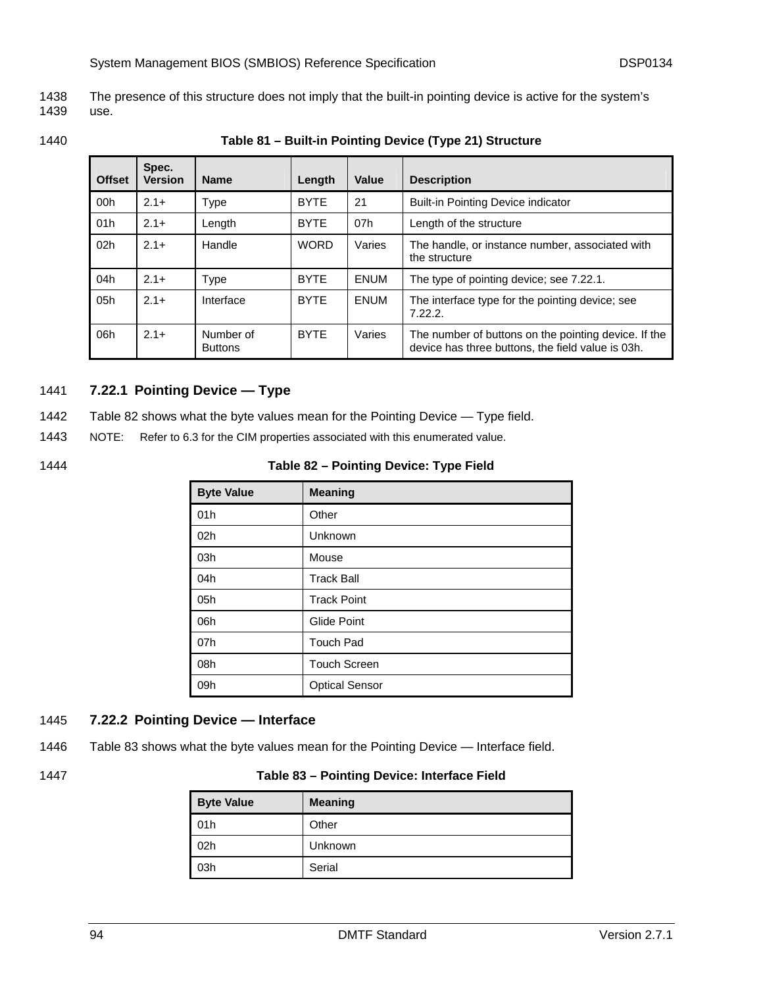- 1438 The presence of this structure does not imply that the built-in pointing device is active for the system's
- 1439 use.
- 

<span id="page-93-0"></span>1440 **Table 81 – Built-in Pointing Device (Type 21) Structure** 

| <b>Offset</b> | Spec.<br><b>Version</b> | <b>Name</b>                 | Length      | Value       | <b>Description</b>                                                                                        |
|---------------|-------------------------|-----------------------------|-------------|-------------|-----------------------------------------------------------------------------------------------------------|
| 00h           | $2.1+$                  | <b>Type</b>                 | <b>BYTE</b> | 21          | <b>Built-in Pointing Device indicator</b>                                                                 |
| 01h           | $2.1+$                  | Length                      | <b>BYTE</b> | 07h         | Length of the structure                                                                                   |
| 02h           | $2.1+$                  | Handle                      | <b>WORD</b> | Varies      | The handle, or instance number, associated with<br>the structure                                          |
| 04h           | $2.1+$                  | <b>Type</b>                 | <b>BYTE</b> | <b>ENUM</b> | The type of pointing device; see 7.22.1.                                                                  |
| 05h           | $2.1+$                  | Interface                   | <b>BYTE</b> | <b>ENUM</b> | The interface type for the pointing device; see<br>7.22.2.                                                |
| 06h           | $2.1+$                  | Number of<br><b>Buttons</b> | <b>BYTE</b> | Varies      | The number of buttons on the pointing device. If the<br>device has three buttons, the field value is 03h. |

## <span id="page-93-1"></span>1441 **7.22.1 Pointing Device — Type**

1442 [Table 82](#page-93-3) shows what the byte values mean for the Pointing Device — Type field.

1443 NOTE: Refer to [6.3](#page-25-0) for the CIM properties associated with this enumerated value.

## <span id="page-93-3"></span>1444 **Table 82 – Pointing Device: Type Field**

| <b>Byte Value</b> | <b>Meaning</b>        |  |  |
|-------------------|-----------------------|--|--|
| 01h               | Other                 |  |  |
| 02h               | Unknown               |  |  |
| 03h               | Mouse                 |  |  |
| 04h               | <b>Track Ball</b>     |  |  |
| 05h               | <b>Track Point</b>    |  |  |
| 06h               | <b>Glide Point</b>    |  |  |
| 07h               | <b>Touch Pad</b>      |  |  |
| 08h               | <b>Touch Screen</b>   |  |  |
| 09h               | <b>Optical Sensor</b> |  |  |

## <span id="page-93-2"></span>1445 **7.22.2 Pointing Device — Interface**

- 1446 [Table 83](#page-93-4) shows what the byte values mean for the Pointing Device Interface field.
- <span id="page-93-4"></span>

## 1447 **Table 83 – Pointing Device: Interface Field**

| <b>Byte Value</b> | <b>Meaning</b> |
|-------------------|----------------|
| 01h               | Other          |
| 02h               | <b>Unknown</b> |
| 03h               | Serial         |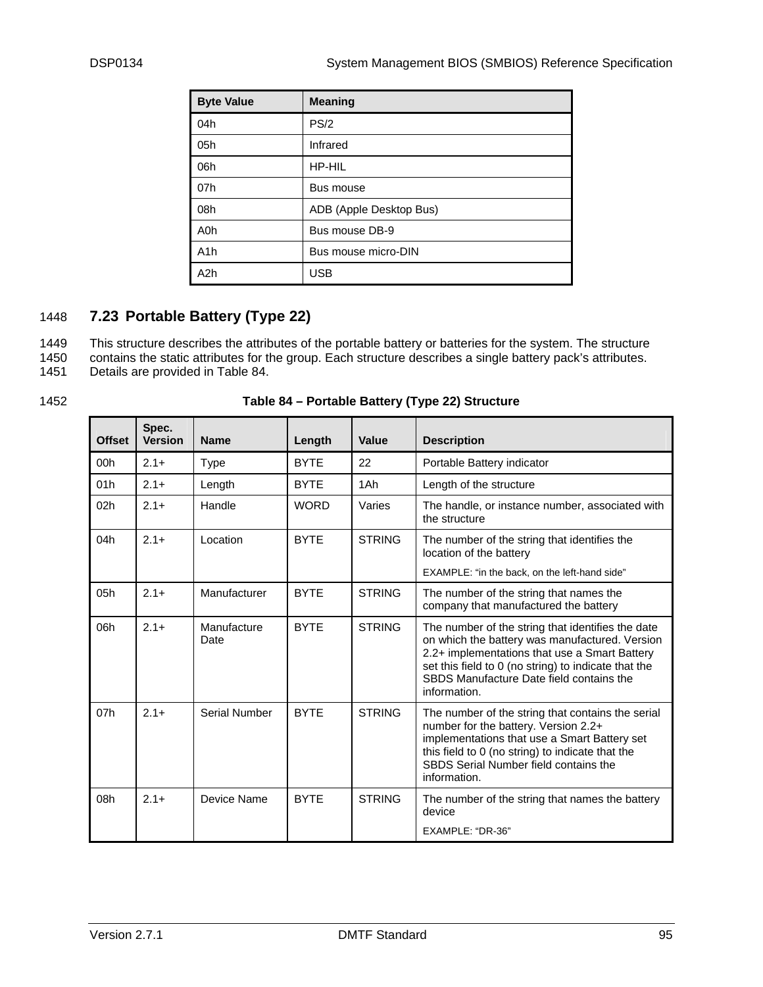| <b>Byte Value</b> | <b>Meaning</b>          |  |  |  |
|-------------------|-------------------------|--|--|--|
| 04h               | PS/2                    |  |  |  |
| 05h               | Infrared                |  |  |  |
| 06h               | HP-HIL                  |  |  |  |
| 07h               | Bus mouse               |  |  |  |
| 08h               | ADB (Apple Desktop Bus) |  |  |  |
| A <sub>0</sub> h  | Bus mouse DB-9          |  |  |  |
| A <sub>1</sub> h  | Bus mouse micro-DIN     |  |  |  |
| A <sub>2</sub> h  | <b>USB</b>              |  |  |  |

# 1448 **7.23 Portable Battery (Type 22)**

1449 This structure describes the attributes of the portable battery or batteries for the system. The structure 1450 contains the static attributes for the group. Each structure describes a single battery pack's attributes

contains the static attributes for the group. Each structure describes a single battery pack's attributes.

1451 Details are provided in [Table 84](#page-94-0).

## <span id="page-94-0"></span>1452 **Table 84 – Portable Battery (Type 22) Structure**

| <b>Offset</b> | Spec.<br><b>Version</b> | <b>Name</b>         | Length      | Value         | <b>Description</b>                                                                                                                                                                                                                                                       |
|---------------|-------------------------|---------------------|-------------|---------------|--------------------------------------------------------------------------------------------------------------------------------------------------------------------------------------------------------------------------------------------------------------------------|
| 00h           | $2.1+$                  | Type                | <b>BYTE</b> | 22            | Portable Battery indicator                                                                                                                                                                                                                                               |
| 01h           | $2.1+$                  | Length              | <b>BYTE</b> | 1Ah           | Length of the structure                                                                                                                                                                                                                                                  |
| 02h           | $2.1+$                  | Handle              | <b>WORD</b> | Varies        | The handle, or instance number, associated with<br>the structure                                                                                                                                                                                                         |
| 04h           | $2.1+$                  | Location            | <b>BYTE</b> | <b>STRING</b> | The number of the string that identifies the<br>location of the battery                                                                                                                                                                                                  |
|               |                         |                     |             |               | EXAMPLE: "in the back, on the left-hand side"                                                                                                                                                                                                                            |
| 05h           | $2.1 +$                 | Manufacturer        | <b>BYTE</b> | <b>STRING</b> | The number of the string that names the<br>company that manufactured the battery                                                                                                                                                                                         |
| 06h           | $2.1+$                  | Manufacture<br>Date | <b>BYTE</b> | <b>STRING</b> | The number of the string that identifies the date<br>on which the battery was manufactured. Version<br>2.2+ implementations that use a Smart Battery<br>set this field to 0 (no string) to indicate that the<br>SBDS Manufacture Date field contains the<br>information. |
| 07h           | $2.1 +$                 | Serial Number       | <b>BYTE</b> | <b>STRING</b> | The number of the string that contains the serial<br>number for the battery. Version 2.2+<br>implementations that use a Smart Battery set<br>this field to 0 (no string) to indicate that the<br>SBDS Serial Number field contains the<br>information.                   |
| 08h           | $2.1+$                  | Device Name         | <b>BYTE</b> | <b>STRING</b> | The number of the string that names the battery<br>device<br>EXAMPLE: "DR-36"                                                                                                                                                                                            |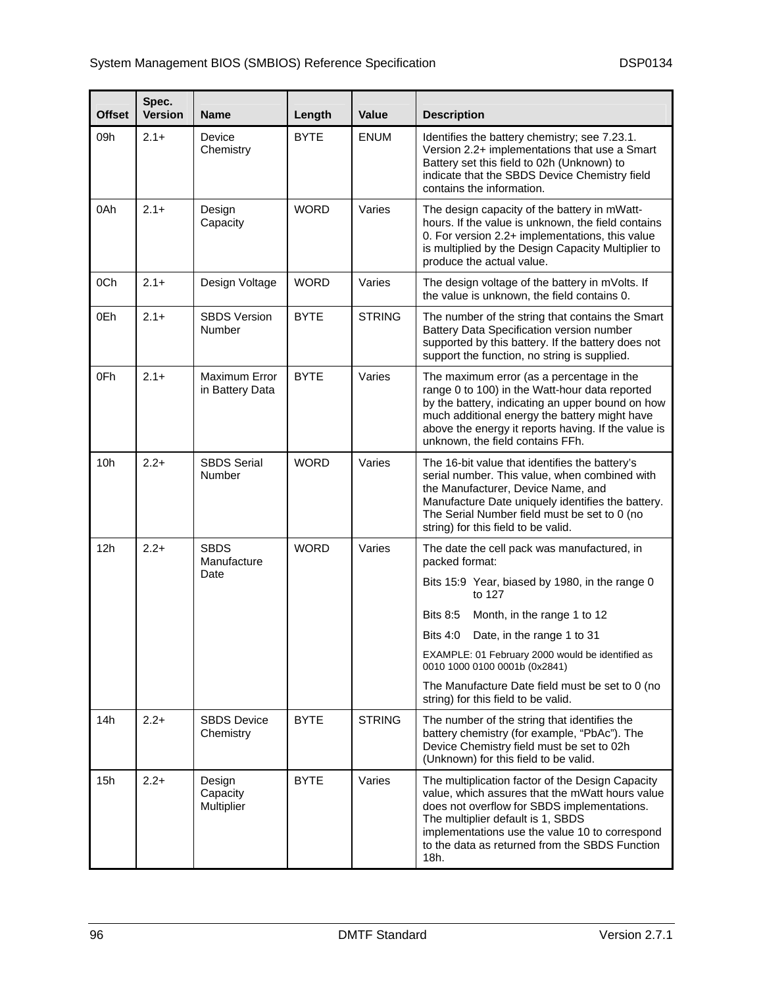| <b>Offset</b>   | Spec.<br><b>Version</b> | <b>Name</b>                        | Length      | Value         | <b>Description</b>                                                                                                                                                                                                                                                                                  |
|-----------------|-------------------------|------------------------------------|-------------|---------------|-----------------------------------------------------------------------------------------------------------------------------------------------------------------------------------------------------------------------------------------------------------------------------------------------------|
| 09h             | $2.1 +$                 | Device<br>Chemistry                | <b>BYTE</b> | <b>ENUM</b>   | Identifies the battery chemistry; see 7.23.1.<br>Version 2.2+ implementations that use a Smart<br>Battery set this field to 02h (Unknown) to<br>indicate that the SBDS Device Chemistry field<br>contains the information.                                                                          |
| 0Ah             | $2.1+$                  | Design<br>Capacity                 | <b>WORD</b> | Varies        | The design capacity of the battery in mWatt-<br>hours. If the value is unknown, the field contains<br>0. For version 2.2+ implementations, this value<br>is multiplied by the Design Capacity Multiplier to<br>produce the actual value.                                                            |
| 0Ch             | $2.1+$                  | Design Voltage                     | <b>WORD</b> | Varies        | The design voltage of the battery in mVolts. If<br>the value is unknown, the field contains 0.                                                                                                                                                                                                      |
| 0Eh             | $2.1+$                  | <b>SBDS Version</b><br>Number      | <b>BYTE</b> | <b>STRING</b> | The number of the string that contains the Smart<br>Battery Data Specification version number<br>supported by this battery. If the battery does not<br>support the function, no string is supplied.                                                                                                 |
| 0Fh             | $2.1+$                  | Maximum Error<br>in Battery Data   | <b>BYTE</b> | Varies        | The maximum error (as a percentage in the<br>range 0 to 100) in the Watt-hour data reported<br>by the battery, indicating an upper bound on how<br>much additional energy the battery might have<br>above the energy it reports having. If the value is<br>unknown, the field contains FFh.         |
| 10 <sub>h</sub> | $2.2+$                  | <b>SBDS Serial</b><br>Number       | <b>WORD</b> | Varies        | The 16-bit value that identifies the battery's<br>serial number. This value, when combined with<br>the Manufacturer, Device Name, and<br>Manufacture Date uniquely identifies the battery.<br>The Serial Number field must be set to 0 (no<br>string) for this field to be valid.                   |
| 12h             | $2.2+$                  | <b>SBDS</b><br>Manufacture<br>Date | <b>WORD</b> | Varies        | The date the cell pack was manufactured, in<br>packed format:<br>Bits 15:9 Year, biased by 1980, in the range 0                                                                                                                                                                                     |
|                 |                         |                                    |             |               | to 127                                                                                                                                                                                                                                                                                              |
|                 |                         |                                    |             |               | <b>Bits 8:5</b><br>Month, in the range 1 to 12<br><b>Bits 4:0</b><br>Date, in the range 1 to 31                                                                                                                                                                                                     |
|                 |                         |                                    |             |               | EXAMPLE: 01 February 2000 would be identified as<br>0010 1000 0100 0001b (0x2841)                                                                                                                                                                                                                   |
|                 |                         |                                    |             |               | The Manufacture Date field must be set to 0 (no<br>string) for this field to be valid.                                                                                                                                                                                                              |
| 14h             | $2.2+$                  | <b>SBDS Device</b><br>Chemistry    | <b>BYTE</b> | <b>STRING</b> | The number of the string that identifies the<br>battery chemistry (for example, "PbAc"). The<br>Device Chemistry field must be set to 02h<br>(Unknown) for this field to be valid.                                                                                                                  |
| 15h             | $2.2+$                  | Design<br>Capacity<br>Multiplier   | <b>BYTE</b> | Varies        | The multiplication factor of the Design Capacity<br>value, which assures that the mWatt hours value<br>does not overflow for SBDS implementations.<br>The multiplier default is 1, SBDS<br>implementations use the value 10 to correspond<br>to the data as returned from the SBDS Function<br>18h. |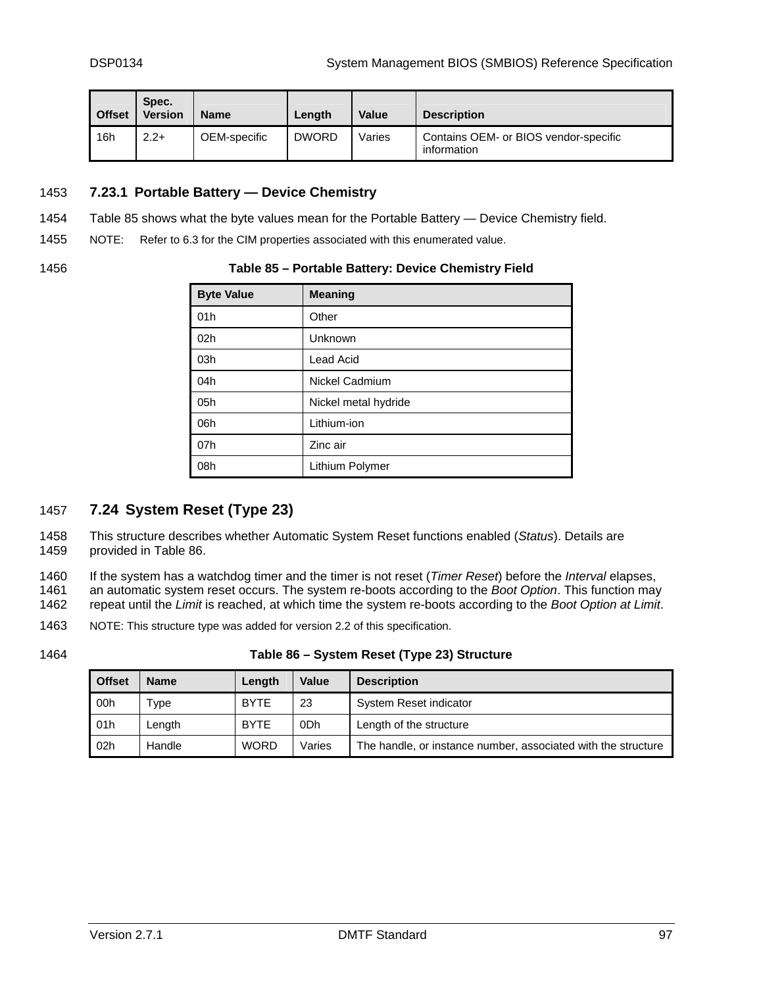| <b>Offset</b> | Spec.<br><b>Version</b> | <b>Name</b>  | Length       | Value  | <b>Description</b>                                   |
|---------------|-------------------------|--------------|--------------|--------|------------------------------------------------------|
| 16h           | $2.2+$                  | OEM-specific | <b>DWORD</b> | Varies | Contains OEM- or BIOS vendor-specific<br>information |

## <span id="page-96-0"></span>1453 **7.23.1 Portable Battery — Device Chemistry**

1454 [Table 85](#page-96-1) shows what the byte values mean for the Portable Battery — Device Chemistry field.

1455 NOTE: Refer to [6.3](#page-25-0) for the CIM properties associated with this enumerated value.

#### <span id="page-96-1"></span>1456 **Table 85 – Portable Battery: Device Chemistry Field**

| <b>Byte Value</b> | <b>Meaning</b>       |  |  |  |
|-------------------|----------------------|--|--|--|
| 01h               | Other                |  |  |  |
| 02 <sub>h</sub>   | Unknown              |  |  |  |
| 03h               | Lead Acid            |  |  |  |
| 04h               | Nickel Cadmium       |  |  |  |
| 05h               | Nickel metal hydride |  |  |  |
| 06h               | Lithium-ion          |  |  |  |
| 07h               | Zinc air             |  |  |  |
| 08h               | Lithium Polymer      |  |  |  |

## 1457 **7.24 System Reset (Type 23)**

1458 This structure describes whether Automatic System Reset functions enabled (*Status*). Details are 1459 provided in [Table 86.](#page-96-2)

1460 If the system has a watchdog timer and the timer is not reset (*Timer Reset*) before the *Interval* elapses, 1461 an automatic system reset occurs. The system re-boots according to the *Boot Option*. This function may 1462 repeat until the *Limit* is reached, at which time the system re-boots according to the *Boot Option at Limit*.

1463 NOTE: This structure type was added for version 2.2 of this specification.

#### <span id="page-96-2"></span>1464 **Table 86 – System Reset (Type 23) Structure**

| <b>Offset</b> | <b>Name</b> | Length      | <b>Value</b>    | <b>Description</b>                                            |
|---------------|-------------|-------------|-----------------|---------------------------------------------------------------|
| 00h           | Туре        | <b>BYTE</b> | 23              | System Reset indicator                                        |
| 01h           | Length      | <b>BYTE</b> | 0 <sub>Dh</sub> | Length of the structure                                       |
| 02h           | Handle      | <b>WORD</b> | Varies          | The handle, or instance number, associated with the structure |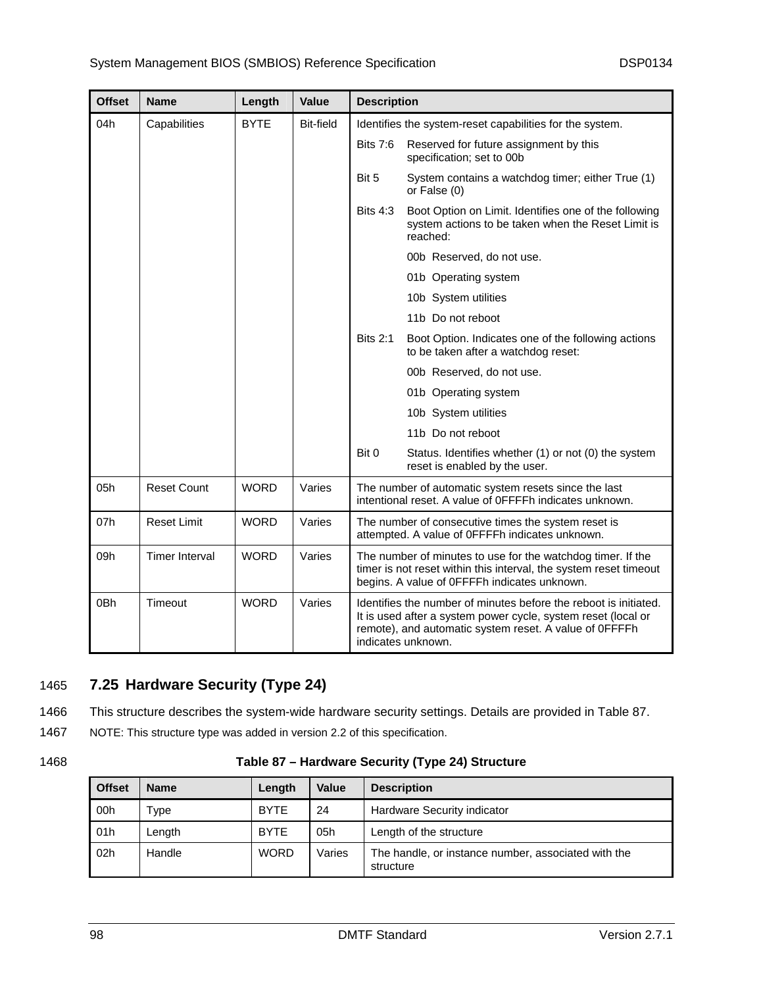| <b>Offset</b> | <b>Name</b>           | Length      | <b>Value</b>     | <b>Description</b> |                                                                                                                                                                                                                   |
|---------------|-----------------------|-------------|------------------|--------------------|-------------------------------------------------------------------------------------------------------------------------------------------------------------------------------------------------------------------|
| 04h           | Capabilities          | <b>BYTE</b> | <b>Bit-field</b> |                    | Identifies the system-reset capabilities for the system.                                                                                                                                                          |
|               |                       |             |                  | <b>Bits 7:6</b>    | Reserved for future assignment by this<br>specification; set to 00b                                                                                                                                               |
|               |                       |             |                  | Bit 5              | System contains a watchdog timer; either True (1)<br>or False (0)                                                                                                                                                 |
|               |                       |             |                  | Bits $4:3$         | Boot Option on Limit. Identifies one of the following<br>system actions to be taken when the Reset Limit is<br>reached:                                                                                           |
|               |                       |             |                  |                    | 00b Reserved, do not use.                                                                                                                                                                                         |
|               |                       |             |                  |                    | 01b Operating system                                                                                                                                                                                              |
|               |                       |             |                  |                    | 10b System utilities                                                                                                                                                                                              |
|               |                       |             |                  |                    | 11b Do not reboot                                                                                                                                                                                                 |
|               |                       |             |                  | <b>Bits 2:1</b>    | Boot Option. Indicates one of the following actions<br>to be taken after a watchdog reset:                                                                                                                        |
|               |                       |             |                  |                    | 00b Reserved, do not use.                                                                                                                                                                                         |
|               |                       |             |                  |                    | 01b Operating system                                                                                                                                                                                              |
|               |                       |             |                  |                    | 10b System utilities                                                                                                                                                                                              |
|               |                       |             |                  |                    | 11b Do not reboot                                                                                                                                                                                                 |
|               |                       |             |                  | Bit 0              | Status. Identifies whether (1) or not (0) the system<br>reset is enabled by the user.                                                                                                                             |
| 05h           | <b>Reset Count</b>    | <b>WORD</b> | Varies           |                    | The number of automatic system resets since the last<br>intentional reset. A value of OFFFFh indicates unknown.                                                                                                   |
| 07h           | <b>Reset Limit</b>    | <b>WORD</b> | Varies           |                    | The number of consecutive times the system reset is<br>attempted. A value of OFFFFh indicates unknown.                                                                                                            |
| 09h           | <b>Timer Interval</b> | <b>WORD</b> | Varies           |                    | The number of minutes to use for the watchdog timer. If the<br>timer is not reset within this interval, the system reset timeout<br>begins. A value of OFFFFh indicates unknown.                                  |
| 0Bh           | Timeout               | <b>WORD</b> | Varies           |                    | Identifies the number of minutes before the reboot is initiated.<br>It is used after a system power cycle, system reset (local or<br>remote), and automatic system reset. A value of OFFFFh<br>indicates unknown. |

# 1465 **7.25 Hardware Security (Type 24)**

1466 This structure describes the system-wide hardware security settings. Details are provided in [Table 87.](#page-97-0)

1467 NOTE: This structure type was added in version 2.2 of this specification.

<span id="page-97-0"></span>

| 1468 | Table 87 - Hardware Security (Type 24) Structure |
|------|--------------------------------------------------|
|------|--------------------------------------------------|

| <b>Offset</b> | <b>Name</b> | Length      | <b>Value</b> | <b>Description</b>                                               |
|---------------|-------------|-------------|--------------|------------------------------------------------------------------|
| 00h           | ™vpe        | <b>BYTE</b> | 24           | Hardware Security indicator                                      |
| 01h           | Length      | <b>BYTE</b> | 05h          | Length of the structure                                          |
| 02h           | Handle      | <b>WORD</b> | Varies       | The handle, or instance number, associated with the<br>structure |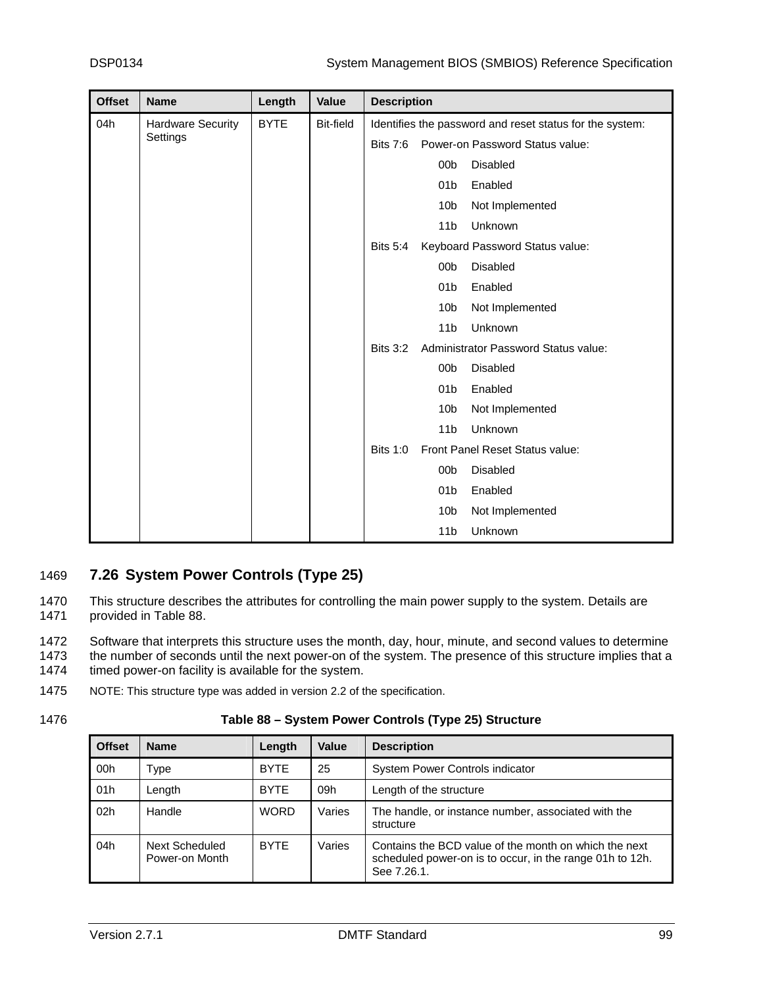| <b>Offset</b> | <b>Name</b>              | Length      | <b>Value</b>     | <b>Description</b>                                       |
|---------------|--------------------------|-------------|------------------|----------------------------------------------------------|
| 04h           | <b>Hardware Security</b> | <b>BYTE</b> | <b>Bit-field</b> | Identifies the password and reset status for the system: |
|               | Settings                 |             |                  | <b>Bits 7:6</b><br>Power-on Password Status value:       |
|               |                          |             |                  | 00 <sub>b</sub><br>Disabled                              |
|               |                          |             |                  | 01 <sub>b</sub><br>Enabled                               |
|               |                          |             |                  | 10 <sub>b</sub><br>Not Implemented                       |
|               |                          |             |                  | Unknown<br>11 <sub>b</sub>                               |
|               |                          |             |                  | <b>Bits 5:4</b><br>Keyboard Password Status value:       |
|               |                          |             |                  | 00b<br>Disabled                                          |
|               |                          |             |                  | 01 <sub>b</sub><br>Enabled                               |
|               |                          |             |                  | 10 <sub>b</sub><br>Not Implemented                       |
|               |                          |             |                  | Unknown<br>11 <sub>b</sub>                               |
|               |                          |             |                  | Administrator Password Status value:<br>Bits $3:2$       |
|               |                          |             |                  | 00 <sub>b</sub><br><b>Disabled</b>                       |
|               |                          |             |                  | Enabled<br>01 <sub>b</sub>                               |
|               |                          |             |                  | 10 <sub>b</sub><br>Not Implemented                       |
|               |                          |             |                  | 11 <sub>b</sub><br>Unknown                               |
|               |                          |             |                  | Front Panel Reset Status value:<br><b>Bits 1:0</b>       |
|               |                          |             |                  | 00 <sub>b</sub><br>Disabled                              |
|               |                          |             |                  | 01 <sub>b</sub><br>Enabled                               |
|               |                          |             |                  | Not Implemented<br>10 <sub>b</sub>                       |
|               |                          |             |                  | Unknown<br>11 <sub>b</sub>                               |

## 1469 **7.26 System Power Controls (Type 25)**

1470 This structure describes the attributes for controlling the main power supply to the system. Details are 1471 provided in [Table 88.](#page-98-0)

1472 Software that interprets this structure uses the month, day, hour, minute, and second values to determine 1473 the number of seconds until the next power-on of the system. The presence of this structure implies that a 1474 timed power-on facility is available for the system.

1475 NOTE: This structure type was added in version 2.2 of the specification.

## <span id="page-98-0"></span>1476 **Table 88 – System Power Controls (Type 25) Structure**

| <b>Offset</b>   | <b>Name</b>                      | Length      | Value  | <b>Description</b>                                                                                                               |
|-----------------|----------------------------------|-------------|--------|----------------------------------------------------------------------------------------------------------------------------------|
| 00h             | Type                             | <b>BYTE</b> | 25     | System Power Controls indicator                                                                                                  |
| 01h             | Length                           | <b>BYTE</b> | 09h    | Length of the structure                                                                                                          |
| 02 <sub>h</sub> | Handle                           | <b>WORD</b> | Varies | The handle, or instance number, associated with the<br>structure                                                                 |
| 04h             | Next Scheduled<br>Power-on Month | <b>BYTE</b> | Varies | Contains the BCD value of the month on which the next<br>scheduled power-on is to occur, in the range 01h to 12h.<br>See 7.26.1. |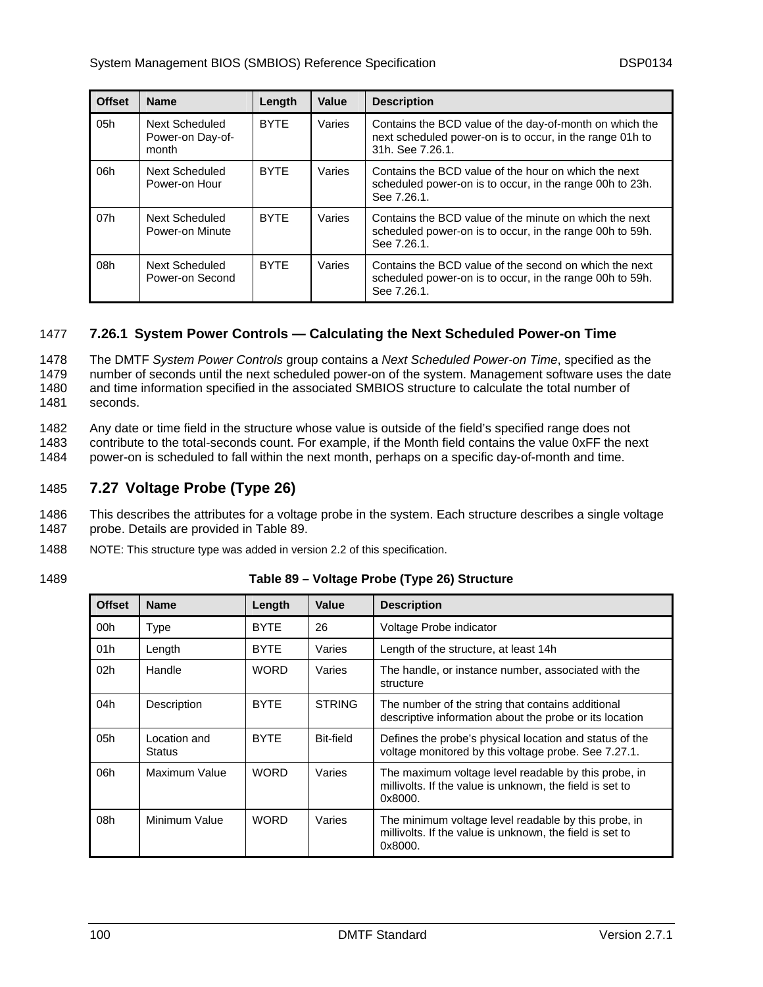| <b>Offset</b> | <b>Name</b>                                 | Length      | Value  | <b>Description</b>                                                                                                                      |
|---------------|---------------------------------------------|-------------|--------|-----------------------------------------------------------------------------------------------------------------------------------------|
| 05h           | Next Scheduled<br>Power-on Day-of-<br>month | <b>BYTE</b> | Varies | Contains the BCD value of the day-of-month on which the<br>next scheduled power-on is to occur, in the range 01h to<br>31h, See 7.26.1. |
| 06h           | Next Scheduled<br>Power-on Hour             | <b>BYTE</b> | Varies | Contains the BCD value of the hour on which the next<br>scheduled power-on is to occur, in the range 00h to 23h.<br>See 7.26.1.         |
| 07h           | Next Scheduled<br>Power-on Minute           | <b>BYTE</b> | Varies | Contains the BCD value of the minute on which the next<br>scheduled power-on is to occur, in the range 00h to 59h.<br>See 7.26.1.       |
| 08h           | Next Scheduled<br>Power-on Second           | <b>BYTE</b> | Varies | Contains the BCD value of the second on which the next<br>scheduled power-on is to occur, in the range 00h to 59h.<br>See 7.26.1.       |

## <span id="page-99-0"></span>1477 **7.26.1 System Power Controls — Calculating the Next Scheduled Power-on Time**

1478 The DMTF *System Power Controls* group contains a *Next Scheduled Power-on Time*, specified as the 1479 number of seconds until the next scheduled power-on of the system. Management software uses the date 1480 and time information specified in the associated SMBIOS structure to calculate the total number of 1481 seconds.

1482 Any date or time field in the structure whose value is outside of the field's specified range does not

1483 contribute to the total-seconds count. For example, if the Month field contains the value 0xFF the next 1484 power-on is scheduled to fall within the next month, perhaps on a specific day-of-month and time.

# 1485 **7.27 Voltage Probe (Type 26)**

1486 This describes the attributes for a voltage probe in the system. Each structure describes a single voltage 1487 probe. Details are provided in [Table 89](#page-99-1).

1488 NOTE: This structure type was added in version 2.2 of this specification.

<span id="page-99-1"></span>

## Table 89 - Voltage Probe (Type 26) Structure

| <b>Offset</b>   | <b>Name</b>                   | Length      | Value         | <b>Description</b>                                                                                                          |
|-----------------|-------------------------------|-------------|---------------|-----------------------------------------------------------------------------------------------------------------------------|
| 00h             | <b>Type</b>                   | <b>BYTE</b> | 26            | Voltage Probe indicator                                                                                                     |
| 01 <sub>h</sub> | Length                        | <b>BYTE</b> | Varies        | Length of the structure, at least 14h                                                                                       |
| 02 <sub>h</sub> | Handle                        | <b>WORD</b> | Varies        | The handle, or instance number, associated with the<br>structure                                                            |
| 04h             | Description                   | <b>BYTE</b> | <b>STRING</b> | The number of the string that contains additional<br>descriptive information about the probe or its location                |
| 05h             | Location and<br><b>Status</b> | <b>BYTE</b> | Bit-field     | Defines the probe's physical location and status of the<br>voltage monitored by this voltage probe. See 7.27.1.             |
| 06h             | Maximum Value                 | <b>WORD</b> | Varies        | The maximum voltage level readable by this probe, in<br>millivolts. If the value is unknown, the field is set to<br>0x8000. |
| 08h             | Minimum Value                 | <b>WORD</b> | Varies        | The minimum voltage level readable by this probe, in<br>millivolts. If the value is unknown, the field is set to<br>0x8000. |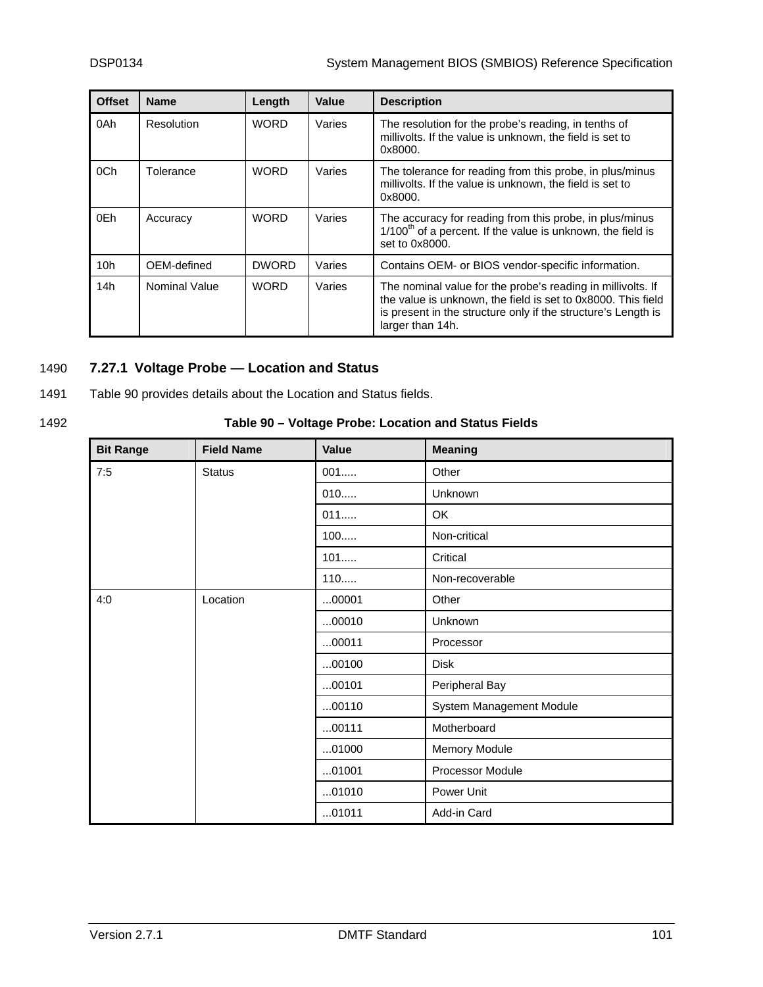| <b>Offset</b>   | <b>Name</b>   | Length       | Value  | <b>Description</b>                                                                                                                                                                                               |
|-----------------|---------------|--------------|--------|------------------------------------------------------------------------------------------------------------------------------------------------------------------------------------------------------------------|
| 0Ah             | Resolution    | <b>WORD</b>  | Varies | The resolution for the probe's reading, in tenths of<br>millivolts. If the value is unknown, the field is set to<br>0x8000.                                                                                      |
| 0Ch             | Tolerance     | <b>WORD</b>  | Varies | The tolerance for reading from this probe, in plus/minus<br>millivolts. If the value is unknown, the field is set to<br>0x8000.                                                                                  |
| 0Eh             | Accuracy      | <b>WORD</b>  | Varies | The accuracy for reading from this probe, in plus/minus<br>1/100 <sup>th</sup> of a percent. If the value is unknown, the field is<br>set to 0x8000.                                                             |
| 10 <sub>h</sub> | OEM-defined   | <b>DWORD</b> | Varies | Contains OEM- or BIOS vendor-specific information.                                                                                                                                                               |
| 14h             | Nominal Value | <b>WORD</b>  | Varies | The nominal value for the probe's reading in millivolts. If<br>the value is unknown, the field is set to 0x8000. This field<br>is present in the structure only if the structure's Length is<br>larger than 14h. |

# <span id="page-100-0"></span>1490 **7.27.1 Voltage Probe — Location and Status**

1491 [Table 90](#page-100-1) provides details about the Location and Status fields.

## <span id="page-100-1"></span>1492 **Table 90 – Voltage Probe: Location and Status Fields**

| <b>Bit Range</b> | <b>Field Name</b> | Value | <b>Meaning</b>           |
|------------------|-------------------|-------|--------------------------|
| 7:5              | <b>Status</b>     | 001   | Other                    |
|                  |                   | 010   | Unknown                  |
|                  |                   | 011   | OK                       |
|                  |                   | 100   | Non-critical             |
|                  |                   | 101   | Critical                 |
|                  |                   | 110   | Non-recoverable          |
| 4:0              | Location          | 00001 | Other                    |
|                  |                   | 00010 | Unknown                  |
|                  |                   | 00011 | Processor                |
|                  |                   | 00100 | <b>Disk</b>              |
|                  |                   | 00101 | Peripheral Bay           |
|                  |                   | 00110 | System Management Module |
|                  |                   | 00111 | Motherboard              |
|                  |                   | 01000 | Memory Module            |
|                  |                   | 01001 | Processor Module         |
|                  |                   | 01010 | Power Unit               |
|                  |                   | 01011 | Add-in Card              |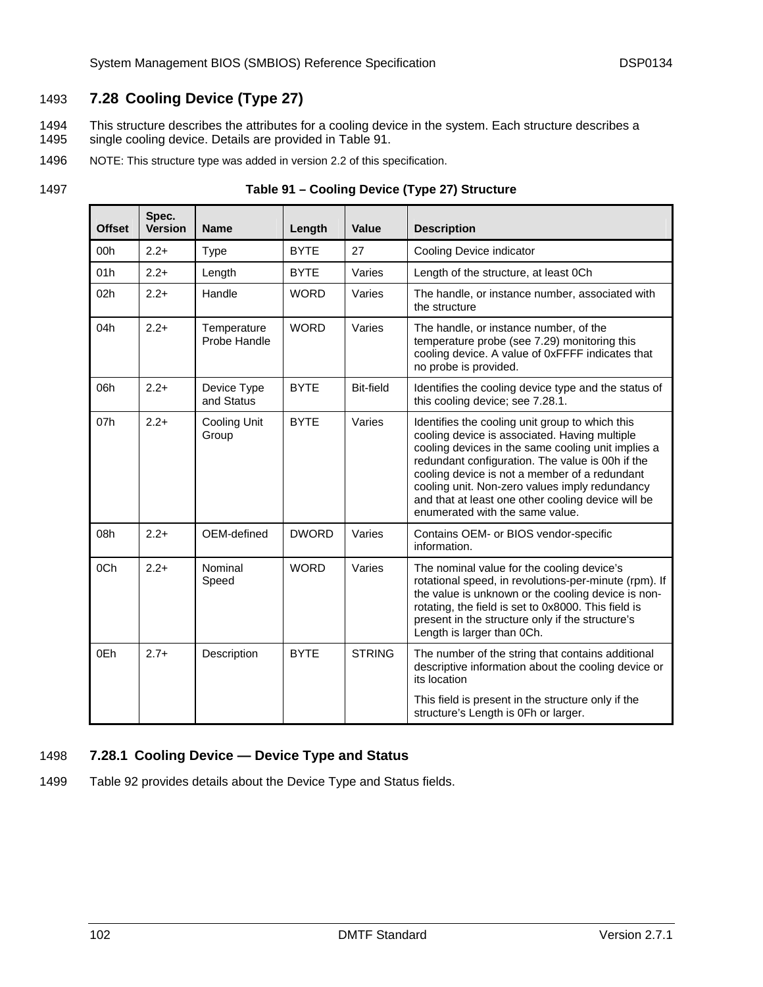# 1493 **7.28 Cooling Device (Type 27)**

1494 This structure describes the attributes for a cooling device in the system. Each structure describes a<br>1495 single cooling device. Details are provided in Table 91. single cooling device. Details are provided in [Table 91](#page-101-0).

1496 NOTE: This structure type was added in version 2.2 of this specification.

## <span id="page-101-0"></span>1497 **Table 91 – Cooling Device (Type 27) Structure**

| <b>Offset</b> | Spec.<br><b>Version</b> | <b>Name</b>                 | Length       | <b>Value</b>     | <b>Description</b>                                                                                                                                                                                                                                                                                                                                                                                     |
|---------------|-------------------------|-----------------------------|--------------|------------------|--------------------------------------------------------------------------------------------------------------------------------------------------------------------------------------------------------------------------------------------------------------------------------------------------------------------------------------------------------------------------------------------------------|
| 00h           | $2.2+$                  | Type                        | <b>BYTE</b>  | 27               | Cooling Device indicator                                                                                                                                                                                                                                                                                                                                                                               |
| 01h           | $2.2+$                  | Length                      | <b>BYTE</b>  | Varies           | Length of the structure, at least 0Ch                                                                                                                                                                                                                                                                                                                                                                  |
| 02h           | $2.2+$                  | Handle                      | <b>WORD</b>  | Varies           | The handle, or instance number, associated with<br>the structure                                                                                                                                                                                                                                                                                                                                       |
| 04h           | $2.2+$                  | Temperature<br>Probe Handle | <b>WORD</b>  | Varies           | The handle, or instance number, of the<br>temperature probe (see 7.29) monitoring this<br>cooling device. A value of 0xFFFF indicates that<br>no probe is provided.                                                                                                                                                                                                                                    |
| 06h           | $2.2+$                  | Device Type<br>and Status   | <b>BYTE</b>  | <b>Bit-field</b> | Identifies the cooling device type and the status of<br>this cooling device; see 7.28.1.                                                                                                                                                                                                                                                                                                               |
| 07h           | $2.2+$                  | Cooling Unit<br>Group       | <b>BYTE</b>  | Varies           | Identifies the cooling unit group to which this<br>cooling device is associated. Having multiple<br>cooling devices in the same cooling unit implies a<br>redundant configuration. The value is 00h if the<br>cooling device is not a member of a redundant<br>cooling unit. Non-zero values imply redundancy<br>and that at least one other cooling device will be<br>enumerated with the same value. |
| 08h           | $2.2+$                  | OEM-defined                 | <b>DWORD</b> | Varies           | Contains OEM- or BIOS vendor-specific<br>information.                                                                                                                                                                                                                                                                                                                                                  |
| 0Ch           | $2.2+$                  | Nominal<br>Speed            | <b>WORD</b>  | Varies           | The nominal value for the cooling device's<br>rotational speed, in revolutions-per-minute (rpm). If<br>the value is unknown or the cooling device is non-<br>rotating, the field is set to 0x8000. This field is<br>present in the structure only if the structure's<br>Length is larger than 0Ch.                                                                                                     |
| 0Eh           | $2.7+$                  | Description                 | <b>BYTE</b>  | <b>STRING</b>    | The number of the string that contains additional<br>descriptive information about the cooling device or<br>its location                                                                                                                                                                                                                                                                               |
|               |                         |                             |              |                  | This field is present in the structure only if the<br>structure's Length is 0Fh or larger.                                                                                                                                                                                                                                                                                                             |

## <span id="page-101-1"></span>1498 **7.28.1 Cooling Device — Device Type and Status**

1499 [Table 92](#page-102-1) provides details about the Device Type and Status fields.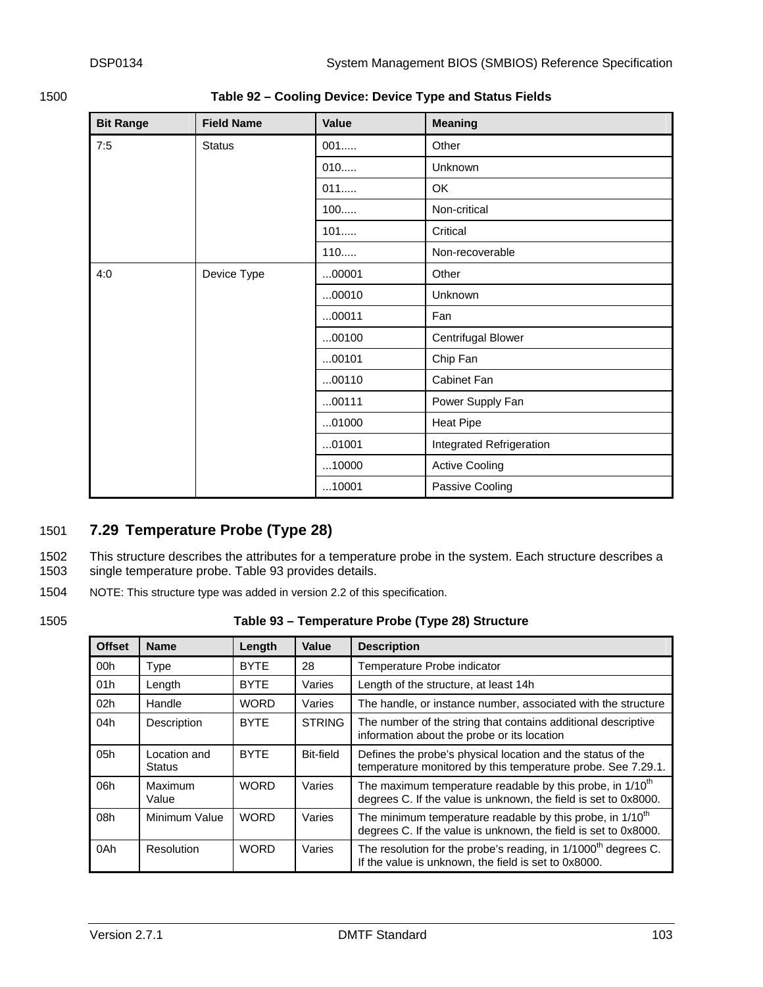<span id="page-102-1"></span>1500 **Table 92 – Cooling Device: Device Type and Status Fields** 

| <b>Bit Range</b> | <b>Field Name</b> | <b>Value</b>     | <b>Meaning</b>           |
|------------------|-------------------|------------------|--------------------------|
| 7:5              | <b>Status</b>     | 001              | Other                    |
|                  |                   | 010              | Unknown                  |
|                  |                   | 011              | OK                       |
|                  |                   | 100              | Non-critical             |
|                  |                   | 101              | Critical                 |
|                  |                   | 110              | Non-recoverable          |
| 4:0              | Device Type       | 00001            | Other                    |
|                  |                   | 00010            | Unknown                  |
|                  |                   | 00011            | Fan                      |
|                  |                   | 00100            | Centrifugal Blower       |
|                  |                   | 00101            | Chip Fan                 |
|                  |                   | 00110            | Cabinet Fan              |
|                  |                   | 00111            | Power Supply Fan         |
|                  | 01000             | <b>Heat Pipe</b> |                          |
|                  |                   | 01001            | Integrated Refrigeration |
|                  |                   | 10000            | <b>Active Cooling</b>    |
|                  |                   | 10001            | Passive Cooling          |

# <span id="page-102-0"></span>1501 **7.29 Temperature Probe (Type 28)**

1502 This structure describes the attributes for a temperature probe in the system. Each structure describes a 1503 single temperature probe. [Table 93](#page-102-2) provides details.

1504 NOTE: This structure type was added in version 2.2 of this specification.

#### <span id="page-102-2"></span>1505 **Table 93 – Temperature Probe (Type 28) Structure**

| <b>Offset</b>   | <b>Name</b>                   | Length      | Value         | <b>Description</b>                                                                                                                       |
|-----------------|-------------------------------|-------------|---------------|------------------------------------------------------------------------------------------------------------------------------------------|
| 00h             | Type                          | <b>BYTE</b> | 28            | Temperature Probe indicator                                                                                                              |
| 01h             | Length                        | <b>BYTE</b> | Varies        | Length of the structure, at least 14h                                                                                                    |
| 02 <sub>h</sub> | Handle                        | <b>WORD</b> | Varies        | The handle, or instance number, associated with the structure                                                                            |
| 04h             | Description                   | <b>BYTE</b> | <b>STRING</b> | The number of the string that contains additional descriptive<br>information about the probe or its location                             |
| 05h             | Location and<br><b>Status</b> | <b>BYTE</b> | Bit-field     | Defines the probe's physical location and the status of the<br>temperature monitored by this temperature probe. See 7.29.1.              |
| 06h             | Maximum<br>Value              | <b>WORD</b> | Varies        | The maximum temperature readable by this probe, in 1/10 <sup>th</sup><br>degrees C. If the value is unknown, the field is set to 0x8000. |
| 08h             | Minimum Value                 | <b>WORD</b> | Varies        | The minimum temperature readable by this probe, in 1/10 <sup>th</sup><br>degrees C. If the value is unknown, the field is set to 0x8000. |
| 0Ah             | Resolution                    | <b>WORD</b> | Varies        | The resolution for the probe's reading, in 1/1000 <sup>th</sup> degrees C.<br>If the value is unknown, the field is set to 0x8000.       |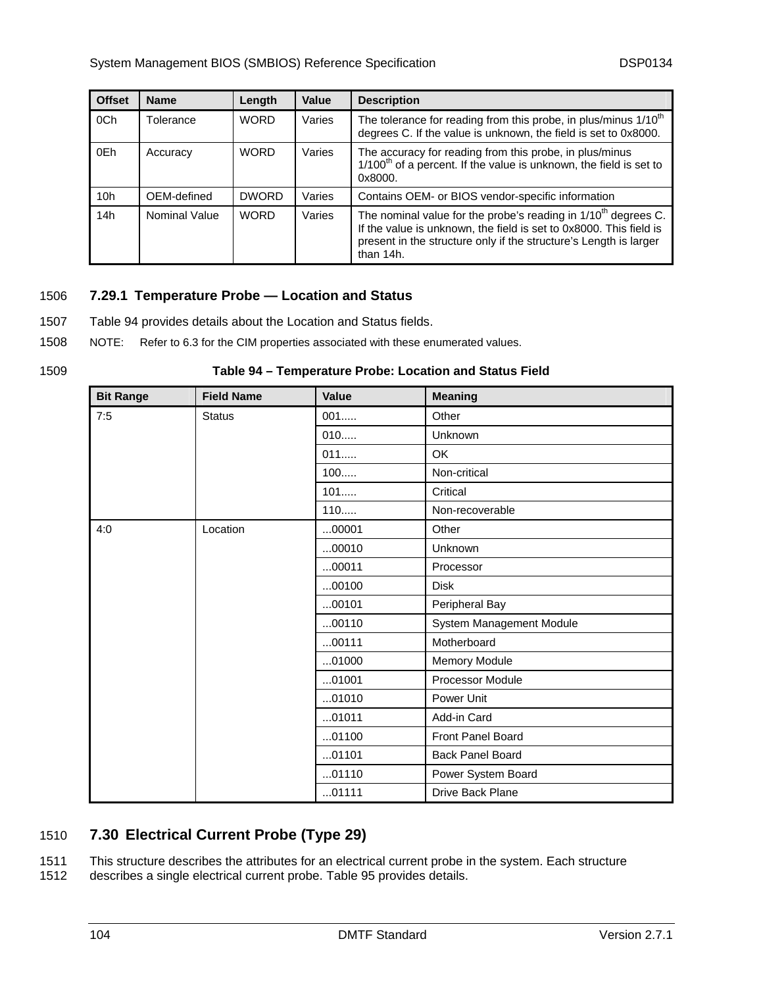| <b>Offset</b>   | <b>Name</b>   | Length       | Value  | <b>Description</b>                                                                                                                                                                                                       |
|-----------------|---------------|--------------|--------|--------------------------------------------------------------------------------------------------------------------------------------------------------------------------------------------------------------------------|
| 0Ch             | Tolerance     | <b>WORD</b>  | Varies | The tolerance for reading from this probe, in plus/minus $1/10^{th}$<br>degrees C. If the value is unknown, the field is set to 0x8000.                                                                                  |
| 0Eh             | Accuracy      | <b>WORD</b>  | Varies | The accuracy for reading from this probe, in plus/minus<br>1/100 <sup>th</sup> of a percent. If the value is unknown, the field is set to<br>0x8000.                                                                     |
| 10 <sub>h</sub> | OEM-defined   | <b>DWORD</b> | Varies | Contains OEM- or BIOS vendor-specific information                                                                                                                                                                        |
| 14h             | Nominal Value | <b>WORD</b>  | Varies | The nominal value for the probe's reading in $1/10th$ degrees C.<br>If the value is unknown, the field is set to 0x8000. This field is<br>present in the structure only if the structure's Length is larger<br>than 14h. |

## <span id="page-103-0"></span>1506 **7.29.1 Temperature Probe — Location and Status**

- 1507 [Table 94](#page-103-1) provides details about the Location and Status fields.
- 1508 NOTE: Refer to [6.3](#page-25-0) for the CIM properties associated with these enumerated values.

## <span id="page-103-1"></span>1509 **Table 94 – Temperature Probe: Location and Status Field**

| <b>Bit Range</b> | <b>Field Name</b> | Value | <b>Meaning</b>           |
|------------------|-------------------|-------|--------------------------|
| 7:5              | <b>Status</b>     | 001   | Other                    |
|                  |                   | 010   | <b>Unknown</b>           |
|                  |                   | 011   | OK                       |
|                  |                   | 100   | Non-critical             |
|                  |                   | 101   | Critical                 |
|                  |                   | 110   | Non-recoverable          |
| 4:0              | Location          | 00001 | Other                    |
|                  |                   | 00010 | Unknown                  |
|                  |                   | 00011 | Processor                |
|                  |                   | 00100 | <b>Disk</b>              |
|                  |                   | 00101 | Peripheral Bay           |
|                  |                   | 00110 | System Management Module |
|                  |                   | 00111 | Motherboard              |
|                  |                   | 01000 | Memory Module            |
|                  |                   | 01001 | Processor Module         |
|                  |                   | 01010 | Power Unit               |
|                  |                   | 01011 | Add-in Card              |
|                  |                   | 01100 | Front Panel Board        |
|                  |                   | 01101 | Back Panel Board         |
|                  |                   | 01110 | Power System Board       |
|                  |                   | 01111 | Drive Back Plane         |

# 1510 **7.30 Electrical Current Probe (Type 29)**

1511 This structure describes the attributes for an electrical current probe in the system. Each structure

1512 describes a single electrical current probe. [Table 95](#page-104-0) provides details.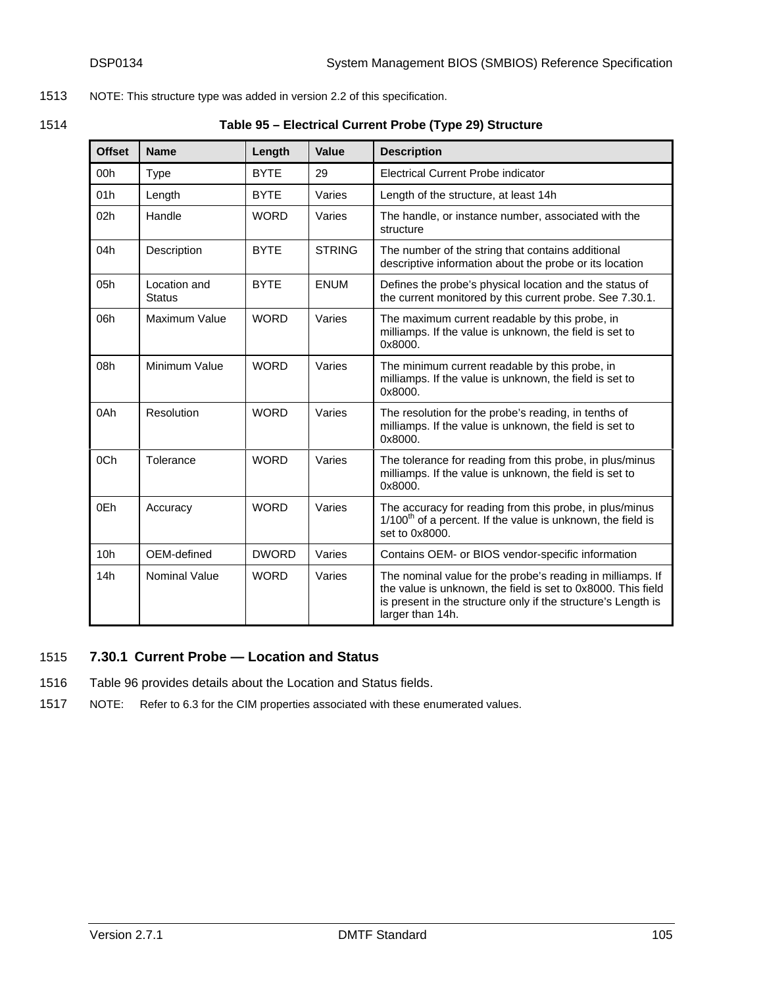## 1513 NOTE: This structure type was added in version 2.2 of this specification.

## <span id="page-104-0"></span>1514 **Table 95 – Electrical Current Probe (Type 29) Structure**

| <b>Offset</b>   | <b>Name</b>                   | Length       | <b>Value</b>  | <b>Description</b>                                                                                                                                                                                              |
|-----------------|-------------------------------|--------------|---------------|-----------------------------------------------------------------------------------------------------------------------------------------------------------------------------------------------------------------|
| 00h             | Type                          | <b>BYTE</b>  | 29            | <b>Electrical Current Probe indicator</b>                                                                                                                                                                       |
| 01h             | Length                        | <b>BYTE</b>  | Varies        | Length of the structure, at least 14h                                                                                                                                                                           |
| 02h             | Handle                        | <b>WORD</b>  | Varies        | The handle, or instance number, associated with the<br>structure                                                                                                                                                |
| 04h             | Description                   | <b>BYTE</b>  | <b>STRING</b> | The number of the string that contains additional<br>descriptive information about the probe or its location                                                                                                    |
| 05h             | Location and<br><b>Status</b> | <b>BYTE</b>  | <b>ENUM</b>   | Defines the probe's physical location and the status of<br>the current monitored by this current probe. See 7.30.1.                                                                                             |
| 06h             | Maximum Value                 | <b>WORD</b>  | Varies        | The maximum current readable by this probe, in<br>milliamps. If the value is unknown, the field is set to<br>0x8000.                                                                                            |
| 08h             | Minimum Value                 | <b>WORD</b>  | Varies        | The minimum current readable by this probe, in<br>milliamps. If the value is unknown, the field is set to<br>0x8000.                                                                                            |
| 0Ah             | Resolution                    | <b>WORD</b>  | Varies        | The resolution for the probe's reading, in tenths of<br>milliamps. If the value is unknown, the field is set to<br>0x8000.                                                                                      |
| 0Ch             | Tolerance                     | <b>WORD</b>  | Varies        | The tolerance for reading from this probe, in plus/minus<br>milliamps. If the value is unknown, the field is set to<br>0x8000.                                                                                  |
| 0Eh             | Accuracy                      | <b>WORD</b>  | Varies        | The accuracy for reading from this probe, in plus/minus<br>$1/100th$ of a percent. If the value is unknown, the field is<br>set to 0x8000.                                                                      |
| 10 <sub>h</sub> | OEM-defined                   | <b>DWORD</b> | Varies        | Contains OEM- or BIOS vendor-specific information                                                                                                                                                               |
| 14h             | <b>Nominal Value</b>          | <b>WORD</b>  | Varies        | The nominal value for the probe's reading in milliamps. If<br>the value is unknown, the field is set to 0x8000. This field<br>is present in the structure only if the structure's Length is<br>larger than 14h. |

## <span id="page-104-1"></span>1515 **7.30.1 Current Probe — Location and Status**

- 1516 [Table 96](#page-105-0) provides details about the Location and Status fields.
- 1517 NOTE: Refer to [6.3](#page-25-0) for the CIM properties associated with these enumerated values.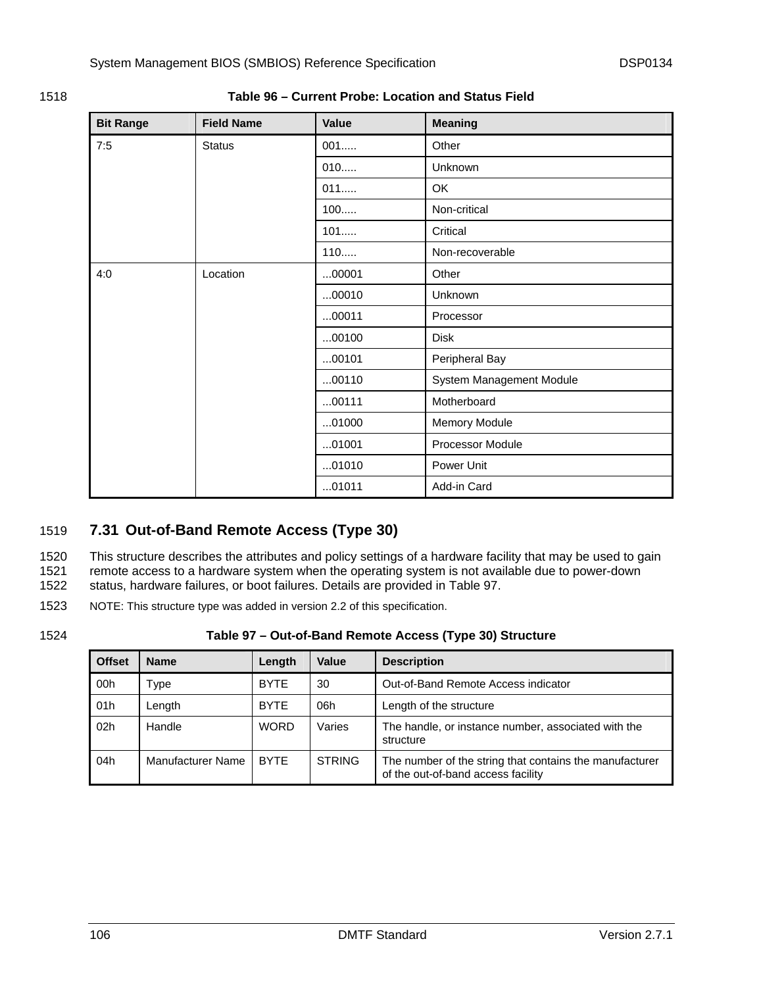<span id="page-105-0"></span>1518 **Table 96 – Current Probe: Location and Status Field** 

| <b>Bit Range</b> | <b>Field Name</b> | Value | <b>Meaning</b>           |
|------------------|-------------------|-------|--------------------------|
| 7:5              | <b>Status</b>     | 001   | Other                    |
|                  |                   | 010   | Unknown                  |
|                  |                   | 011   | OK                       |
|                  |                   | 100   | Non-critical             |
|                  |                   | 101   | Critical                 |
|                  |                   | 110   | Non-recoverable          |
| 4:0              | Location          | 00001 | Other                    |
|                  |                   | 00010 | Unknown                  |
|                  |                   | 00011 | Processor                |
|                  |                   | 00100 | <b>Disk</b>              |
|                  |                   | 00101 | Peripheral Bay           |
|                  |                   | 00110 | System Management Module |
|                  |                   | 00111 | Motherboard              |
|                  |                   | 01000 | <b>Memory Module</b>     |
|                  |                   | 01001 | Processor Module         |
|                  |                   | 01010 | Power Unit               |
|                  |                   | 01011 | Add-in Card              |

## 1519 **7.31 Out-of-Band Remote Access (Type 30)**

1520 This structure describes the attributes and policy settings of a hardware facility that may be used to gain<br>1521 remote access to a hardware system when the operating system is not available due to power-down 1521 remote access to a hardware system when the operating system is not available due to power-down<br>1522 status, hardware failures, or boot failures, Details are provided in Table 97.

status, hardware failures, or boot failures. Details are provided in [Table 97](#page-105-1).

1523 NOTE: This structure type was added in version 2.2 of this specification.

<span id="page-105-1"></span>

| 1524 | Table 97 - Out-of-Band Remote Access (Type 30) Structure |
|------|----------------------------------------------------------|
|------|----------------------------------------------------------|

| <b>Offset</b>   | <b>Name</b>       | Length      | Value         | <b>Description</b>                                                                            |
|-----------------|-------------------|-------------|---------------|-----------------------------------------------------------------------------------------------|
| 00h             | Type              | <b>BYTE</b> | 30            | Out-of-Band Remote Access indicator                                                           |
| 01 <sub>h</sub> | Length            | <b>BYTE</b> | 06h           | Length of the structure                                                                       |
| 02 <sub>h</sub> | Handle            | <b>WORD</b> | Varies        | The handle, or instance number, associated with the<br>structure                              |
| 04h             | Manufacturer Name | <b>BYTE</b> | <b>STRING</b> | The number of the string that contains the manufacturer<br>of the out-of-band access facility |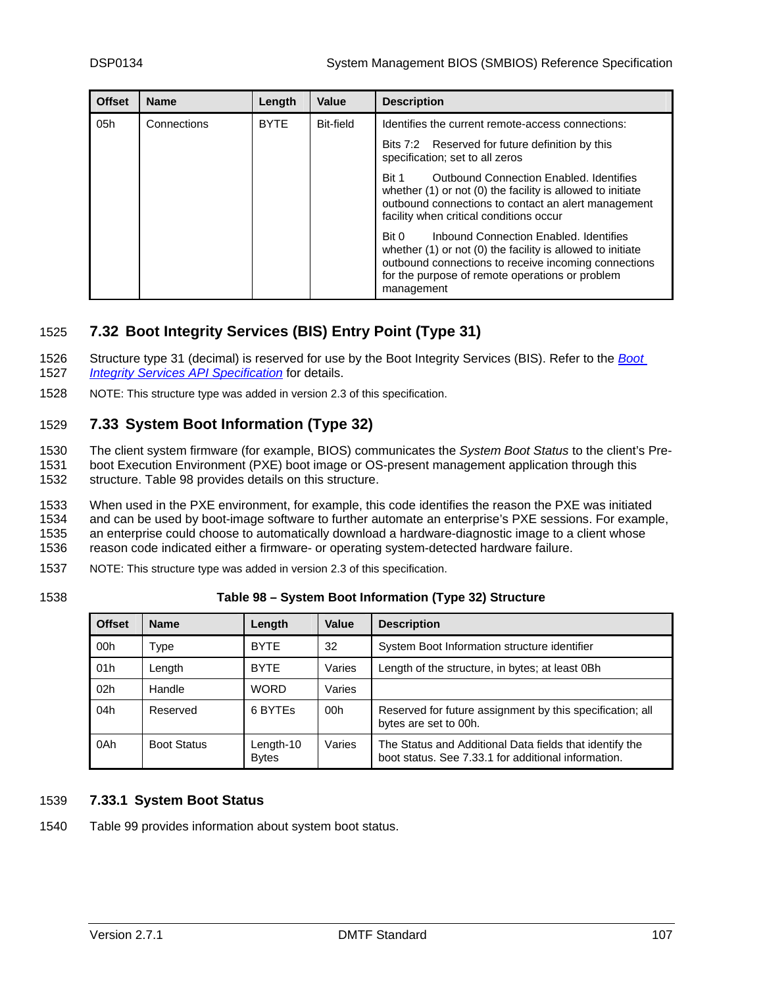| <b>Offset</b> | <b>Name</b> | Length      | Value            | <b>Description</b>                                                                                                                                                                                                                     |
|---------------|-------------|-------------|------------------|----------------------------------------------------------------------------------------------------------------------------------------------------------------------------------------------------------------------------------------|
| 05h           | Connections | <b>BYTE</b> | <b>Bit-field</b> | Identifies the current remote-access connections:                                                                                                                                                                                      |
|               |             |             |                  | Bits 7:2 Reserved for future definition by this<br>specification; set to all zeros                                                                                                                                                     |
|               |             |             |                  | Outbound Connection Enabled, Identifies<br>Bit 1<br>whether (1) or not (0) the facility is allowed to initiate<br>outbound connections to contact an alert management<br>facility when critical conditions occur                       |
|               |             |             |                  | Inbound Connection Enabled, Identifies<br>Bit 0<br>whether (1) or not (0) the facility is allowed to initiate<br>outbound connections to receive incoming connections<br>for the purpose of remote operations or problem<br>management |

# 1525 **7.32 Boot Integrity Services (BIS) Entry Point (Type 31)**

[1526 Structure type 31 \(decimal\) is reserved for use by the Boot Integrity Services \(BIS\). Refer to the](#page-12-0) *Boot*  1527 *[Integrity Services API Specific](#page-12-0)ation* for details.

1528 NOTE: This structure type was added in version 2.3 of this specification.

# 1529 **7.33 System Boot Information (Type 32)**

1530 The client system firmware (for example, BIOS) communicates the *System Boot Status* to the client's Pre-

1531 boot Execution Environment (PXE) boot image or OS-present management application through this

1532 structure. [Table 98](#page-106-0) provides details on this structure.

1533 When used in the PXE environment, for example, this code identifies the reason the PXE was initiated

1534 and can be used by boot-image software to further automate an enterprise's PXE sessions. For example, 1535 an enterprise could choose to automatically download a hardware-diagnostic image to a client whose

1536 reason code indicated either a firmware- or operating system-detected hardware failure.

- 1537 NOTE: This structure type was added in version 2.3 of this specification.
- 

## <span id="page-106-0"></span>1538 **Table 98 – System Boot Information (Type 32) Structure**

| <b>Offset</b>   | <b>Name</b>        | Length                    | Value           | <b>Description</b>                                                                                             |
|-----------------|--------------------|---------------------------|-----------------|----------------------------------------------------------------------------------------------------------------|
| 00h             | Type               | <b>BYTE</b>               | 32              | System Boot Information structure identifier                                                                   |
| 01h             | Length             | <b>BYTE</b>               | Varies          | Length of the structure, in bytes; at least 0Bh                                                                |
| 02 <sub>h</sub> | Handle             | <b>WORD</b>               | Varies          |                                                                                                                |
| 04h             | Reserved           | 6 BYTES                   | 00 <sub>h</sub> | Reserved for future assignment by this specification; all<br>bytes are set to 00h.                             |
| 0Ah             | <b>Boot Status</b> | Length-10<br><b>Bytes</b> | Varies          | The Status and Additional Data fields that identify the<br>boot status. See 7.33.1 for additional information. |

## <span id="page-106-1"></span>1539 **7.33.1 System Boot Status**

1540 [Table 99](#page-107-1) provides information about system boot status.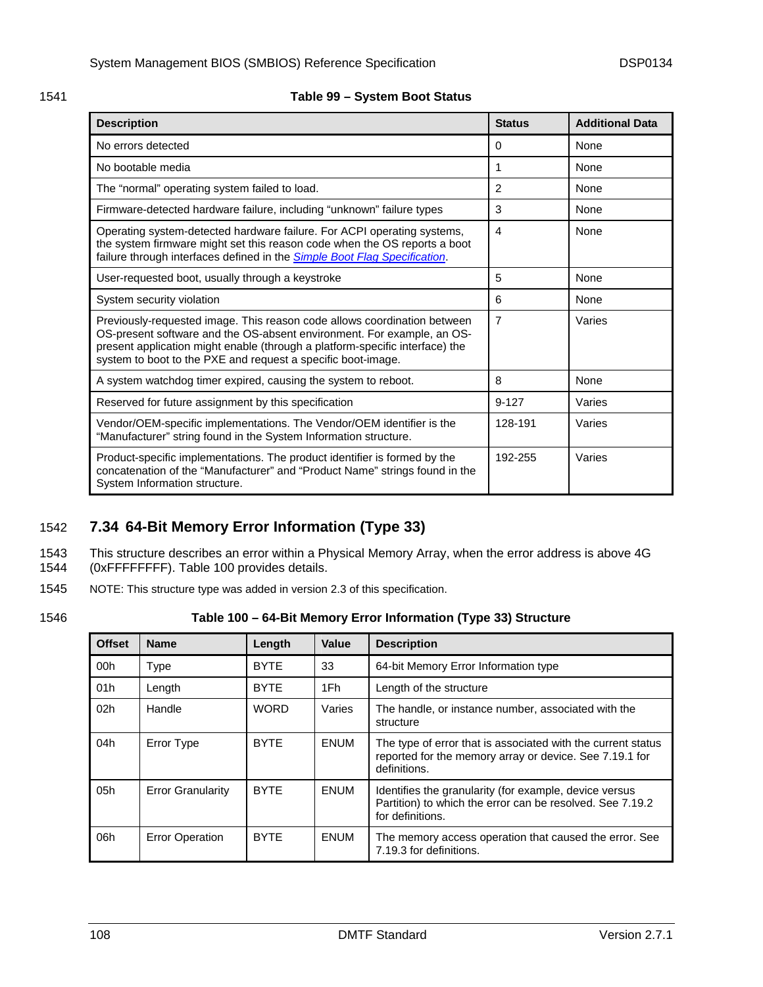<span id="page-107-1"></span>

## 1541 **Table 99 – System Boot Status**

| <b>Description</b>                                                                                                                                                                                                                                                                                 | <b>Status</b>  | <b>Additional Data</b> |
|----------------------------------------------------------------------------------------------------------------------------------------------------------------------------------------------------------------------------------------------------------------------------------------------------|----------------|------------------------|
| No errors detected                                                                                                                                                                                                                                                                                 | 0              | None                   |
| No bootable media                                                                                                                                                                                                                                                                                  | 1              | None                   |
| The "normal" operating system failed to load.                                                                                                                                                                                                                                                      | $\overline{2}$ | None                   |
| Firmware-detected hardware failure, including "unknown" failure types                                                                                                                                                                                                                              | 3              | None                   |
| Operating system-detected hardware failure. For ACPI operating systems,<br>the system firmware might set this reason code when the OS reports a boot<br>failure through interfaces defined in the <b>Simple Boot Flag Specification</b> .                                                          | $\overline{4}$ | None                   |
| User-requested boot, usually through a keystroke                                                                                                                                                                                                                                                   | 5              | None                   |
| System security violation                                                                                                                                                                                                                                                                          | 6              | None                   |
| Previously-requested image. This reason code allows coordination between<br>OS-present software and the OS-absent environment. For example, an OS-<br>present application might enable (through a platform-specific interface) the<br>system to boot to the PXE and request a specific boot-image. | 7              | Varies                 |
| A system watchdog timer expired, causing the system to reboot.                                                                                                                                                                                                                                     | 8              | None                   |
| Reserved for future assignment by this specification                                                                                                                                                                                                                                               | $9 - 127$      | Varies                 |
| Vendor/OEM-specific implementations. The Vendor/OEM identifier is the<br>"Manufacturer" string found in the System Information structure.                                                                                                                                                          | 128-191        | Varies                 |
| Product-specific implementations. The product identifier is formed by the<br>concatenation of the "Manufacturer" and "Product Name" strings found in the<br>System Information structure.                                                                                                          | 192-255        | Varies                 |

# <span id="page-107-0"></span>1542 **7.34 64-Bit Memory Error Information (Type 33)**

1543 This structure describes an error within a Physical Memory Array, when the error address is above 4G<br>1544 (0xFFFFFFFF). Table 100 provides details.

- (0xFFFFFFFFF). [Table 100](#page-107-2) provides details.
- 1545 NOTE: This structure type was added in version 2.3 of this specification.
- <span id="page-107-2"></span>

| 1546 | Table 100 – 64-Bit Memory Error Information (Type 33) Structure |
|------|-----------------------------------------------------------------|
|      |                                                                 |

| <b>Offset</b>   | <b>Name</b>              | Length      | Value       | <b>Description</b>                                                                                                                      |
|-----------------|--------------------------|-------------|-------------|-----------------------------------------------------------------------------------------------------------------------------------------|
| 00h             | <b>Type</b>              | <b>BYTE</b> | 33          | 64-bit Memory Error Information type                                                                                                    |
| 01h             | Length                   | <b>BYTE</b> | 1Fh         | Length of the structure                                                                                                                 |
| 02 <sub>h</sub> | Handle                   | <b>WORD</b> | Varies      | The handle, or instance number, associated with the<br>structure                                                                        |
| 04h             | Error Type               | <b>BYTE</b> | <b>ENUM</b> | The type of error that is associated with the current status<br>reported for the memory array or device. See 7.19.1 for<br>definitions. |
| 05h             | <b>Error Granularity</b> | <b>BYTE</b> | <b>ENUM</b> | Identifies the granularity (for example, device versus<br>Partition) to which the error can be resolved. See 7.19.2<br>for definitions. |
| 06h             | <b>Error Operation</b>   | <b>BYTE</b> | <b>ENUM</b> | The memory access operation that caused the error. See<br>7.19.3 for definitions.                                                       |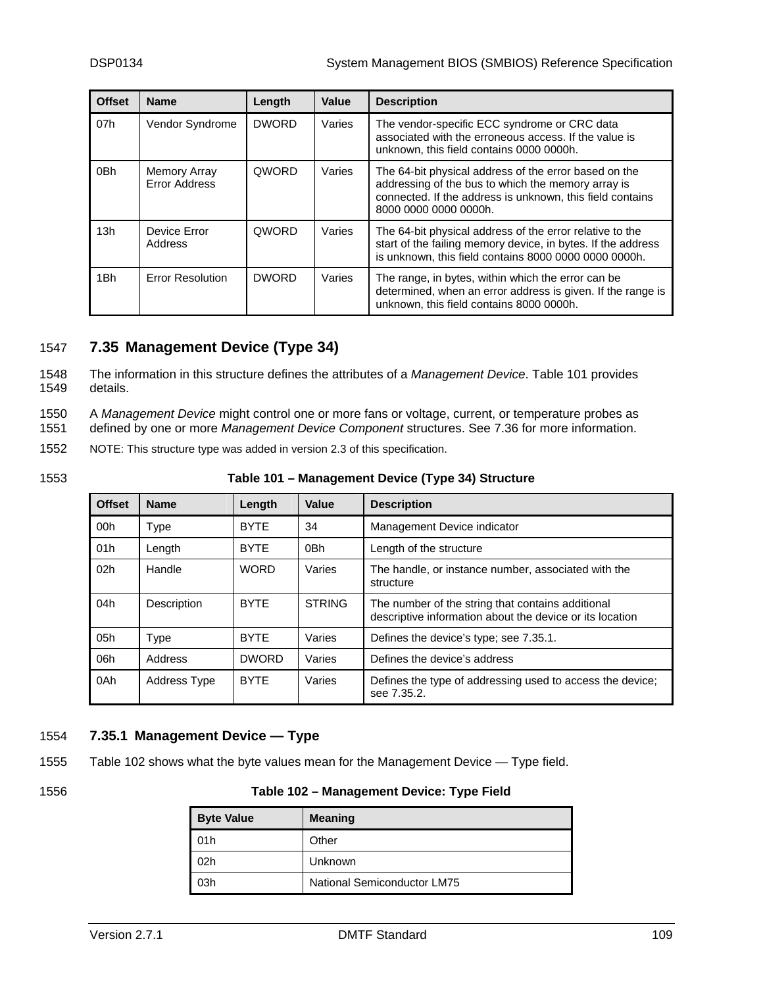| <b>Offset</b> | <b>Name</b>                                 | Length       | Value  | <b>Description</b>                                                                                                                                                                                |
|---------------|---------------------------------------------|--------------|--------|---------------------------------------------------------------------------------------------------------------------------------------------------------------------------------------------------|
| 07h           | Vendor Syndrome                             | <b>DWORD</b> | Varies | The vendor-specific ECC syndrome or CRC data<br>associated with the erroneous access. If the value is<br>unknown, this field contains 0000 0000h.                                                 |
| 0Bh           | <b>Memory Array</b><br><b>Error Address</b> | QWORD        | Varies | The 64-bit physical address of the error based on the<br>addressing of the bus to which the memory array is<br>connected. If the address is unknown, this field contains<br>8000 0000 0000 0000h. |
| 13h           | Device Error<br>Address                     | <b>QWORD</b> | Varies | The 64-bit physical address of the error relative to the<br>start of the failing memory device, in bytes. If the address<br>is unknown, this field contains 8000 0000 0000 0000h.                 |
| 1Bh           | <b>Error Resolution</b>                     | <b>DWORD</b> | Varies | The range, in bytes, within which the error can be<br>determined, when an error address is given. If the range is<br>unknown, this field contains 8000 0000h.                                     |

#### <span id="page-108-3"></span>1547 **7.35 Management Device (Type 34)**

1548 The information in this structure defines the attributes of a *Management Device*. [Table 101](#page-108-0) provides 1549 details.

1550 A *Management Device* might control one or more fans or voltage, current, or temperature probes as 1551 defined by one or more *Management Device Component* structures. See [7.36](#page-109-0) for more information.

- 1552 NOTE: This structure type was added in version 2.3 of this specification.
- 

<span id="page-108-0"></span>

| 1553 | Table 101 - Management Device (Type 34) Structure |
|------|---------------------------------------------------|
|------|---------------------------------------------------|

| <b>Offset</b>   | <b>Name</b>         | Length       | Value         | <b>Description</b>                                                                                            |
|-----------------|---------------------|--------------|---------------|---------------------------------------------------------------------------------------------------------------|
| 00h             | Type                | <b>BYTE</b>  | 34            | Management Device indicator                                                                                   |
| 01 <sub>h</sub> | Length              | <b>BYTE</b>  | 0Bh           | Length of the structure                                                                                       |
| 02 <sub>h</sub> | Handle              | <b>WORD</b>  | Varies        | The handle, or instance number, associated with the<br>structure                                              |
| 04h             | Description         | <b>BYTE</b>  | <b>STRING</b> | The number of the string that contains additional<br>descriptive information about the device or its location |
| 05h             | Type                | <b>BYTE</b>  | Varies        | Defines the device's type; see 7.35.1.                                                                        |
| 06h             | Address             | <b>DWORD</b> | Varies        | Defines the device's address                                                                                  |
| 0Ah             | <b>Address Type</b> | <b>BYTE</b>  | Varies        | Defines the type of addressing used to access the device;<br>see 7.35.2.                                      |

#### <span id="page-108-1"></span>1554 **7.35.1 Management Device — Type**

1555 [Table 102](#page-108-2) shows what the byte values mean for the Management Device — Type field.

<span id="page-108-2"></span>

#### 1556 **Table 102 – Management Device: Type Field**

| <b>Byte Value</b> | <b>Meaning</b>                     |
|-------------------|------------------------------------|
| 01h               | Other                              |
| 02 <sub>h</sub>   | Unknown                            |
| 03h               | <b>National Semiconductor LM75</b> |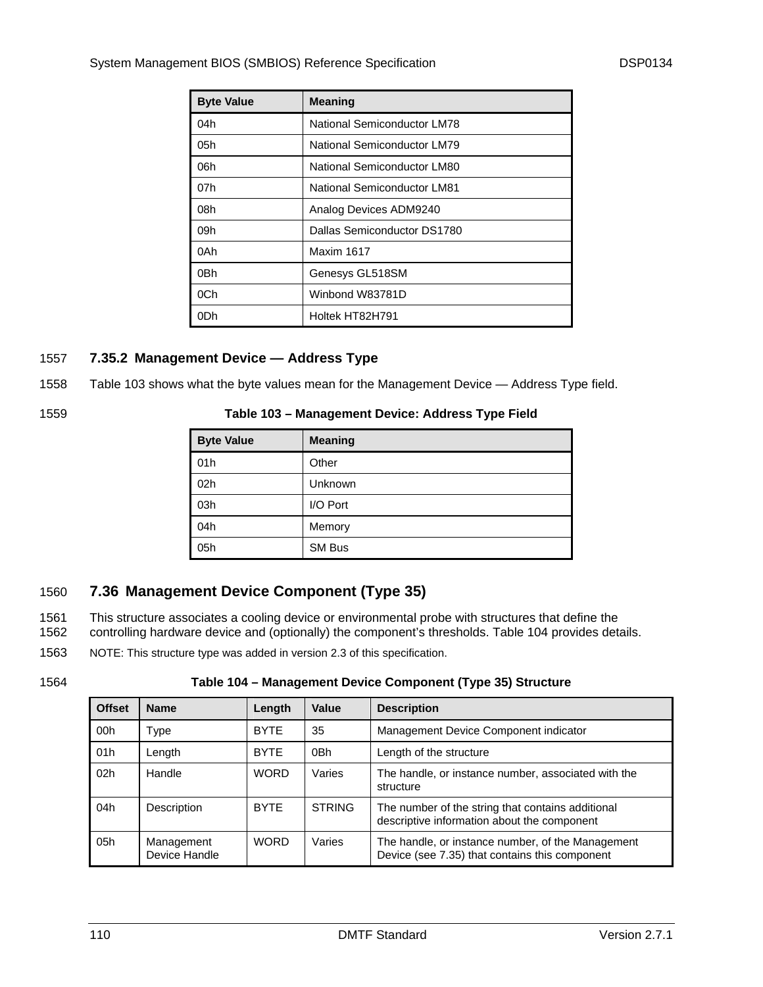| <b>Byte Value</b> | <b>Meaning</b>                     |
|-------------------|------------------------------------|
| 04h               | <b>National Semiconductor LM78</b> |
| 05h               | National Semiconductor LM79        |
| 06h               | National Semiconductor LM80        |
| 07h               | National Semiconductor LM81        |
| 08h               | Analog Devices ADM9240             |
| 09h               | Dallas Semiconductor DS1780        |
| 0Ah               | Maxim 1617                         |
| 0Bh               | Genesys GL518SM                    |
| 0Ch               | Winbond W83781D                    |
| 0Dh               | Holtek HT82H791                    |

#### <span id="page-109-1"></span>1557 **7.35.2 Management Device — Address Type**

1558 [Table 103](#page-109-2) shows what the byte values mean for the Management Device — Address Type field.

#### <span id="page-109-2"></span>1559 **Table 103 – Management Device: Address Type Field**

| <b>Byte Value</b> | <b>Meaning</b> |
|-------------------|----------------|
| 01h               | Other          |
| 02h               | Unknown        |
| 03h               | I/O Port       |
| 04h               | Memory         |
| 05h               | SM Bus         |

#### <span id="page-109-0"></span>1560 **7.36 Management Device Component (Type 35)**

1561 This structure associates a cooling device or environmental probe with structures that define the 1562 controlling hardware device and (optionally) the component's thresholds. [Table 104](#page-109-3) provides details.

1563 NOTE: This structure type was added in version 2.3 of this specification.

#### <span id="page-109-3"></span>1564 **Table 104 – Management Device Component (Type 35) Structure**

| <b>Offset</b>   | <b>Name</b>                 | Length      | Value         | <b>Description</b>                                                                                  |
|-----------------|-----------------------------|-------------|---------------|-----------------------------------------------------------------------------------------------------|
| 00h             | Type                        | <b>BYTE</b> | 35            | Management Device Component indicator                                                               |
| 01h             | Length                      | <b>BYTE</b> | 0Bh           | Length of the structure                                                                             |
| 02 <sub>h</sub> | Handle                      | <b>WORD</b> | Varies        | The handle, or instance number, associated with the<br>structure                                    |
| 04h             | Description                 | <b>BYTE</b> | <b>STRING</b> | The number of the string that contains additional<br>descriptive information about the component    |
| 05h             | Management<br>Device Handle | <b>WORD</b> | Varies        | The handle, or instance number, of the Management<br>Device (see 7.35) that contains this component |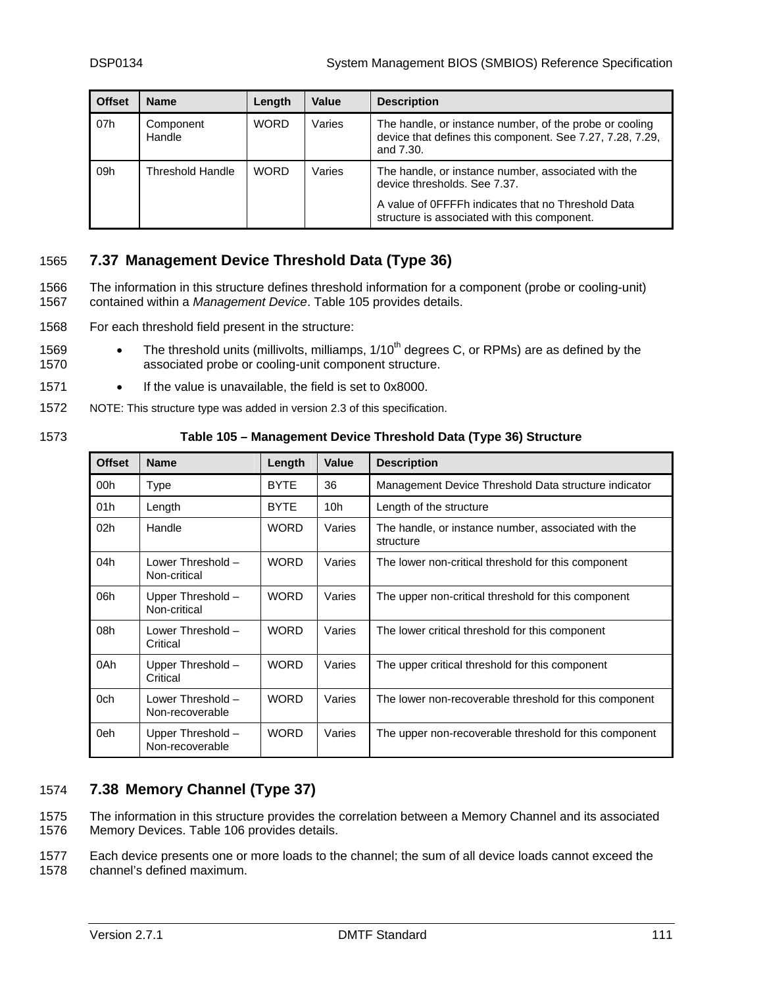| <b>Offset</b> | <b>Name</b>         | Length      | Value  | <b>Description</b>                                                                                                                                                                        |
|---------------|---------------------|-------------|--------|-------------------------------------------------------------------------------------------------------------------------------------------------------------------------------------------|
| 07h           | Component<br>Handle | <b>WORD</b> | Varies | The handle, or instance number, of the probe or cooling<br>device that defines this component. See 7.27, 7.28, 7.29,<br>and 7.30.                                                         |
| 09h           | Threshold Handle    | <b>WORD</b> | Varies | The handle, or instance number, associated with the<br>device thresholds. See 7.37.<br>A value of OFFFFh indicates that no Threshold Data<br>structure is associated with this component. |

#### <span id="page-110-0"></span>1565 **7.37 Management Device Threshold Data (Type 36)**

- 1566 The information in this structure defines threshold information for a component (probe or cooling-unit)<br>1567 contained within a *Management Device*. Table 105 provides details. contained within a *Management Device*. [Table 105](#page-110-1) provides details.
- 1568 For each threshold field present in the structure:
- 1569 The threshold units (millivolts, milliamps,  $1/10<sup>th</sup>$  degrees C, or RPMs) are as defined by the 1570 associated probe or cooling-unit component structure.
- 1571 If the value is unavailable, the field is set to 0x8000.
- 1572 NOTE: This structure type was added in version 2.3 of this specification.
- 

#### <span id="page-110-1"></span>1573 **Table 105 – Management Device Threshold Data (Type 36) Structure**

| <b>Offset</b>   | <b>Name</b>                          | Length      | <b>Value</b>    | <b>Description</b>                                               |
|-----------------|--------------------------------------|-------------|-----------------|------------------------------------------------------------------|
| 00h             | <b>Type</b>                          | <b>BYTE</b> | 36              | Management Device Threshold Data structure indicator             |
| 01h             | Length                               | <b>BYTE</b> | 10 <sub>h</sub> | Length of the structure                                          |
| 02 <sub>h</sub> | Handle                               | <b>WORD</b> | Varies          | The handle, or instance number, associated with the<br>structure |
| 04h             | Lower Threshold -<br>Non-critical    | <b>WORD</b> | Varies          | The lower non-critical threshold for this component              |
| 06h             | Upper Threshold -<br>Non-critical    | <b>WORD</b> | Varies          | The upper non-critical threshold for this component              |
| 08h             | Lower Threshold -<br>Critical        | <b>WORD</b> | Varies          | The lower critical threshold for this component                  |
| 0Ah             | Upper Threshold -<br>Critical        | <b>WORD</b> | Varies          | The upper critical threshold for this component                  |
| 0ch             | Lower Threshold -<br>Non-recoverable | <b>WORD</b> | Varies          | The lower non-recoverable threshold for this component           |
| 0eh             | Upper Threshold -<br>Non-recoverable | <b>WORD</b> | Varies          | The upper non-recoverable threshold for this component           |

#### 1574 **7.38 Memory Channel (Type 37)**

1575 The information in this structure provides the correlation between a Memory Channel and its associated 1576 Memory Devices. [Table 106](#page-111-0) provides details.

1577 Each device presents one or more loads to the channel; the sum of all device loads cannot exceed the 1578 channel's defined maximum.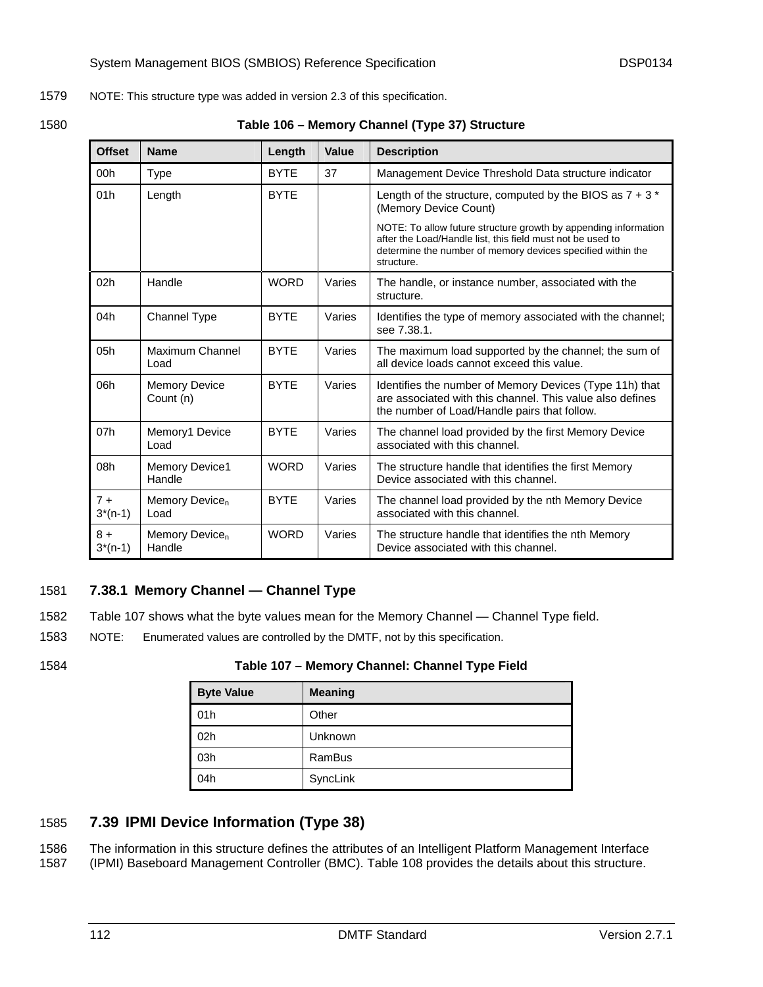#### 1579 NOTE: This structure type was added in version 2.3 of this specification.

#### <span id="page-111-0"></span>1580 **Table 106 – Memory Channel (Type 37) Structure**

| <b>Offset</b>      | <b>Name</b>                          | Length      | <b>Value</b> | <b>Description</b>                                                                                                                                                                                         |
|--------------------|--------------------------------------|-------------|--------------|------------------------------------------------------------------------------------------------------------------------------------------------------------------------------------------------------------|
| 00h                | Type                                 | <b>BYTE</b> | 37           | Management Device Threshold Data structure indicator                                                                                                                                                       |
| 01h                | Length                               | <b>BYTE</b> |              | Length of the structure, computed by the BIOS as $7 + 3 *$<br>(Memory Device Count)                                                                                                                        |
|                    |                                      |             |              | NOTE: To allow future structure growth by appending information<br>after the Load/Handle list, this field must not be used to<br>determine the number of memory devices specified within the<br>structure. |
| 02 <sub>h</sub>    | Handle                               | <b>WORD</b> | Varies       | The handle, or instance number, associated with the<br>structure.                                                                                                                                          |
| 04h                | <b>Channel Type</b>                  | <b>BYTE</b> | Varies       | Identifies the type of memory associated with the channel;<br>see 7.38.1.                                                                                                                                  |
| 05h                | Maximum Channel<br>Load              | <b>BYTE</b> | Varies       | The maximum load supported by the channel; the sum of<br>all device loads cannot exceed this value.                                                                                                        |
| 06h                | <b>Memory Device</b><br>Count (n)    | <b>BYTE</b> | Varies       | Identifies the number of Memory Devices (Type 11h) that<br>are associated with this channel. This value also defines<br>the number of Load/Handle pairs that follow.                                       |
| 07h                | Memory1 Device<br>Load               | <b>BYTE</b> | Varies       | The channel load provided by the first Memory Device<br>associated with this channel.                                                                                                                      |
| 08h                | <b>Memory Device1</b><br>Handle      | <b>WORD</b> | Varies       | The structure handle that identifies the first Memory<br>Device associated with this channel.                                                                                                              |
| $7 +$<br>$3*(n-1)$ | Memory Device <sub>n</sub><br>Load   | <b>BYTE</b> | Varies       | The channel load provided by the nth Memory Device<br>associated with this channel.                                                                                                                        |
| $8+$<br>$3*(n-1)$  | Memory Device <sub>n</sub><br>Handle | <b>WORD</b> | Varies       | The structure handle that identifies the nth Memory<br>Device associated with this channel.                                                                                                                |

#### <span id="page-111-1"></span>1581 **7.38.1 Memory Channel — Channel Type**

1582 [Table 107](#page-111-2) shows what the byte values mean for the Memory Channel — Channel Type field.

1583 NOTE: Enumerated values are controlled by the DMTF, not by this specification.

#### <span id="page-111-2"></span>1584 **Table 107 – Memory Channel: Channel Type Field**

| <b>Byte Value</b> | <b>Meaning</b> |
|-------------------|----------------|
| 01h               | Other          |
| 02h               | Unknown        |
| 03h               | RamBus         |
| 04h               | SyncLink       |

#### 1585 **7.39 IPMI Device Information (Type 38)**

1586 The information in this structure defines the attributes of an Intelligent Platform Management Interface<br>1587 (IPMI) Baseboard Management Controller (BMC). Table 108 provides the details about this structure. (IPMI) Baseboard Management Controller (BMC). [Table 108](#page-112-0) provides the details about this structure.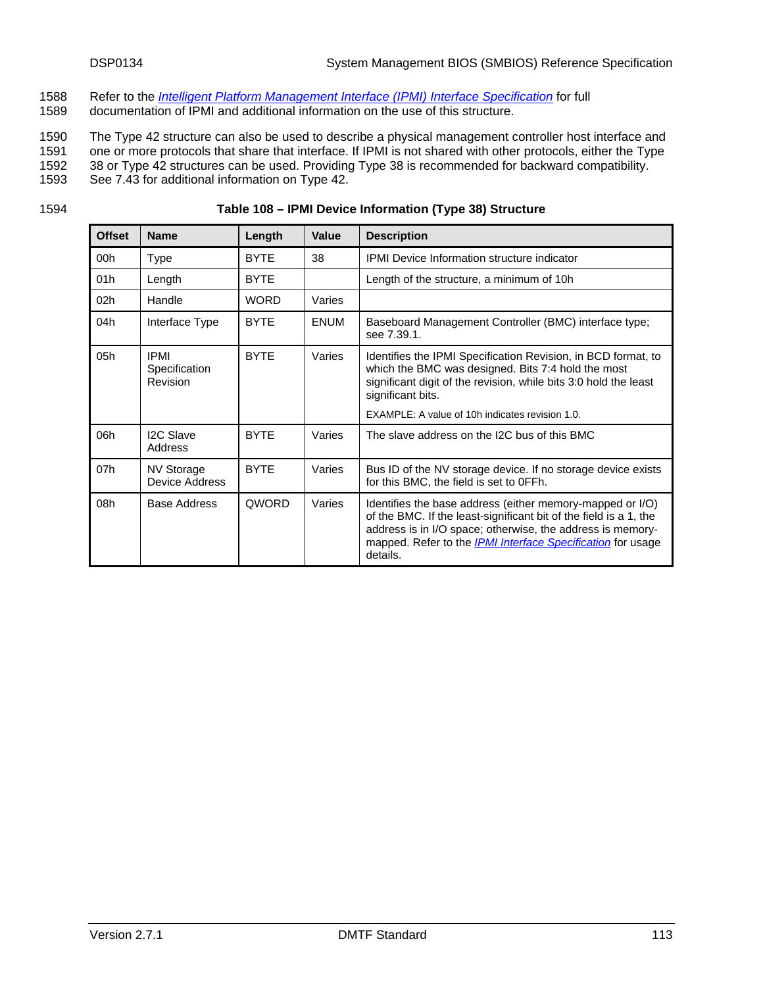- 1588 Refer to the *[Intelligent Platform Management Interface \(IPMI\) Interface Specification](#page-12-0)* for full
- 1589 documentation of IPMI and additional information on the use of this structure.

1590 The Type 42 structure can also be used to describe a physical management controller host interface and

1591 one or more protocols that share that interface. If IPMI is not shared with other protocols, either the Type

1592 38 or Type 42 structures can be used. Providing Type 38 is recommended for backward compatibility.<br>1593 See 7.43 for additional information on Type 42.

See [7.43](#page-118-0) for additional information on Type 42.

#### <span id="page-112-0"></span>1594 **Table 108 – IPMI Device Information (Type 38) Structure**

| <b>Offset</b> | <b>Name</b>                              | Length      | Value       | <b>Description</b>                                                                                                                                                                                                                                                             |
|---------------|------------------------------------------|-------------|-------------|--------------------------------------------------------------------------------------------------------------------------------------------------------------------------------------------------------------------------------------------------------------------------------|
| 00h           | Type                                     | <b>BYTE</b> | 38          | <b>IPMI</b> Device Information structure indicator                                                                                                                                                                                                                             |
| 01h           | Length                                   | <b>BYTE</b> |             | Length of the structure, a minimum of 10h                                                                                                                                                                                                                                      |
| 02h           | Handle                                   | <b>WORD</b> | Varies      |                                                                                                                                                                                                                                                                                |
| 04h           | Interface Type                           | <b>BYTE</b> | <b>ENUM</b> | Baseboard Management Controller (BMC) interface type;<br>see 7.39.1.                                                                                                                                                                                                           |
| 05h           | <b>IPMI</b><br>Specification<br>Revision | <b>BYTE</b> | Varies      | Identifies the IPMI Specification Revision, in BCD format, to<br>which the BMC was designed. Bits 7:4 hold the most<br>significant digit of the revision, while bits 3:0 hold the least<br>significant bits.<br>EXAMPLE: A value of 10h indicates revision 1.0.                |
| 06h           | <b>I2C Slave</b><br>Address              | <b>BYTE</b> | Varies      | The slave address on the I2C bus of this BMC                                                                                                                                                                                                                                   |
| 07h           | <b>NV Storage</b><br>Device Address      | <b>BYTE</b> | Varies      | Bus ID of the NV storage device. If no storage device exists<br>for this BMC, the field is set to OFFh.                                                                                                                                                                        |
| 08h           | <b>Base Address</b>                      | QWORD       | Varies      | Identifies the base address (either memory-mapped or I/O)<br>of the BMC. If the least-significant bit of the field is a 1, the<br>address is in I/O space; otherwise, the address is memory-<br>mapped. Refer to the <b>IPMI Interface Specification</b> for usage<br>details. |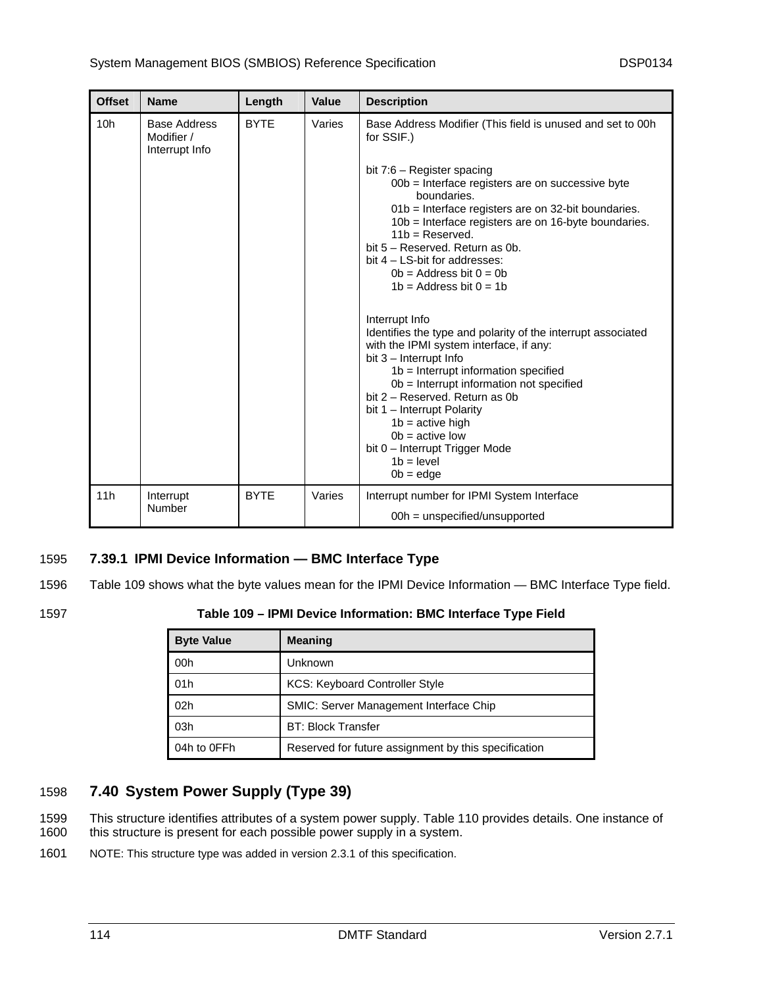| <b>Offset</b>   | <b>Name</b>                                         | Length      | Value  | <b>Description</b>                                                                                                                                                                                                                                                                                                                                                                                                                                                                                                                                                                                                                                                                                                                                                                                                                                                          |
|-----------------|-----------------------------------------------------|-------------|--------|-----------------------------------------------------------------------------------------------------------------------------------------------------------------------------------------------------------------------------------------------------------------------------------------------------------------------------------------------------------------------------------------------------------------------------------------------------------------------------------------------------------------------------------------------------------------------------------------------------------------------------------------------------------------------------------------------------------------------------------------------------------------------------------------------------------------------------------------------------------------------------|
| 10 <sub>h</sub> | <b>Base Address</b><br>Modifier /<br>Interrupt Info | <b>BYTE</b> | Varies | Base Address Modifier (This field is unused and set to 00h<br>for SSIF.)<br>bit $7:6$ – Register spacing<br>00b = Interface registers are on successive byte<br>boundaries.<br>01b = Interface registers are on 32-bit boundaries.<br>10b = Interface registers are on 16-byte boundaries.<br>$11b =$ Reserved.<br>bit 5 - Reserved. Return as 0b.<br>bit $4 - LS$ -bit for addresses:<br>$0b =$ Address bit $0 = 0b$<br>$1b =$ Address bit $0 = 1b$<br>Interrupt Info<br>Identifies the type and polarity of the interrupt associated<br>with the IPMI system interface, if any:<br>bit 3 - Interrupt Info<br>1b = Interrupt information specified<br>0b = Interrupt information not specified<br>bit 2 - Reserved. Return as 0b<br>bit 1 - Interrupt Polarity<br>$1b =$ active high<br>$0b =$ active low<br>bit 0 - Interrupt Trigger Mode<br>$1b = level$<br>$0b =$ edge |
| 11h             | Interrupt<br>Number                                 | <b>BYTE</b> | Varies | Interrupt number for IPMI System Interface<br>$00h =$ unspecified/unsupported                                                                                                                                                                                                                                                                                                                                                                                                                                                                                                                                                                                                                                                                                                                                                                                               |

#### <span id="page-113-0"></span>1595 **7.39.1 IPMI Device Information — BMC Interface Type**

1596 [Table 109](#page-113-1) shows what the byte values mean for the IPMI Device Information — BMC Interface Type field.

<span id="page-113-1"></span>1597 **Table 109 – IPMI Device Information: BMC Interface Type Field** 

| <b>Byte Value</b>                                                   | <b>Meaning</b>                                |  |  |  |
|---------------------------------------------------------------------|-----------------------------------------------|--|--|--|
| 00h                                                                 | Unknown                                       |  |  |  |
| 01 <sub>h</sub>                                                     | <b>KCS: Keyboard Controller Style</b>         |  |  |  |
| 02h                                                                 | <b>SMIC: Server Management Interface Chip</b> |  |  |  |
| 03h<br><b>BT: Block Transfer</b>                                    |                                               |  |  |  |
| 04h to 0FFh<br>Reserved for future assignment by this specification |                                               |  |  |  |

#### 1598 **7.40 System Power Supply (Type 39)**

1599 This structure identifies attributes of a system power supply. [Table 110](#page-114-0) provides details. One instance of 1600 this structure is present for each possible power supply in a system.

1601 NOTE: This structure type was added in version 2.3.1 of this specification.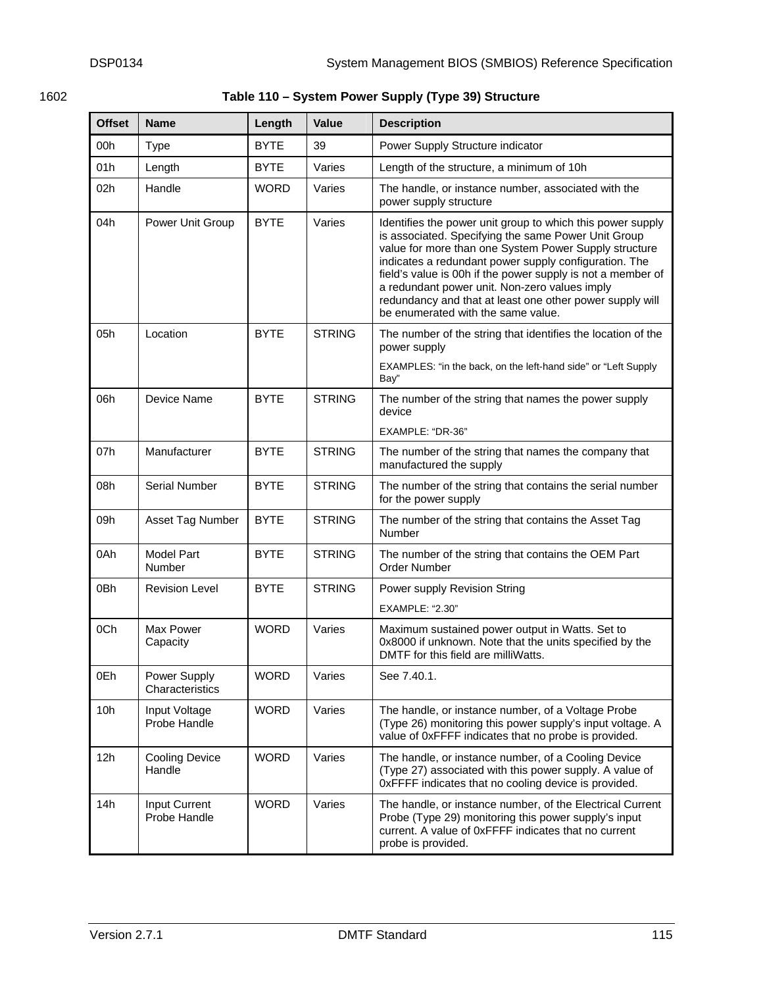<span id="page-114-0"></span>1602 **Table 110 – System Power Supply (Type 39) Structure** 

| <b>Offset</b> | <b>Name</b>                        | Length      | Value         | <b>Description</b>                                                                                                                                                                                                                                                                                                                                                                                                                                    |
|---------------|------------------------------------|-------------|---------------|-------------------------------------------------------------------------------------------------------------------------------------------------------------------------------------------------------------------------------------------------------------------------------------------------------------------------------------------------------------------------------------------------------------------------------------------------------|
| 00h           | <b>Type</b>                        | <b>BYTE</b> | 39            | Power Supply Structure indicator                                                                                                                                                                                                                                                                                                                                                                                                                      |
| 01h           | Length                             | <b>BYTE</b> | Varies        | Length of the structure, a minimum of 10h                                                                                                                                                                                                                                                                                                                                                                                                             |
| 02h           | Handle                             | <b>WORD</b> | Varies        | The handle, or instance number, associated with the<br>power supply structure                                                                                                                                                                                                                                                                                                                                                                         |
| 04h           | Power Unit Group                   | <b>BYTE</b> | Varies        | Identifies the power unit group to which this power supply<br>is associated. Specifying the same Power Unit Group<br>value for more than one System Power Supply structure<br>indicates a redundant power supply configuration. The<br>field's value is 00h if the power supply is not a member of<br>a redundant power unit. Non-zero values imply<br>redundancy and that at least one other power supply will<br>be enumerated with the same value. |
| 05h           | Location                           | <b>BYTE</b> | <b>STRING</b> | The number of the string that identifies the location of the<br>power supply<br>EXAMPLES: "in the back, on the left-hand side" or "Left Supply<br>Bay"                                                                                                                                                                                                                                                                                                |
| 06h           | Device Name                        | <b>BYTE</b> | <b>STRING</b> | The number of the string that names the power supply<br>device<br>EXAMPLE: "DR-36"                                                                                                                                                                                                                                                                                                                                                                    |
| 07h           | Manufacturer                       | <b>BYTE</b> | <b>STRING</b> | The number of the string that names the company that<br>manufactured the supply                                                                                                                                                                                                                                                                                                                                                                       |
| 08h           | <b>Serial Number</b>               | <b>BYTE</b> | <b>STRING</b> | The number of the string that contains the serial number<br>for the power supply                                                                                                                                                                                                                                                                                                                                                                      |
| 09h           | Asset Tag Number                   | <b>BYTE</b> | <b>STRING</b> | The number of the string that contains the Asset Tag<br>Number                                                                                                                                                                                                                                                                                                                                                                                        |
| 0Ah           | <b>Model Part</b><br><b>Number</b> | <b>BYTE</b> | <b>STRING</b> | The number of the string that contains the OEM Part<br><b>Order Number</b>                                                                                                                                                                                                                                                                                                                                                                            |
| 0Bh           | <b>Revision Level</b>              | <b>BYTE</b> | <b>STRING</b> | Power supply Revision String<br><b>EXAMPLE: "2.30"</b>                                                                                                                                                                                                                                                                                                                                                                                                |
| 0Ch           | Max Power<br>Capacity              | <b>WORD</b> | Varies        | Maximum sustained power output in Watts. Set to<br>0x8000 if unknown. Note that the units specified by the<br>DMTF for this field are milliWatts.                                                                                                                                                                                                                                                                                                     |
| 0Eh           | Power Supply<br>Characteristics    | <b>WORD</b> | Varies        | See 7.40.1.                                                                                                                                                                                                                                                                                                                                                                                                                                           |
| 10h           | Input Voltage<br>Probe Handle      | <b>WORD</b> | Varies        | The handle, or instance number, of a Voltage Probe<br>(Type 26) monitoring this power supply's input voltage. A<br>value of 0xFFFF indicates that no probe is provided.                                                                                                                                                                                                                                                                               |
| 12h           | Cooling Device<br>Handle           | <b>WORD</b> | Varies        | The handle, or instance number, of a Cooling Device<br>(Type 27) associated with this power supply. A value of<br>0xFFFF indicates that no cooling device is provided.                                                                                                                                                                                                                                                                                |
| 14h           | Input Current<br>Probe Handle      | <b>WORD</b> | Varies        | The handle, or instance number, of the Electrical Current<br>Probe (Type 29) monitoring this power supply's input<br>current. A value of 0xFFFF indicates that no current<br>probe is provided.                                                                                                                                                                                                                                                       |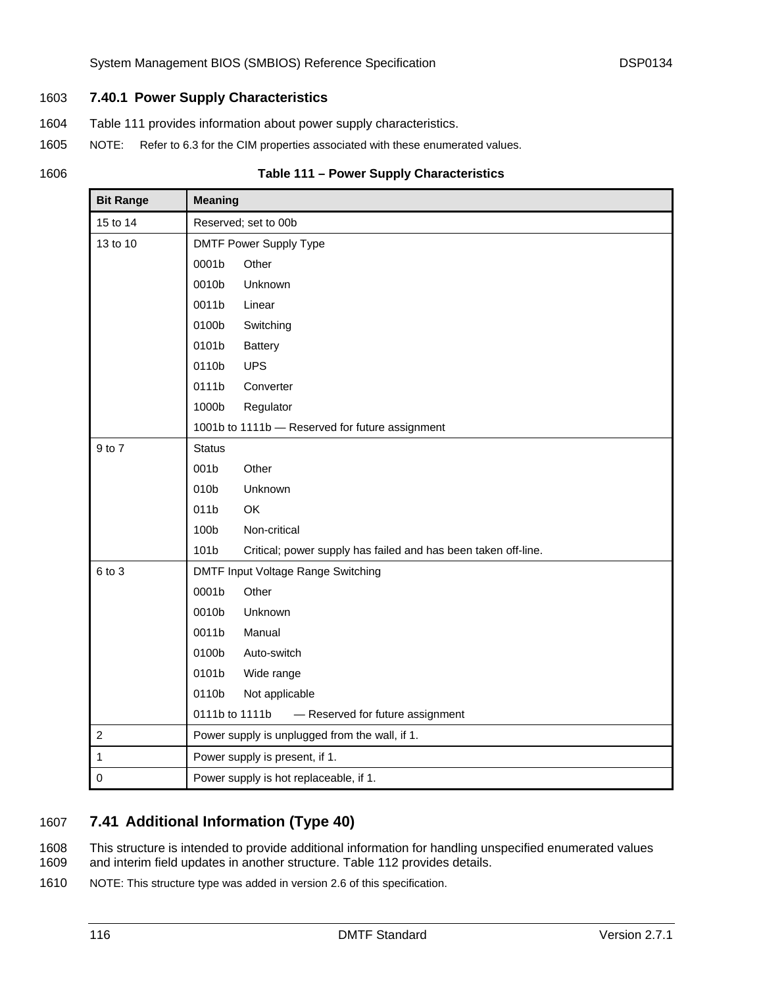#### <span id="page-115-0"></span>1603 **7.40.1 Power Supply Characteristics**

- 1604 [Table 111](#page-115-1) provides information about power supply characteristics.
- 1605 NOTE: Refer to [6.3](#page-25-0) for the CIM properties associated with these enumerated values.
- 

#### <span id="page-115-1"></span>1606 **Table 111 – Power Supply Characteristics**

| <b>Bit Range</b> | <b>Meaning</b>                                                         |  |  |  |  |  |  |
|------------------|------------------------------------------------------------------------|--|--|--|--|--|--|
| 15 to 14         | Reserved; set to 00b                                                   |  |  |  |  |  |  |
| 13 to 10         | <b>DMTF Power Supply Type</b>                                          |  |  |  |  |  |  |
|                  | 0001b<br>Other                                                         |  |  |  |  |  |  |
|                  | 0010b<br>Unknown                                                       |  |  |  |  |  |  |
|                  | 0011b<br>Linear                                                        |  |  |  |  |  |  |
|                  | 0100b<br>Switching                                                     |  |  |  |  |  |  |
|                  | 0101b<br><b>Battery</b>                                                |  |  |  |  |  |  |
|                  | <b>UPS</b><br>0110b                                                    |  |  |  |  |  |  |
|                  | 0111b<br>Converter                                                     |  |  |  |  |  |  |
|                  | 1000b<br>Regulator                                                     |  |  |  |  |  |  |
|                  | 1001b to 1111b - Reserved for future assignment                        |  |  |  |  |  |  |
| 9 to 7           | <b>Status</b>                                                          |  |  |  |  |  |  |
|                  | 001b<br>Other                                                          |  |  |  |  |  |  |
|                  | 010b<br>Unknown                                                        |  |  |  |  |  |  |
|                  | OK<br>011b                                                             |  |  |  |  |  |  |
|                  | 100b<br>Non-critical                                                   |  |  |  |  |  |  |
|                  | 101b<br>Critical; power supply has failed and has been taken off-line. |  |  |  |  |  |  |
| 6 to 3           | DMTF Input Voltage Range Switching                                     |  |  |  |  |  |  |
|                  | 0001b<br>Other                                                         |  |  |  |  |  |  |
|                  | Unknown<br>0010b                                                       |  |  |  |  |  |  |
|                  | Manual<br>0011b                                                        |  |  |  |  |  |  |
|                  | 0100b<br>Auto-switch                                                   |  |  |  |  |  |  |
|                  | 0101b<br>Wide range                                                    |  |  |  |  |  |  |
|                  | 0110b<br>Not applicable                                                |  |  |  |  |  |  |
|                  | 0111b to 1111b<br>- Reserved for future assignment                     |  |  |  |  |  |  |
| $\overline{c}$   | Power supply is unplugged from the wall, if 1.                         |  |  |  |  |  |  |
| $\mathbf{1}$     | Power supply is present, if 1.                                         |  |  |  |  |  |  |
| 0                | Power supply is hot replaceable, if 1.                                 |  |  |  |  |  |  |

#### 1607 **7.41 Additional Information (Type 40)**

1608 This structure is intended to provide additional information for handling unspecified enumerated values 1609 and interim field updates in another structure. [Table 112](#page-116-0) provides details.

1610 NOTE: This structure type was added in version 2.6 of this specification.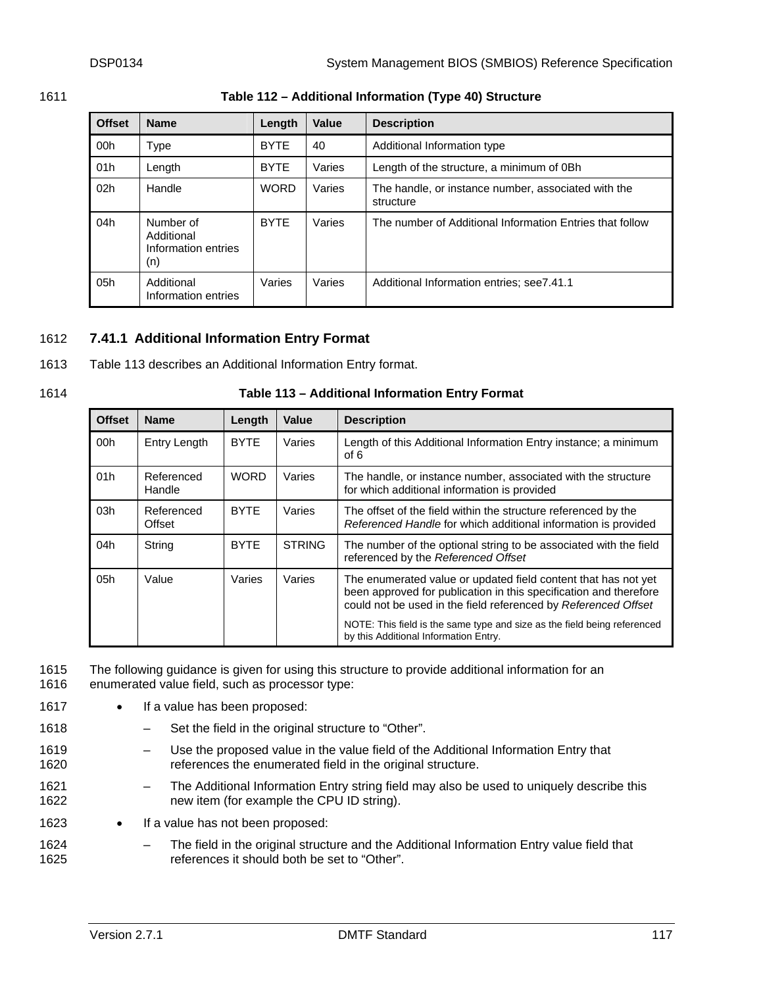<span id="page-116-0"></span>

| ٩ |  |
|---|--|
|---|--|

#### 1611 **Table 112 – Additional Information (Type 40) Structure**

| <b>Offset</b>   | <b>Name</b>                                           | Length      | Value  | <b>Description</b>                                               |
|-----------------|-------------------------------------------------------|-------------|--------|------------------------------------------------------------------|
| 00h             | Type                                                  | <b>BYTE</b> | 40     | Additional Information type                                      |
| 01h             | Length                                                | <b>BYTE</b> | Varies | Length of the structure, a minimum of 0Bh                        |
| 02 <sub>h</sub> | Handle                                                | <b>WORD</b> | Varies | The handle, or instance number, associated with the<br>structure |
| 04h             | Number of<br>Additional<br>Information entries<br>(n) | <b>BYTE</b> | Varies | The number of Additional Information Entries that follow         |
| 05h             | Additional<br>Information entries                     | Varies      | Varies | Additional Information entries: see 7.41.1                       |

#### <span id="page-116-1"></span>1612 **7.41.1 Additional Information Entry Format**

1613 [Table 113](#page-116-2) describes an Additional Information Entry format.

#### <span id="page-116-2"></span>1614 **Table 113 – Additional Information Entry Format**

| <b>Offset</b> | <b>Name</b>          | Length      | Value         | <b>Description</b>                                                                                                                                                                                    |  |
|---------------|----------------------|-------------|---------------|-------------------------------------------------------------------------------------------------------------------------------------------------------------------------------------------------------|--|
| 00h           | Entry Length         | <b>BYTE</b> | Varies        | Length of this Additional Information Entry instance; a minimum<br>of 6                                                                                                                               |  |
| 01h           | Referenced<br>Handle | <b>WORD</b> | Varies        | The handle, or instance number, associated with the structure<br>for which additional information is provided                                                                                         |  |
| 03h           | Referenced<br>Offset | <b>BYTE</b> | Varies        | The offset of the field within the structure referenced by the<br>Referenced Handle for which additional information is provided                                                                      |  |
| 04h           | String               | <b>BYTE</b> | <b>STRING</b> | The number of the optional string to be associated with the field<br>referenced by the Referenced Offset                                                                                              |  |
| 05h           | Value                | Varies      | Varies        | The enumerated value or updated field content that has not yet<br>been approved for publication in this specification and therefore<br>could not be used in the field referenced by Referenced Offset |  |
|               |                      |             |               | NOTE: This field is the same type and size as the field being referenced<br>by this Additional Information Entry.                                                                                     |  |

#### 1615 The following guidance is given for using this structure to provide additional information for an 1616 enumerated value field, such as processor type:

- 1617 If a value has been proposed:
- 1618 Set the field in the original structure to "Other".
- 1619 Use the proposed value in the value field of the Additional Information Entry that 1620 references the enumerated field in the original structure.
- 1621 The Additional Information Entry string field may also be used to uniquely describe this 1622 new item (for example the CPU ID string).
- 1623 If a value has not been proposed:
- 1624 The field in the original structure and the Additional Information Entry value field that 1625 references it should both be set to "Other".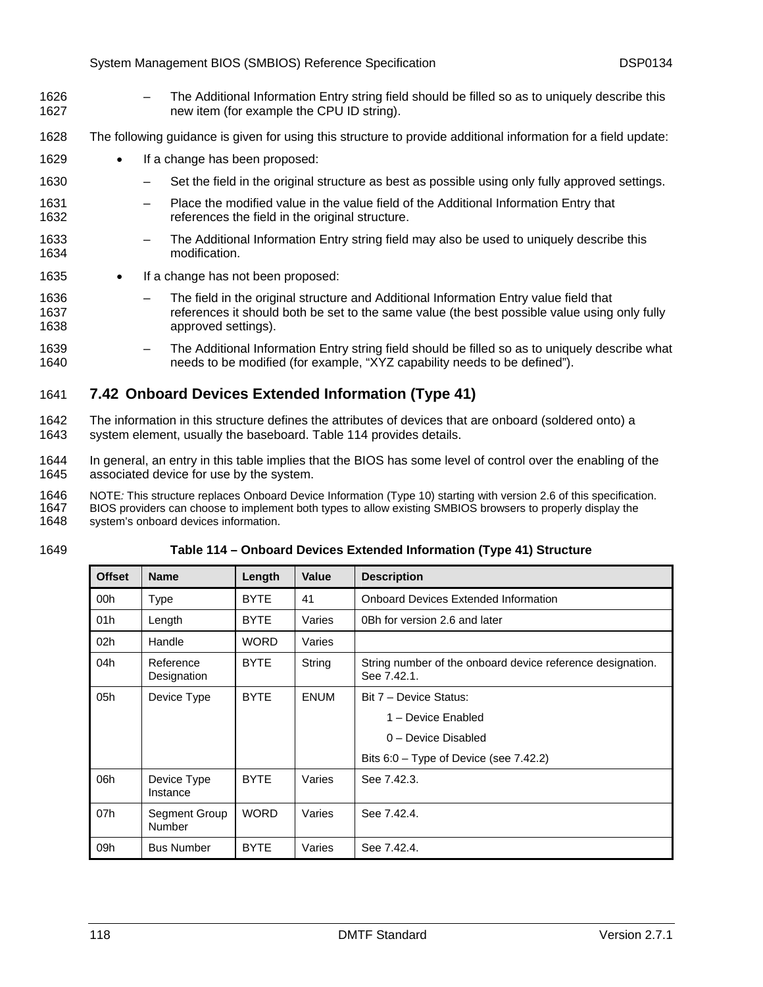System Management BIOS (SMBIOS) Reference Specification **DSP0134** DSP0134

- 1626 The Additional Information Entry string field should be filled so as to uniquely describe this 1627 new item (for example the CPU ID string).
- 1628 The following guidance is given for using this structure to provide additional information for a field update:
- 1629 If a change has been proposed:
- 1630 Set the field in the original structure as best as possible using only fully approved settings.
- 1631 Place the modified value in the value field of the Additional Information Entry that 1632 references the field in the original structure.
- 1633 The Additional Information Entry string field may also be used to uniquely describe this 1634 modification.
- 1635 If a change has not been proposed:
- 1636 The field in the original structure and Additional Information Entry value field that 1637 references it should both be set to the same value (the best possible value using only fully 1638 approved settings).
- 1639 The Additional Information Entry string field should be filled so as to uniquely describe what 1640 needs to be modified (for example, "XYZ capability needs to be defined").

#### 1641 **7.42 Onboard Devices Extended Information (Type 41)**

1642 The information in this structure defines the attributes of devices that are onboard (soldered onto) a 1643 system element, usually the baseboard. [Table 114](#page-117-0) provides details.

1644 In general, an entry in this table implies that the BIOS has some level of control over the enabling of the 1645 associated device for use by the system.

1646 NOTE*:* This structure replaces Onboard Device Information (Type 10) starting with version 2.6 of this specification.

1647 BIOS providers can choose to implement both types to allow existing SMBIOS browsers to properly display the 1648 system's onboard devices information.

system's onboard devices information.

#### <span id="page-117-0"></span>1649 **Table 114 – Onboard Devices Extended Information (Type 41) Structure**

| <b>Offset</b>   | <b>Name</b>                    | Length      | <b>Value</b> | <b>Description</b>                                                        |  |
|-----------------|--------------------------------|-------------|--------------|---------------------------------------------------------------------------|--|
| 00h             | <b>Type</b>                    | <b>BYTE</b> | 41           | <b>Onboard Devices Extended Information</b>                               |  |
| 01h             | Length                         | <b>BYTE</b> | Varies       | 0Bh for version 2.6 and later                                             |  |
| 02 <sub>h</sub> | Handle                         | <b>WORD</b> | Varies       |                                                                           |  |
| 04h             | Reference<br>Designation       | <b>BYTE</b> | String       | String number of the onboard device reference designation.<br>See 7.42.1. |  |
| 05h             | Device Type                    | <b>BYTE</b> | <b>ENUM</b>  | Bit 7 - Device Status:                                                    |  |
|                 |                                |             |              | 1 - Device Enabled                                                        |  |
|                 |                                |             |              | 0 - Device Disabled                                                       |  |
|                 |                                |             |              | Bits $6:0 - Type$ of Device (see 7.42.2)                                  |  |
| 06h             | Device Type<br>Instance        | <b>BYTE</b> | Varies       | See 7.42.3.                                                               |  |
| 07h             | Segment Group<br><b>Number</b> | <b>WORD</b> | Varies       | See 7.42.4.                                                               |  |
| 09h             | <b>Bus Number</b>              | <b>BYTE</b> | Varies       | See 7.42.4.                                                               |  |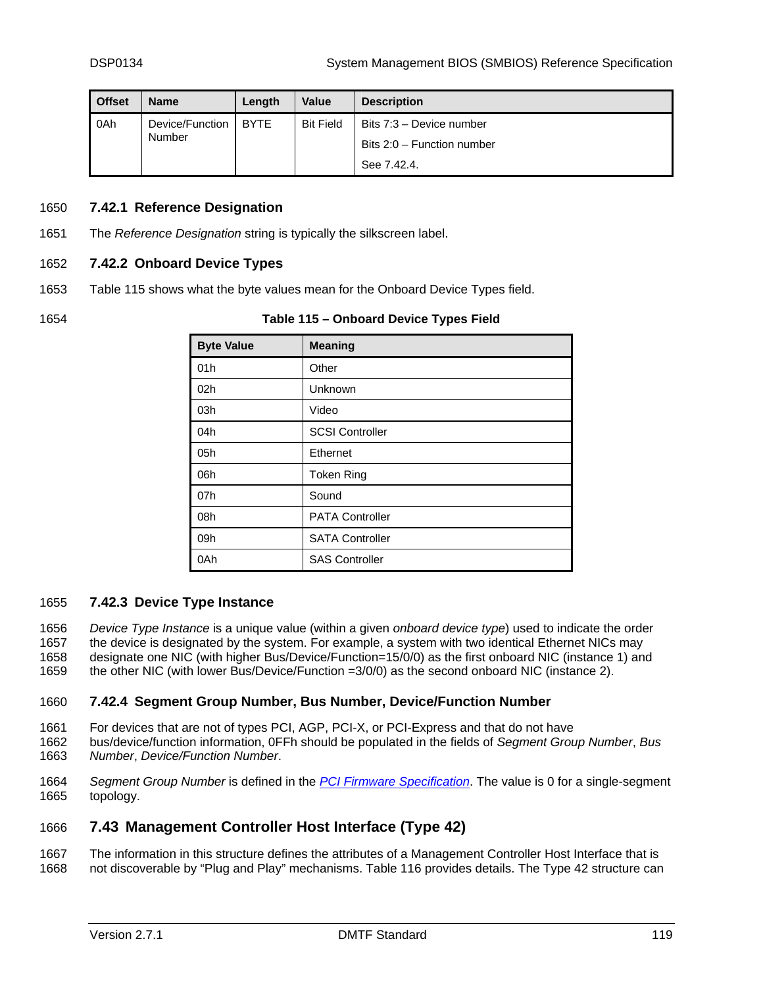| <b>Offset</b> | <b>Name</b>               | Length | <b>Value</b>     | <b>Description</b>         |
|---------------|---------------------------|--------|------------------|----------------------------|
| 0Ah           | Device/Function<br>Number | BYTE   | <b>Bit Field</b> | Bits 7:3 - Device number   |
|               |                           |        |                  | Bits 2:0 - Function number |
|               |                           |        |                  | See 7.42.4.                |

#### <span id="page-118-1"></span>1650 **7.42.1 Reference Designation**

1651 The *Reference Designation* string is typically the silkscreen label.

#### <span id="page-118-2"></span>1652 **7.42.2 Onboard Device Types**

1653 [Table 115](#page-118-5) shows what the byte values mean for the Onboard Device Types field.

<span id="page-118-5"></span>

#### 1654 **Table 115 – Onboard Device Types Field**

| <b>Byte Value</b> | <b>Meaning</b>         |  |  |
|-------------------|------------------------|--|--|
| 01h               | Other                  |  |  |
| 02h               | Unknown                |  |  |
| 03h               | Video                  |  |  |
| 04h               | <b>SCSI Controller</b> |  |  |
| 05h               | Ethernet               |  |  |
| 06h               | <b>Token Ring</b>      |  |  |
| 07h               | Sound                  |  |  |
| 08h               | <b>PATA Controller</b> |  |  |
| 09h               | <b>SATA Controller</b> |  |  |
| 0Ah               | <b>SAS Controller</b>  |  |  |

#### <span id="page-118-3"></span>1655 **7.42.3 Device Type Instance**

1656 *Device Type Instance* is a unique value (within a given *onboard device type*) used to indicate the order

1657 the device is designated by the system. For example, a system with two identical Ethernet NICs may 1658 designate one NIC (with higher Bus/Device/Function=15/0/0) as the first onboard NIC (instance 1) and

1659 the other NIC (with lower Bus/Device/Function =3/0/0) as the second onboard NIC (instance 2).

#### <span id="page-118-4"></span>1660 **7.42.4 Segment Group Number, Bus Number, Device/Function Number**

- 1661 For devices that are not of types PCI, AGP, PCI-X, or PCI-Express and that do not have
- 1662 bus/device/function information, 0FFh should be populated in the fields of *Segment Group Number*, *Bus*  1663 *Number*, *Device/Function Number*.
- 1664 *Segment Group Number* is defined in the *[PCI Firmware Specification](#page-13-0)*. The value is 0 for a single-segment 1665 topology.

#### <span id="page-118-0"></span>1666 **7.43 Management Controller Host Interface (Type 42)**

1667 The information in this structure defines the attributes of a Management Controller Host Interface that is 1668 not discoverable by "Plug and Play" mechanisms. [Table 116](#page-119-0) provides details. The Type 42 structure can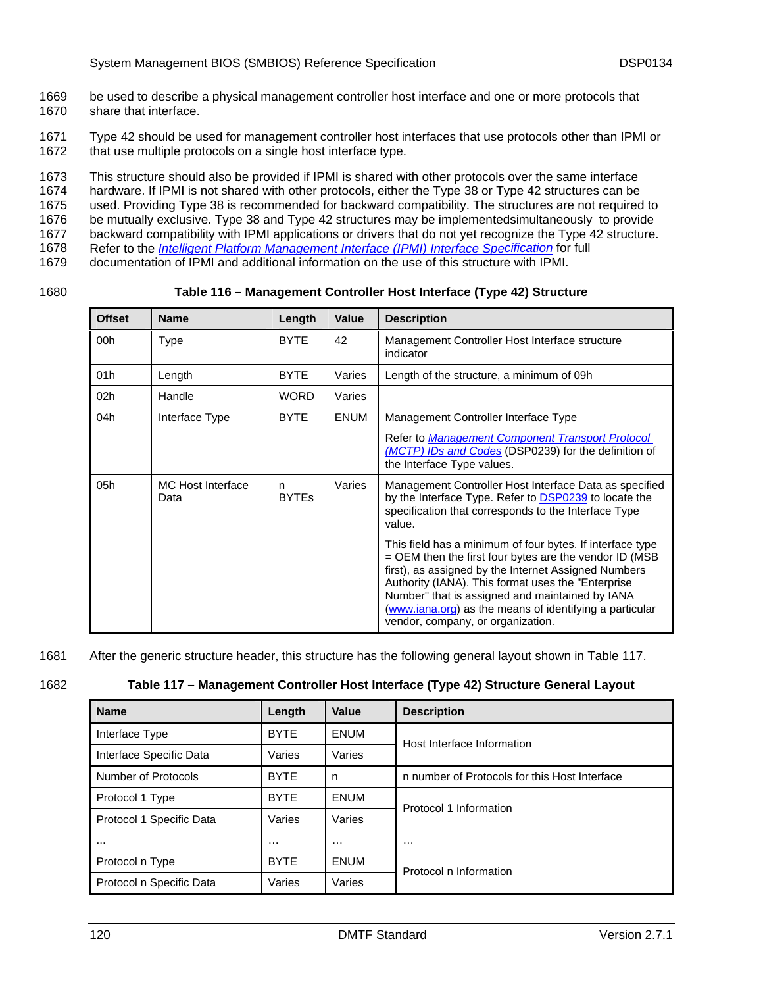- 1669 be used to describe a physical management controller host interface and one or more protocols that 1670 share that interface.
- 1671 Type 42 should be used for management controller host interfaces that use protocols other than IPMI or 1672 that use multiple protocols on a single host interface type. that use multiple protocols on a single host interface type.

1673 This structure should also be provided if IPMI is shared with other protocols over the same interface

1674 hardware. If IPMI is not shared with other protocols, either the Type 38 or Type 42 structures can be

1675 used. Providing Type 38 is recommended for backward compatibility. The structures are not required to

1676 be mutually exclusive. Type 38 and Type 42 structures may be implementedsimultaneously to provide

1677 backward compatibility with IPMI applications or drivers that do not yet recognize the Type 42 structure. 1678 Refer to the *[Intelligent Platform Management Interface \(IPMI\) Interface Specification](#page-12-0)* for full

- 1679 documentation of IPMI and additional information on the use of this structure with IPMI.
- 
- 

<span id="page-119-0"></span>1680 **Table 116 – Management Controller Host Interface (Type 42) Structure** 

| <b>Offset</b>   | <b>Name</b>               | Length            | <b>Value</b> | <b>Description</b>                                                                                                                                                                                                                                                                                                                                                                   |
|-----------------|---------------------------|-------------------|--------------|--------------------------------------------------------------------------------------------------------------------------------------------------------------------------------------------------------------------------------------------------------------------------------------------------------------------------------------------------------------------------------------|
| 00h             | Type                      | <b>BYTE</b>       | 42           | Management Controller Host Interface structure<br>indicator                                                                                                                                                                                                                                                                                                                          |
| 01h             | Length                    | <b>BYTE</b>       | Varies       | Length of the structure, a minimum of 09h                                                                                                                                                                                                                                                                                                                                            |
| 02 <sub>h</sub> | Handle                    | <b>WORD</b>       | Varies       |                                                                                                                                                                                                                                                                                                                                                                                      |
| 04h             | Interface Type            | <b>BYTE</b>       | <b>ENUM</b>  | Management Controller Interface Type                                                                                                                                                                                                                                                                                                                                                 |
|                 |                           |                   |              | Refer to <b>Management Component Transport Protocol</b><br>(MCTP) IDs and Codes (DSP0239) for the definition of<br>the Interface Type values.                                                                                                                                                                                                                                        |
| 05h             | MC Host Interface<br>Data | n<br><b>BYTEs</b> | Varies       | Management Controller Host Interface Data as specified<br>by the Interface Type. Refer to DSP0239 to locate the<br>specification that corresponds to the Interface Type<br>value.                                                                                                                                                                                                    |
|                 |                           |                   |              | This field has a minimum of four bytes. If interface type<br>= OEM then the first four bytes are the vendor ID (MSB<br>first), as assigned by the Internet Assigned Numbers<br>Authority (IANA). This format uses the "Enterprise<br>Number" that is assigned and maintained by IANA<br>(www.iana.org) as the means of identifying a particular<br>vendor, company, or organization. |

1681 After the generic structure header, this structure has the following general layout shown in [Table 117](#page-119-1).

<span id="page-119-1"></span>

1682 **Table 117 – Management Controller Host Interface (Type 42) Structure General Layout** 

| <b>Name</b>              | Length      | Value                                 | <b>Description</b>                            |
|--------------------------|-------------|---------------------------------------|-----------------------------------------------|
| Interface Type           | <b>BYTE</b> | <b>ENUM</b>                           | Host Interface Information                    |
| Interface Specific Data  | Varies      | Varies                                |                                               |
| Number of Protocols      | <b>BYTE</b> | n                                     | n number of Protocols for this Host Interface |
| Protocol 1 Type          | <b>BYTE</b> | <b>ENUM</b><br>Protocol 1 Information |                                               |
| Protocol 1 Specific Data | Varies      | Varies                                |                                               |
| .                        | $\cdots$    | $\cdots$                              | $\cdots$                                      |
| Protocol n Type          | <b>BYTE</b> | <b>ENUM</b>                           | Protocol n Information                        |
| Protocol n Specific Data | Varies      | Varies                                |                                               |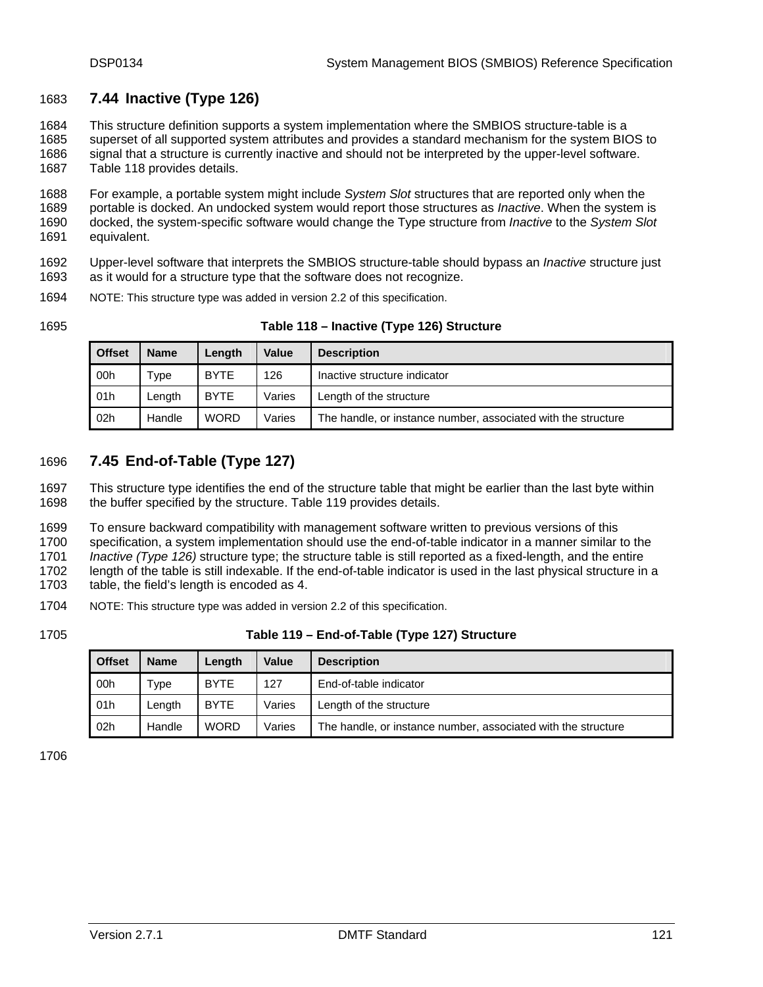#### 1683 **7.44 Inactive (Type 126)**

1684 This structure definition supports a system implementation where the SMBIOS structure-table is a 1685 superset of all supported system attributes and provides a standard mechanism for the system BIOS to 1686 signal that a structure is currently inactive and should not be interpreted by the upper-level software. 1687 [Table 118](#page-120-0) provides details.

1688 For example, a portable system might include *System Slot* structures that are reported only when the 1689 portable is docked. An undocked system would report those structures as *Inactive*. When the system is 1690 docked, the system-specific software would change the Type structure from *Inactive* to the *System Slot* 1691 equivalent.

1692 Upper-level software that interprets the SMBIOS structure-table should bypass an *Inactive* structure just 1693 as it would for a structure type that the software does not recognize.

1694 NOTE: This structure type was added in version 2.2 of this specification.

<span id="page-120-0"></span>

| 1695 | Table 118 – Inactive (Type 126) Structure |
|------|-------------------------------------------|
|------|-------------------------------------------|

| <b>Offset</b> | <b>Name</b>   | Length      | Value  | <b>Description</b>                                            |
|---------------|---------------|-------------|--------|---------------------------------------------------------------|
| 00h           | $r_{\rm VDE}$ | <b>BYTE</b> | 126    | Inactive structure indicator                                  |
| 01h           | Length        | <b>BYTE</b> | Varies | Length of the structure                                       |
| 02h           | Handle        | <b>WORD</b> | Varies | The handle, or instance number, associated with the structure |

#### 1696 **7.45 End-of-Table (Type 127)**

1697 This structure type identifies the end of the structure table that might be earlier than the last byte within 1698 the buffer specified by the structure. [Table 119](#page-120-1) provides details.

1699 To ensure backward compatibility with management software written to previous versions of this

1700 specification, a system implementation should use the end-of-table indicator in a manner similar to the

1701 *Inactive (Type 126)* structure type; the structure table is still reported as a fixed-length, and the entire

1702 length of the table is still indexable. If the end-of-table indicator is used in the last physical structure in a

- 1703 table, the field's length is encoded as 4.
- 1704 NOTE: This structure type was added in version 2.2 of this specification.

<span id="page-120-1"></span>1705 **Table 119 – End-of-Table (Type 127) Structure**

| <b>Offset</b>   | <b>Name</b> | Lenath      | Value  | <b>Description</b>                                            |
|-----------------|-------------|-------------|--------|---------------------------------------------------------------|
| 00h             | Type :      | <b>BYTE</b> | 127    | End-of-table indicator                                        |
| 01h             | Length      | <b>BYTE</b> | Varies | Length of the structure                                       |
| 02 <sub>h</sub> | Handle      | <b>WORD</b> | Varies | The handle, or instance number, associated with the structure |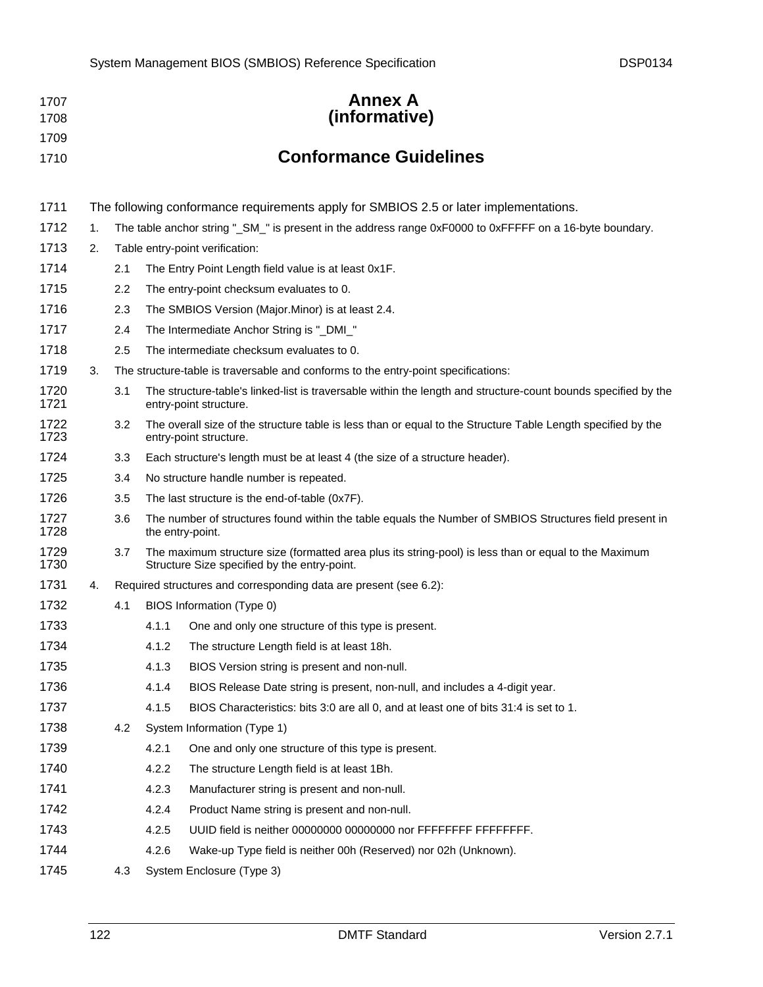# 1709

#### 1707 **Annex A** 1708 **(informative)**

### 1710 **Conformance Guidelines**

|    |     |                                                                                                          | The following conformance requirements apply for SMBIOS 2.5 or later implementations.                                                                 |  |  |
|----|-----|----------------------------------------------------------------------------------------------------------|-------------------------------------------------------------------------------------------------------------------------------------------------------|--|--|
| 1. |     | The table anchor string "_SM_" is present in the address range 0xF0000 to 0xFFFFF on a 16-byte boundary. |                                                                                                                                                       |  |  |
| 2. |     | Table entry-point verification:                                                                          |                                                                                                                                                       |  |  |
|    | 2.1 |                                                                                                          | The Entry Point Length field value is at least 0x1F.                                                                                                  |  |  |
|    | 2.2 |                                                                                                          | The entry-point checksum evaluates to 0.                                                                                                              |  |  |
|    | 2.3 |                                                                                                          | The SMBIOS Version (Major.Minor) is at least 2.4.                                                                                                     |  |  |
|    | 2.4 |                                                                                                          | The Intermediate Anchor String is "_DMI_"                                                                                                             |  |  |
|    | 2.5 |                                                                                                          | The intermediate checksum evaluates to 0.                                                                                                             |  |  |
| 3. |     |                                                                                                          | The structure-table is traversable and conforms to the entry-point specifications:                                                                    |  |  |
|    | 3.1 |                                                                                                          | The structure-table's linked-list is traversable within the length and structure-count bounds specified by the<br>entry-point structure.              |  |  |
|    | 3.2 |                                                                                                          | The overall size of the structure table is less than or equal to the Structure Table Length specified by the<br>entry-point structure.                |  |  |
|    | 3.3 |                                                                                                          | Each structure's length must be at least 4 (the size of a structure header).                                                                          |  |  |
|    | 3.4 |                                                                                                          | No structure handle number is repeated.                                                                                                               |  |  |
|    | 3.5 |                                                                                                          | The last structure is the end-of-table (0x7F).                                                                                                        |  |  |
|    | 3.6 |                                                                                                          | The number of structures found within the table equals the Number of SMBIOS Structures field present in<br>the entry-point.                           |  |  |
|    | 3.7 |                                                                                                          | The maximum structure size (formatted area plus its string-pool) is less than or equal to the Maximum<br>Structure Size specified by the entry-point. |  |  |
| 4. |     |                                                                                                          | Required structures and corresponding data are present (see 6.2):                                                                                     |  |  |
|    | 4.1 |                                                                                                          | BIOS Information (Type 0)                                                                                                                             |  |  |
|    |     | 4.1.1                                                                                                    | One and only one structure of this type is present.                                                                                                   |  |  |
|    |     | 4.1.2                                                                                                    | The structure Length field is at least 18h.                                                                                                           |  |  |
|    |     | 4.1.3                                                                                                    | BIOS Version string is present and non-null.                                                                                                          |  |  |
|    |     | 4.1.4                                                                                                    | BIOS Release Date string is present, non-null, and includes a 4-digit year.                                                                           |  |  |
|    |     | 4.1.5                                                                                                    | BIOS Characteristics: bits 3:0 are all 0, and at least one of bits 31:4 is set to 1.                                                                  |  |  |
|    | 4.2 |                                                                                                          | System Information (Type 1)                                                                                                                           |  |  |
|    |     | 4.2.1                                                                                                    | One and only one structure of this type is present.                                                                                                   |  |  |
|    |     | 4.2.2                                                                                                    | The structure Length field is at least 1Bh.                                                                                                           |  |  |
|    |     | 4.2.3                                                                                                    | Manufacturer string is present and non-null.                                                                                                          |  |  |
|    |     | 4.2.4                                                                                                    | Product Name string is present and non-null.                                                                                                          |  |  |
|    |     | 4.2.5                                                                                                    | UUID field is neither 00000000 00000000 nor FFFFFFFF FFFFFFFF.                                                                                        |  |  |
|    |     | 4.2.6                                                                                                    | Wake-up Type field is neither 00h (Reserved) nor 02h (Unknown).                                                                                       |  |  |
|    | 4.3 |                                                                                                          | System Enclosure (Type 3)                                                                                                                             |  |  |
|    |     |                                                                                                          |                                                                                                                                                       |  |  |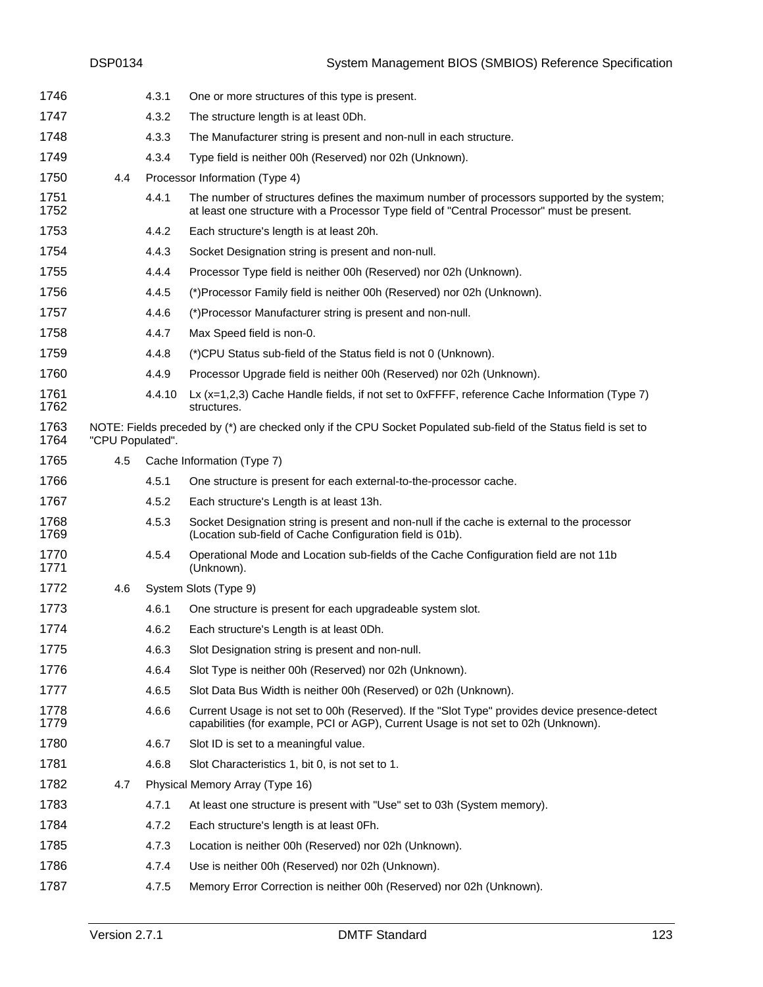|              | <b>DSP0134</b>   |        | System Management BIOS (SMBIOS) Reference Specification                                                                                                                                  |
|--------------|------------------|--------|------------------------------------------------------------------------------------------------------------------------------------------------------------------------------------------|
| 1746         |                  | 4.3.1  | One or more structures of this type is present.                                                                                                                                          |
| 1747         |                  | 4.3.2  | The structure length is at least 0Dh.                                                                                                                                                    |
| 1748         |                  | 4.3.3  | The Manufacturer string is present and non-null in each structure.                                                                                                                       |
| 1749         |                  | 4.3.4  | Type field is neither 00h (Reserved) nor 02h (Unknown).                                                                                                                                  |
| 1750         | 4.4              |        | Processor Information (Type 4)                                                                                                                                                           |
| 1751<br>1752 |                  | 4.4.1  | The number of structures defines the maximum number of processors supported by the system;<br>at least one structure with a Processor Type field of "Central Processor" must be present. |
| 1753         |                  | 4.4.2  | Each structure's length is at least 20h.                                                                                                                                                 |
| 1754         |                  | 4.4.3  | Socket Designation string is present and non-null.                                                                                                                                       |
| 1755         |                  | 4.4.4  | Processor Type field is neither 00h (Reserved) nor 02h (Unknown).                                                                                                                        |
| 1756         |                  | 4.4.5  | (*) Processor Family field is neither 00h (Reserved) nor 02h (Unknown).                                                                                                                  |
| 1757         |                  | 4.4.6  | (*) Processor Manufacturer string is present and non-null.                                                                                                                               |
| 1758         |                  | 4.4.7  | Max Speed field is non-0.                                                                                                                                                                |
| 1759         |                  | 4.4.8  | (*) CPU Status sub-field of the Status field is not 0 (Unknown).                                                                                                                         |
| 1760         |                  | 4.4.9  | Processor Upgrade field is neither 00h (Reserved) nor 02h (Unknown).                                                                                                                     |
| 1761<br>1762 |                  | 4.4.10 | Lx (x=1,2,3) Cache Handle fields, if not set to 0xFFFF, reference Cache Information (Type 7)<br>structures.                                                                              |
| 1763<br>1764 | "CPU Populated". |        | NOTE: Fields preceded by (*) are checked only if the CPU Socket Populated sub-field of the Status field is set to                                                                        |
| 1765         | 4.5              |        | Cache Information (Type 7)                                                                                                                                                               |
| 1766         |                  | 4.5.1  | One structure is present for each external-to-the-processor cache.                                                                                                                       |
| 1767         |                  | 4.5.2  | Each structure's Length is at least 13h.                                                                                                                                                 |
| 1768<br>1769 |                  | 4.5.3  | Socket Designation string is present and non-null if the cache is external to the processor<br>(Location sub-field of Cache Configuration field is 01b).                                 |
| 1770<br>1771 |                  | 4.5.4  | Operational Mode and Location sub-fields of the Cache Configuration field are not 11b<br>(Unknown).                                                                                      |
| 1772         | 4.6              |        | System Slots (Type 9)                                                                                                                                                                    |
| 1773         |                  |        | 4.6.1 One structure is present for each upgradeable system slot.                                                                                                                         |
| 1774         |                  | 4.6.2  | Each structure's Length is at least 0Dh.                                                                                                                                                 |
| 1775         |                  | 4.6.3  | Slot Designation string is present and non-null.                                                                                                                                         |
| 1776         |                  | 4.6.4  | Slot Type is neither 00h (Reserved) nor 02h (Unknown).                                                                                                                                   |
| 1777         |                  | 4.6.5  | Slot Data Bus Width is neither 00h (Reserved) or 02h (Unknown).                                                                                                                          |
| 1778<br>1779 |                  | 4.6.6  | Current Usage is not set to 00h (Reserved). If the "Slot Type" provides device presence-detect<br>capabilities (for example, PCI or AGP), Current Usage is not set to 02h (Unknown).     |
| 1780         |                  | 4.6.7  | Slot ID is set to a meaningful value.                                                                                                                                                    |
| 1781         |                  | 4.6.8  | Slot Characteristics 1, bit 0, is not set to 1.                                                                                                                                          |
| 1782         | 4.7              |        | Physical Memory Array (Type 16)                                                                                                                                                          |
| 1783         |                  | 4.7.1  | At least one structure is present with "Use" set to 03h (System memory).                                                                                                                 |
| 1784         |                  | 4.7.2  | Each structure's length is at least 0Fh.                                                                                                                                                 |
| 1785         |                  | 4.7.3  | Location is neither 00h (Reserved) nor 02h (Unknown).                                                                                                                                    |
| 1786         |                  | 4.7.4  | Use is neither 00h (Reserved) nor 02h (Unknown).                                                                                                                                         |
| 1787         |                  | 4.7.5  | Memory Error Correction is neither 00h (Reserved) nor 02h (Unknown).                                                                                                                     |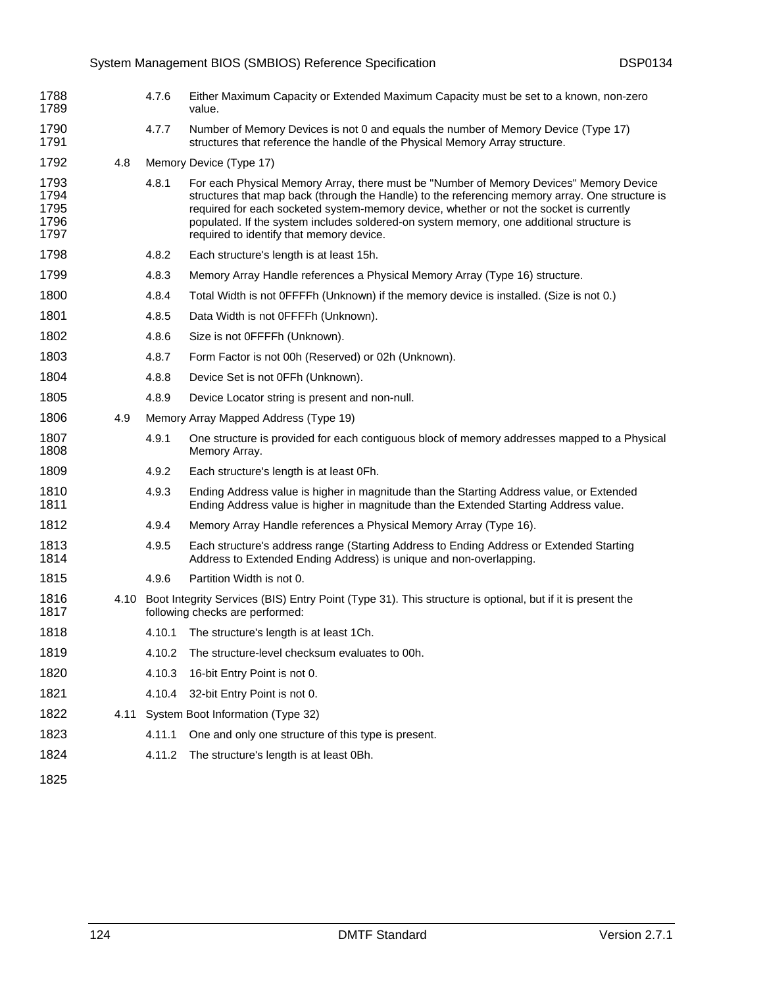| 1788<br>1789                         |      | 4.7.6  | Either Maximum Capacity or Extended Maximum Capacity must be set to a known, non-zero<br>value.                                                                                                                                                                                                                                                                                                                              |
|--------------------------------------|------|--------|------------------------------------------------------------------------------------------------------------------------------------------------------------------------------------------------------------------------------------------------------------------------------------------------------------------------------------------------------------------------------------------------------------------------------|
| 1790<br>1791                         |      | 4.7.7  | Number of Memory Devices is not 0 and equals the number of Memory Device (Type 17)<br>structures that reference the handle of the Physical Memory Array structure.                                                                                                                                                                                                                                                           |
| 1792                                 | 4.8  |        | Memory Device (Type 17)                                                                                                                                                                                                                                                                                                                                                                                                      |
| 1793<br>1794<br>1795<br>1796<br>1797 |      | 4.8.1  | For each Physical Memory Array, there must be "Number of Memory Devices" Memory Device<br>structures that map back (through the Handle) to the referencing memory array. One structure is<br>required for each socketed system-memory device, whether or not the socket is currently<br>populated. If the system includes soldered-on system memory, one additional structure is<br>required to identify that memory device. |
| 1798                                 |      | 4.8.2  | Each structure's length is at least 15h.                                                                                                                                                                                                                                                                                                                                                                                     |
| 1799                                 |      | 4.8.3  | Memory Array Handle references a Physical Memory Array (Type 16) structure.                                                                                                                                                                                                                                                                                                                                                  |
| 1800                                 |      | 4.8.4  | Total Width is not OFFFFh (Unknown) if the memory device is installed. (Size is not 0.)                                                                                                                                                                                                                                                                                                                                      |
| 1801                                 |      | 4.8.5  | Data Width is not OFFFFh (Unknown).                                                                                                                                                                                                                                                                                                                                                                                          |
| 1802                                 |      | 4.8.6  | Size is not OFFFFh (Unknown).                                                                                                                                                                                                                                                                                                                                                                                                |
| 1803                                 |      | 4.8.7  | Form Factor is not 00h (Reserved) or 02h (Unknown).                                                                                                                                                                                                                                                                                                                                                                          |
| 1804                                 |      | 4.8.8  | Device Set is not 0FFh (Unknown).                                                                                                                                                                                                                                                                                                                                                                                            |
| 1805                                 |      | 4.8.9  | Device Locator string is present and non-null.                                                                                                                                                                                                                                                                                                                                                                               |
| 1806                                 | 4.9  |        | Memory Array Mapped Address (Type 19)                                                                                                                                                                                                                                                                                                                                                                                        |
| 1807<br>1808                         |      | 4.9.1  | One structure is provided for each contiguous block of memory addresses mapped to a Physical<br>Memory Array.                                                                                                                                                                                                                                                                                                                |
| 1809                                 |      | 4.9.2  | Each structure's length is at least 0Fh.                                                                                                                                                                                                                                                                                                                                                                                     |
| 1810<br>1811                         |      | 4.9.3  | Ending Address value is higher in magnitude than the Starting Address value, or Extended<br>Ending Address value is higher in magnitude than the Extended Starting Address value.                                                                                                                                                                                                                                            |
| 1812                                 |      | 4.9.4  | Memory Array Handle references a Physical Memory Array (Type 16).                                                                                                                                                                                                                                                                                                                                                            |
| 1813<br>1814                         |      | 4.9.5  | Each structure's address range (Starting Address to Ending Address or Extended Starting<br>Address to Extended Ending Address) is unique and non-overlapping.                                                                                                                                                                                                                                                                |
| 1815                                 |      | 4.9.6  | Partition Width is not 0.                                                                                                                                                                                                                                                                                                                                                                                                    |
| 1816<br>1817                         |      |        | 4.10 Boot Integrity Services (BIS) Entry Point (Type 31). This structure is optional, but if it is present the<br>following checks are performed:                                                                                                                                                                                                                                                                            |
| 1818                                 |      | 4.10.1 | The structure's length is at least 1Ch.                                                                                                                                                                                                                                                                                                                                                                                      |
| 1819                                 |      | 4.10.2 | The structure-level checksum evaluates to 00h.                                                                                                                                                                                                                                                                                                                                                                               |
| 1820                                 |      | 4.10.3 | 16-bit Entry Point is not 0.                                                                                                                                                                                                                                                                                                                                                                                                 |
| 1821                                 |      | 4.10.4 | 32-bit Entry Point is not 0.                                                                                                                                                                                                                                                                                                                                                                                                 |
| 1822                                 | 4.11 |        | System Boot Information (Type 32)                                                                                                                                                                                                                                                                                                                                                                                            |
| 1823                                 |      | 4.11.1 | One and only one structure of this type is present.                                                                                                                                                                                                                                                                                                                                                                          |
| 1824                                 |      | 4.11.2 | The structure's length is at least 0Bh.                                                                                                                                                                                                                                                                                                                                                                                      |
| 1825                                 |      |        |                                                                                                                                                                                                                                                                                                                                                                                                                              |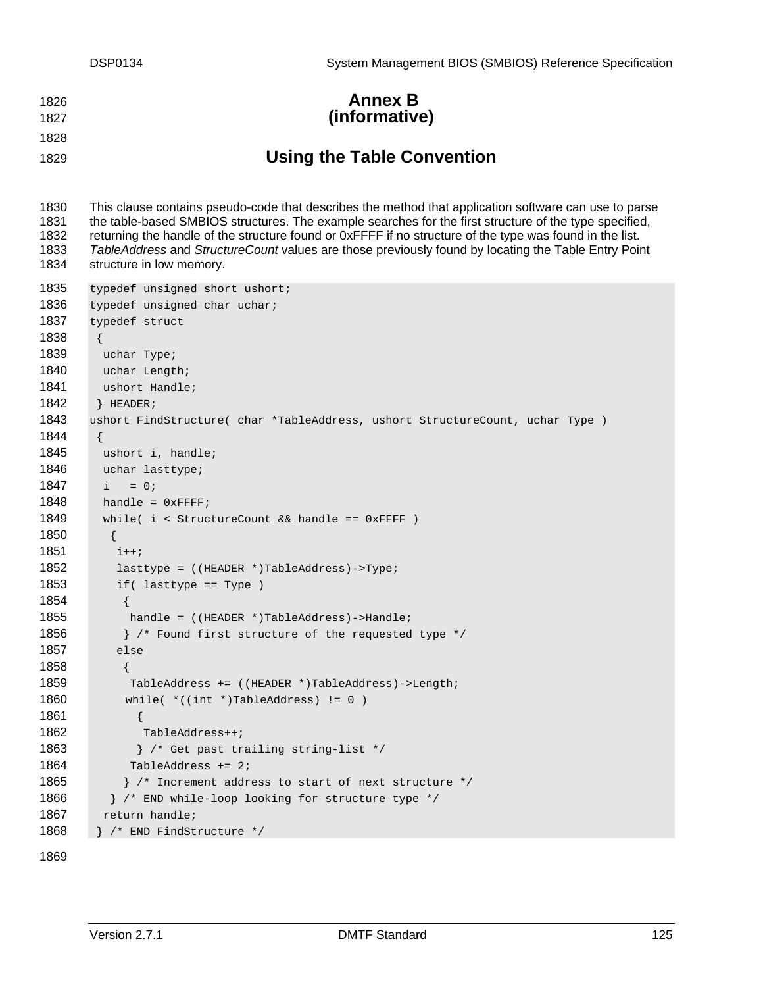1826 **Annex B**

1828

# 1827 **(informative)**

### 1829 **Using the Table Convention**

1830 This clause contains pseudo-code that describes the method that application software can use to parse 1831 the table-based SMBIOS structures. The example searches for the first structure of the type specified, 1832 returning the handle of the structure found or 0xFFFF if no structure of the type was found in the list. 1833 *TableAddress* and *StructureCount* values are those previously found by locating the Table Entry Point 1834 structure in low memory.

```
1835 typedef unsigned short ushort;
1836 typedef unsigned char uchar;
1837 typedef struct 
1838 { 
1839 uchar Type;
1840 uchar Length;
1841 ushort Handle;
1842 } HEADER; 
1843 ushort FindStructure( char *TableAddress, ushort StructureCount, uchar Type ) 
1844 { 
1845 ushort i, handle;
1846 uchar lasttype;
1847 i = 0i1848 handle = 0xFFFF;
1849 while( i < StructureCount && handle == 0xFFFF ) 
1850 { 
1851 i++; 
1852 lasttype = ((HEADER *)TableAddress)->Type; 
1853 if( lasttype == Type ) 
1854 { 
1855 handle = ((HEADER *)TableAddress)->Handle; 
1856 } /* Found first structure of the requested type */
1857 else 
1858 { 
1859 TableAddress += ((HEADER *)TableAddress)->Length; 
1860 while( *((int *)TableAddress) != 0 ) 
1861 { 
1862 TableAddress++;
1863 } /* Get past trailing string-list */ 
1864 TableAddress += 2;
1865 } /* Increment address to start of next structure */
1866 } /* END while-loop looking for structure type */
1867 return handle;
1868 } /* END FindStructure */
```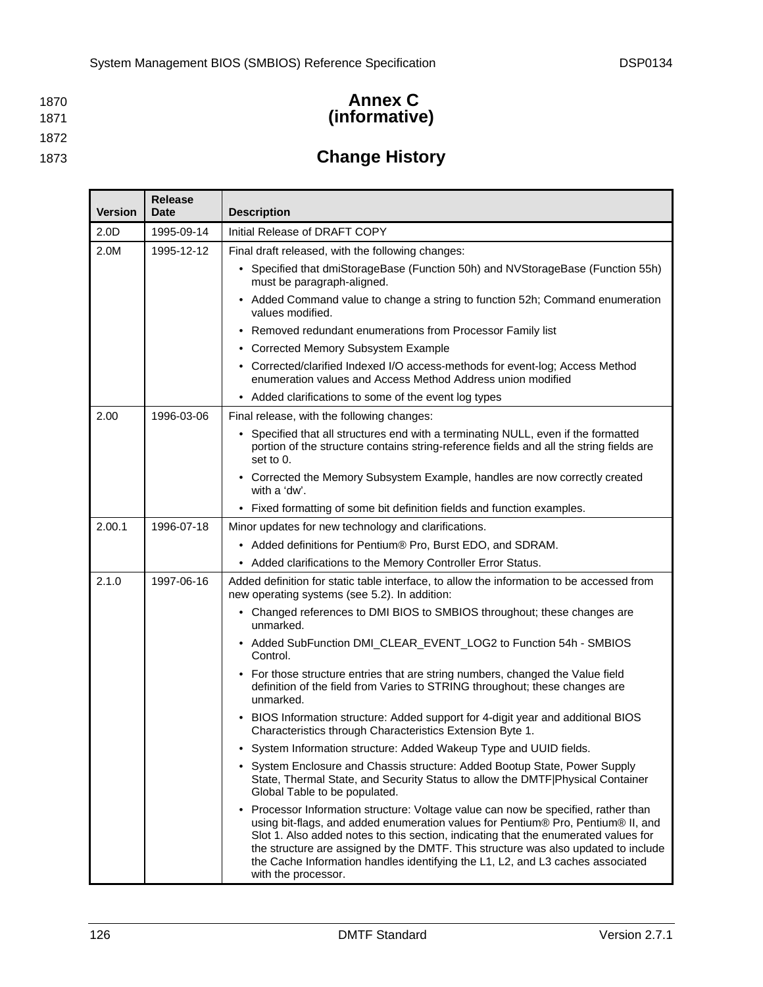1872

### 1870 **Annex C** 1871 **(informative)**

### 1873 **Change History**

| <b>Version</b> | <b>Release</b><br><b>Date</b> | <b>Description</b>                                                                                                                                                                                                                                                                                                                                                                                                                                         |
|----------------|-------------------------------|------------------------------------------------------------------------------------------------------------------------------------------------------------------------------------------------------------------------------------------------------------------------------------------------------------------------------------------------------------------------------------------------------------------------------------------------------------|
| 2.0D           | 1995-09-14                    | Initial Release of DRAFT COPY                                                                                                                                                                                                                                                                                                                                                                                                                              |
| 2.0M           | 1995-12-12                    | Final draft released, with the following changes:                                                                                                                                                                                                                                                                                                                                                                                                          |
|                |                               | • Specified that dmiStorageBase (Function 50h) and NVStorageBase (Function 55h)<br>must be paragraph-aligned.                                                                                                                                                                                                                                                                                                                                              |
|                |                               | • Added Command value to change a string to function 52h; Command enumeration<br>values modified.                                                                                                                                                                                                                                                                                                                                                          |
|                |                               | Removed redundant enumerations from Processor Family list                                                                                                                                                                                                                                                                                                                                                                                                  |
|                |                               | • Corrected Memory Subsystem Example                                                                                                                                                                                                                                                                                                                                                                                                                       |
|                |                               | • Corrected/clarified Indexed I/O access-methods for event-log; Access Method<br>enumeration values and Access Method Address union modified                                                                                                                                                                                                                                                                                                               |
|                |                               | • Added clarifications to some of the event log types                                                                                                                                                                                                                                                                                                                                                                                                      |
| 2.00           | 1996-03-06                    | Final release, with the following changes:                                                                                                                                                                                                                                                                                                                                                                                                                 |
|                |                               | • Specified that all structures end with a terminating NULL, even if the formatted<br>portion of the structure contains string-reference fields and all the string fields are<br>set to 0.                                                                                                                                                                                                                                                                 |
|                |                               | • Corrected the Memory Subsystem Example, handles are now correctly created<br>with a 'dw'.                                                                                                                                                                                                                                                                                                                                                                |
|                |                               | • Fixed formatting of some bit definition fields and function examples.                                                                                                                                                                                                                                                                                                                                                                                    |
| 2.00.1         | 1996-07-18                    | Minor updates for new technology and clarifications.                                                                                                                                                                                                                                                                                                                                                                                                       |
|                |                               | • Added definitions for Pentium® Pro, Burst EDO, and SDRAM.                                                                                                                                                                                                                                                                                                                                                                                                |
|                |                               | • Added clarifications to the Memory Controller Error Status.                                                                                                                                                                                                                                                                                                                                                                                              |
| 2.1.0          | 1997-06-16                    | Added definition for static table interface, to allow the information to be accessed from<br>new operating systems (see 5.2). In addition:                                                                                                                                                                                                                                                                                                                 |
|                |                               | • Changed references to DMI BIOS to SMBIOS throughout; these changes are<br>unmarked.                                                                                                                                                                                                                                                                                                                                                                      |
|                |                               | • Added SubFunction DMI_CLEAR_EVENT_LOG2 to Function 54h - SMBIOS<br>Control.                                                                                                                                                                                                                                                                                                                                                                              |
|                |                               | • For those structure entries that are string numbers, changed the Value field<br>definition of the field from Varies to STRING throughout; these changes are<br>unmarked.                                                                                                                                                                                                                                                                                 |
|                |                               | • BIOS Information structure: Added support for 4-digit year and additional BIOS<br>Characteristics through Characteristics Extension Byte 1.                                                                                                                                                                                                                                                                                                              |
|                |                               | • System Information structure: Added Wakeup Type and UUID fields.                                                                                                                                                                                                                                                                                                                                                                                         |
|                |                               | System Enclosure and Chassis structure: Added Bootup State, Power Supply<br>State, Thermal State, and Security Status to allow the DMTF Physical Container<br>Global Table to be populated.                                                                                                                                                                                                                                                                |
|                |                               | Processor Information structure: Voltage value can now be specified, rather than<br>using bit-flags, and added enumeration values for Pentium® Pro, Pentium® II, and<br>Slot 1. Also added notes to this section, indicating that the enumerated values for<br>the structure are assigned by the DMTF. This structure was also updated to include<br>the Cache Information handles identifying the L1, L2, and L3 caches associated<br>with the processor. |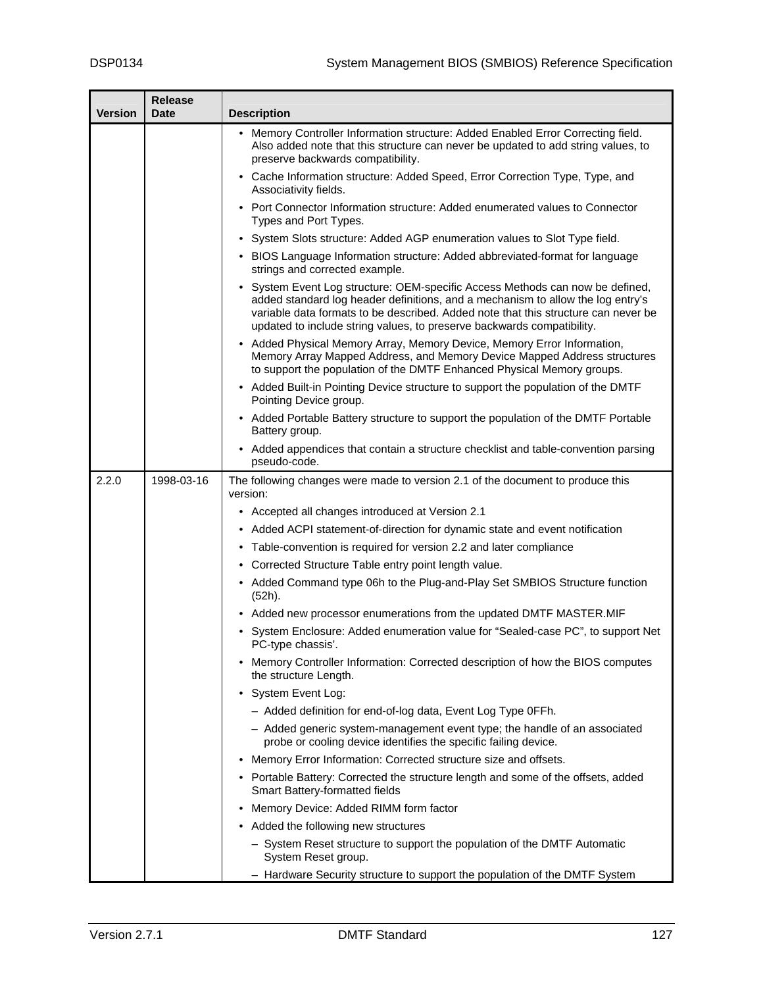| <b>Version</b> | <b>Release</b><br>Date | <b>Description</b>                                                                                                                                                                                                                                                                                                               |
|----------------|------------------------|----------------------------------------------------------------------------------------------------------------------------------------------------------------------------------------------------------------------------------------------------------------------------------------------------------------------------------|
|                |                        | • Memory Controller Information structure: Added Enabled Error Correcting field.<br>Also added note that this structure can never be updated to add string values, to<br>preserve backwards compatibility.                                                                                                                       |
|                |                        | • Cache Information structure: Added Speed, Error Correction Type, Type, and<br>Associativity fields.                                                                                                                                                                                                                            |
|                |                        | • Port Connector Information structure: Added enumerated values to Connector<br>Types and Port Types.                                                                                                                                                                                                                            |
|                |                        | • System Slots structure: Added AGP enumeration values to Slot Type field.                                                                                                                                                                                                                                                       |
|                |                        | • BIOS Language Information structure: Added abbreviated-format for language<br>strings and corrected example.                                                                                                                                                                                                                   |
|                |                        | • System Event Log structure: OEM-specific Access Methods can now be defined,<br>added standard log header definitions, and a mechanism to allow the log entry's<br>variable data formats to be described. Added note that this structure can never be<br>updated to include string values, to preserve backwards compatibility. |
|                |                        | • Added Physical Memory Array, Memory Device, Memory Error Information,<br>Memory Array Mapped Address, and Memory Device Mapped Address structures<br>to support the population of the DMTF Enhanced Physical Memory groups.                                                                                                    |
|                |                        | • Added Built-in Pointing Device structure to support the population of the DMTF<br>Pointing Device group.                                                                                                                                                                                                                       |
|                |                        | • Added Portable Battery structure to support the population of the DMTF Portable<br>Battery group.                                                                                                                                                                                                                              |
|                |                        | • Added appendices that contain a structure checklist and table-convention parsing<br>pseudo-code.                                                                                                                                                                                                                               |
| 2.2.0          | 1998-03-16             | The following changes were made to version 2.1 of the document to produce this<br>version:                                                                                                                                                                                                                                       |
|                |                        | • Accepted all changes introduced at Version 2.1                                                                                                                                                                                                                                                                                 |
|                |                        | • Added ACPI statement-of-direction for dynamic state and event notification                                                                                                                                                                                                                                                     |
|                |                        | • Table-convention is required for version 2.2 and later compliance                                                                                                                                                                                                                                                              |
|                |                        | • Corrected Structure Table entry point length value.                                                                                                                                                                                                                                                                            |
|                |                        | • Added Command type 06h to the Plug-and-Play Set SMBIOS Structure function<br>$(52h)$ .                                                                                                                                                                                                                                         |
|                |                        | • Added new processor enumerations from the updated DMTF MASTER.MIF                                                                                                                                                                                                                                                              |
|                |                        | • System Enclosure: Added enumeration value for "Sealed-case PC", to support Net<br>PC-type chassis'.                                                                                                                                                                                                                            |
|                |                        | • Memory Controller Information: Corrected description of how the BIOS computes<br>the structure Length.                                                                                                                                                                                                                         |
|                |                        | • System Event Log:                                                                                                                                                                                                                                                                                                              |
|                |                        | - Added definition for end-of-log data, Event Log Type 0FFh.                                                                                                                                                                                                                                                                     |
|                |                        | - Added generic system-management event type; the handle of an associated<br>probe or cooling device identifies the specific failing device.                                                                                                                                                                                     |
|                |                        | Memory Error Information: Corrected structure size and offsets.<br>٠                                                                                                                                                                                                                                                             |
|                |                        | • Portable Battery: Corrected the structure length and some of the offsets, added<br><b>Smart Battery-formatted fields</b>                                                                                                                                                                                                       |
|                |                        | • Memory Device: Added RIMM form factor                                                                                                                                                                                                                                                                                          |
|                |                        | • Added the following new structures                                                                                                                                                                                                                                                                                             |
|                |                        | - System Reset structure to support the population of the DMTF Automatic<br>System Reset group.                                                                                                                                                                                                                                  |
|                |                        | - Hardware Security structure to support the population of the DMTF System                                                                                                                                                                                                                                                       |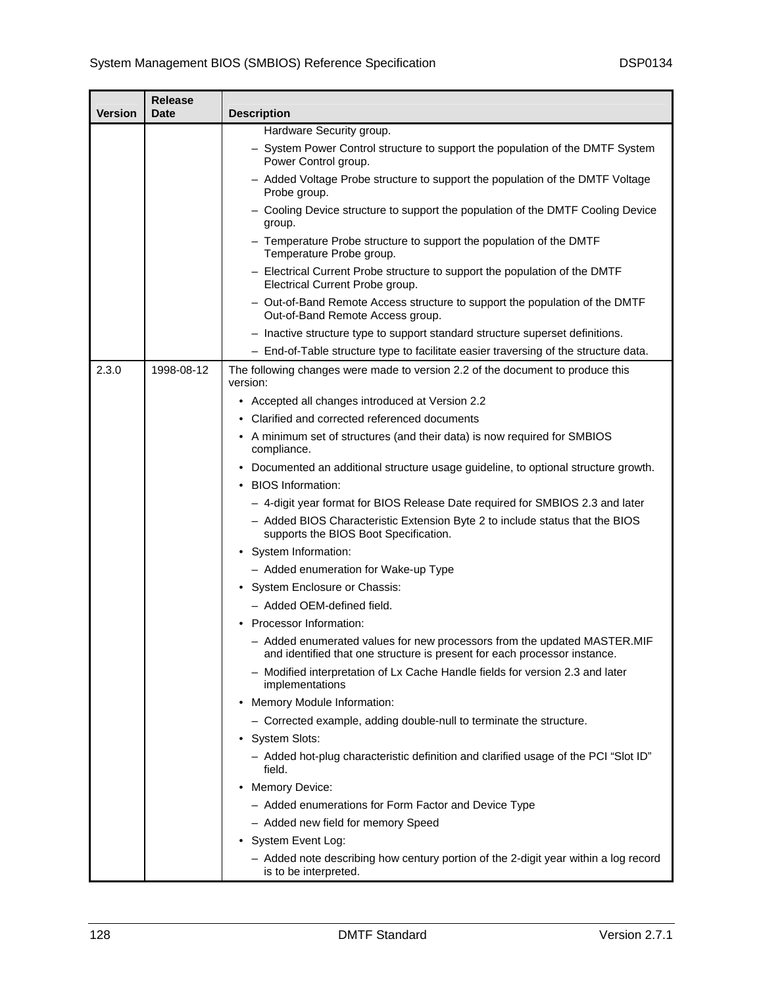| <b>Version</b> | <b>Release</b><br><b>Date</b> | <b>Description</b>                                                                                                                                    |
|----------------|-------------------------------|-------------------------------------------------------------------------------------------------------------------------------------------------------|
|                |                               | Hardware Security group.                                                                                                                              |
|                |                               | - System Power Control structure to support the population of the DMTF System<br>Power Control group.                                                 |
|                |                               | - Added Voltage Probe structure to support the population of the DMTF Voltage<br>Probe group.                                                         |
|                |                               | - Cooling Device structure to support the population of the DMTF Cooling Device<br>group.                                                             |
|                |                               | - Temperature Probe structure to support the population of the DMTF<br>Temperature Probe group.                                                       |
|                |                               | - Electrical Current Probe structure to support the population of the DMTF<br>Electrical Current Probe group.                                         |
|                |                               | - Out-of-Band Remote Access structure to support the population of the DMTF<br>Out-of-Band Remote Access group.                                       |
|                |                               | - Inactive structure type to support standard structure superset definitions.                                                                         |
|                |                               | - End-of-Table structure type to facilitate easier traversing of the structure data.                                                                  |
| 2.3.0          | 1998-08-12                    | The following changes were made to version 2.2 of the document to produce this<br>version:                                                            |
|                |                               | • Accepted all changes introduced at Version 2.2                                                                                                      |
|                |                               | • Clarified and corrected referenced documents                                                                                                        |
|                |                               | • A minimum set of structures (and their data) is now required for SMBIOS<br>compliance.                                                              |
|                |                               | • Documented an additional structure usage guideline, to optional structure growth.                                                                   |
|                |                               | • BIOS Information:                                                                                                                                   |
|                |                               | - 4-digit year format for BIOS Release Date required for SMBIOS 2.3 and later                                                                         |
|                |                               | - Added BIOS Characteristic Extension Byte 2 to include status that the BIOS<br>supports the BIOS Boot Specification.                                 |
|                |                               | • System Information:                                                                                                                                 |
|                |                               | - Added enumeration for Wake-up Type                                                                                                                  |
|                |                               | • System Enclosure or Chassis:                                                                                                                        |
|                |                               | - Added OEM-defined field.                                                                                                                            |
|                |                               | Processor Information:                                                                                                                                |
|                |                               | - Added enumerated values for new processors from the updated MASTER.MIF<br>and identified that one structure is present for each processor instance. |
|                |                               | - Modified interpretation of Lx Cache Handle fields for version 2.3 and later<br>implementations                                                      |
|                |                               | • Memory Module Information:                                                                                                                          |
|                |                               | - Corrected example, adding double-null to terminate the structure.                                                                                   |
|                |                               | <b>System Slots:</b><br>٠                                                                                                                             |
|                |                               | - Added hot-plug characteristic definition and clarified usage of the PCI "Slot ID"<br>field.                                                         |
|                |                               | <b>Memory Device:</b><br>٠                                                                                                                            |
|                |                               | - Added enumerations for Form Factor and Device Type                                                                                                  |
|                |                               | - Added new field for memory Speed                                                                                                                    |
|                |                               | System Event Log:<br>٠                                                                                                                                |
|                |                               | - Added note describing how century portion of the 2-digit year within a log record<br>is to be interpreted.                                          |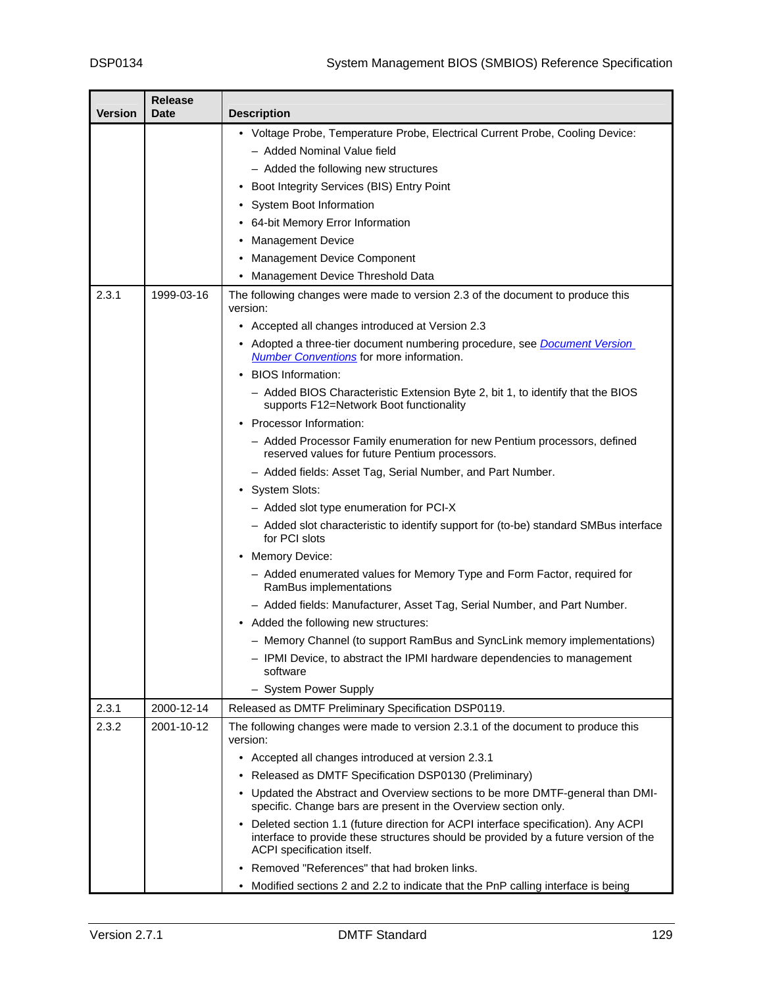| <b>Version</b> | <b>Release</b><br>Date | <b>Description</b>                                                                                                                                |
|----------------|------------------------|---------------------------------------------------------------------------------------------------------------------------------------------------|
|                |                        | • Voltage Probe, Temperature Probe, Electrical Current Probe, Cooling Device:                                                                     |
|                |                        | - Added Nominal Value field                                                                                                                       |
|                |                        | - Added the following new structures                                                                                                              |
|                |                        | • Boot Integrity Services (BIS) Entry Point                                                                                                       |
|                |                        | • System Boot Information                                                                                                                         |
|                |                        | • 64-bit Memory Error Information                                                                                                                 |
|                |                        | • Management Device                                                                                                                               |
|                |                        | • Management Device Component                                                                                                                     |
|                |                        | • Management Device Threshold Data                                                                                                                |
| 2.3.1          | 1999-03-16             | The following changes were made to version 2.3 of the document to produce this<br>version:                                                        |
|                |                        | • Accepted all changes introduced at Version 2.3                                                                                                  |
|                |                        | • Adopted a three-tier document numbering procedure, see <b>Document Version</b><br><b>Number Conventions</b> for more information.               |
|                |                        | • BIOS Information:                                                                                                                               |
|                |                        | - Added BIOS Characteristic Extension Byte 2, bit 1, to identify that the BIOS<br>supports F12=Network Boot functionality                         |
|                |                        | • Processor Information:                                                                                                                          |
|                |                        | - Added Processor Family enumeration for new Pentium processors, defined<br>reserved values for future Pentium processors.                        |
|                |                        | - Added fields: Asset Tag, Serial Number, and Part Number.                                                                                        |
|                |                        | • System Slots:                                                                                                                                   |
|                |                        | - Added slot type enumeration for PCI-X                                                                                                           |
|                |                        | - Added slot characteristic to identify support for (to-be) standard SMBus interface<br>for PCI slots                                             |
|                |                        | • Memory Device:                                                                                                                                  |
|                |                        | - Added enumerated values for Memory Type and Form Factor, required for<br>RamBus implementations                                                 |
|                |                        | - Added fields: Manufacturer, Asset Tag, Serial Number, and Part Number.                                                                          |
|                |                        | • Added the following new structures:                                                                                                             |
|                |                        | - Memory Channel (to support RamBus and SyncLink memory implementations)                                                                          |
|                |                        | - IPMI Device, to abstract the IPMI hardware dependencies to management<br>software                                                               |
|                |                        | - System Power Supply                                                                                                                             |
| 2.3.1          | 2000-12-14             | Released as DMTF Preliminary Specification DSP0119.                                                                                               |
| 2.3.2          | 2001-10-12             | The following changes were made to version 2.3.1 of the document to produce this<br>version:                                                      |
|                |                        | • Accepted all changes introduced at version 2.3.1                                                                                                |
|                |                        | • Released as DMTF Specification DSP0130 (Preliminary)                                                                                            |
|                |                        | • Updated the Abstract and Overview sections to be more DMTF-general than DMI-<br>specific. Change bars are present in the Overview section only. |
|                |                        | • Deleted section 1.1 (future direction for ACPI interface specification). Any ACPI                                                               |
|                |                        | interface to provide these structures should be provided by a future version of the<br>ACPI specification itself.                                 |
|                |                        | Removed "References" that had broken links.                                                                                                       |
|                |                        | • Modified sections 2 and 2.2 to indicate that the PnP calling interface is being                                                                 |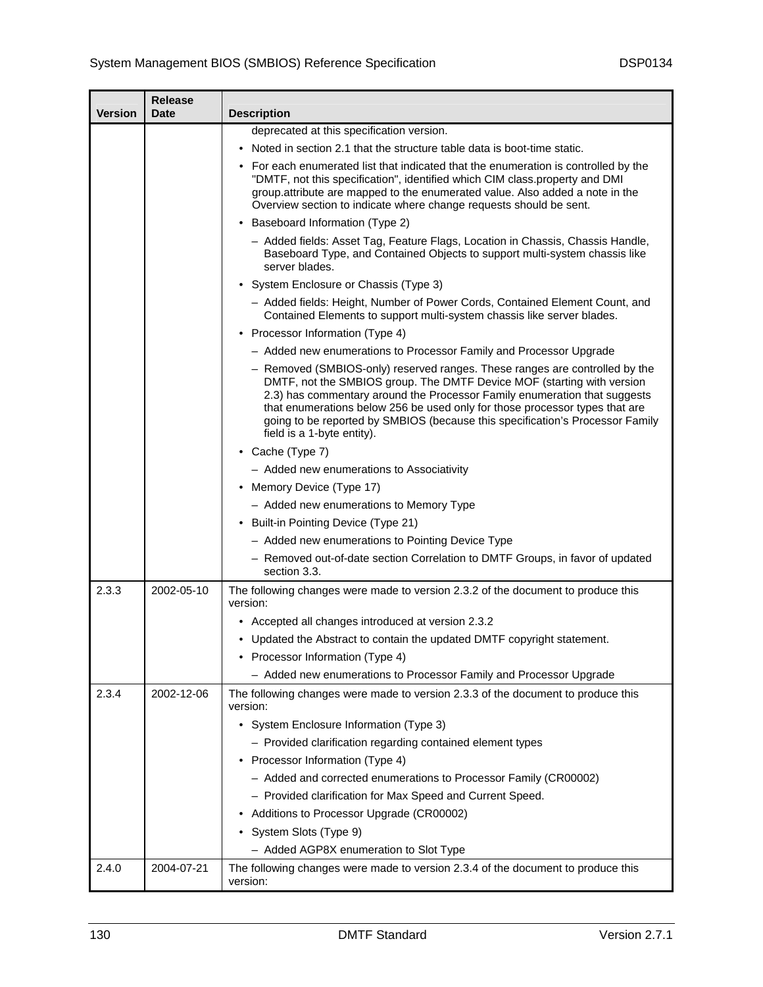| <b>Version</b> | <b>Release</b><br>Date | <b>Description</b>                                                                                                                                                                                                                                                                                                                                                                                                               |
|----------------|------------------------|----------------------------------------------------------------------------------------------------------------------------------------------------------------------------------------------------------------------------------------------------------------------------------------------------------------------------------------------------------------------------------------------------------------------------------|
|                |                        | deprecated at this specification version.                                                                                                                                                                                                                                                                                                                                                                                        |
|                |                        | • Noted in section 2.1 that the structure table data is boot-time static.                                                                                                                                                                                                                                                                                                                                                        |
|                |                        | • For each enumerated list that indicated that the enumeration is controlled by the<br>"DMTF, not this specification", identified which CIM class.property and DMI<br>group.attribute are mapped to the enumerated value. Also added a note in the<br>Overview section to indicate where change requests should be sent.                                                                                                         |
|                |                        | • Baseboard Information (Type 2)                                                                                                                                                                                                                                                                                                                                                                                                 |
|                |                        | - Added fields: Asset Tag, Feature Flags, Location in Chassis, Chassis Handle,<br>Baseboard Type, and Contained Objects to support multi-system chassis like<br>server blades.                                                                                                                                                                                                                                                   |
|                |                        | • System Enclosure or Chassis (Type 3)                                                                                                                                                                                                                                                                                                                                                                                           |
|                |                        | - Added fields: Height, Number of Power Cords, Contained Element Count, and<br>Contained Elements to support multi-system chassis like server blades.                                                                                                                                                                                                                                                                            |
|                |                        | • Processor Information (Type 4)                                                                                                                                                                                                                                                                                                                                                                                                 |
|                |                        | - Added new enumerations to Processor Family and Processor Upgrade                                                                                                                                                                                                                                                                                                                                                               |
|                |                        | - Removed (SMBIOS-only) reserved ranges. These ranges are controlled by the<br>DMTF, not the SMBIOS group. The DMTF Device MOF (starting with version<br>2.3) has commentary around the Processor Family enumeration that suggests<br>that enumerations below 256 be used only for those processor types that are<br>going to be reported by SMBIOS (because this specification's Processor Family<br>field is a 1-byte entity). |
|                |                        | • Cache (Type 7)                                                                                                                                                                                                                                                                                                                                                                                                                 |
|                |                        | - Added new enumerations to Associativity                                                                                                                                                                                                                                                                                                                                                                                        |
|                |                        | • Memory Device (Type 17)                                                                                                                                                                                                                                                                                                                                                                                                        |
|                |                        | - Added new enumerations to Memory Type                                                                                                                                                                                                                                                                                                                                                                                          |
|                |                        | • Built-in Pointing Device (Type 21)                                                                                                                                                                                                                                                                                                                                                                                             |
|                |                        | - Added new enumerations to Pointing Device Type                                                                                                                                                                                                                                                                                                                                                                                 |
|                |                        | - Removed out-of-date section Correlation to DMTF Groups, in favor of updated<br>section 3.3.                                                                                                                                                                                                                                                                                                                                    |
| 2.3.3          | 2002-05-10             | The following changes were made to version 2.3.2 of the document to produce this<br>version:                                                                                                                                                                                                                                                                                                                                     |
|                |                        | • Accepted all changes introduced at version 2.3.2                                                                                                                                                                                                                                                                                                                                                                               |
|                |                        | • Updated the Abstract to contain the updated DMTF copyright statement.                                                                                                                                                                                                                                                                                                                                                          |
|                |                        | • Processor Information (Type 4)                                                                                                                                                                                                                                                                                                                                                                                                 |
|                |                        | - Added new enumerations to Processor Family and Processor Upgrade                                                                                                                                                                                                                                                                                                                                                               |
| 2.3.4          | 2002-12-06             | The following changes were made to version 2.3.3 of the document to produce this<br>version:                                                                                                                                                                                                                                                                                                                                     |
|                |                        | • System Enclosure Information (Type 3)                                                                                                                                                                                                                                                                                                                                                                                          |
|                |                        | - Provided clarification regarding contained element types                                                                                                                                                                                                                                                                                                                                                                       |
|                |                        | • Processor Information (Type 4)                                                                                                                                                                                                                                                                                                                                                                                                 |
|                |                        | - Added and corrected enumerations to Processor Family (CR00002)                                                                                                                                                                                                                                                                                                                                                                 |
|                |                        | - Provided clarification for Max Speed and Current Speed.                                                                                                                                                                                                                                                                                                                                                                        |
|                |                        | • Additions to Processor Upgrade (CR00002)                                                                                                                                                                                                                                                                                                                                                                                       |
|                |                        | • System Slots (Type 9)                                                                                                                                                                                                                                                                                                                                                                                                          |
|                |                        | - Added AGP8X enumeration to Slot Type                                                                                                                                                                                                                                                                                                                                                                                           |
| 2.4.0          | 2004-07-21             | The following changes were made to version 2.3.4 of the document to produce this<br>version:                                                                                                                                                                                                                                                                                                                                     |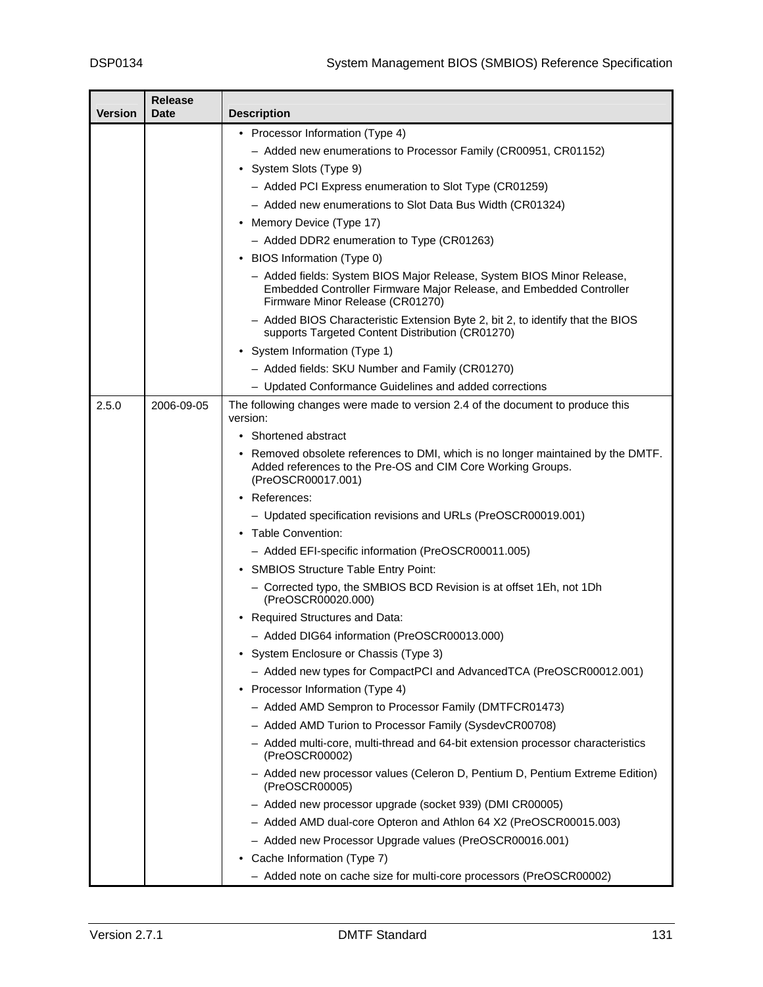| <b>Version</b> | <b>Release</b><br><b>Date</b> | <b>Description</b>                                                                                                                                                               |
|----------------|-------------------------------|----------------------------------------------------------------------------------------------------------------------------------------------------------------------------------|
|                |                               | • Processor Information (Type 4)                                                                                                                                                 |
|                |                               | - Added new enumerations to Processor Family (CR00951, CR01152)                                                                                                                  |
|                |                               | • System Slots (Type 9)                                                                                                                                                          |
|                |                               | - Added PCI Express enumeration to Slot Type (CR01259)                                                                                                                           |
|                |                               | - Added new enumerations to Slot Data Bus Width (CR01324)                                                                                                                        |
|                |                               | • Memory Device (Type 17)                                                                                                                                                        |
|                |                               | - Added DDR2 enumeration to Type (CR01263)                                                                                                                                       |
|                |                               | • BIOS Information (Type 0)                                                                                                                                                      |
|                |                               | - Added fields: System BIOS Major Release, System BIOS Minor Release,<br>Embedded Controller Firmware Major Release, and Embedded Controller<br>Firmware Minor Release (CR01270) |
|                |                               | - Added BIOS Characteristic Extension Byte 2, bit 2, to identify that the BIOS<br>supports Targeted Content Distribution (CR01270)                                               |
|                |                               | • System Information (Type 1)                                                                                                                                                    |
|                |                               | - Added fields: SKU Number and Family (CR01270)                                                                                                                                  |
|                |                               | - Updated Conformance Guidelines and added corrections                                                                                                                           |
| 2.5.0          | 2006-09-05                    | The following changes were made to version 2.4 of the document to produce this<br>version:                                                                                       |
|                |                               | • Shortened abstract                                                                                                                                                             |
|                |                               | • Removed obsolete references to DMI, which is no longer maintained by the DMTF.<br>Added references to the Pre-OS and CIM Core Working Groups.<br>(PreOSCR00017.001)            |
|                |                               | • References:                                                                                                                                                                    |
|                |                               | - Updated specification revisions and URLs (PreOSCR00019.001)                                                                                                                    |
|                |                               | • Table Convention:                                                                                                                                                              |
|                |                               | - Added EFI-specific information (PreOSCR00011.005)                                                                                                                              |
|                |                               | • SMBIOS Structure Table Entry Point:                                                                                                                                            |
|                |                               | - Corrected typo, the SMBIOS BCD Revision is at offset 1Eh, not 1Dh<br>(PreOSCR00020.000)                                                                                        |
|                |                               | • Required Structures and Data:                                                                                                                                                  |
|                |                               | - Added DIG64 information (PreOSCR00013.000)                                                                                                                                     |
|                |                               | • System Enclosure or Chassis (Type 3)                                                                                                                                           |
|                |                               | - Added new types for CompactPCI and AdvancedTCA (PreOSCR00012.001)                                                                                                              |
|                |                               | • Processor Information (Type 4)                                                                                                                                                 |
|                |                               | - Added AMD Sempron to Processor Family (DMTFCR01473)                                                                                                                            |
|                |                               | - Added AMD Turion to Processor Family (SysdevCR00708)                                                                                                                           |
|                |                               | - Added multi-core, multi-thread and 64-bit extension processor characteristics<br>(PreOSCR00002)                                                                                |
|                |                               | - Added new processor values (Celeron D, Pentium D, Pentium Extreme Edition)<br>(PreOSCR00005)                                                                                   |
|                |                               | - Added new processor upgrade (socket 939) (DMI CR00005)                                                                                                                         |
|                |                               | - Added AMD dual-core Opteron and Athlon 64 X2 (PreOSCR00015.003)                                                                                                                |
|                |                               | - Added new Processor Upgrade values (PreOSCR00016.001)                                                                                                                          |
|                |                               | • Cache Information (Type 7)                                                                                                                                                     |
|                |                               | - Added note on cache size for multi-core processors (PreOSCR00002)                                                                                                              |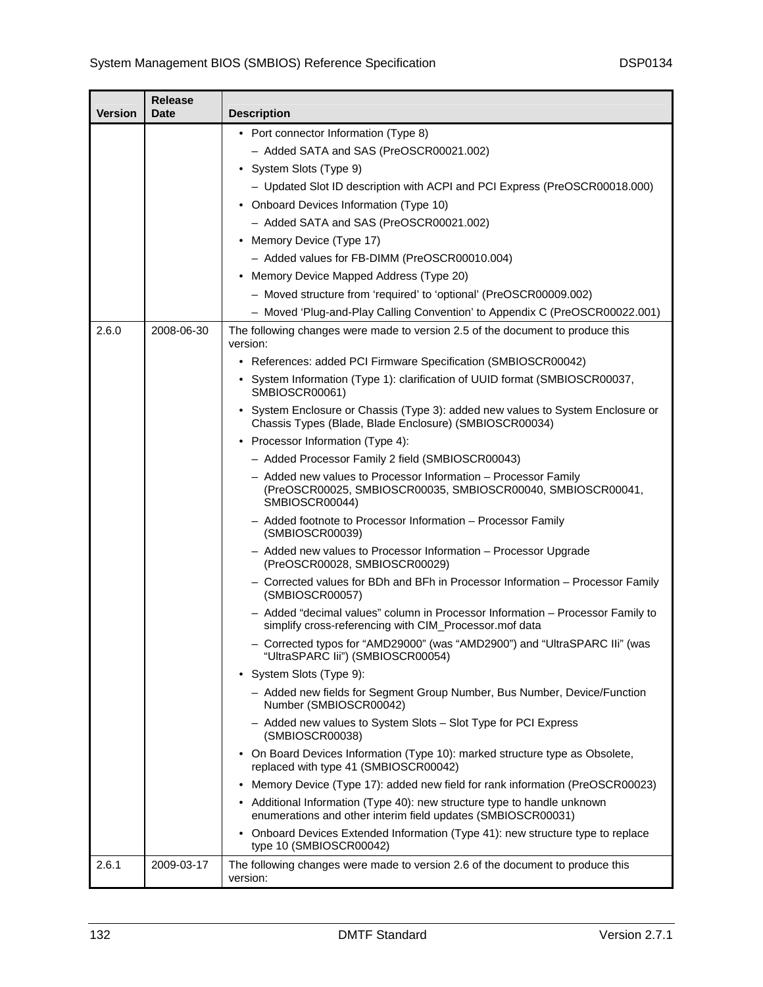| <b>Version</b> | <b>Release</b><br><b>Date</b> | <b>Description</b>                                                                                                                              |
|----------------|-------------------------------|-------------------------------------------------------------------------------------------------------------------------------------------------|
|                |                               | • Port connector Information (Type 8)                                                                                                           |
|                |                               | - Added SATA and SAS (PreOSCR00021.002)                                                                                                         |
|                |                               | • System Slots (Type 9)                                                                                                                         |
|                |                               | - Updated Slot ID description with ACPI and PCI Express (PreOSCR00018.000)                                                                      |
|                |                               | • Onboard Devices Information (Type 10)                                                                                                         |
|                |                               | - Added SATA and SAS (PreOSCR00021.002)                                                                                                         |
|                |                               | • Memory Device (Type 17)                                                                                                                       |
|                |                               | - Added values for FB-DIMM (PreOSCR00010.004)                                                                                                   |
|                |                               | • Memory Device Mapped Address (Type 20)                                                                                                        |
|                |                               | - Moved structure from 'required' to 'optional' (PreOSCR00009.002)                                                                              |
|                |                               | - Moved 'Plug-and-Play Calling Convention' to Appendix C (PreOSCR00022.001)                                                                     |
| 2.6.0          | 2008-06-30                    | The following changes were made to version 2.5 of the document to produce this<br>version:                                                      |
|                |                               | • References: added PCI Firmware Specification (SMBIOSCR00042)                                                                                  |
|                |                               | • System Information (Type 1): clarification of UUID format (SMBIOSCR00037,<br>SMBIOSCR00061)                                                   |
|                |                               | • System Enclosure or Chassis (Type 3): added new values to System Enclosure or<br>Chassis Types (Blade, Blade Enclosure) (SMBIOSCR00034)       |
|                |                               | • Processor Information (Type 4):                                                                                                               |
|                |                               | - Added Processor Family 2 field (SMBIOSCR00043)                                                                                                |
|                |                               | - Added new values to Processor Information - Processor Family<br>(PreOSCR00025, SMBIOSCR00035, SMBIOSCR00040, SMBIOSCR00041,<br>SMBIOSCR00044) |
|                |                               | - Added footnote to Processor Information - Processor Family<br>(SMBIOSCR00039)                                                                 |
|                |                               | - Added new values to Processor Information - Processor Upgrade<br>(PreOSCR00028, SMBIOSCR00029)                                                |
|                |                               | - Corrected values for BDh and BFh in Processor Information - Processor Family<br>(SMBIOSCR00057)                                               |
|                |                               | - Added "decimal values" column in Processor Information - Processor Family to<br>simplify cross-referencing with CIM_Processor.mof data        |
|                |                               | - Corrected typos for "AMD29000" (was "AMD2900") and "UltraSPARC Ili" (was<br>"UltraSPARC lii") (SMBIOSCR00054)                                 |
|                |                               | • System Slots (Type 9):                                                                                                                        |
|                |                               | - Added new fields for Segment Group Number, Bus Number, Device/Function<br>Number (SMBIOSCR00042)                                              |
|                |                               | - Added new values to System Slots - Slot Type for PCI Express<br>(SMBIOSCR00038)                                                               |
|                |                               | • On Board Devices Information (Type 10): marked structure type as Obsolete,<br>replaced with type 41 (SMBIOSCR00042)                           |
|                |                               | Memory Device (Type 17): added new field for rank information (PreOSCR00023)<br>$\bullet$                                                       |
|                |                               | • Additional Information (Type 40): new structure type to handle unknown<br>enumerations and other interim field updates (SMBIOSCR00031)        |
|                |                               | • Onboard Devices Extended Information (Type 41): new structure type to replace<br>type 10 (SMBIOSCR00042)                                      |
| 2.6.1          | 2009-03-17                    | The following changes were made to version 2.6 of the document to produce this<br>version:                                                      |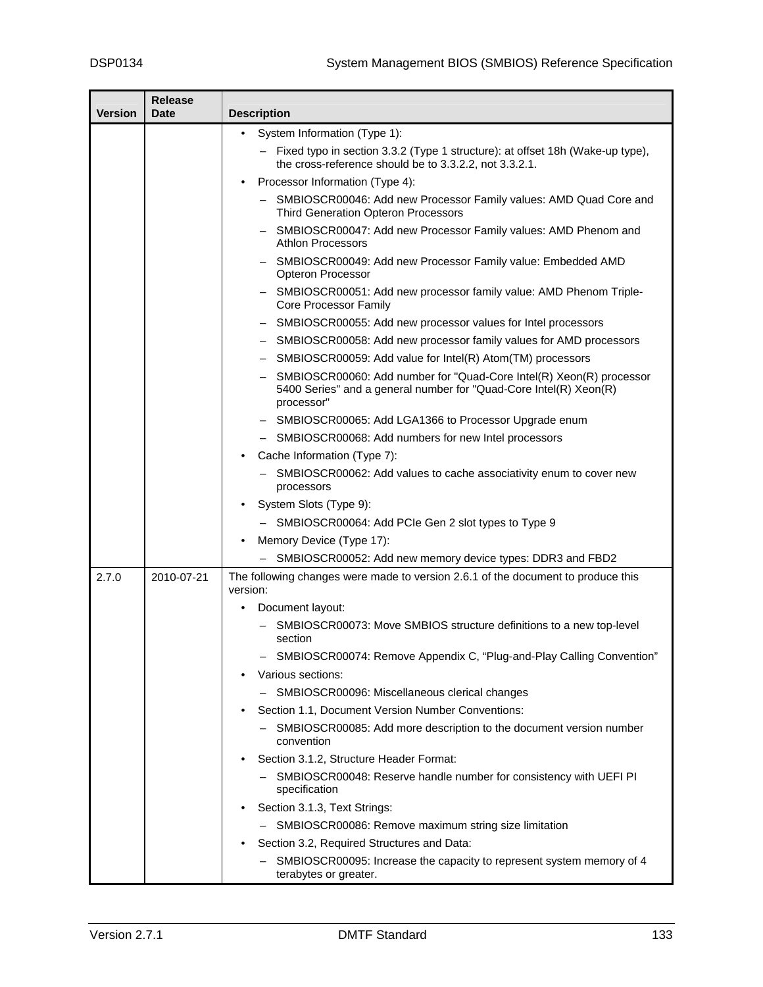| <b>Version</b> | <b>Release</b><br><b>Date</b> | <b>Description</b>                                                                                                                                     |
|----------------|-------------------------------|--------------------------------------------------------------------------------------------------------------------------------------------------------|
|                |                               | System Information (Type 1):<br>$\bullet$                                                                                                              |
|                |                               | - Fixed typo in section 3.3.2 (Type 1 structure): at offset 18h (Wake-up type),<br>the cross-reference should be to 3.3.2.2, not 3.3.2.1.              |
|                |                               | Processor Information (Type 4):<br>٠                                                                                                                   |
|                |                               | - SMBIOSCR00046: Add new Processor Family values: AMD Quad Core and<br><b>Third Generation Opteron Processors</b>                                      |
|                |                               | SMBIOSCR00047: Add new Processor Family values: AMD Phenom and<br><b>Athlon Processors</b>                                                             |
|                |                               | SMBIOSCR00049: Add new Processor Family value: Embedded AMD<br><b>Opteron Processor</b>                                                                |
|                |                               | SMBIOSCR00051: Add new processor family value: AMD Phenom Triple-<br><b>Core Processor Family</b>                                                      |
|                |                               | SMBIOSCR00055: Add new processor values for Intel processors                                                                                           |
|                |                               | SMBIOSCR00058: Add new processor family values for AMD processors                                                                                      |
|                |                               | SMBIOSCR00059: Add value for Intel(R) Atom(TM) processors                                                                                              |
|                |                               | SMBIOSCR00060: Add number for "Quad-Core Intel(R) Xeon(R) processor<br>5400 Series" and a general number for "Quad-Core Intel(R) Xeon(R)<br>processor" |
|                |                               | - SMBIOSCR00065: Add LGA1366 to Processor Upgrade enum                                                                                                 |
|                |                               | - SMBIOSCR00068: Add numbers for new Intel processors                                                                                                  |
|                |                               | Cache Information (Type 7):<br>$\bullet$                                                                                                               |
|                |                               | - SMBIOSCR00062: Add values to cache associativity enum to cover new<br>processors                                                                     |
|                |                               | System Slots (Type 9):<br>٠                                                                                                                            |
|                |                               | - SMBIOSCR00064: Add PCIe Gen 2 slot types to Type 9                                                                                                   |
|                |                               | Memory Device (Type 17):                                                                                                                               |
|                |                               | SMBIOSCR00052: Add new memory device types: DDR3 and FBD2                                                                                              |
| 2.7.0          | 2010-07-21                    | The following changes were made to version 2.6.1 of the document to produce this<br>version:                                                           |
|                |                               | Document layout:                                                                                                                                       |
|                |                               | SMBIOSCR00073: Move SMBIOS structure definitions to a new top-level<br>section                                                                         |
|                |                               | SMBIOSCR00074: Remove Appendix C, "Plug-and-Play Calling Convention"                                                                                   |
|                |                               | Various sections:                                                                                                                                      |
|                |                               | SMBIOSCR00096: Miscellaneous clerical changes                                                                                                          |
|                |                               | Section 1.1, Document Version Number Conventions:<br>٠                                                                                                 |
|                |                               | SMBIOSCR00085: Add more description to the document version number<br>convention                                                                       |
|                |                               | Section 3.1.2, Structure Header Format:<br>٠                                                                                                           |
|                |                               | SMBIOSCR00048: Reserve handle number for consistency with UEFI PI<br>specification                                                                     |
|                |                               | Section 3.1.3, Text Strings:<br>٠                                                                                                                      |
|                |                               | - SMBIOSCR00086: Remove maximum string size limitation                                                                                                 |
|                |                               | Section 3.2, Required Structures and Data:<br>٠                                                                                                        |
|                |                               | SMBIOSCR00095: Increase the capacity to represent system memory of 4<br>terabytes or greater.                                                          |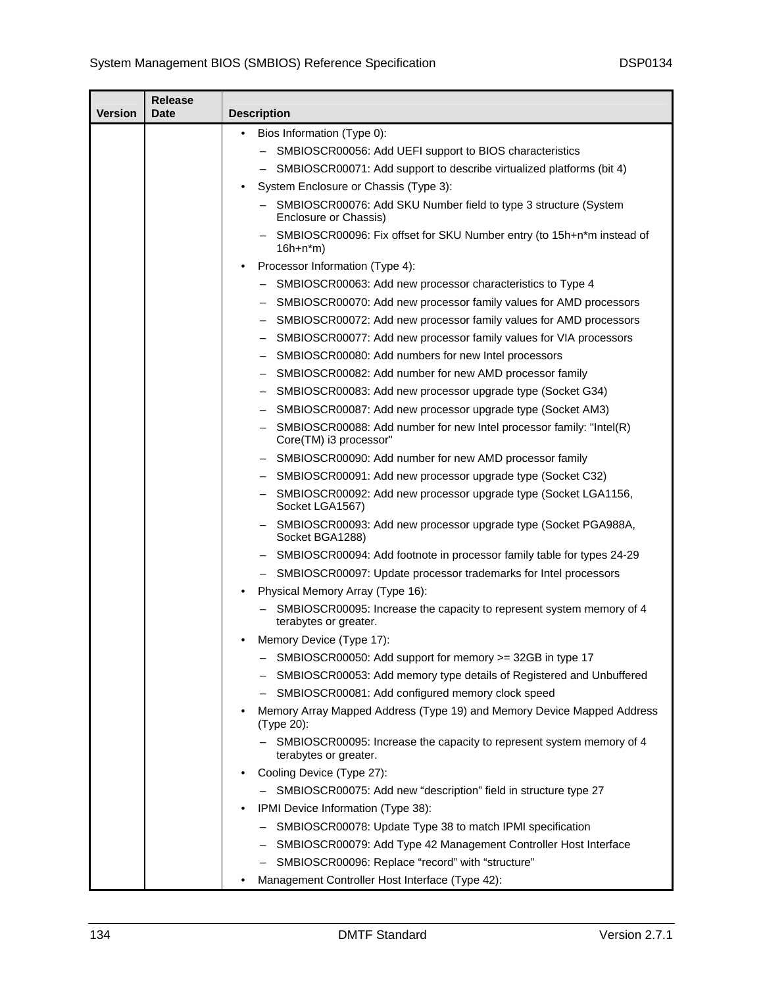| <b>Version</b> | <b>Release</b><br><b>Date</b> | <b>Description</b>                                                                            |
|----------------|-------------------------------|-----------------------------------------------------------------------------------------------|
|                |                               | Bios Information (Type 0):<br>$\bullet$                                                       |
|                |                               | - SMBIOSCR00056: Add UEFI support to BIOS characteristics                                     |
|                |                               | SMBIOSCR00071: Add support to describe virtualized platforms (bit 4)                          |
|                |                               | System Enclosure or Chassis (Type 3):                                                         |
|                |                               | SMBIOSCR00076: Add SKU Number field to type 3 structure (System<br>Enclosure or Chassis)      |
|                |                               | SMBIOSCR00096: Fix offset for SKU Number entry (to 15h+n*m instead of<br>$16h+n*m$            |
|                |                               | Processor Information (Type 4):<br>$\bullet$                                                  |
|                |                               | - SMBIOSCR00063: Add new processor characteristics to Type 4                                  |
|                |                               | SMBIOSCR00070: Add new processor family values for AMD processors                             |
|                |                               | SMBIOSCR00072: Add new processor family values for AMD processors                             |
|                |                               | SMBIOSCR00077: Add new processor family values for VIA processors                             |
|                |                               | SMBIOSCR00080: Add numbers for new Intel processors                                           |
|                |                               | SMBIOSCR00082: Add number for new AMD processor family                                        |
|                |                               | SMBIOSCR00083: Add new processor upgrade type (Socket G34)<br>-                               |
|                |                               | SMBIOSCR00087: Add new processor upgrade type (Socket AM3)                                    |
|                |                               | SMBIOSCR00088: Add number for new Intel processor family: "Intel(R)<br>Core(TM) i3 processor" |
|                |                               | SMBIOSCR00090: Add number for new AMD processor family                                        |
|                |                               | SMBIOSCR00091: Add new processor upgrade type (Socket C32)                                    |
|                |                               | SMBIOSCR00092: Add new processor upgrade type (Socket LGA1156,<br>Socket LGA1567)             |
|                |                               | SMBIOSCR00093: Add new processor upgrade type (Socket PGA988A,<br>Socket BGA1288)             |
|                |                               | - SMBIOSCR00094: Add footnote in processor family table for types 24-29                       |
|                |                               | - SMBIOSCR00097: Update processor trademarks for Intel processors                             |
|                |                               | Physical Memory Array (Type 16):                                                              |
|                |                               | SMBIOSCR00095: Increase the capacity to represent system memory of 4<br>terabytes or greater. |
|                |                               | Memory Device (Type 17):                                                                      |
|                |                               | SMBIOSCR00050: Add support for memory >= 32GB in type 17                                      |
|                |                               | SMBIOSCR00053: Add memory type details of Registered and Unbuffered                           |
|                |                               | SMBIOSCR00081: Add configured memory clock speed                                              |
|                |                               | Memory Array Mapped Address (Type 19) and Memory Device Mapped Address<br>(Type 20):          |
|                |                               | SMBIOSCR00095: Increase the capacity to represent system memory of 4<br>terabytes or greater. |
|                |                               | Cooling Device (Type 27):                                                                     |
|                |                               | - SMBIOSCR00075: Add new "description" field in structure type 27                             |
|                |                               | IPMI Device Information (Type 38):<br>$\bullet$                                               |
|                |                               | SMBIOSCR00078: Update Type 38 to match IPMI specification                                     |
|                |                               | SMBIOSCR00079: Add Type 42 Management Controller Host Interface                               |
|                |                               | SMBIOSCR00096: Replace "record" with "structure"                                              |
|                |                               | Management Controller Host Interface (Type 42):                                               |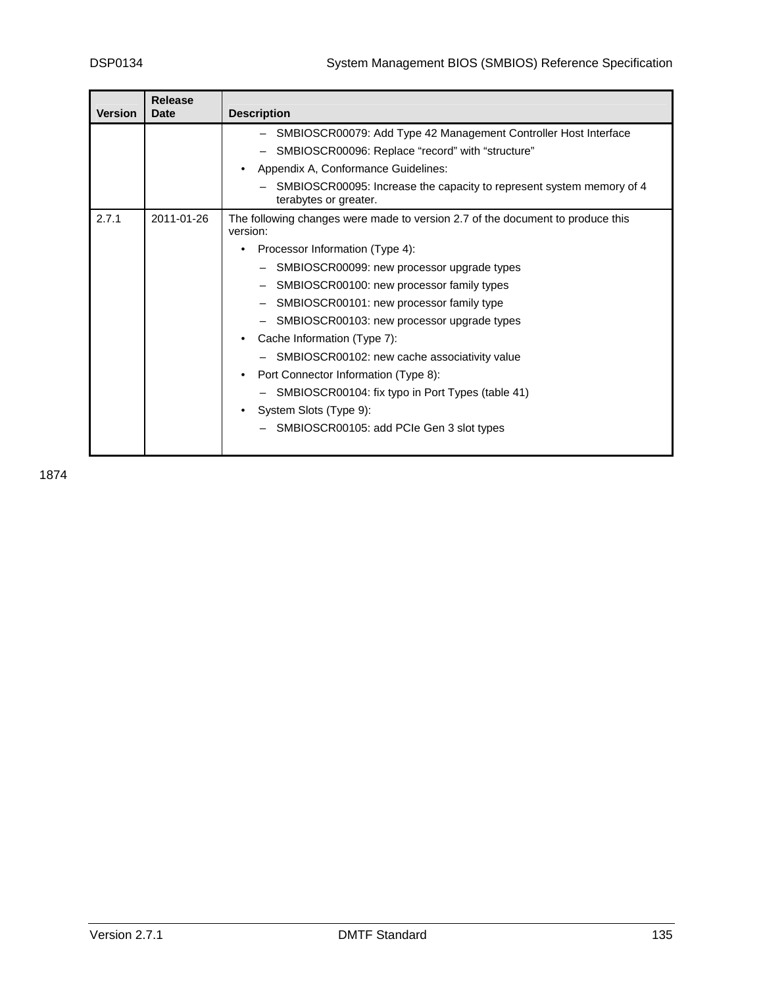| <b>Version</b> | <b>Release</b><br>Date | <b>Description</b>                                                                                                                                                                                                                                                                                                                                                                                                                                                                                                                                                               |
|----------------|------------------------|----------------------------------------------------------------------------------------------------------------------------------------------------------------------------------------------------------------------------------------------------------------------------------------------------------------------------------------------------------------------------------------------------------------------------------------------------------------------------------------------------------------------------------------------------------------------------------|
|                |                        | SMBIOSCR00079: Add Type 42 Management Controller Host Interface<br>SMBIOSCR00096: Replace "record" with "structure"<br>Appendix A, Conformance Guidelines:<br>SMBIOSCR00095: Increase the capacity to represent system memory of 4<br>terabytes or greater.                                                                                                                                                                                                                                                                                                                      |
| 2.7.1          | 2011-01-26             | The following changes were made to version 2.7 of the document to produce this<br>version:<br>Processor Information (Type 4):<br>SMBIOSCR00099: new processor upgrade types<br>SMBIOSCR00100: new processor family types<br>SMBIOSCR00101: new processor family type<br>SMBIOSCR00103: new processor upgrade types<br>Cache Information (Type 7):<br>SMBIOSCR00102: new cache associativity value<br>Port Connector Information (Type 8):<br>$\bullet$<br>SMBIOSCR00104: fix typo in Port Types (table 41)<br>System Slots (Type 9):<br>SMBIOSCR00105: add PCIe Gen 3 slot types |